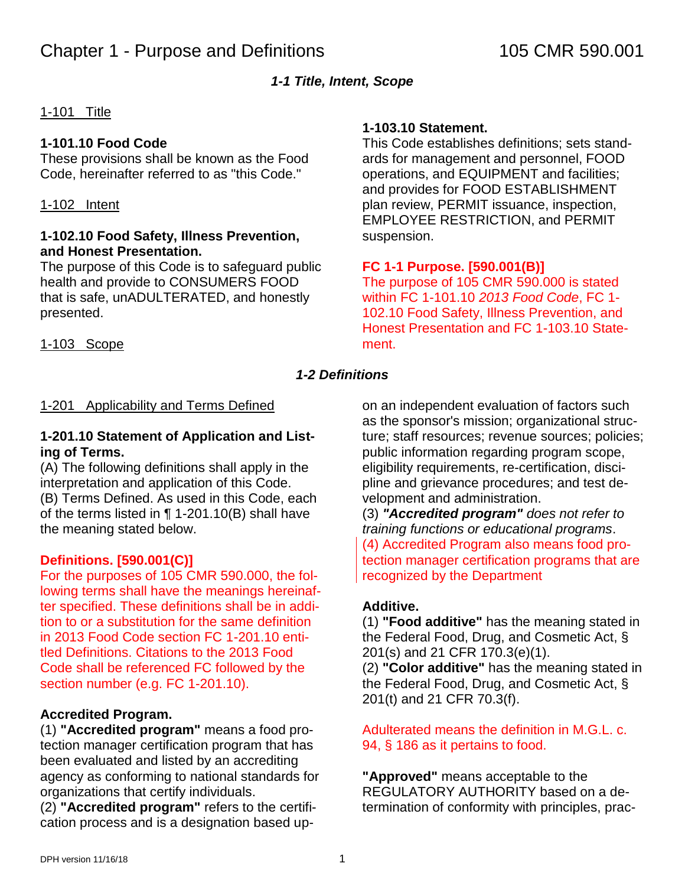## *1-1 Title, Intent, Scope*

## 1-101 Title

## **1-101.10 Food Code**

These provisions shall be known as the Food Code, hereinafter referred to as "this Code."

1-102 Intent

#### **1-102.10 Food Safety, Illness Prevention, and Honest Presentation.**

The purpose of this Code is to safeguard public health and provide to CONSUMERS FOOD that is safe, unADULTERATED, and honestly presented.

1-103 Scope

## **1-103.10 Statement.**

This Code establishes definitions; sets standards for management and personnel, FOOD operations, and EQUIPMENT and facilities; and provides for FOOD ESTABLISHMENT plan review, PERMIT issuance, inspection, EMPLOYEE RESTRICTION, and PERMIT suspension.

## **FC 1-1 Purpose. [590.001(B)]**

The purpose of 105 CMR 590.000 is stated within FC 1-101.10 *2013 Food Code*, FC 1- 102.10 Food Safety, Illness Prevention, and Honest Presentation and FC 1-103.10 Statement.

## *1-2 Definitions*

## 1-201 Applicability and Terms Defined

#### **1-201.10 Statement of Application and Listing of Terms.**

(A) The following definitions shall apply in the interpretation and application of this Code. (B) Terms Defined. As used in this Code, each of the terms listed in ¶ 1-201.10(B) shall have the meaning stated below.

## **Definitions. [590.001(C)]**

For the purposes of 105 CMR 590.000, the following terms shall have the meanings hereinafter specified. These definitions shall be in addition to or a substitution for the same definition in 2013 Food Code section FC 1-201.10 entitled Definitions. Citations to the 2013 Food Code shall be referenced FC followed by the section number (e.g. FC 1-201.10).

## **Accredited Program.**

(1) **"Accredited program"** means a food protection manager certification program that has been evaluated and listed by an accrediting agency as conforming to national standards for organizations that certify individuals.

(2) **"Accredited program"** refers to the certification process and is a designation based upon an independent evaluation of factors such as the sponsor's mission; organizational structure; staff resources; revenue sources; policies; public information regarding program scope, eligibility requirements, re-certification, discipline and grievance procedures; and test development and administration.

(3) *"Accredited program" does not refer to training functions or educational programs*. (4) Accredited Program also means food protection manager certification programs that are recognized by the Department

## **Additive.**

(1) **"Food additive"** has the meaning stated in the Federal Food, Drug, and Cosmetic Act, § 201(s) and 21 CFR 170.3(e)(1).

(2) **"Color additive"** has the meaning stated in the Federal Food, Drug, and Cosmetic Act, § 201(t) and 21 CFR 70.3(f).

Adulterated means the definition in M.G.L. c. 94, § 186 as it pertains to food.

**"Approved"** means acceptable to the REGULATORY AUTHORITY based on a determination of conformity with principles, prac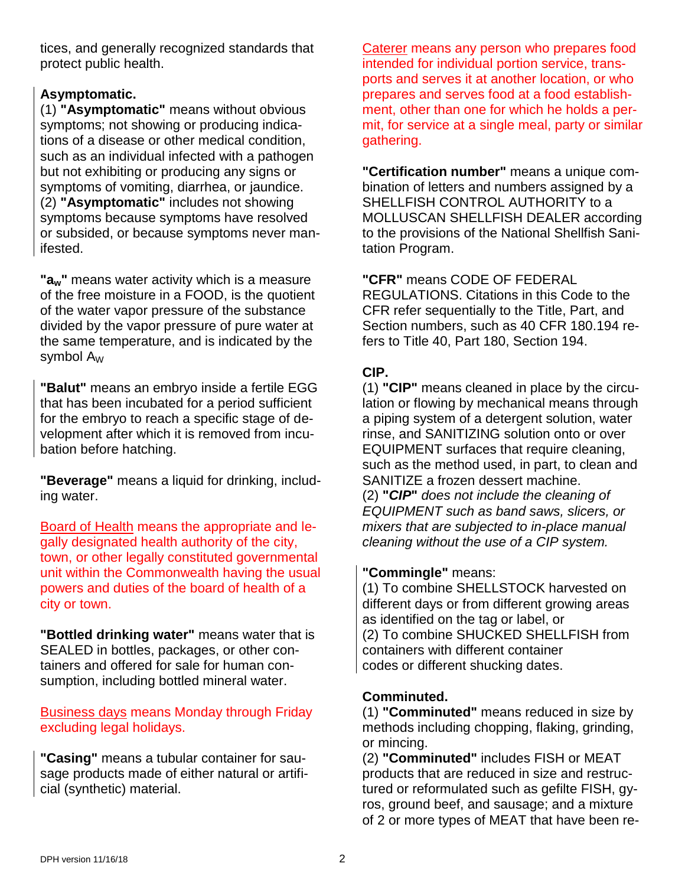tices, and generally recognized standards that protect public health.

## **Asymptomatic.**

(1) **"Asymptomatic"** means without obvious symptoms; not showing or producing indications of a disease or other medical condition, such as an individual infected with a pathogen but not exhibiting or producing any signs or symptoms of vomiting, diarrhea, or jaundice. (2) **"Asymptomatic"** includes not showing symptoms because symptoms have resolved or subsided, or because symptoms never manifested.

**"aw"** means water activity which is a measure of the free moisture in a FOOD, is the quotient of the water vapor pressure of the substance divided by the vapor pressure of pure water at the same temperature, and is indicated by the symbol A<sub>W</sub>

**"Balut"** means an embryo inside a fertile EGG that has been incubated for a period sufficient for the embryo to reach a specific stage of development after which it is removed from incubation before hatching.

**"Beverage"** means a liquid for drinking, including water.

Board of Health means the appropriate and legally designated health authority of the city, town, or other legally constituted governmental unit within the Commonwealth having the usual powers and duties of the board of health of a city or town.

**"Bottled drinking water"** means water that is SEALED in bottles, packages, or other containers and offered for sale for human consumption, including bottled mineral water.

Business days means Monday through Friday excluding legal holidays.

**"Casing"** means a tubular container for sausage products made of either natural or artificial (synthetic) material.

Caterer means any person who prepares food intended for individual portion service, transports and serves it at another location, or who prepares and serves food at a food establishment, other than one for which he holds a permit, for service at a single meal, party or similar gathering.

**"Certification number"** means a unique combination of letters and numbers assigned by a SHELLFISH CONTROL AUTHORITY to a MOLLUSCAN SHELLFISH DEALER according to the provisions of the National Shellfish Sanitation Program.

**"CFR"** means CODE OF FEDERAL REGULATIONS. Citations in this Code to the CFR refer sequentially to the Title, Part, and Section numbers, such as 40 CFR 180.194 refers to Title 40, Part 180, Section 194.

## **CIP.**

(1) **"CIP"** means cleaned in place by the circulation or flowing by mechanical means through a piping system of a detergent solution, water rinse, and SANITIZING solution onto or over EQUIPMENT surfaces that require cleaning, such as the method used, in part, to clean and SANITIZE a frozen dessert machine. (2) **"***CIP***"** *does not include the cleaning of EQUIPMENT such as band saws, slicers, or mixers that are subjected to in-place manual cleaning without the use of a CIP system.*

## **"Commingle"** means:

(1) To combine SHELLSTOCK harvested on different days or from different growing areas as identified on the tag or label, or (2) To combine SHUCKED SHELLFISH from containers with different container codes or different shucking dates.

## **Comminuted.**

(1) **"Comminuted"** means reduced in size by methods including chopping, flaking, grinding, or mincing.

(2) **"Comminuted"** includes FISH or MEAT products that are reduced in size and restructured or reformulated such as gefilte FISH, gyros, ground beef, and sausage; and a mixture of 2 or more types of MEAT that have been re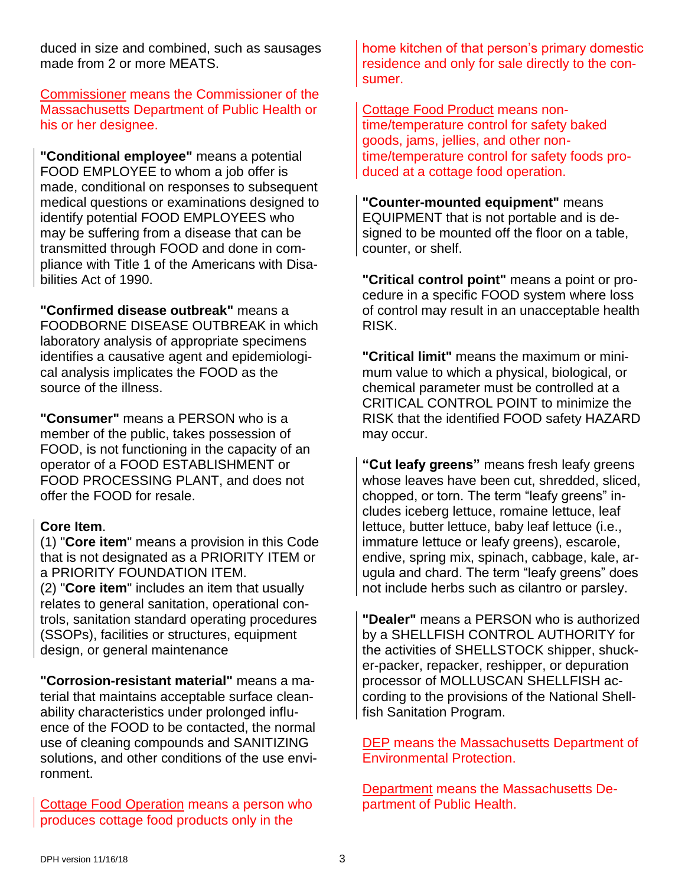duced in size and combined, such as sausages made from 2 or more MEATS.

Commissioner means the Commissioner of the Massachusetts Department of Public Health or his or her designee.

**"Conditional employee"** means a potential FOOD EMPLOYEE to whom a job offer is made, conditional on responses to subsequent medical questions or examinations designed to identify potential FOOD EMPLOYEES who may be suffering from a disease that can be transmitted through FOOD and done in compliance with Title 1 of the Americans with Disabilities Act of 1990.

**"Confirmed disease outbreak"** means a FOODBORNE DISEASE OUTBREAK in which laboratory analysis of appropriate specimens identifies a causative agent and epidemiological analysis implicates the FOOD as the source of the illness.

**"Consumer"** means a PERSON who is a member of the public, takes possession of FOOD, is not functioning in the capacity of an operator of a FOOD ESTABLISHMENT or FOOD PROCESSING PLANT, and does not offer the FOOD for resale.

#### **Core Item**.

(1) "**Core item**" means a provision in this Code that is not designated as a PRIORITY ITEM or a PRIORITY FOUNDATION ITEM. (2) "**Core item**" includes an item that usually relates to general sanitation, operational controls, sanitation standard operating procedures (SSOPs), facilities or structures, equipment design, or general maintenance

**"Corrosion-resistant material"** means a material that maintains acceptable surface cleanability characteristics under prolonged influence of the FOOD to be contacted, the normal use of cleaning compounds and SANITIZING solutions, and other conditions of the use environment.

Cottage Food Operation means a person who produces cottage food products only in the

home kitchen of that person's primary domestic residence and only for sale directly to the consumer.

Cottage Food Product means nontime/temperature control for safety baked goods, jams, jellies, and other nontime/temperature control for safety foods produced at a cottage food operation.

**"Counter-mounted equipment"** means EQUIPMENT that is not portable and is designed to be mounted off the floor on a table, counter, or shelf.

**"Critical control point"** means a point or procedure in a specific FOOD system where loss of control may result in an unacceptable health RISK.

**"Critical limit"** means the maximum or minimum value to which a physical, biological, or chemical parameter must be controlled at a CRITICAL CONTROL POINT to minimize the RISK that the identified FOOD safety HAZARD may occur.

**"Cut leafy greens"** means fresh leafy greens whose leaves have been cut, shredded, sliced, chopped, or torn. The term "leafy greens" includes iceberg lettuce, romaine lettuce, leaf lettuce, butter lettuce, baby leaf lettuce (i.e., immature lettuce or leafy greens), escarole, endive, spring mix, spinach, cabbage, kale, arugula and chard. The term "leafy greens" does not include herbs such as cilantro or parsley.

**"Dealer"** means a PERSON who is authorized by a SHELLFISH CONTROL AUTHORITY for the activities of SHELLSTOCK shipper, shucker-packer, repacker, reshipper, or depuration processor of MOLLUSCAN SHELLFISH according to the provisions of the National Shellfish Sanitation Program.

DEP means the Massachusetts Department of Environmental Protection.

Department means the Massachusetts Department of Public Health.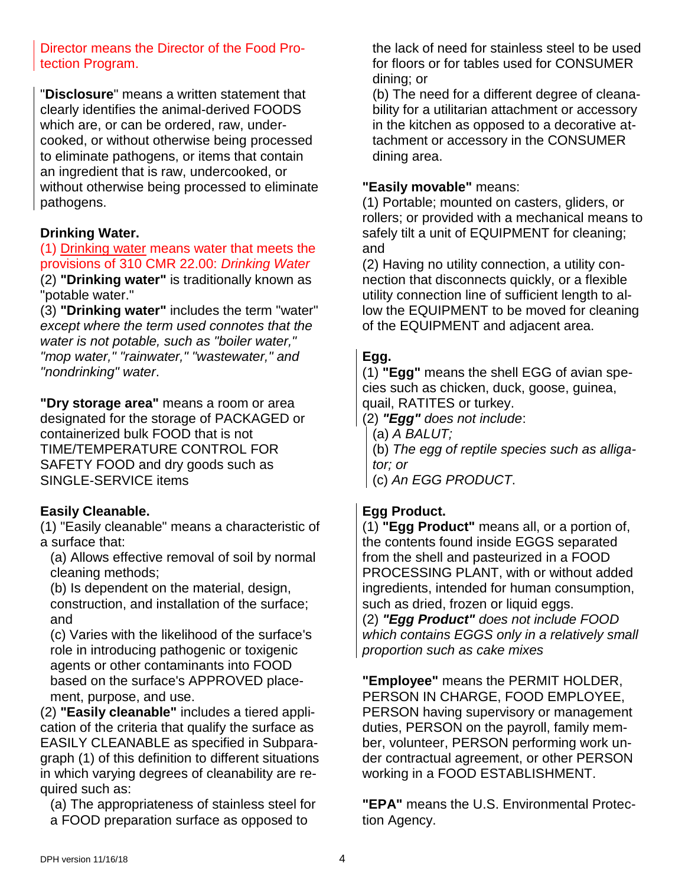## Director means the Director of the Food Protection Program.

"**Disclosure**" means a written statement that clearly identifies the animal-derived FOODS which are, or can be ordered, raw, undercooked, or without otherwise being processed to eliminate pathogens, or items that contain an ingredient that is raw, undercooked, or without otherwise being processed to eliminate pathogens.

## **Drinking Water.**

#### (1) Drinking water means water that meets the provisions of 310 CMR 22.00: *Drinking Water*

(2) **"Drinking water"** is traditionally known as "potable water."

(3) **"Drinking water"** includes the term "water" *except where the term used connotes that the water is not potable, such as "boiler water," "mop water," "rainwater," "wastewater," and "nondrinking" water*.

**"Dry storage area"** means a room or area designated for the storage of PACKAGED or containerized bulk FOOD that is not TIME/TEMPERATURE CONTROL FOR SAFETY FOOD and dry goods such as SINGLE-SERVICE items

## **Easily Cleanable.**

(1) "Easily cleanable" means a characteristic of a surface that:

(a) Allows effective removal of soil by normal cleaning methods;

(b) Is dependent on the material, design, construction, and installation of the surface; and

(c) Varies with the likelihood of the surface's role in introducing pathogenic or toxigenic agents or other contaminants into FOOD based on the surface's APPROVED placement, purpose, and use.

(2) **"Easily cleanable"** includes a tiered application of the criteria that qualify the surface as EASILY CLEANABLE as specified in Subparagraph (1) of this definition to different situations in which varying degrees of cleanability are required such as:

(a) The appropriateness of stainless steel for a FOOD preparation surface as opposed to

the lack of need for stainless steel to be used for floors or for tables used for CONSUMER dining; or

(b) The need for a different degree of cleanability for a utilitarian attachment or accessory in the kitchen as opposed to a decorative attachment or accessory in the CONSUMER dining area.

## **"Easily movable"** means:

(1) Portable; mounted on casters, gliders, or rollers; or provided with a mechanical means to safely tilt a unit of EQUIPMENT for cleaning; and

(2) Having no utility connection, a utility connection that disconnects quickly, or a flexible utility connection line of sufficient length to allow the EQUIPMENT to be moved for cleaning of the EQUIPMENT and adjacent area.

## **Egg.**

(1) **"Egg"** means the shell EGG of avian species such as chicken, duck, goose, guinea, quail, RATITES or turkey.

(2) *"Egg" does not include*:

- (a) *A BALUT;*
- (b) *The egg of reptile species such as alligator; or*
- (c) *An EGG PRODUCT*.

## **Egg Product.**

(1) **"Egg Product"** means all, or a portion of, the contents found inside EGGS separated from the shell and pasteurized in a FOOD PROCESSING PLANT, with or without added ingredients, intended for human consumption, such as dried, frozen or liquid eggs.

(2) *"Egg Product" does not include FOOD which contains EGGS only in a relatively small proportion such as cake mixes*

**"Employee"** means the PERMIT HOLDER, PERSON IN CHARGE, FOOD EMPLOYEE, PERSON having supervisory or management duties, PERSON on the payroll, family member, volunteer, PERSON performing work under contractual agreement, or other PERSON working in a FOOD ESTABLISHMENT.

**"EPA"** means the U.S. Environmental Protection Agency.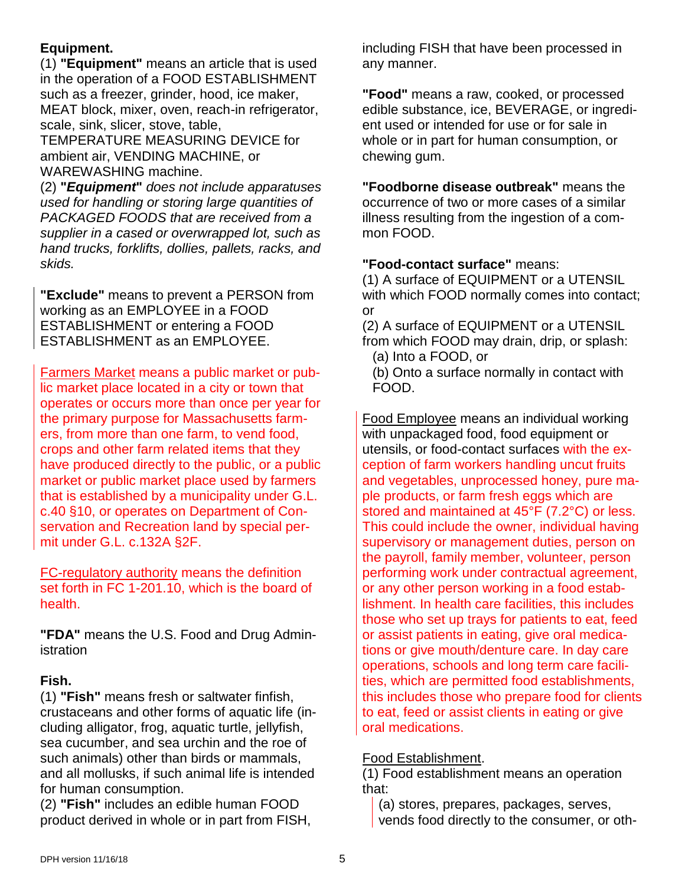## **Equipment.**

(1) **"Equipment"** means an article that is used in the operation of a FOOD ESTABLISHMENT such as a freezer, grinder, hood, ice maker, MEAT block, mixer, oven, reach-in refrigerator, scale, sink, slicer, stove, table,

TEMPERATURE MEASURING DEVICE for ambient air, VENDING MACHINE, or WAREWASHING machine.

(2) **"***Equipment***"** *does not include apparatuses used for handling or storing large quantities of PACKAGED FOODS that are received from a supplier in a cased or overwrapped lot, such as hand trucks, forklifts, dollies, pallets, racks, and skids.*

**"Exclude"** means to prevent a PERSON from working as an EMPLOYEE in a FOOD ESTABLISHMENT or entering a FOOD ESTABLISHMENT as an EMPLOYEE.

Farmers Market means a public market or public market place located in a city or town that operates or occurs more than once per year for the primary purpose for Massachusetts farmers, from more than one farm, to vend food, crops and other farm related items that they have produced directly to the public, or a public market or public market place used by farmers that is established by a municipality under G.L. c.40 §10, or operates on Department of Conservation and Recreation land by special permit under G.L. c.132A §2F.

FC-regulatory authority means the definition set forth in FC 1-201.10, which is the board of health.

**"FDA"** means the U.S. Food and Drug Administration

## **Fish.**

(1) **"Fish"** means fresh or saltwater finfish, crustaceans and other forms of aquatic life (including alligator, frog, aquatic turtle, jellyfish, sea cucumber, and sea urchin and the roe of such animals) other than birds or mammals, and all mollusks, if such animal life is intended for human consumption.

(2) **"Fish"** includes an edible human FOOD product derived in whole or in part from FISH, including FISH that have been processed in any manner.

**"Food"** means a raw, cooked, or processed edible substance, ice, BEVERAGE, or ingredient used or intended for use or for sale in whole or in part for human consumption, or chewing gum.

**"Foodborne disease outbreak"** means the occurrence of two or more cases of a similar illness resulting from the ingestion of a common FOOD.

#### **"Food-contact surface"** means:

(1) A surface of EQUIPMENT or a UTENSIL with which FOOD normally comes into contact; or

(2) A surface of EQUIPMENT or a UTENSIL from which FOOD may drain, drip, or splash:

(a) Into a FOOD, or

(b) Onto a surface normally in contact with FOOD.

Food Employee means an individual working with unpackaged food, food equipment or utensils, or food-contact surfaces with the exception of farm workers handling uncut fruits and vegetables, unprocessed honey, pure maple products, or farm fresh eggs which are stored and maintained at 45°F (7.2°C) or less. This could include the owner, individual having supervisory or management duties, person on the payroll, family member, volunteer, person performing work under contractual agreement, or any other person working in a food establishment. In health care facilities, this includes those who set up trays for patients to eat, feed or assist patients in eating, give oral medications or give mouth/denture care. In day care operations, schools and long term care facilities, which are permitted food establishments, this includes those who prepare food for clients to eat, feed or assist clients in eating or give oral medications.

#### Food Establishment.

(1) Food establishment means an operation that:

(a) stores, prepares, packages, serves, vends food directly to the consumer, or oth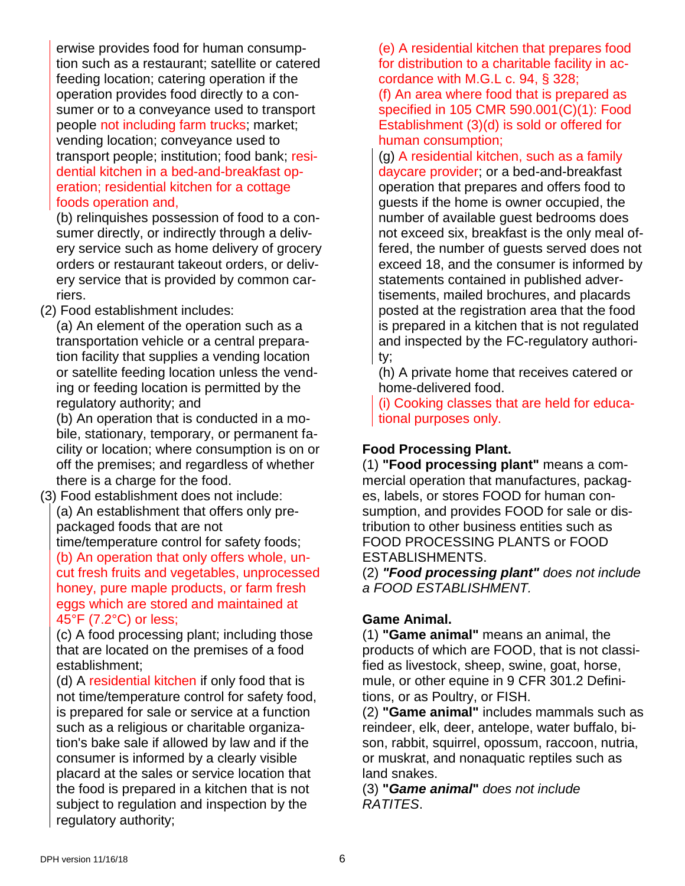erwise provides food for human consumption such as a restaurant; satellite or catered feeding location; catering operation if the operation provides food directly to a consumer or to a conveyance used to transport people not including farm trucks; market; vending location; conveyance used to transport people; institution; food bank; residential kitchen in a bed-and-breakfast operation; residential kitchen for a cottage foods operation and,

(b) relinquishes possession of food to a consumer directly, or indirectly through a delivery service such as home delivery of grocery orders or restaurant takeout orders, or delivery service that is provided by common carriers.

(2) Food establishment includes:

(a) An element of the operation such as a transportation vehicle or a central preparation facility that supplies a vending location or satellite feeding location unless the vending or feeding location is permitted by the regulatory authority; and

(b) An operation that is conducted in a mobile, stationary, temporary, or permanent facility or location; where consumption is on or off the premises; and regardless of whether there is a charge for the food.

- (3) Food establishment does not include:
- (a) An establishment that offers only prepackaged foods that are not

time/temperature control for safety foods; (b) An operation that only offers whole, uncut fresh fruits and vegetables, unprocessed honey, pure maple products, or farm fresh eggs which are stored and maintained at 45°F (7.2°C) or less;

(c) A food processing plant; including those that are located on the premises of a food establishment;

(d) A residential kitchen if only food that is not time/temperature control for safety food, is prepared for sale or service at a function such as a religious or charitable organization's bake sale if allowed by law and if the consumer is informed by a clearly visible placard at the sales or service location that the food is prepared in a kitchen that is not subject to regulation and inspection by the regulatory authority;

(e) A residential kitchen that prepares food for distribution to a charitable facility in accordance with M.G.L c. 94, § 328; (f) An area where food that is prepared as specified in 105 CMR 590.001(C)(1): Food Establishment (3)(d) is sold or offered for human consumption;

(g) A residential kitchen, such as a family daycare provider; or a bed-and-breakfast operation that prepares and offers food to guests if the home is owner occupied, the number of available guest bedrooms does not exceed six, breakfast is the only meal offered, the number of guests served does not exceed 18, and the consumer is informed by statements contained in published advertisements, mailed brochures, and placards posted at the registration area that the food is prepared in a kitchen that is not regulated and inspected by the FC-regulatory authority;

(h) A private home that receives catered or home-delivered food.

(i) Cooking classes that are held for educational purposes only.

## **Food Processing Plant.**

(1) **"Food processing plant"** means a commercial operation that manufactures, packages, labels, or stores FOOD for human consumption, and provides FOOD for sale or distribution to other business entities such as FOOD PROCESSING PLANTS or FOOD ESTABLISHMENTS.

(2) *"Food processing plant" does not include a FOOD ESTABLISHMENT.*

## **Game Animal.**

(1) **"Game animal"** means an animal, the products of which are FOOD, that is not classified as livestock, sheep, swine, goat, horse, mule, or other equine in 9 CFR 301.2 Definitions, or as Poultry, or FISH.

(2) **"Game animal"** includes mammals such as reindeer, elk, deer, antelope, water buffalo, bison, rabbit, squirrel, opossum, raccoon, nutria, or muskrat, and nonaquatic reptiles such as land snakes.

(3) **"***Game animal***"** *does not include RATITES*.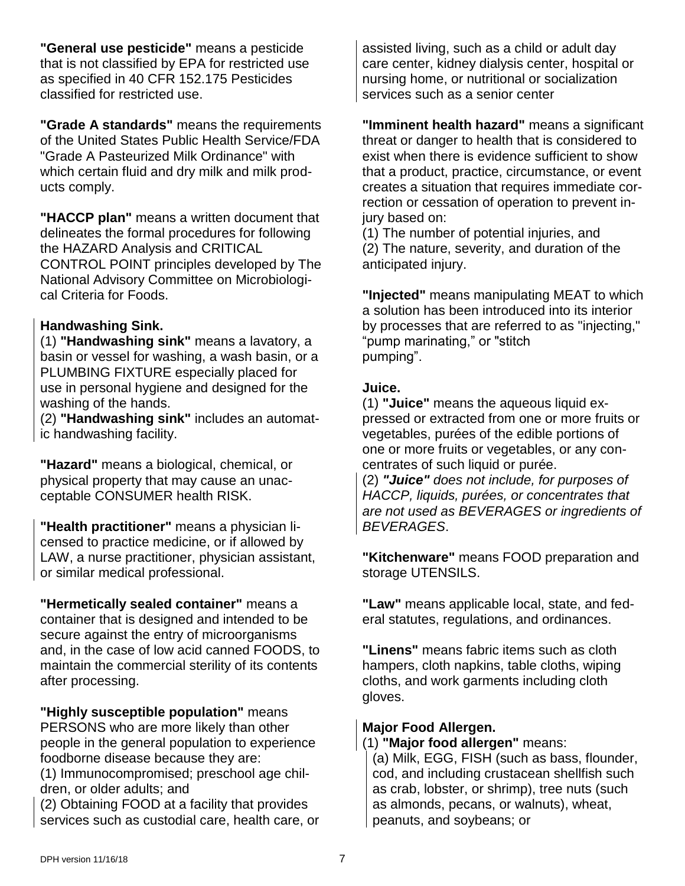**"General use pesticide"** means a pesticide that is not classified by EPA for restricted use as specified in 40 CFR 152.175 Pesticides classified for restricted use.

**"Grade A standards"** means the requirements of the United States Public Health Service/FDA "Grade A Pasteurized Milk Ordinance" with which certain fluid and dry milk and milk products comply.

**"HACCP plan"** means a written document that delineates the formal procedures for following the HAZARD Analysis and CRITICAL CONTROL POINT principles developed by The National Advisory Committee on Microbiological Criteria for Foods.

## **Handwashing Sink.**

(1) **"Handwashing sink"** means a lavatory, a basin or vessel for washing, a wash basin, or a PLUMBING FIXTURE especially placed for use in personal hygiene and designed for the washing of the hands.

(2) **"Handwashing sink"** includes an automatic handwashing facility.

**"Hazard"** means a biological, chemical, or physical property that may cause an unacceptable CONSUMER health RISK.

**"Health practitioner"** means a physician licensed to practice medicine, or if allowed by LAW, a nurse practitioner, physician assistant, or similar medical professional.

**"Hermetically sealed container"** means a container that is designed and intended to be secure against the entry of microorganisms and, in the case of low acid canned FOODS, to maintain the commercial sterility of its contents after processing.

**"Highly susceptible population"** means PERSONS who are more likely than other people in the general population to experience foodborne disease because they are:

(1) Immunocompromised; preschool age children, or older adults; and

(2) Obtaining FOOD at a facility that provides services such as custodial care, health care, or assisted living, such as a child or adult day care center, kidney dialysis center, hospital or nursing home, or nutritional or socialization services such as a senior center

**"Imminent health hazard"** means a significant threat or danger to health that is considered to exist when there is evidence sufficient to show that a product, practice, circumstance, or event creates a situation that requires immediate correction or cessation of operation to prevent injury based on:

(1) The number of potential injuries, and (2) The nature, severity, and duration of the anticipated injury.

**"Injected"** means manipulating MEAT to which a solution has been introduced into its interior by processes that are referred to as "injecting," "pump marinating," or "stitch pumping".

#### **Juice.**

(1) **"Juice"** means the aqueous liquid expressed or extracted from one or more fruits or vegetables, purées of the edible portions of one or more fruits or vegetables, or any concentrates of such liquid or purée.

(2) *"Juice" does not include, for purposes of HACCP, liquids, purées, or concentrates that are not used as BEVERAGES or ingredients of BEVERAGES*.

**"Kitchenware"** means FOOD preparation and storage UTENSILS.

**"Law"** means applicable local, state, and federal statutes, regulations, and ordinances.

**"Linens"** means fabric items such as cloth hampers, cloth napkins, table cloths, wiping cloths, and work garments including cloth gloves.

## **Major Food Allergen.**

(1) **"Major food allergen"** means:

(a) Milk, EGG, FISH (such as bass, flounder, cod, and including crustacean shellfish such as crab, lobster, or shrimp), tree nuts (such as almonds, pecans, or walnuts), wheat, peanuts, and soybeans; or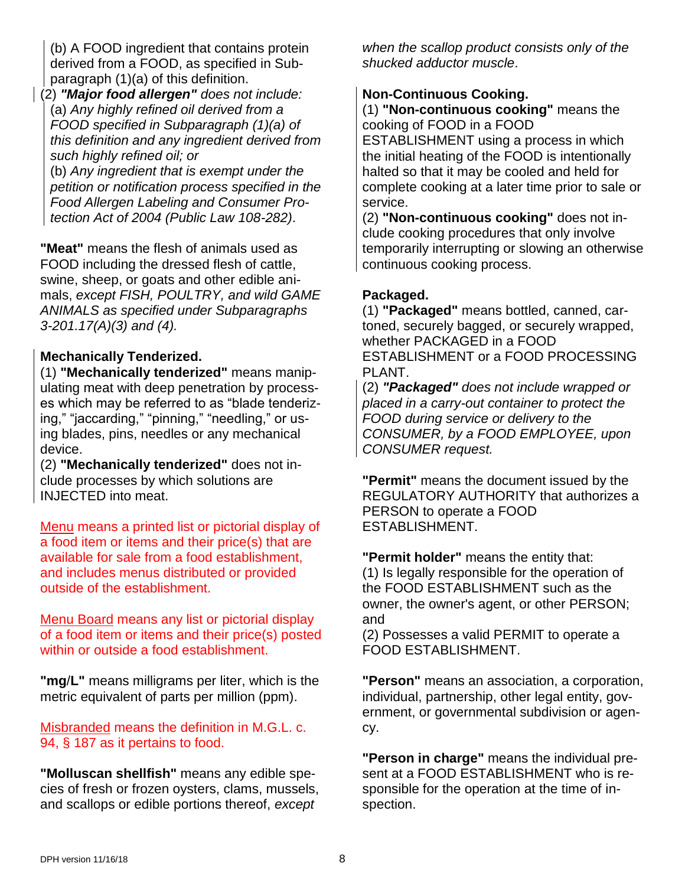(b) A FOOD ingredient that contains protein derived from a FOOD, as specified in Subparagraph (1)(a) of this definition.

(2) *"Major food allergen" does not include:* (a) *Any highly refined oil derived from a FOOD specified in Subparagraph (1)(a) of this definition and any ingredient derived from such highly refined oil; or*

(b) *Any ingredient that is exempt under the petition or notification process specified in the Food Allergen Labeling and Consumer Protection Act of 2004 (Public Law 108-282)*.

**"Meat"** means the flesh of animals used as FOOD including the dressed flesh of cattle, swine, sheep, or goats and other edible animals, *except FISH, POULTRY, and wild GAME ANIMALS as specified under Subparagraphs 3-201.17(A)(3) and (4).*

## **Mechanically Tenderized.**

(1) **"Mechanically tenderized"** means manipulating meat with deep penetration by processes which may be referred to as "blade tenderizing," "jaccarding," "pinning," "needling," or using blades, pins, needles or any mechanical device.

(2) **"Mechanically tenderized"** does not include processes by which solutions are INJECTED into meat.

Menu means a printed list or pictorial display of a food item or items and their price(s) that are available for sale from a food establishment, and includes menus distributed or provided outside of the establishment.

Menu Board means any list or pictorial display of a food item or items and their price(s) posted within or outside a food establishment.

**"mg**/**L"** means milligrams per liter, which is the metric equivalent of parts per million (ppm).

Misbranded means the definition in M.G.L. c. 94, § 187 as it pertains to food.

**"Molluscan shellfish"** means any edible species of fresh or frozen oysters, clams, mussels, and scallops or edible portions thereof, *except* 

*when the scallop product consists only of the shucked adductor muscle*.

## **Non-Continuous Cooking.**

(1) **"Non-continuous cooking"** means the cooking of FOOD in a FOOD

ESTABLISHMENT using a process in which the initial heating of the FOOD is intentionally halted so that it may be cooled and held for complete cooking at a later time prior to sale or service.

(2) **"Non-continuous cooking"** does not include cooking procedures that only involve temporarily interrupting or slowing an otherwise continuous cooking process.

## **Packaged.**

(1) **"Packaged"** means bottled, canned, cartoned, securely bagged, or securely wrapped, whether PACKAGED in a FOOD ESTABLISHMENT or a FOOD PROCESSING PLANT.

(2) *"Packaged" does not include wrapped or placed in a carry-out container to protect the FOOD during service or delivery to the CONSUMER, by a FOOD EMPLOYEE, upon CONSUMER request.* 

**"Permit"** means the document issued by the REGULATORY AUTHORITY that authorizes a PERSON to operate a FOOD ESTABLISHMENT.

**"Permit holder"** means the entity that: (1) Is legally responsible for the operation of the FOOD ESTABLISHMENT such as the owner, the owner's agent, or other PERSON; and

(2) Possesses a valid PERMIT to operate a FOOD ESTABLISHMENT.

**"Person"** means an association, a corporation, individual, partnership, other legal entity, government, or governmental subdivision or agency.

**"Person in charge"** means the individual present at a FOOD ESTABLISHMENT who is responsible for the operation at the time of inspection.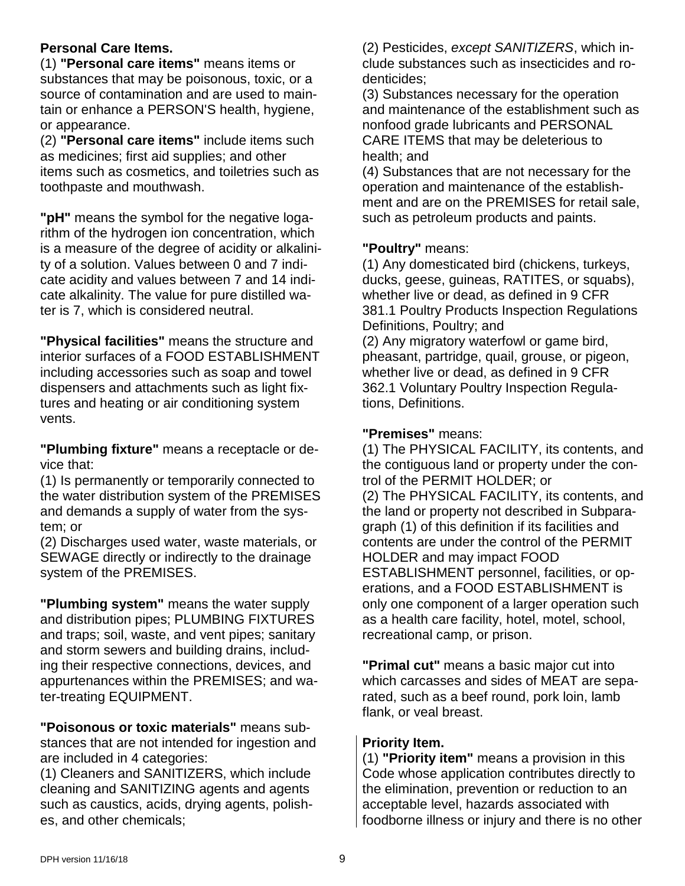## **Personal Care Items.**

(1) **"Personal care items"** means items or substances that may be poisonous, toxic, or a source of contamination and are used to maintain or enhance a PERSON'S health, hygiene, or appearance.

(2) **"Personal care items"** include items such as medicines; first aid supplies; and other items such as cosmetics, and toiletries such as toothpaste and mouthwash.

**"pH"** means the symbol for the negative logarithm of the hydrogen ion concentration, which is a measure of the degree of acidity or alkalinity of a solution. Values between 0 and 7 indicate acidity and values between 7 and 14 indicate alkalinity. The value for pure distilled water is 7, which is considered neutral.

**"Physical facilities"** means the structure and interior surfaces of a FOOD ESTABLISHMENT including accessories such as soap and towel dispensers and attachments such as light fixtures and heating or air conditioning system vents.

**"Plumbing fixture"** means a receptacle or device that:

(1) Is permanently or temporarily connected to the water distribution system of the PREMISES and demands a supply of water from the system; or

(2) Discharges used water, waste materials, or SEWAGE directly or indirectly to the drainage system of the PREMISES.

**"Plumbing system"** means the water supply and distribution pipes; PLUMBING FIXTURES and traps; soil, waste, and vent pipes; sanitary and storm sewers and building drains, including their respective connections, devices, and appurtenances within the PREMISES; and water-treating EQUIPMENT.

**"Poisonous or toxic materials"** means substances that are not intended for ingestion and are included in 4 categories:

(1) Cleaners and SANITIZERS, which include cleaning and SANITIZING agents and agents such as caustics, acids, drying agents, polishes, and other chemicals;

(2) Pesticides, *except SANITIZERS*, which include substances such as insecticides and rodenticides;

(3) Substances necessary for the operation and maintenance of the establishment such as nonfood grade lubricants and PERSONAL CARE ITEMS that may be deleterious to health; and

(4) Substances that are not necessary for the operation and maintenance of the establishment and are on the PREMISES for retail sale, such as petroleum products and paints.

#### **"Poultry"** means:

(1) Any domesticated bird (chickens, turkeys, ducks, geese, guineas, RATITES, or squabs), whether live or dead, as defined in 9 CFR 381.1 Poultry Products Inspection Regulations Definitions, Poultry; and (2) Any migratory waterfowl or game bird, pheasant, partridge, quail, grouse, or pigeon, whether live or dead, as defined in 9 CFR

362.1 Voluntary Poultry Inspection Regulations, Definitions.

#### **"Premises"** means:

(1) The PHYSICAL FACILITY, its contents, and the contiguous land or property under the control of the PERMIT HOLDER; or (2) The PHYSICAL FACILITY, its contents, and the land or property not described in Subparagraph (1) of this definition if its facilities and contents are under the control of the PERMIT HOLDER and may impact FOOD ESTABLISHMENT personnel, facilities, or operations, and a FOOD ESTABLISHMENT is only one component of a larger operation such as a health care facility, hotel, motel, school, recreational camp, or prison.

**"Primal cut"** means a basic major cut into which carcasses and sides of MEAT are separated, such as a beef round, pork loin, lamb flank, or veal breast.

#### **Priority Item.**

(1) **"Priority item"** means a provision in this Code whose application contributes directly to the elimination, prevention or reduction to an acceptable level, hazards associated with foodborne illness or injury and there is no other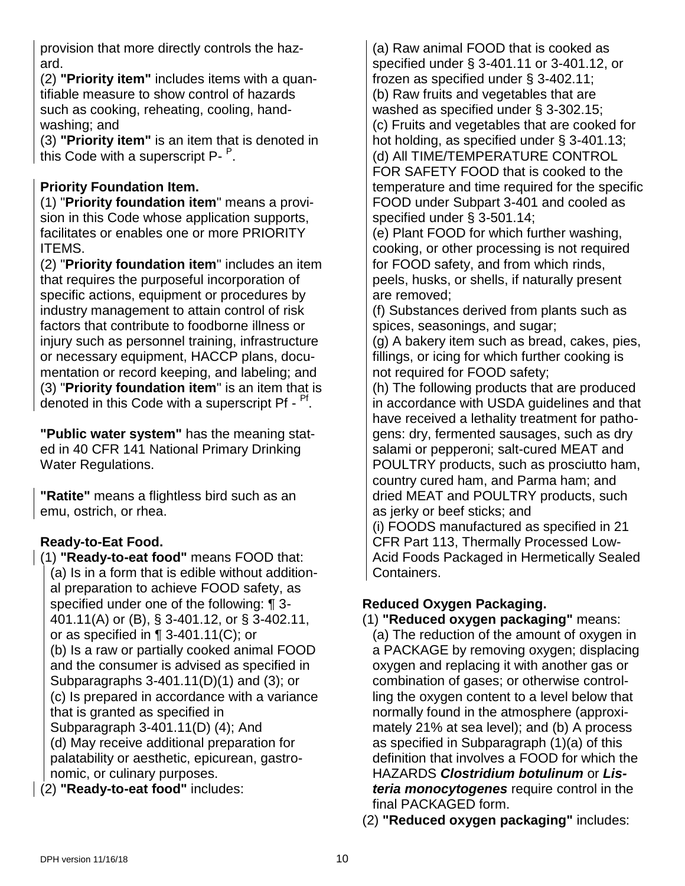provision that more directly controls the hazard.

(2) **"Priority item"** includes items with a quantifiable measure to show control of hazards such as cooking, reheating, cooling, handwashing; and

(3) **"Priority item"** is an item that is denoted in this Code with a superscript P-<sup>P</sup>.

## **Priority Foundation Item.**

(1) "**Priority foundation item**" means a provision in this Code whose application supports, facilitates or enables one or more PRIORITY ITEMS.

(2) "**Priority foundation item**" includes an item that requires the purposeful incorporation of specific actions, equipment or procedures by industry management to attain control of risk factors that contribute to foodborne illness or injury such as personnel training, infrastructure or necessary equipment, HACCP plans, documentation or record keeping, and labeling; and (3) "**Priority foundation item**" is an item that is denoted in this Code with a superscript Pf - Pf.

**"Public water system"** has the meaning stated in 40 CFR 141 National Primary Drinking Water Regulations.

**"Ratite"** means a flightless bird such as an emu, ostrich, or rhea.

## **Ready-to-Eat Food.**

- (1) **"Ready-to-eat food"** means FOOD that: (a) Is in a form that is edible without additional preparation to achieve FOOD safety, as specified under one of the following: ¶ 3- 401.11(A) or (B), § 3-401.12, or § 3-402.11, or as specified in ¶ 3-401.11(C); or (b) Is a raw or partially cooked animal FOOD and the consumer is advised as specified in Subparagraphs 3-401.11(D)(1) and (3); or (c) Is prepared in accordance with a variance that is granted as specified in Subparagraph 3-401.11(D) (4); And (d) May receive additional preparation for palatability or aesthetic, epicurean, gastronomic, or culinary purposes.
- (2) **"Ready-to-eat food"** includes:

(a) Raw animal FOOD that is cooked as specified under § 3-401.11 or 3-401.12, or frozen as specified under § 3-402.11; (b) Raw fruits and vegetables that are washed as specified under § 3-302.15; (c) Fruits and vegetables that are cooked for hot holding, as specified under § 3-401.13; (d) All TIME/TEMPERATURE CONTROL FOR SAFETY FOOD that is cooked to the temperature and time required for the specific FOOD under Subpart 3-401 and cooled as specified under § 3-501.14;

(e) Plant FOOD for which further washing, cooking, or other processing is not required for FOOD safety, and from which rinds, peels, husks, or shells, if naturally present are removed;

(f) Substances derived from plants such as spices, seasonings, and sugar;

(g) A bakery item such as bread, cakes, pies, fillings, or icing for which further cooking is not required for FOOD safety;

(h) The following products that are produced in accordance with USDA guidelines and that have received a lethality treatment for pathogens: dry, fermented sausages, such as dry salami or pepperoni; salt-cured MEAT and POULTRY products, such as prosciutto ham, country cured ham, and Parma ham; and dried MEAT and POULTRY products, such as jerky or beef sticks; and

(i) FOODS manufactured as specified in 21 CFR Part 113, Thermally Processed Low-Acid Foods Packaged in Hermetically Sealed Containers.

## **Reduced Oxygen Packaging.**

(1) **"Reduced oxygen packaging"** means: (a) The reduction of the amount of oxygen in a PACKAGE by removing oxygen; displacing oxygen and replacing it with another gas or combination of gases; or otherwise controlling the oxygen content to a level below that normally found in the atmosphere (approximately 21% at sea level); and (b) A process as specified in Subparagraph (1)(a) of this definition that involves a FOOD for which the HAZARDS *Clostridium botulinum* or *Listeria monocytogenes* require control in the final PACKAGED form.

(2) **"Reduced oxygen packaging"** includes: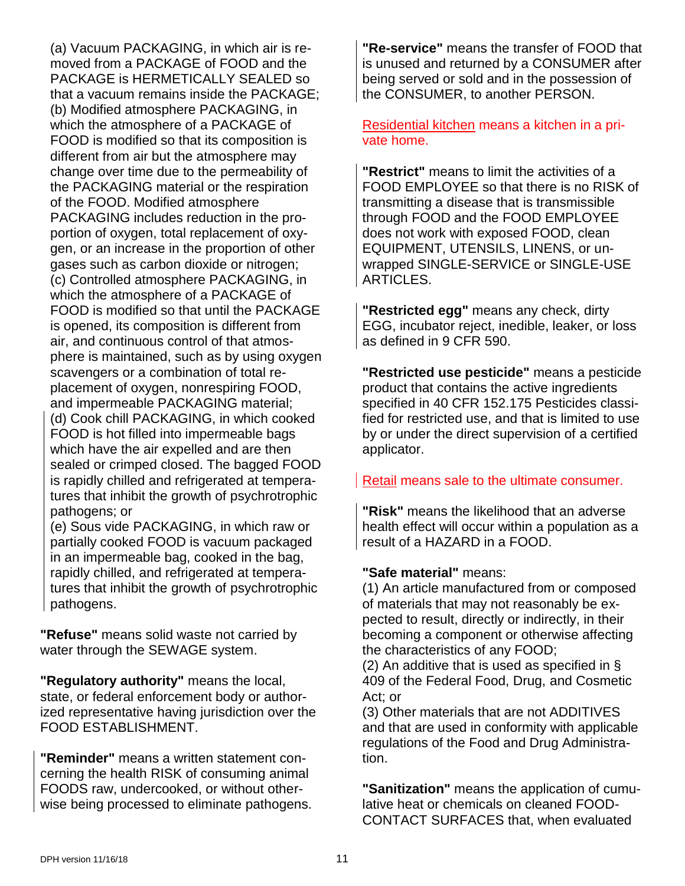(a) Vacuum PACKAGING, in which air is removed from a PACKAGE of FOOD and the PACKAGE is HERMETICALLY SEALED so that a vacuum remains inside the PACKAGE; (b) Modified atmosphere PACKAGING, in which the atmosphere of a PACKAGE of FOOD is modified so that its composition is different from air but the atmosphere may change over time due to the permeability of the PACKAGING material or the respiration of the FOOD. Modified atmosphere PACKAGING includes reduction in the proportion of oxygen, total replacement of oxygen, or an increase in the proportion of other gases such as carbon dioxide or nitrogen; (c) Controlled atmosphere PACKAGING, in which the atmosphere of a PACKAGE of FOOD is modified so that until the PACKAGE is opened, its composition is different from air, and continuous control of that atmosphere is maintained, such as by using oxygen scavengers or a combination of total replacement of oxygen, nonrespiring FOOD, and impermeable PACKAGING material; (d) Cook chill PACKAGING, in which cooked FOOD is hot filled into impermeable bags which have the air expelled and are then sealed or crimped closed. The bagged FOOD is rapidly chilled and refrigerated at temperatures that inhibit the growth of psychrotrophic pathogens; or

(e) Sous vide PACKAGING, in which raw or partially cooked FOOD is vacuum packaged in an impermeable bag, cooked in the bag, rapidly chilled, and refrigerated at temperatures that inhibit the growth of psychrotrophic pathogens.

**"Refuse"** means solid waste not carried by water through the SEWAGE system.

**"Regulatory authority"** means the local, state, or federal enforcement body or authorized representative having jurisdiction over the FOOD ESTABLISHMENT.

**"Reminder"** means a written statement concerning the health RISK of consuming animal FOODS raw, undercooked, or without otherwise being processed to eliminate pathogens. **"Re-service"** means the transfer of FOOD that is unused and returned by a CONSUMER after being served or sold and in the possession of the CONSUMER, to another PERSON.

Residential kitchen means a kitchen in a private home.

**"Restrict"** means to limit the activities of a FOOD EMPLOYEE so that there is no RISK of transmitting a disease that is transmissible through FOOD and the FOOD EMPLOYEE does not work with exposed FOOD, clean EQUIPMENT, UTENSILS, LINENS, or unwrapped SINGLE-SERVICE or SINGLE-USE ARTICLES.

**"Restricted egg"** means any check, dirty EGG, incubator reject, inedible, leaker, or loss as defined in 9 CFR 590.

**"Restricted use pesticide"** means a pesticide product that contains the active ingredients specified in 40 CFR 152.175 Pesticides classified for restricted use, and that is limited to use by or under the direct supervision of a certified applicator.

## Retail means sale to the ultimate consumer.

**"Risk"** means the likelihood that an adverse health effect will occur within a population as a result of a HAZARD in a FOOD.

#### **"Safe material"** means:

(1) An article manufactured from or composed of materials that may not reasonably be expected to result, directly or indirectly, in their becoming a component or otherwise affecting the characteristics of any FOOD;

(2) An additive that is used as specified in § 409 of the Federal Food, Drug, and Cosmetic Act; or

(3) Other materials that are not ADDITIVES and that are used in conformity with applicable regulations of the Food and Drug Administration.

**"Sanitization"** means the application of cumulative heat or chemicals on cleaned FOOD-CONTACT SURFACES that, when evaluated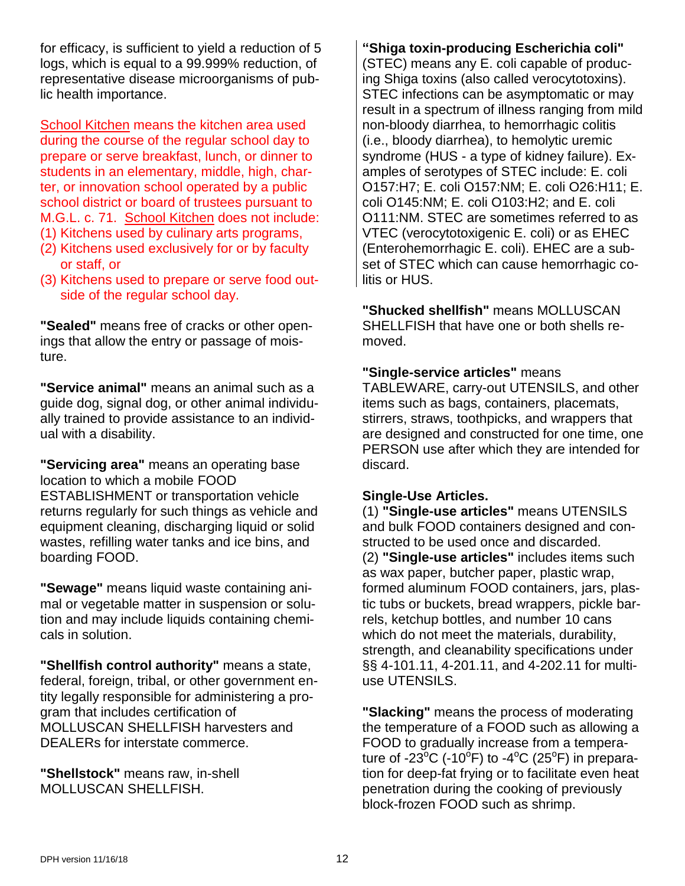for efficacy, is sufficient to yield a reduction of 5 logs, which is equal to a 99.999% reduction, of representative disease microorganisms of public health importance.

School Kitchen means the kitchen area used during the course of the regular school day to prepare or serve breakfast, lunch, or dinner to students in an elementary, middle, high, charter, or innovation school operated by a public school district or board of trustees pursuant to M.G.L. c. 71. School Kitchen does not include: (1) Kitchens used by culinary arts programs,

- (2) Kitchens used exclusively for or by faculty or staff, or
- (3) Kitchens used to prepare or serve food outside of the regular school day.

**"Sealed"** means free of cracks or other openings that allow the entry or passage of moisture.

**"Service animal"** means an animal such as a guide dog, signal dog, or other animal individually trained to provide assistance to an individual with a disability.

**"Servicing area"** means an operating base location to which a mobile FOOD ESTABLISHMENT or transportation vehicle returns regularly for such things as vehicle and equipment cleaning, discharging liquid or solid wastes, refilling water tanks and ice bins, and boarding FOOD.

**"Sewage"** means liquid waste containing animal or vegetable matter in suspension or solution and may include liquids containing chemicals in solution.

**"Shellfish control authority"** means a state, federal, foreign, tribal, or other government entity legally responsible for administering a program that includes certification of MOLLUSCAN SHELLFISH harvesters and DEALERs for interstate commerce.

**"Shellstock"** means raw, in-shell MOLLUSCAN SHELLFISH.

**"Shiga toxin-producing Escherichia coli"** (STEC) means any E. coli capable of producing Shiga toxins (also called verocytotoxins). STEC infections can be asymptomatic or may result in a spectrum of illness ranging from mild non-bloody diarrhea, to hemorrhagic colitis (i.e., bloody diarrhea), to hemolytic uremic syndrome (HUS - a type of kidney failure). Examples of serotypes of STEC include: E. coli O157:H7; E. coli O157:NM; E. coli O26:H11; E. coli O145:NM; E. coli O103:H2; and E. coli O111:NM. STEC are sometimes referred to as VTEC (verocytotoxigenic E. coli) or as EHEC (Enterohemorrhagic E. coli). EHEC are a subset of STEC which can cause hemorrhagic colitis or HUS.

**"Shucked shellfish"** means MOLLUSCAN SHELLFISH that have one or both shells removed.

#### **"Single-service articles"** means

TABLEWARE, carry-out UTENSILS, and other items such as bags, containers, placemats, stirrers, straws, toothpicks, and wrappers that are designed and constructed for one time, one PERSON use after which they are intended for discard.

#### **Single-Use Articles.**

(1) **"Single-use articles"** means UTENSILS and bulk FOOD containers designed and constructed to be used once and discarded. (2) **"Single-use articles"** includes items such as wax paper, butcher paper, plastic wrap, formed aluminum FOOD containers, jars, plastic tubs or buckets, bread wrappers, pickle barrels, ketchup bottles, and number 10 cans which do not meet the materials, durability, strength, and cleanability specifications under §§ 4-101.11, 4-201.11, and 4-202.11 for multiuse UTENSILS.

**"Slacking"** means the process of moderating the temperature of a FOOD such as allowing a FOOD to gradually increase from a temperature of -23<sup>o</sup>C (-10<sup>o</sup>F) to -4<sup>o</sup>C (25<sup>o</sup>F) in preparation for deep-fat frying or to facilitate even heat penetration during the cooking of previously block-frozen FOOD such as shrimp.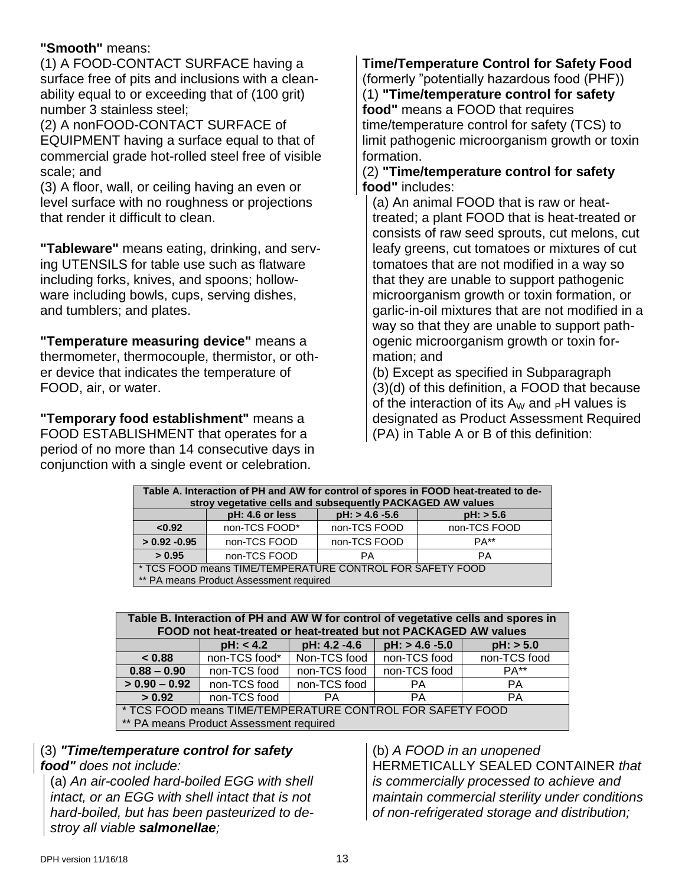### **"Smooth"** means:

(1) A FOOD-CONTACT SURFACE having a surface free of pits and inclusions with a cleanability equal to or exceeding that of (100 grit) number 3 stainless steel;

(2) A nonFOOD-CONTACT SURFACE of EQUIPMENT having a surface equal to that of commercial grade hot-rolled steel free of visible scale; and

(3) A floor, wall, or ceiling having an even or level surface with no roughness or projections that render it difficult to clean.

**"Tableware"** means eating, drinking, and serving UTENSILS for table use such as flatware including forks, knives, and spoons; hollowware including bowls, cups, serving dishes, and tumblers; and plates.

**"Temperature measuring device"** means a thermometer, thermocouple, thermistor, or other device that indicates the temperature of FOOD, air, or water.

**"Temporary food establishment"** means a FOOD ESTABLISHMENT that operates for a period of no more than 14 consecutive days in conjunction with a single event or celebration.

## **Time/Temperature Control for Safety Food**

(formerly "potentially hazardous food (PHF)) (1) **"Time/temperature control for safety food"** means a FOOD that requires time/temperature control for safety (TCS) to limit pathogenic microorganism growth or toxin formation.

(2) **"Time/temperature control for safety food"** includes:

(a) An animal FOOD that is raw or heattreated; a plant FOOD that is heat-treated or consists of raw seed sprouts, cut melons, cut leafy greens, cut tomatoes or mixtures of cut tomatoes that are not modified in a way so that they are unable to support pathogenic microorganism growth or toxin formation, or garlic-in-oil mixtures that are not modified in a way so that they are unable to support pathogenic microorganism growth or toxin formation; and

(b) Except as specified in Subparagraph (3)(d) of this definition, a FOOD that because of the interaction of its  $A_W$  and  $H_V$  values is designated as Product Assessment Required (PA) in Table A or B of this definition:

| Table A. Interaction of PH and AW for control of spores in FOOD heat-treated to de-<br>stroy vegetative cells and subsequently PACKAGED AW values |                 |                  |              |  |  |  |
|---------------------------------------------------------------------------------------------------------------------------------------------------|-----------------|------------------|--------------|--|--|--|
|                                                                                                                                                   | pH: 4.6 or less | $pH:$ > 4.6 -5.6 | pH: > 5.6    |  |  |  |
| < 0.92                                                                                                                                            | non-TCS FOOD*   | non-TCS FOOD     | non-TCS FOOD |  |  |  |
| $> 0.92 -0.95$                                                                                                                                    | non-TCS FOOD    | non-TCS FOOD     | $PA**$       |  |  |  |
| > 0.95                                                                                                                                            | non-TCS FOOD    | РA               | РA           |  |  |  |
| * TCS FOOD means TIME/TEMPERATURE CONTROL FOR SAFETY FOOD<br>** PA means Product Assessment required                                              |                 |                  |              |  |  |  |

| Table B. Interaction of PH and AW W for control of vegetative cells and spores in<br>FOOD not heat-treated or heat-treated but not PACKAGED AW values |               |              |                  |              |  |  |
|-------------------------------------------------------------------------------------------------------------------------------------------------------|---------------|--------------|------------------|--------------|--|--|
|                                                                                                                                                       | pH: < 4.2     | pH: 4.2 -4.6 | $pH:$ > 4.6 -5.0 | pH: > 5.0    |  |  |
| < 0.88                                                                                                                                                | non-TCS food* | Non-TCS food | non-TCS food     | non-TCS food |  |  |
| $0.88 - 0.90$                                                                                                                                         | non-TCS food  | non-TCS food | non-TCS food     | $PA**$       |  |  |
| $> 0.90 - 0.92$                                                                                                                                       | non-TCS food  | non-TCS food | <b>PA</b>        | РA           |  |  |
| > 0.92                                                                                                                                                | non-TCS food  | <b>PA</b>    | PA               | РA           |  |  |
| * TCS FOOD means TIME/TEMPERATURE CONTROL FOR SAFETY FOOD                                                                                             |               |              |                  |              |  |  |
| ** PA means Product Assessment required                                                                                                               |               |              |                  |              |  |  |

# (3) *"Time/temperature control for safety*

*food" does not include:*

(a) *An air-cooled hard-boiled EGG with shell intact, or an EGG with shell intact that is not hard-boiled, but has been pasteurized to destroy all viable salmonellae;*

(b) *A FOOD in an unopened* 

HERMETICALLY SEALED CONTAINER *that is commercially processed to achieve and maintain commercial sterility under conditions of non-refrigerated storage and distribution;*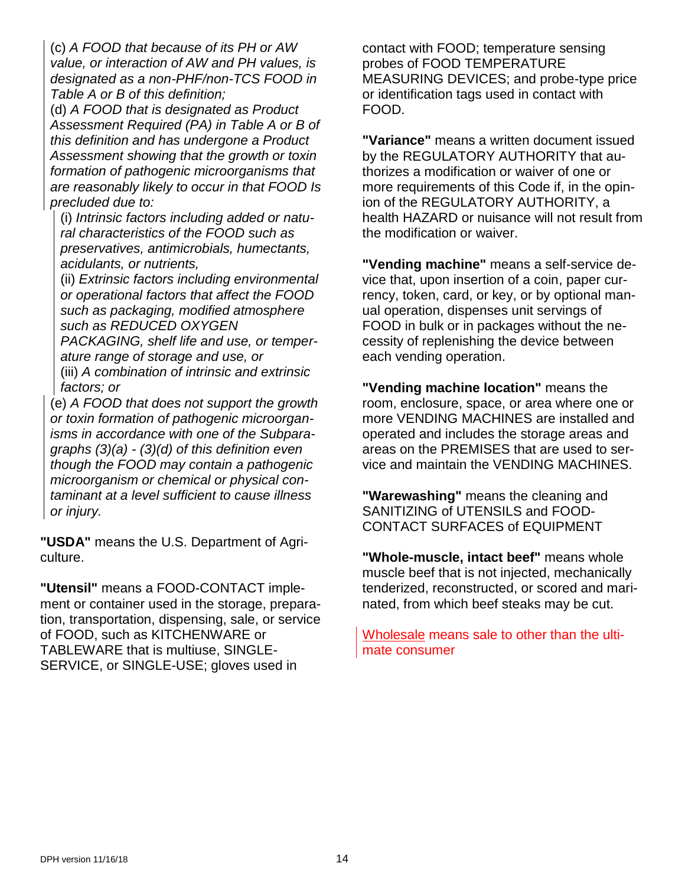(c) *A FOOD that because of its PH or AW value, or interaction of AW and PH values, is designated as a non-PHF/non-TCS FOOD in Table A or B of this definition;*

(d) *A FOOD that is designated as Product Assessment Required (PA) in Table A or B of this definition and has undergone a Product Assessment showing that the growth or toxin formation of pathogenic microorganisms that are reasonably likely to occur in that FOOD Is precluded due to:*

(i) *Intrinsic factors including added or natural characteristics of the FOOD such as preservatives, antimicrobials, humectants, acidulants, or nutrients,*

(ii) *Extrinsic factors including environmental or operational factors that affect the FOOD such as packaging, modified atmosphere such as REDUCED OXYGEN* 

*PACKAGING, shelf life and use, or temperature range of storage and use, or* (iii) *A combination of intrinsic and extrinsic factors; or*

(e) *A FOOD that does not support the growth or toxin formation of pathogenic microorganisms in accordance with one of the Subparagraphs (3)(a) - (3)(d) of this definition even though the FOOD may contain a pathogenic microorganism or chemical or physical contaminant at a level sufficient to cause illness or injury.*

**"USDA"** means the U.S. Department of Agriculture.

**"Utensil"** means a FOOD-CONTACT implement or container used in the storage, preparation, transportation, dispensing, sale, or service of FOOD, such as KITCHENWARE or TABLEWARE that is multiuse, SINGLE-SERVICE, or SINGLE-USE; gloves used in

contact with FOOD; temperature sensing probes of FOOD TEMPERATURE MEASURING DEVICES; and probe-type price or identification tags used in contact with FOOD.

**"Variance"** means a written document issued by the REGULATORY AUTHORITY that authorizes a modification or waiver of one or more requirements of this Code if, in the opinion of the REGULATORY AUTHORITY, a health HAZARD or nuisance will not result from the modification or waiver.

**"Vending machine"** means a self-service device that, upon insertion of a coin, paper currency, token, card, or key, or by optional manual operation, dispenses unit servings of FOOD in bulk or in packages without the necessity of replenishing the device between each vending operation.

**"Vending machine location"** means the room, enclosure, space, or area where one or more VENDING MACHINES are installed and operated and includes the storage areas and areas on the PREMISES that are used to service and maintain the VENDING MACHINES.

**"Warewashing"** means the cleaning and SANITIZING of UTENSILS and FOOD-CONTACT SURFACES of EQUIPMENT

**"Whole-muscle, intact beef"** means whole muscle beef that is not injected, mechanically tenderized, reconstructed, or scored and marinated, from which beef steaks may be cut.

Wholesale means sale to other than the ultimate consumer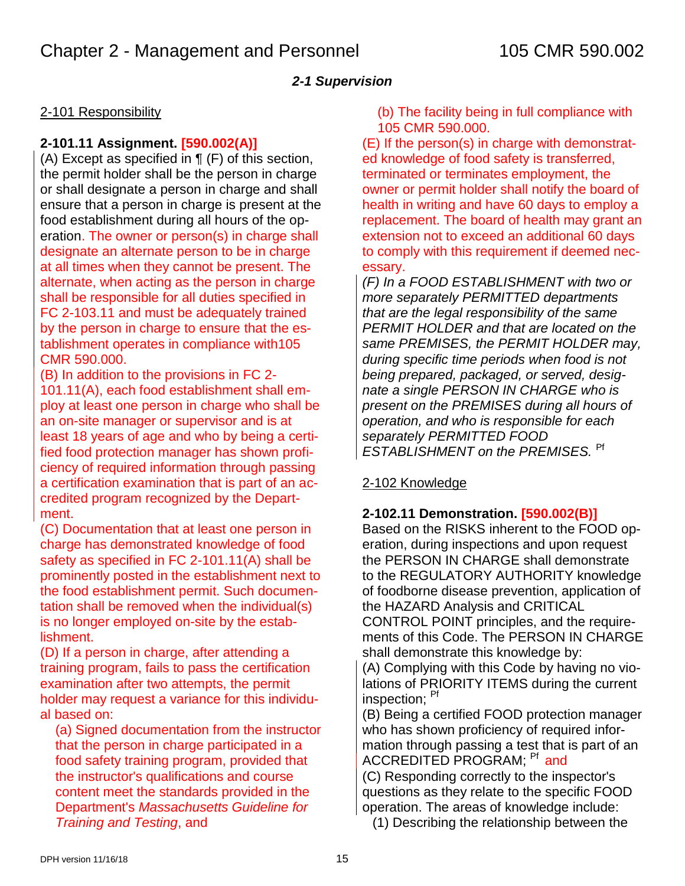## *2-1 Supervision*

## 2-101 Responsibility

## **2-101.11 Assignment. [590.002(A)]**

(A) Except as specified in ¶ (F) of this section, the permit holder shall be the person in charge or shall designate a person in charge and shall ensure that a person in charge is present at the food establishment during all hours of the operation. The owner or person(s) in charge shall designate an alternate person to be in charge at all times when they cannot be present. The alternate, when acting as the person in charge shall be responsible for all duties specified in FC 2-103.11 and must be adequately trained by the person in charge to ensure that the establishment operates in compliance with105 CMR 590.000.

(B) In addition to the provisions in FC 2- 101.11(A), each food establishment shall employ at least one person in charge who shall be an on-site manager or supervisor and is at least 18 years of age and who by being a certified food protection manager has shown proficiency of required information through passing a certification examination that is part of an accredited program recognized by the Department.

(C) Documentation that at least one person in charge has demonstrated knowledge of food safety as specified in FC 2-101.11(A) shall be prominently posted in the establishment next to the food establishment permit. Such documentation shall be removed when the individual(s) is no longer employed on-site by the establishment.

(D) If a person in charge, after attending a training program, fails to pass the certification examination after two attempts, the permit holder may request a variance for this individual based on:

(a) Signed documentation from the instructor that the person in charge participated in a food safety training program, provided that the instructor's qualifications and course content meet the standards provided in the Department's *Massachusetts Guideline for Training and Testing*, and

(b) The facility being in full compliance with 105 CMR 590.000.

(E) If the person(s) in charge with demonstrated knowledge of food safety is transferred, terminated or terminates employment, the owner or permit holder shall notify the board of health in writing and have 60 days to employ a replacement. The board of health may grant an extension not to exceed an additional 60 days to comply with this requirement if deemed necessary.

*(F) In a FOOD ESTABLISHMENT with two or more separately PERMITTED departments that are the legal responsibility of the same PERMIT HOLDER and that are located on the same PREMISES, the PERMIT HOLDER may, during specific time periods when food is not being prepared, packaged, or served, designate a single PERSON IN CHARGE who is present on the PREMISES during all hours of operation, and who is responsible for each separately PERMITTED FOOD ESTABLISHMENT on the PREMISES.* Pf

## 2-102 Knowledge

## **2-102.11 Demonstration. [590.002(B)]**

Based on the RISKS inherent to the FOOD operation, during inspections and upon request the PERSON IN CHARGE shall demonstrate to the REGULATORY AUTHORITY knowledge of foodborne disease prevention, application of the HAZARD Analysis and CRITICAL CONTROL POINT principles, and the require-

ments of this Code. The PERSON IN CHARGE shall demonstrate this knowledge by:

(A) Complying with this Code by having no violations of PRIORITY ITEMS during the current inspection; Pf

(B) Being a certified FOOD protection manager who has shown proficiency of required information through passing a test that is part of an ACCREDITED PROGRAM; <sup>Pf</sup> and

(C) Responding correctly to the inspector's questions as they relate to the specific FOOD operation. The areas of knowledge include:

(1) Describing the relationship between the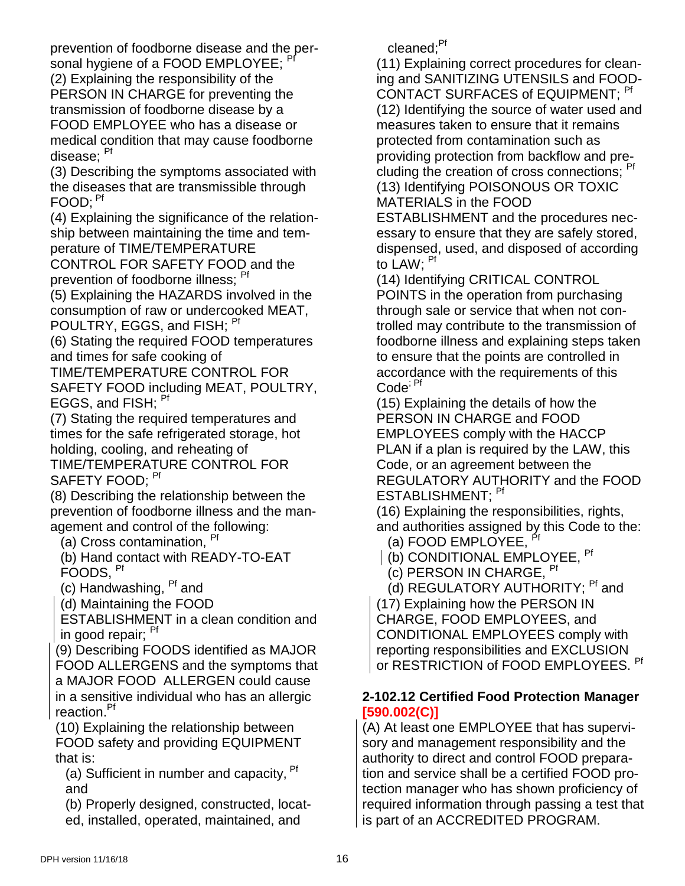prevention of foodborne disease and the personal hygiene of a FOOD EMPLOYEE; <sup>Pi</sup> (2) Explaining the responsibility of the PERSON IN CHARGE for preventing the transmission of foodborne disease by a FOOD EMPLOYEE who has a disease or medical condition that may cause foodborne disease: Pf

(3) Describing the symptoms associated with the diseases that are transmissible through FOOD; Pf

(4) Explaining the significance of the relationship between maintaining the time and temperature of TIME/TEMPERATURE

CONTROL FOR SAFETY FOOD and the prevention of foodborne illness; <sup>Pf</sup>

(5) Explaining the HAZARDS involved in the consumption of raw or undercooked MEAT, POULTRY, EGGS, and FISH; Pf

(6) Stating the required FOOD temperatures and times for safe cooking of

TIME/TEMPERATURE CONTROL FOR SAFETY FOOD including MEAT, POULTRY, EGGS, and FISH; <sup>Pf</sup>

(7) Stating the required temperatures and times for the safe refrigerated storage, hot holding, cooling, and reheating of TIME/TEMPERATURE CONTROL FOR SAFETY FOOD; <sup>Pf</sup>

(8) Describing the relationship between the prevention of foodborne illness and the management and control of the following:

(a) Cross contamination, Pf

(b) Hand contact with READY-TO-EAT FOODS, Pf

(c) Handwashing,  $Pf$  and

(d) Maintaining the FOOD

ESTABLISHMENT in a clean condition and in good repair; Pf

(9) Describing FOODS identified as MAJOR FOOD ALLERGENS and the symptoms that a MAJOR FOOD ALLERGEN could cause in a sensitive individual who has an allergic reaction.<sup>Pf</sup>

(10) Explaining the relationship between FOOD safety and providing EQUIPMENT that is:

(a) Sufficient in number and capacity, <sup>Pf</sup> and

(b) Properly designed, constructed, located, installed, operated, maintained, and

cleaned;<sup>Pf</sup>

(11) Explaining correct procedures for cleaning and SANITIZING UTENSILS and FOOD-CONTACT SURFACES of EQUIPMENT; <sup>Pf</sup> (12) Identifying the source of water used and measures taken to ensure that it remains protected from contamination such as providing protection from backflow and precluding the creation of cross connections; Pf (13) Identifying POISONOUS OR TOXIC MATERIALS in the FOOD

ESTABLISHMENT and the procedures necessary to ensure that they are safely stored, dispensed, used, and disposed of according to LAW; Pf

(14) Identifying CRITICAL CONTROL POINTS in the operation from purchasing through sale or service that when not controlled may contribute to the transmission of foodborne illness and explaining steps taken to ensure that the points are controlled in accordance with the requirements of this Code; Pf

(15) Explaining the details of how the PERSON IN CHARGE and FOOD EMPLOYEES comply with the HACCP PLAN if a plan is required by the LAW, this Code, or an agreement between the REGULATORY AUTHORITY and the FOOD ESTABLISHMENT: Pf

(16) Explaining the responsibilities, rights, and authorities assigned by this Code to the: (a) FOOD EMPLOYEE,

- (b) CONDITIONAL EMPLOYEE, <sup>Pf</sup>
	- (c) PERSON IN CHARGE, Pf

(d) REGULATORY AUTHORITY; <sup>Pf</sup> and

(17) Explaining how the PERSON IN CHARGE, FOOD EMPLOYEES, and CONDITIONAL EMPLOYEES comply with reporting responsibilities and EXCLUSION or RESTRICTION of FOOD EMPLOYEES. Pf

## **2-102.12 Certified Food Protection Manager [590.002(C)]**

(A) At least one EMPLOYEE that has supervisory and management responsibility and the authority to direct and control FOOD preparation and service shall be a certified FOOD protection manager who has shown proficiency of required information through passing a test that is part of an ACCREDITED PROGRAM.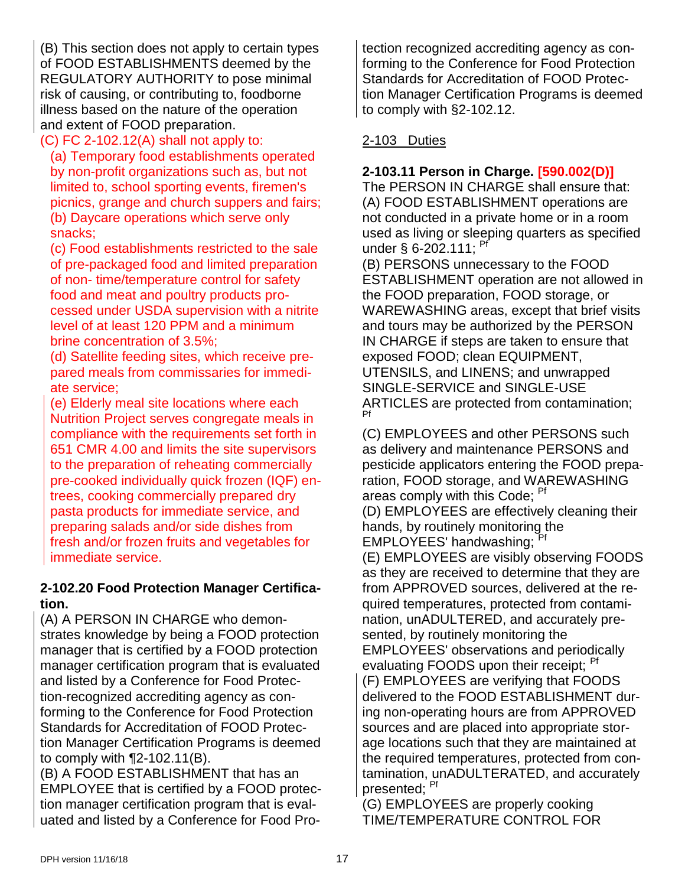(B) This section does not apply to certain types of FOOD ESTABLISHMENTS deemed by the REGULATORY AUTHORITY to pose minimal risk of causing, or contributing to, foodborne illness based on the nature of the operation and extent of FOOD preparation.

## $(C)$  FC 2-102.12(A) shall not apply to:

(a) Temporary food establishments operated by non-profit organizations such as, but not limited to, school sporting events, firemen's picnics, grange and church suppers and fairs; (b) Daycare operations which serve only snacks;

(c) Food establishments restricted to the sale of pre-packaged food and limited preparation of non- time/temperature control for safety food and meat and poultry products processed under USDA supervision with a nitrite level of at least 120 PPM and a minimum brine concentration of 3.5%;

(d) Satellite feeding sites, which receive prepared meals from commissaries for immediate service;

(e) Elderly meal site locations where each Nutrition Project serves congregate meals in compliance with the requirements set forth in 651 CMR 4.00 and limits the site supervisors to the preparation of reheating commercially pre-cooked individually quick frozen (IQF) entrees, cooking commercially prepared dry pasta products for immediate service, and preparing salads and/or side dishes from fresh and/or frozen fruits and vegetables for immediate service.

#### **2-102.20 Food Protection Manager Certification.**

(A) A PERSON IN CHARGE who demonstrates knowledge by being a FOOD protection manager that is certified by a FOOD protection manager certification program that is evaluated and listed by a Conference for Food Protection-recognized accrediting agency as conforming to the Conference for Food Protection Standards for Accreditation of FOOD Protection Manager Certification Programs is deemed to comply with ¶2-102.11(B).

(B) A FOOD ESTABLISHMENT that has an EMPLOYEE that is certified by a FOOD protection manager certification program that is evaluated and listed by a Conference for Food Pro-

tection recognized accrediting agency as conforming to the Conference for Food Protection Standards for Accreditation of FOOD Protection Manager Certification Programs is deemed to comply with §2-102.12.

## 2-103 Duties

## **2-103.11 Person in Charge. [590.002(D)]**

The PERSON IN CHARGE shall ensure that: (A) FOOD ESTABLISHMENT operations are not conducted in a private home or in a room used as living or sleeping quarters as specified under  $\S$  6-202.111;  $P$ 

(B) PERSONS unnecessary to the FOOD ESTABLISHMENT operation are not allowed in the FOOD preparation, FOOD storage, or WAREWASHING areas, except that brief visits and tours may be authorized by the PERSON IN CHARGE if steps are taken to ensure that exposed FOOD; clean EQUIPMENT, UTENSILS, and LINENS; and unwrapped SINGLE-SERVICE and SINGLE-USE ARTICLES are protected from contamination; Pf

(C) EMPLOYEES and other PERSONS such as delivery and maintenance PERSONS and pesticide applicators entering the FOOD preparation, FOOD storage, and WAREWASHING areas comply with this Code; <sup>Pf</sup>

(D) EMPLOYEES are effectively cleaning their hands, by routinely monitoring the EMPLOYEES' handwashing;

(E) EMPLOYEES are visibly observing FOODS as they are received to determine that they are from APPROVED sources, delivered at the required temperatures, protected from contamination, unADULTERED, and accurately presented, by routinely monitoring the

EMPLOYEES' observations and periodically evaluating FOODS upon their receipt; <sup>Pf</sup> (F) EMPLOYEES are verifying that FOODS delivered to the FOOD ESTABLISHMENT during non-operating hours are from APPROVED sources and are placed into appropriate storage locations such that they are maintained at the required temperatures, protected from contamination, unADULTERATED, and accurately presented; <sup>Pf</sup>

(G) EMPLOYEES are properly cooking TIME/TEMPERATURE CONTROL FOR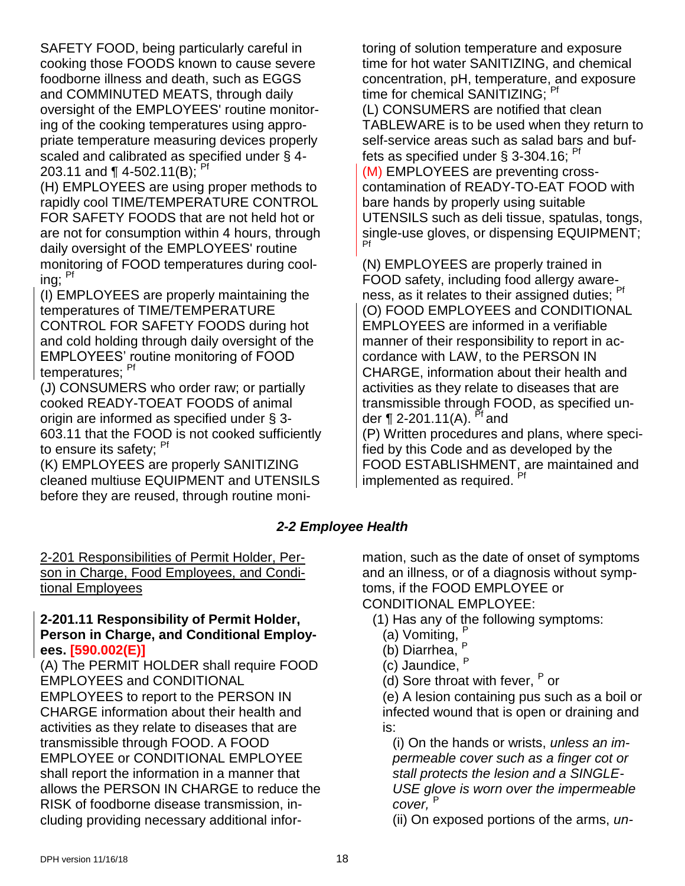SAFETY FOOD, being particularly careful in cooking those FOODS known to cause severe foodborne illness and death, such as EGGS and COMMINUTED MEATS, through daily oversight of the EMPLOYEES' routine monitoring of the cooking temperatures using appropriate temperature measuring devices properly scaled and calibrated as specified under § 4- 203.11 and  $\P$  4-502.11(B); <sup>Pf</sup>

(H) EMPLOYEES are using proper methods to rapidly cool TIME/TEMPERATURE CONTROL FOR SAFETY FOODS that are not held hot or are not for consumption within 4 hours, through daily oversight of the EMPLOYEES' routine monitoring of FOOD temperatures during cooling; Pf

(I) EMPLOYEES are properly maintaining the temperatures of TIME/TEMPERATURE CONTROL FOR SAFETY FOODS during hot and cold holding through daily oversight of the EMPLOYEES' routine monitoring of FOOD temperatures; Pf

(J) CONSUMERS who order raw; or partially cooked READY-TOEAT FOODS of animal origin are informed as specified under § 3- 603.11 that the FOOD is not cooked sufficiently to ensure its safety; Pf

(K) EMPLOYEES are properly SANITIZING cleaned multiuse EQUIPMENT and UTENSILS before they are reused, through routine monitoring of solution temperature and exposure time for hot water SANITIZING, and chemical concentration, pH, temperature, and exposure time for chemical SANITIZING: <sup>Pf</sup>

(L) CONSUMERS are notified that clean TABLEWARE is to be used when they return to self-service areas such as salad bars and buffets as specified under § 3-304.16;  $Pf$ 

(M) EMPLOYEES are preventing crosscontamination of READY-TO-EAT FOOD with bare hands by properly using suitable UTENSILS such as deli tissue, spatulas, tongs, single-use gloves, or dispensing EQUIPMENT; Pf

(N) EMPLOYEES are properly trained in FOOD safety, including food allergy awareness, as it relates to their assigned duties: Pf (O) FOOD EMPLOYEES and CONDITIONAL EMPLOYEES are informed in a verifiable manner of their responsibility to report in accordance with LAW, to the PERSON IN CHARGE, information about their health and activities as they relate to diseases that are transmissible through FOOD, as specified under  $\P$  2-201.11(A). <sup>Pf</sup> and

(P) Written procedures and plans, where specified by this Code and as developed by the FOOD ESTABLISHMENT, are maintained and implemented as required. Pf

## *2-2 Employee Health*

2-201 Responsibilities of Permit Holder, Person in Charge, Food Employees, and Conditional Employees

#### **2-201.11 Responsibility of Permit Holder, Person in Charge, and Conditional Employees. [590.002(E)]**

(A) The PERMIT HOLDER shall require FOOD EMPLOYEES and CONDITIONAL EMPLOYEES to report to the PERSON IN CHARGE information about their health and activities as they relate to diseases that are transmissible through FOOD. A FOOD EMPLOYEE or CONDITIONAL EMPLOYEE shall report the information in a manner that allows the PERSON IN CHARGE to reduce the RISK of foodborne disease transmission, including providing necessary additional information, such as the date of onset of symptoms and an illness, or of a diagnosis without symptoms, if the FOOD EMPLOYEE or CONDITIONAL EMPLOYEE:

- (1) Has any of the following symptoms:
	- (a) Vomiting, <sup>P</sup>
	- (b) Diarrhea, P
	- (c) Jaundice, P
	- $(d)$  Sore throat with fever,  $P$  or

(e) A lesion containing pus such as a boil or infected wound that is open or draining and is:

(i) On the hands or wrists, *unless an impermeable cover such as a finger cot or stall protects the lesion and a SINGLE-USE glove is worn over the impermeable cover,* <sup>P</sup>

(ii) On exposed portions of the arms, *un-*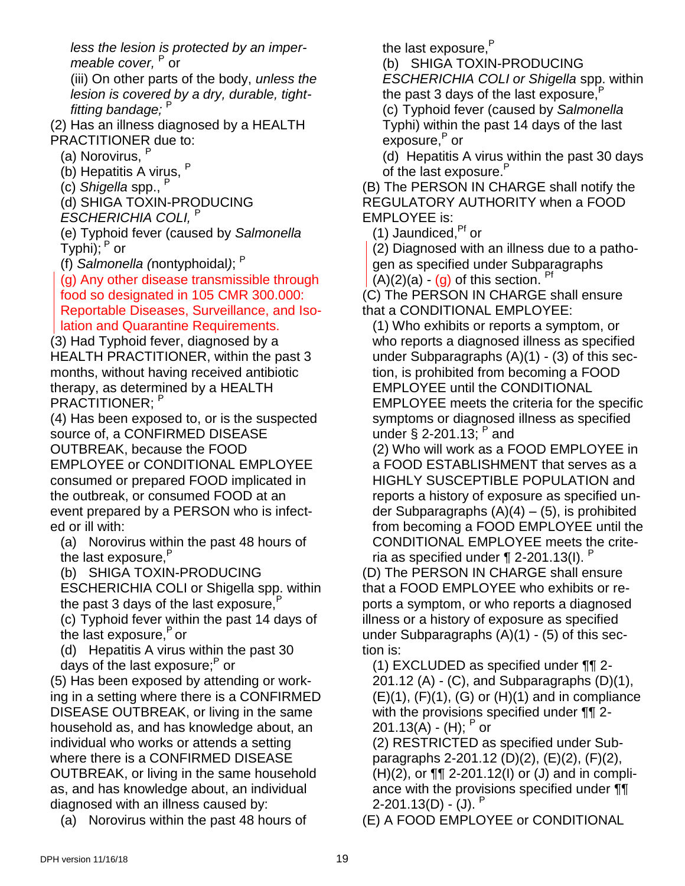*less the lesion is protected by an imper*meable cover,  $\overline{P}$  or

(iii) On other parts of the body, *unless the lesion is covered by a dry, durable, tightfitting bandage;* <sup>P</sup>

- (2) Has an illness diagnosed by a HEALTH PRACTITIONER due to:
	- (a) Norovirus, P
	- (b) Hepatitis A virus, P
	- (c) *Shigella* spp., <sup>P</sup>

(d) SHIGA TOXIN-PRODUCING

*ESCHERICHIA COLI,* <sup>P</sup>

(e) Typhoid fever (caused by *Salmonella* Typhi); <sup>P</sup> or

(f) *Salmonella (*nontyphoidal*)*; <sup>P</sup>

(g) Any other disease transmissible through food so designated in 105 CMR 300.000: Reportable Diseases, Surveillance, and Isolation and Quarantine Requirements.

(3) Had Typhoid fever, diagnosed by a HEALTH PRACTITIONER, within the past 3 months, without having received antibiotic therapy, as determined by a HEALTH PRACTITIONER; P

(4) Has been exposed to, or is the suspected source of, a CONFIRMED DISEASE OUTBREAK, because the FOOD EMPLOYEE or CONDITIONAL EMPLOYEE consumed or prepared FOOD implicated in the outbreak, or consumed FOOD at an event prepared by a PERSON who is infected or ill with:

(a) Norovirus within the past 48 hours of the last exposure,<sup>P</sup>

(b) SHIGA TOXIN-PRODUCING

ESCHERICHIA COLI or Shigella spp. within the past 3 days of the last exposure, $<sup>F</sup>$ </sup>

(c) Typhoid fever within the past 14 days of the last exposure, $P$  or

(d) Hepatitis A virus within the past 30 days of the last exposure;<sup>P</sup> or

(5) Has been exposed by attending or working in a setting where there is a CONFIRMED DISEASE OUTBREAK, or living in the same household as, and has knowledge about, an individual who works or attends a setting where there is a CONFIRMED DISEASE OUTBREAK, or living in the same household as, and has knowledge about, an individual diagnosed with an illness caused by:

(a) Norovirus within the past 48 hours of

the last exposure, <sup>P</sup>

(b) SHIGA TOXIN-PRODUCING

*ESCHERICHIA COLI or Shigella* spp. within the past 3 days of the last exposure, $P$ 

(c) Typhoid fever (caused by *Salmonella*  Typhi) within the past 14 days of the last exposure,<sup>P</sup> or

(d) Hepatitis A virus within the past 30 days of the last exposure."

(B) The PERSON IN CHARGE shall notify the REGULATORY AUTHORITY when a FOOD EMPLOYEE is:

(1) Jaundiced, $Pf$  or

(2) Diagnosed with an illness due to a pathogen as specified under Subparagraphs  $(A)(2)(a) - (g)$  of this section. <sup>Pf</sup>

(C) The PERSON IN CHARGE shall ensure that a CONDITIONAL EMPLOYEE:

(1) Who exhibits or reports a symptom, or who reports a diagnosed illness as specified under Subparagraphs (A)(1) - (3) of this section, is prohibited from becoming a FOOD EMPLOYEE until the CONDITIONAL EMPLOYEE meets the criteria for the specific symptoms or diagnosed illness as specified under § 2-201.13;  $P$  and

(2) Who will work as a FOOD EMPLOYEE in a FOOD ESTABLISHMENT that serves as a HIGHLY SUSCEPTIBLE POPULATION and reports a history of exposure as specified under Subparagraphs  $(A)(4) - (5)$ , is prohibited from becoming a FOOD EMPLOYEE until the CONDITIONAL EMPLOYEE meets the criteria as specified under  $\P$  2-201.13(I).  $\degree$ 

(D) The PERSON IN CHARGE shall ensure that a FOOD EMPLOYEE who exhibits or reports a symptom, or who reports a diagnosed illness or a history of exposure as specified under Subparagraphs (A)(1) - (5) of this section is:

(1) EXCLUDED as specified under ¶¶ 2- 201.12 (A) - (C), and Subparagraphs (D)(1),  $(E)(1)$ ,  $(F)(1)$ ,  $(G)$  or  $(H)(1)$  and in compliance with the provisions specified under  $\P\P$  2-201.13(A) - (H); <sup>P</sup> or

(2) RESTRICTED as specified under Subparagraphs 2-201.12 (D)(2), (E)(2), (F)(2),  $(H)(2)$ , or  $\P\P$  2-201.12(I) or (J) and in compliance with the provisions specified under ¶¶  $2-201.13(D) - (J)$ .  $P$ 

(E) A FOOD EMPLOYEE or CONDITIONAL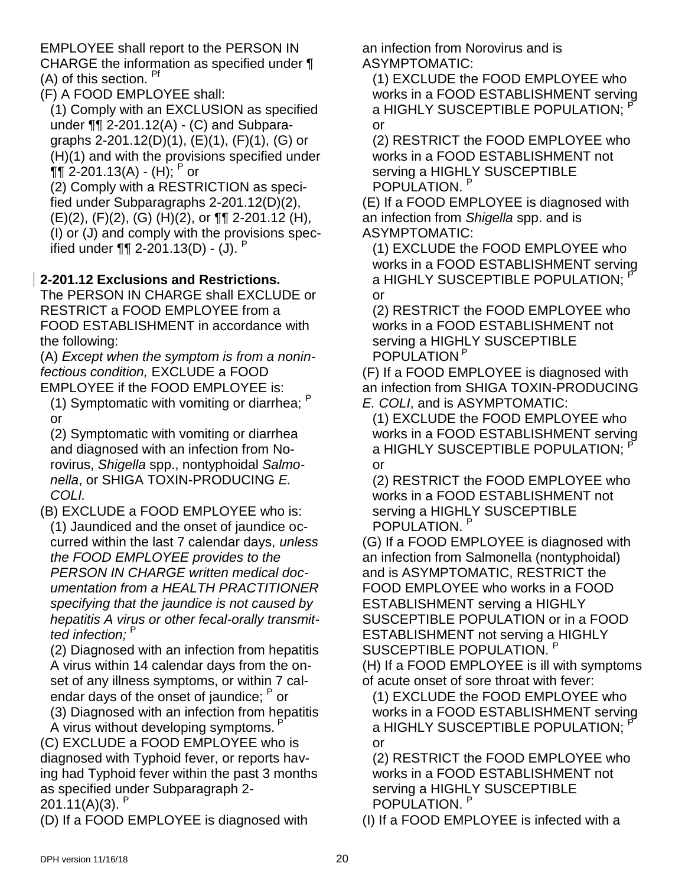EMPLOYEE shall report to the PERSON IN CHARGE the information as specified under ¶  $(A)$  of this section. <sup>Pf</sup>

(F) A FOOD EMPLOYEE shall:

(1) Comply with an EXCLUSION as specified under  $\P\P$  2-201.12(A) - (C) and Subparagraphs 2-201.12(D)(1), (E)(1), (F)(1), (G) or (H)(1) and with the provisions specified under  $\P\P$ 2-201.13(A) - (H);  $^{\mathsf{P}}$  or

(2) Comply with a RESTRICTION as specified under Subparagraphs 2-201.12(D)(2), (E)(2), (F)(2), (G) (H)(2), or ¶¶ 2-201.12 (H), (I) or (J) and comply with the provisions specified under  $\P$ [ 2-201.13(D) - (J).  $P$ 

## **2-201.12 Exclusions and Restrictions.**

The PERSON IN CHARGE shall EXCLUDE or RESTRICT a FOOD EMPLOYEE from a FOOD ESTABLISHMENT in accordance with the following:

(A) *Except when the symptom is from a noninfectious condition,* EXCLUDE a FOOD EMPLOYEE if the FOOD EMPLOYEE is:

(1) Symptomatic with vomiting or diarrhea: P or

(2) Symptomatic with vomiting or diarrhea and diagnosed with an infection from Norovirus, *Shigella* spp., nontyphoidal *Salmonella*, or SHIGA TOXIN-PRODUCING *E. COLI.*

(B) EXCLUDE a FOOD EMPLOYEE who is: (1) Jaundiced and the onset of jaundice occurred within the last 7 calendar days, *unless the FOOD EMPLOYEE provides to the PERSON IN CHARGE written medical documentation from a HEALTH PRACTITIONER specifying that the jaundice is not caused by hepatitis A virus or other fecal-orally transmit-*

*ted infection;* <sup>P</sup>

(2) Diagnosed with an infection from hepatitis A virus within 14 calendar days from the onset of any illness symptoms, or within 7 calendar days of the onset of jaundice; P or

(3) Diagnosed with an infection from hepatitis A virus without developing symptoms. <sup>F</sup>

(C) EXCLUDE a FOOD EMPLOYEE who is diagnosed with Typhoid fever, or reports having had Typhoid fever within the past 3 months as specified under Subparagraph 2- 201.11(A)(3).  $P$ 

(D) If a FOOD EMPLOYEE is diagnosed with

an infection from Norovirus and is ASYMPTOMATIC:

(1) EXCLUDE the FOOD EMPLOYEE who works in a FOOD ESTABLISHMENT serving a HIGHLY SUSCEPTIBLE POPULATION; or

(2) RESTRICT the FOOD EMPLOYEE who works in a FOOD ESTABLISHMENT not serving a HIGHLY SUSCEPTIBLE POPULATION. <sup>P</sup>

(E) If a FOOD EMPLOYEE is diagnosed with an infection from *Shigella* spp. and is ASYMPTOMATIC:

(1) EXCLUDE the FOOD EMPLOYEE who works in a FOOD ESTABLISHMENT serving a HIGHLY SUSCEPTIBLE POPULATION; or

(2) RESTRICT the FOOD EMPLOYEE who works in a FOOD ESTABLISHMENT not serving a HIGHLY SUSCEPTIBLE POPULATION<sup>P</sup>

(F) If a FOOD EMPLOYEE is diagnosed with an infection from SHIGA TOXIN-PRODUCING *E. COLI*, and is ASYMPTOMATIC:

(1) EXCLUDE the FOOD EMPLOYEE who works in a FOOD ESTABLISHMENT serving a HIGHLY SUSCEPTIBLE POPULATION; or

(2) RESTRICT the FOOD EMPLOYEE who works in a FOOD ESTABLISHMENT not serving a HIGHLY SUSCEPTIBLE POPULATION.<sup>P</sup>

(G) If a FOOD EMPLOYEE is diagnosed with an infection from Salmonella (nontyphoidal) and is ASYMPTOMATIC, RESTRICT the FOOD EMPLOYEE who works in a FOOD ESTABLISHMENT serving a HIGHLY SUSCEPTIBLE POPULATION or in a FOOD ESTABLISHMENT not serving a HIGHLY SUSCEPTIBLE POPULATION.<sup>1</sup>

(H) If a FOOD EMPLOYEE is ill with symptoms of acute onset of sore throat with fever:

(1) EXCLUDE the FOOD EMPLOYEE who works in a FOOD ESTABLISHMENT serving a HIGHLY SUSCEPTIBLE POPULATION; or

(2) RESTRICT the FOOD EMPLOYEE who works in a FOOD ESTABLISHMENT not serving a HIGHLY SUSCEPTIBLE POPULATION.<sup>P</sup>

(I) If a FOOD EMPLOYEE is infected with a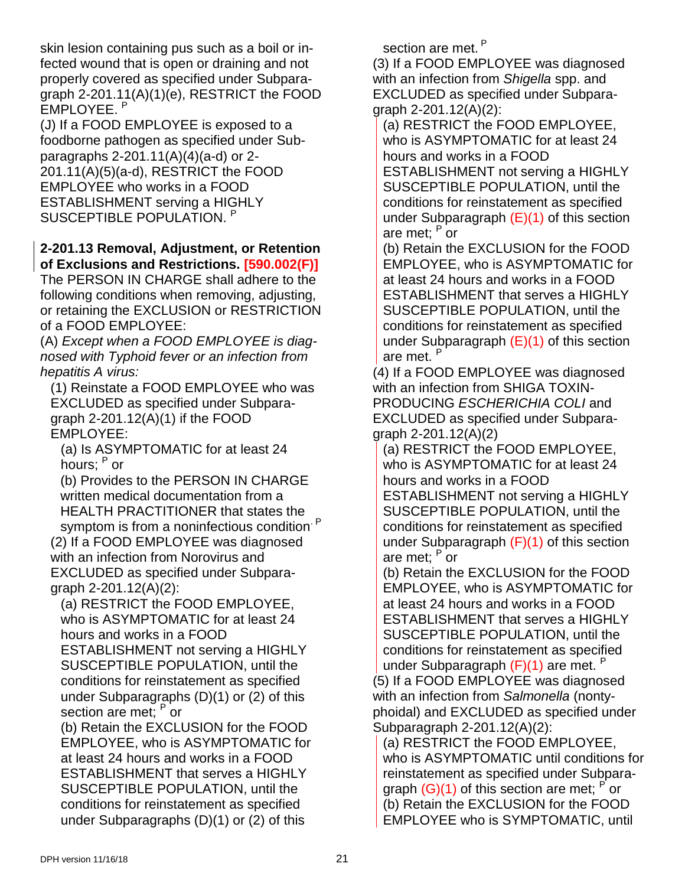skin lesion containing pus such as a boil or infected wound that is open or draining and not properly covered as specified under Subparagraph 2-201.11(A)(1)(e), RESTRICT the FOOD EMPLOYEE. <sup>P</sup>

(J) If a FOOD EMPLOYEE is exposed to a foodborne pathogen as specified under Subparagraphs 2-201.11(A)(4)(a-d) or 2- 201.11(A)(5)(a-d), RESTRICT the FOOD EMPLOYEE who works in a FOOD ESTABLISHMENT serving a HIGHLY SUSCEPTIBLE POPULATION. P

#### **2-201.13 Removal, Adjustment, or Retention of Exclusions and Restrictions. [590.002(F)]**

The PERSON IN CHARGE shall adhere to the following conditions when removing, adjusting, or retaining the EXCLUSION or RESTRICTION of a FOOD EMPLOYEE:

(A) *Except when a FOOD EMPLOYEE is diagnosed with Typhoid fever or an infection from hepatitis A virus:*

(1) Reinstate a FOOD EMPLOYEE who was EXCLUDED as specified under Subparagraph 2-201.12(A)(1) if the FOOD EMPLOYEE:

(a) Is ASYMPTOMATIC for at least 24 hours; P or

(b) Provides to the PERSON IN CHARGE written medical documentation from a HEALTH PRACTITIONER that states the

symptom is from a noninfectious condition<sup>P</sup> (2) If a FOOD EMPLOYEE was diagnosed with an infection from Norovirus and EXCLUDED as specified under Subparagraph 2-201.12(A)(2):

(a) RESTRICT the FOOD EMPLOYEE, who is ASYMPTOMATIC for at least 24 hours and works in a FOOD ESTABLISHMENT not serving a HIGHLY SUSCEPTIBLE POPULATION, until the conditions for reinstatement as specified under Subparagraphs (D)(1) or (2) of this section are met; P or

(b) Retain the EXCLUSION for the FOOD EMPLOYEE, who is ASYMPTOMATIC for at least 24 hours and works in a FOOD ESTABLISHMENT that serves a HIGHLY SUSCEPTIBLE POPULATION, until the conditions for reinstatement as specified under Subparagraphs (D)(1) or (2) of this

section are met.<sup>P</sup>

(3) If a FOOD EMPLOYEE was diagnosed with an infection from *Shigella* spp. and EXCLUDED as specified under Subparagraph 2-201.12(A)(2):

(a) RESTRICT the FOOD EMPLOYEE, who is ASYMPTOMATIC for at least 24 hours and works in a FOOD ESTABLISHMENT not serving a HIGHLY SUSCEPTIBLE POPULATION, until the conditions for reinstatement as specified under Subparagraph  $(E)(1)$  of this section are met; <sup>P</sup> or

(b) Retain the EXCLUSION for the FOOD EMPLOYEE, who is ASYMPTOMATIC for at least 24 hours and works in a FOOD ESTABLISHMENT that serves a HIGHLY SUSCEPTIBLE POPULATION, until the conditions for reinstatement as specified under Subparagraph  $(E)(1)$  of this section are met. P

(4) If a FOOD EMPLOYEE was diagnosed with an infection from SHIGA TOXIN-PRODUCING *ESCHERICHIA COLI* and EXCLUDED as specified under Subparagraph 2-201.12(A)(2)

(a) RESTRICT the FOOD EMPLOYEE, who is ASYMPTOMATIC for at least 24 hours and works in a FOOD ESTABLISHMENT not serving a HIGHLY SUSCEPTIBLE POPULATION, until the conditions for reinstatement as specified under Subparagraph  $(F)(1)$  of this section are met; <sup>P</sup> or

(b) Retain the EXCLUSION for the FOOD EMPLOYEE, who is ASYMPTOMATIC for at least 24 hours and works in a FOOD ESTABLISHMENT that serves a HIGHLY SUSCEPTIBLE POPULATION, until the conditions for reinstatement as specified under Subparagraph  $(F)(1)$  are met.  $P$ 

(5) If a FOOD EMPLOYEE was diagnosed with an infection from *Salmonella* (nontyphoidal) and EXCLUDED as specified under Subparagraph 2-201.12(A)(2):

(a) RESTRICT the FOOD EMPLOYEE, who is ASYMPTOMATIC until conditions for reinstatement as specified under Subparagraph (G)(1) of this section are met; <sup>P</sup> or (b) Retain the EXCLUSION for the FOOD EMPLOYEE who is SYMPTOMATIC, until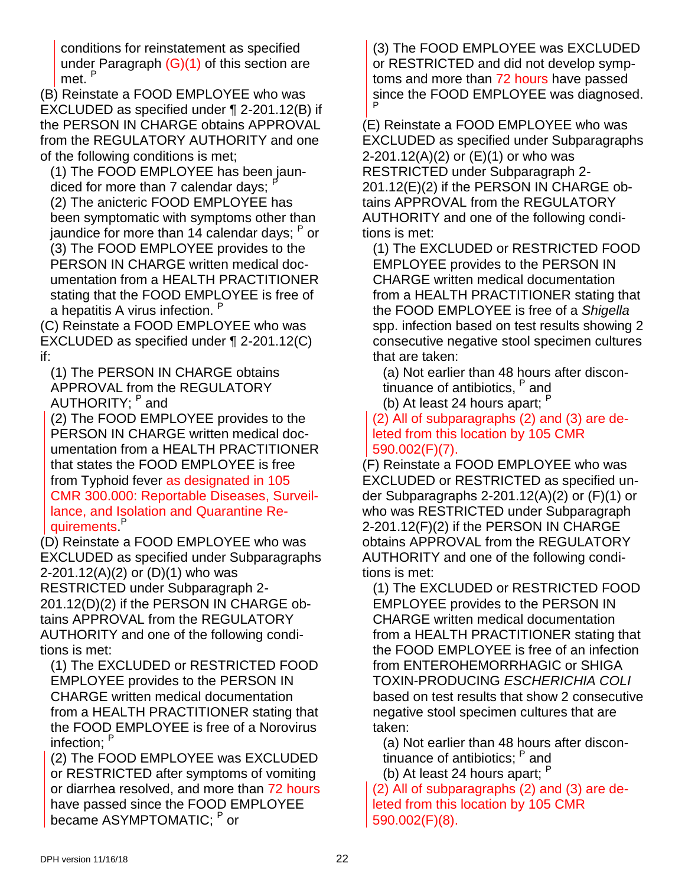conditions for reinstatement as specified under Paragraph (G)(1) of this section are met.<sup>P</sup>

(B) Reinstate a FOOD EMPLOYEE who was EXCLUDED as specified under ¶ 2-201.12(B) if the PERSON IN CHARGE obtains APPROVAL from the REGULATORY AUTHORITY and one of the following conditions is met;

(1) The FOOD EMPLOYEE has been jaundiced for more than 7 calendar days; (2) The anicteric FOOD EMPLOYEE has been symptomatic with symptoms other than jaundice for more than 14 calendar days; <sup>P</sup> or (3) The FOOD EMPLOYEE provides to the PERSON IN CHARGE written medical documentation from a HEALTH PRACTITIONER stating that the FOOD EMPLOYEE is free of a hepatitis A virus infection. <sup>P</sup>

(C) Reinstate a FOOD EMPLOYEE who was EXCLUDED as specified under ¶ 2-201.12(C) if:

(1) The PERSON IN CHARGE obtains APPROVAL from the REGULATORY AUTHORITY; <sup>P</sup> and

(2) The FOOD EMPLOYEE provides to the PERSON IN CHARGE written medical documentation from a HEALTH PRACTITIONER that states the FOOD EMPLOYEE is free from Typhoid fever as designated in 105 CMR 300.000: Reportable Diseases, Surveillance, and Isolation and Quarantine Requirements.<sup>P</sup>

(D) Reinstate a FOOD EMPLOYEE who was EXCLUDED as specified under Subparagraphs 2-201.12(A)(2) or (D)(1) who was RESTRICTED under Subparagraph 2- 201.12(D)(2) if the PERSON IN CHARGE obtains APPROVAL from the REGULATORY AUTHORITY and one of the following conditions is met:

(1) The EXCLUDED or RESTRICTED FOOD EMPLOYEE provides to the PERSON IN CHARGE written medical documentation from a HEALTH PRACTITIONER stating that the FOOD EMPLOYEE is free of a Norovirus infection: P

(2) The FOOD EMPLOYEE was EXCLUDED or RESTRICTED after symptoms of vomiting or diarrhea resolved, and more than 72 hours have passed since the FOOD EMPLOYEE became ASYMPTOMATIC; P or

(3) The FOOD EMPLOYEE was EXCLUDED or RESTRICTED and did not develop symptoms and more than 72 hours have passed since the FOOD EMPLOYEE was diagnosed. P

(E) Reinstate a FOOD EMPLOYEE who was EXCLUDED as specified under Subparagraphs 2-201.12(A)(2) or (E)(1) or who was RESTRICTED under Subparagraph 2- 201.12(E)(2) if the PERSON IN CHARGE obtains APPROVAL from the REGULATORY AUTHORITY and one of the following conditions is met:

(1) The EXCLUDED or RESTRICTED FOOD EMPLOYEE provides to the PERSON IN CHARGE written medical documentation from a HEALTH PRACTITIONER stating that the FOOD EMPLOYEE is free of a *Shigella*  spp. infection based on test results showing 2 consecutive negative stool specimen cultures that are taken:

(a) Not earlier than 48 hours after discontinuance of antibiotics, <sup>P</sup> and (b) At least 24 hours apart;  $P$ 

(2) All of subparagraphs (2) and (3) are deleted from this location by 105 CMR 590.002(F)(7).

(F) Reinstate a FOOD EMPLOYEE who was EXCLUDED or RESTRICTED as specified under Subparagraphs 2-201.12(A)(2) or (F)(1) or who was RESTRICTED under Subparagraph 2-201.12(F)(2) if the PERSON IN CHARGE obtains APPROVAL from the REGULATORY AUTHORITY and one of the following conditions is met:

(1) The EXCLUDED or RESTRICTED FOOD EMPLOYEE provides to the PERSON IN CHARGE written medical documentation from a HEALTH PRACTITIONER stating that the FOOD EMPLOYEE is free of an infection from ENTEROHEMORRHAGIC or SHIGA TOXIN-PRODUCING *ESCHERICHIA COLI*  based on test results that show 2 consecutive negative stool specimen cultures that are taken:

(a) Not earlier than 48 hours after discontinuance of antibiotics; P and (b) At least 24 hours apart; P

(2) All of subparagraphs (2) and (3) are deleted from this location by 105 CMR 590.002(F)(8).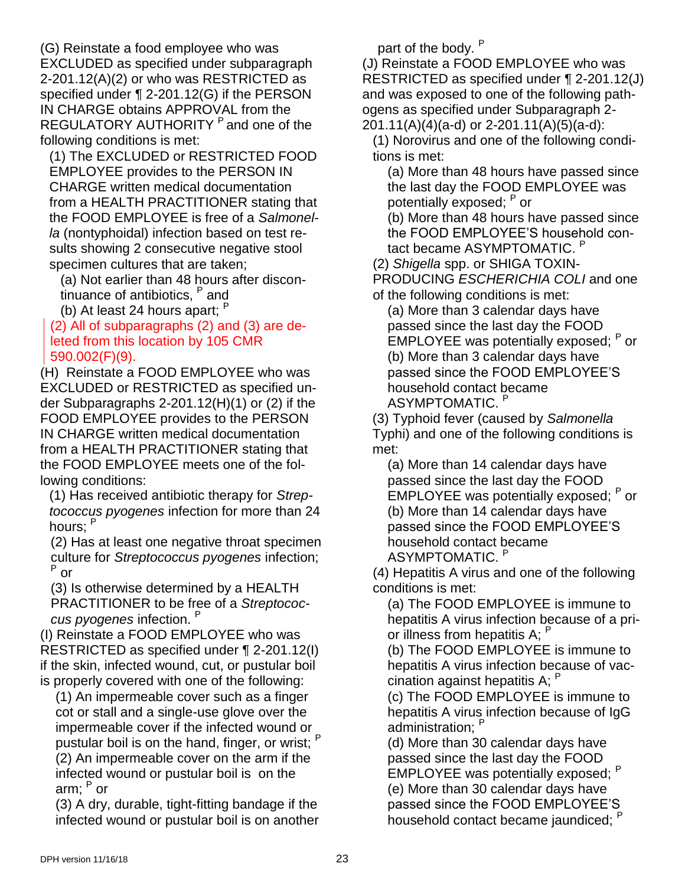(G) Reinstate a food employee who was EXCLUDED as specified under subparagraph 2-201.12(A)(2) or who was RESTRICTED as specified under ¶ 2-201.12(G) if the PERSON IN CHARGE obtains APPROVAL from the REGULATORY AUTHORITY <sup>P</sup> and one of the following conditions is met:

(1) The EXCLUDED or RESTRICTED FOOD EMPLOYEE provides to the PERSON IN CHARGE written medical documentation from a HEALTH PRACTITIONER stating that the FOOD EMPLOYEE is free of a *Salmonella* (nontyphoidal) infection based on test results showing 2 consecutive negative stool specimen cultures that are taken;

(a) Not earlier than 48 hours after discontinuance of antibiotics, <sup>P</sup> and

(b) At least 24 hours apart;  $\overline{P}$ 

## (2) All of subparagraphs (2) and (3) are deleted from this location by 105 CMR 590.002(F)(9).

(H) Reinstate a FOOD EMPLOYEE who was EXCLUDED or RESTRICTED as specified under Subparagraphs 2-201.12(H)(1) or (2) if the FOOD EMPLOYEE provides to the PERSON IN CHARGE written medical documentation from a HEALTH PRACTITIONER stating that the FOOD EMPLOYEE meets one of the following conditions:

(1) Has received antibiotic therapy for *Streptococcus pyogenes* infection for more than 24 hours: P

(2) Has at least one negative throat specimen culture for *Streptococcus pyogenes* infection; P or

(3) Is otherwise determined by a HEALTH PRACTITIONER to be free of a *Streptococcus pyogenes* infection. <sup>P</sup>

(I) Reinstate a FOOD EMPLOYEE who was RESTRICTED as specified under ¶ 2-201.12(I) if the skin, infected wound, cut, or pustular boil is properly covered with one of the following:

(1) An impermeable cover such as a finger cot or stall and a single-use glove over the impermeable cover if the infected wound or pustular boil is on the hand, finger, or wrist; P (2) An impermeable cover on the arm if the infected wound or pustular boil is on the arm; <sup>P</sup> or

(3) A dry, durable, tight-fitting bandage if the infected wound or pustular boil is on another part of the body. <sup>P</sup>

(J) Reinstate a FOOD EMPLOYEE who was RESTRICTED as specified under ¶ 2-201.12(J) and was exposed to one of the following pathogens as specified under Subparagraph 2- 201.11(A)(4)(a-d) or 2-201.11(A)(5)(a-d):

(1) Norovirus and one of the following conditions is met:

(a) More than 48 hours have passed since the last day the FOOD EMPLOYEE was potentially exposed; P or

(b) More than 48 hours have passed since the FOOD EMPLOYEE'S household contact became ASYMPTOMATIC. P

(2) *Shigella* spp. or SHIGA TOXIN-

PRODUCING *ESCHERICHIA COLI* and one of the following conditions is met:

(a) More than 3 calendar days have passed since the last day the FOOD EMPLOYEE was potentially exposed; <sup>P</sup> or (b) More than 3 calendar days have passed since the FOOD EMPLOYEE'S household contact became ASYMPTOMATIC. <sup>P</sup>

(3) Typhoid fever (caused by *Salmonella*  Typhi) and one of the following conditions is met:

(a) More than 14 calendar days have passed since the last day the FOOD EMPLOYEE was potentially exposed; P or (b) More than 14 calendar days have passed since the FOOD EMPLOYEE'S household contact became ASYMPTOMATIC. <sup>P</sup>

(4) Hepatitis A virus and one of the following conditions is met:

(a) The FOOD EMPLOYEE is immune to hepatitis A virus infection because of a prior illness from hepatitis A: <sup>P</sup>

(b) The FOOD EMPLOYEE is immune to hepatitis A virus infection because of vaccination against hepatitis A; <sup>P</sup>

(c) The FOOD EMPLOYEE is immune to hepatitis A virus infection because of IgG administration: P

(d) More than 30 calendar days have passed since the last day the FOOD EMPLOYEE was potentially exposed; <sup>P</sup> (e) More than 30 calendar days have passed since the FOOD EMPLOYEE'S household contact became jaundiced: P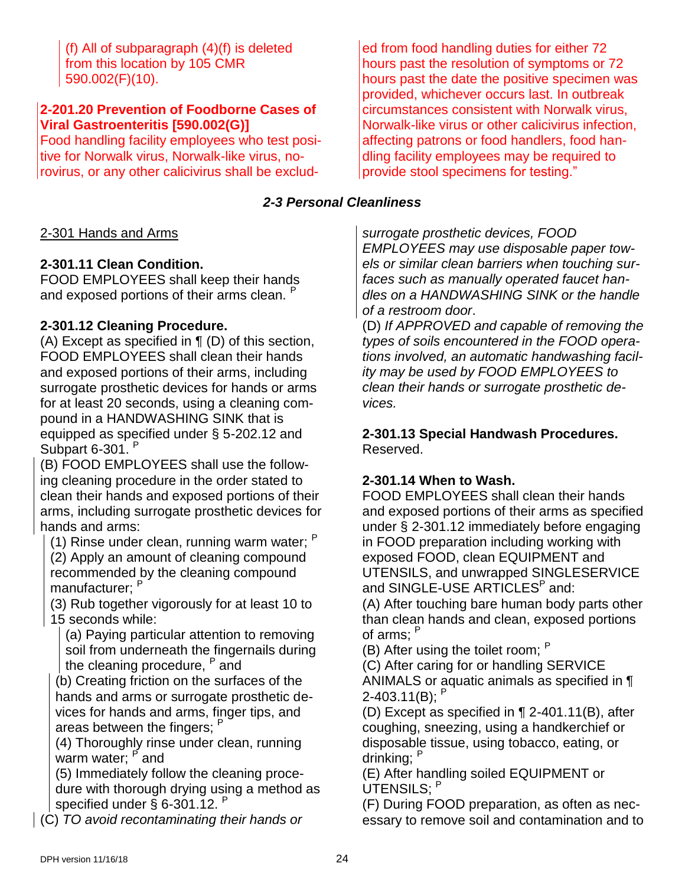(f) All of subparagraph (4)(f) is deleted from this location by 105 CMR 590.002(F)(10).

## **2-201.20 Prevention of Foodborne Cases of Viral Gastroenteritis [590.002(G)]**

Food handling facility employees who test positive for Norwalk virus, Norwalk-like virus, norovirus, or any other calicivirus shall be exclud-

## *2-3 Personal Cleanliness*

## 2-301 Hands and Arms

## **2-301.11 Clean Condition.**

FOOD EMPLOYEES shall keep their hands and exposed portions of their arms clean.

## **2-301.12 Cleaning Procedure.**

(A) Except as specified in ¶ (D) of this section, FOOD EMPLOYEES shall clean their hands and exposed portions of their arms, including surrogate prosthetic devices for hands or arms for at least 20 seconds, using a cleaning compound in a HANDWASHING SINK that is equipped as specified under § 5-202.12 and Subpart 6-301. P

(B) FOOD EMPLOYEES shall use the following cleaning procedure in the order stated to clean their hands and exposed portions of their arms, including surrogate prosthetic devices for hands and arms:

(1) Rinse under clean, running warm water; <sup>P</sup> (2) Apply an amount of cleaning compound recommended by the cleaning compound manufacturer: P

(3) Rub together vigorously for at least 10 to 15 seconds while:

(a) Paying particular attention to removing soil from underneath the fingernails during the cleaning procedure, P and

(b) Creating friction on the surfaces of the hands and arms or surrogate prosthetic devices for hands and arms, finger tips, and areas between the fingers; P

(4) Thoroughly rinse under clean, running warm water; P and

(5) Immediately follow the cleaning procedure with thorough drying using a method as specified under § 6-301.12. P

(C) *TO avoid recontaminating their hands or* 

ed from food handling duties for either 72 hours past the resolution of symptoms or 72 hours past the date the positive specimen was provided, whichever occurs last. In outbreak circumstances consistent with Norwalk virus, Norwalk-like virus or other calicivirus infection, affecting patrons or food handlers, food handling facility employees may be required to provide stool specimens for testing."

*surrogate prosthetic devices, FOOD EMPLOYEES may use disposable paper towels or similar clean barriers when touching surfaces such as manually operated faucet handles on a HANDWASHING SINK or the handle of a restroom door*.

(D) *If APPROVED and capable of removing the types of soils encountered in the FOOD operations involved, an automatic handwashing facility may be used by FOOD EMPLOYEES to clean their hands or surrogate prosthetic devices.*

#### **2-301.13 Special Handwash Procedures.** Reserved.

## **2-301.14 When to Wash.**

FOOD EMPLOYEES shall clean their hands and exposed portions of their arms as specified under § 2-301.12 immediately before engaging in FOOD preparation including working with exposed FOOD, clean EQUIPMENT and UTENSILS, and unwrapped SINGLESERVICE and SINGLE-USE ARTICLES<sup>P</sup> and:

(A) After touching bare human body parts other than clean hands and clean, exposed portions of arms: P

(B) After using the toilet room: P

(C) After caring for or handling SERVICE ANIMALS or aquatic animals as specified in ¶ 2-403.11(B);  $P$ 

(D) Except as specified in ¶ 2-401.11(B), after coughing, sneezing, using a handkerchief or disposable tissue, using tobacco, eating, or drinking; <sup>P</sup>

(E) After handling soiled EQUIPMENT or UTENSILS: P

(F) During FOOD preparation, as often as necessary to remove soil and contamination and to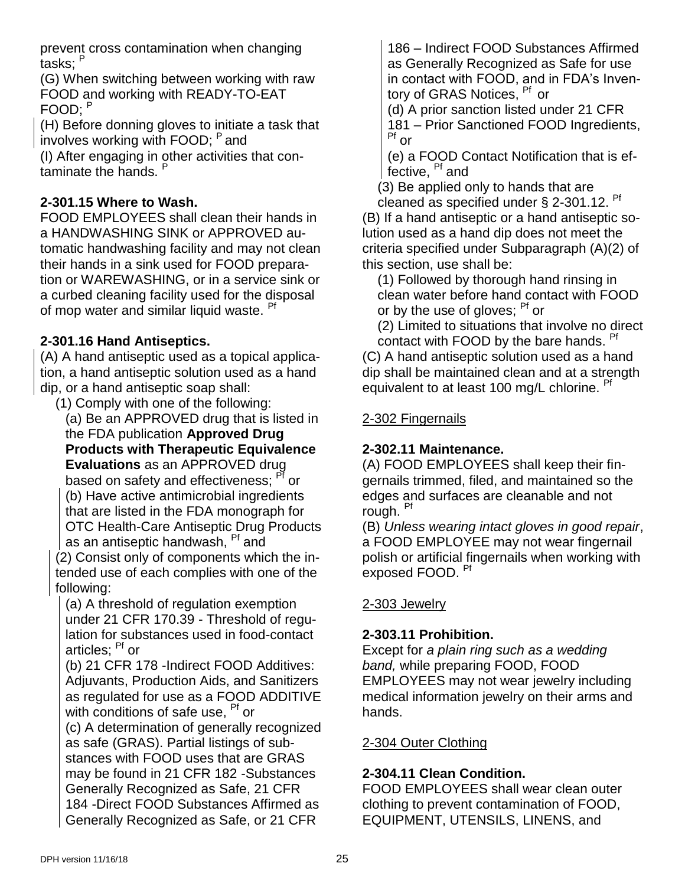prevent cross contamination when changing tasks; <sup>P</sup>

(G) When switching between working with raw FOOD and working with READY-TO-EAT FOOD; <sup>P</sup>

(H) Before donning gloves to initiate a task that involves working with FOOD; Pand

(I) After engaging in other activities that contaminate the hands. P

## **2-301.15 Where to Wash.**

FOOD EMPLOYEES shall clean their hands in a HANDWASHING SINK or APPROVED automatic handwashing facility and may not clean their hands in a sink used for FOOD preparation or WAREWASHING, or in a service sink or a curbed cleaning facility used for the disposal of mop water and similar liquid waste. <sup>Pf</sup>

## **2-301.16 Hand Antiseptics.**

(A) A hand antiseptic used as a topical application, a hand antiseptic solution used as a hand dip, or a hand antiseptic soap shall:

(1) Comply with one of the following: (a) Be an APPROVED drug that is listed in the FDA publication **Approved Drug Products with Therapeutic Equivalence Evaluations** as an APPROVED drug based on safety and effectiveness; <sup>Pf</sup> or (b) Have active antimicrobial ingredients that are listed in the FDA monograph for OTC Health-Care Antiseptic Drug Products as an antiseptic handwash, <sup>Pf</sup> and (2) Consist only of components which the in-

tended use of each complies with one of the following:

(a) A threshold of regulation exemption under 21 CFR 170.39 - Threshold of regulation for substances used in food-contact articles: <sup>Pf</sup> or

(b) 21 CFR 178 -Indirect FOOD Additives: Adjuvants, Production Aids, and Sanitizers as regulated for use as a FOOD ADDITIVE with conditions of safe use. <sup>Pf</sup> or

(c) A determination of generally recognized as safe (GRAS). Partial listings of substances with FOOD uses that are GRAS may be found in 21 CFR 182 -Substances Generally Recognized as Safe, 21 CFR 184 -Direct FOOD Substances Affirmed as Generally Recognized as Safe, or 21 CFR

186 – Indirect FOOD Substances Affirmed as Generally Recognized as Safe for use in contact with FOOD, and in FDA's Inventory of GRAS Notices, <sup>Pf</sup> or

(d) A prior sanction listed under 21 CFR 181 – Prior Sanctioned FOOD Ingredients, Pf or

(e) a FOOD Contact Notification that is effective, <sup>Pf</sup> and

(3) Be applied only to hands that are

cleaned as specified under § 2-301.12. <sup>Pf</sup> (B) If a hand antiseptic or a hand antiseptic solution used as a hand dip does not meet the criteria specified under Subparagraph (A)(2) of this section, use shall be:

(1) Followed by thorough hand rinsing in clean water before hand contact with FOOD or by the use of gloves; <sup>Pf</sup> or

(2) Limited to situations that involve no direct contact with FOOD by the bare hands. <sup>Pf</sup>

(C) A hand antiseptic solution used as a hand dip shall be maintained clean and at a strength equivalent to at least 100 mg/L chlorine. <sup>Pf</sup>

## 2-302 Fingernails

## **2-302.11 Maintenance.**

(A) FOOD EMPLOYEES shall keep their fingernails trimmed, filed, and maintained so the edges and surfaces are cleanable and not rough. Pf

(B) *Unless wearing intact gloves in good repair*, a FOOD EMPLOYEE may not wear fingernail polish or artificial fingernails when working with exposed FOOD. Pf

## 2-303 Jewelry

## **2-303.11 Prohibition.**

Except for *a plain ring such as a wedding band,* while preparing FOOD, FOOD EMPLOYEES may not wear jewelry including medical information jewelry on their arms and hands.

## 2-304 Outer Clothing

## **2-304.11 Clean Condition.**

FOOD EMPLOYEES shall wear clean outer clothing to prevent contamination of FOOD, EQUIPMENT, UTENSILS, LINENS, and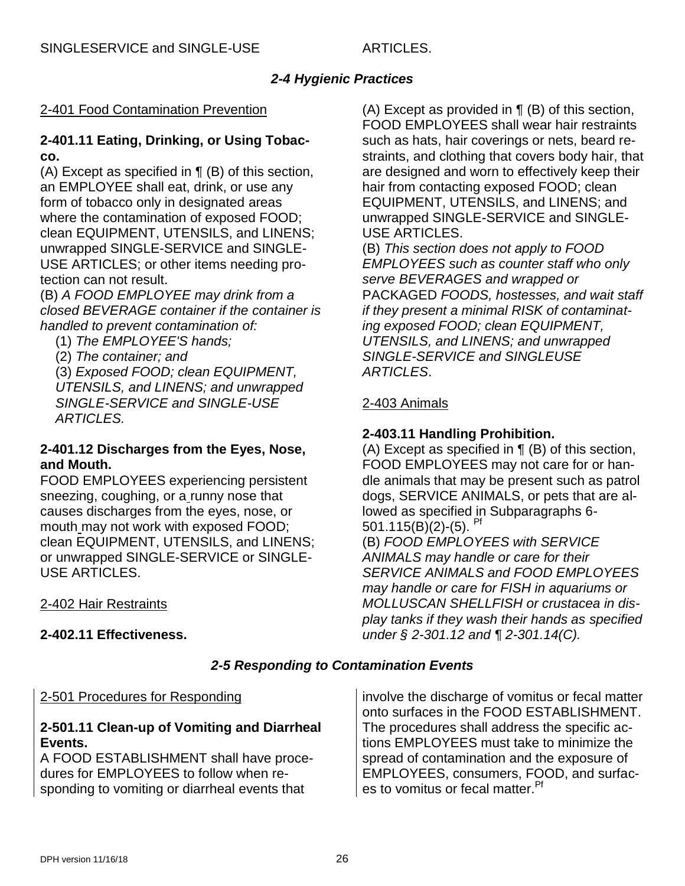## *2-4 Hygienic Practices*

## 2-401 Food Contamination Prevention

#### **2-401.11 Eating, Drinking, or Using Tobacco.**

(A) Except as specified in  $\P$  (B) of this section, an EMPLOYEE shall eat, drink, or use any form of tobacco only in designated areas where the contamination of exposed FOOD; clean EQUIPMENT, UTENSILS, and LINENS; unwrapped SINGLE-SERVICE and SINGLE-USE ARTICLES; or other items needing protection can not result.

(B) *A FOOD EMPLOYEE may drink from a closed BEVERAGE container if the container is handled to prevent contamination of:*

- (1) *The EMPLOYEE'S hands;*
- (2) *The container; and*

(3) *Exposed FOOD; clean EQUIPMENT, UTENSILS, and LINENS; and unwrapped SINGLE-SERVICE and SINGLE-USE ARTICLES.*

## **2-401.12 Discharges from the Eyes, Nose, and Mouth.**

FOOD EMPLOYEES experiencing persistent sneezing, coughing, or a runny nose that causes discharges from the eyes, nose, or mouth may not work with exposed FOOD; clean EQUIPMENT, UTENSILS, and LINENS; or unwrapped SINGLE-SERVICE or SINGLE-USE ARTICLES.

## 2-402 Hair Restraints

## **2-402.11 Effectiveness.**

(A) Except as provided in ¶ (B) of this section, FOOD EMPLOYEES shall wear hair restraints such as hats, hair coverings or nets, beard restraints, and clothing that covers body hair, that are designed and worn to effectively keep their hair from contacting exposed FOOD; clean EQUIPMENT, UTENSILS, and LINENS; and unwrapped SINGLE-SERVICE and SINGLE-USE ARTICLES.

(B) *This section does not apply to FOOD EMPLOYEES such as counter staff who only serve BEVERAGES and wrapped or* PACKAGED *FOODS, hostesses, and wait staff if they present a minimal RISK of contaminating exposed FOOD; clean EQUIPMENT, UTENSILS, and LINENS; and unwrapped SINGLE-SERVICE and SINGLEUSE ARTICLES*.

## 2-403 Animals

## **2-403.11 Handling Prohibition.**

(A) Except as specified in ¶ (B) of this section, FOOD EMPLOYEES may not care for or handle animals that may be present such as patrol dogs, SERVICE ANIMALS, or pets that are allowed as specified in Subparagraphs 6- 501.115(B)(2)-(5). <sup>Pf</sup>

(B) *FOOD EMPLOYEES with SERVICE ANIMALS may handle or care for their SERVICE ANIMALS and FOOD EMPLOYEES may handle or care for FISH in aquariums or MOLLUSCAN SHELLFISH or crustacea in display tanks if they wash their hands as specified under § 2-301.12 and ¶ 2-301.14(C).*

## *2-5 Responding to Contamination Events*

## 2-501 Procedures for Responding

## **2-501.11 Clean-up of Vomiting and Diarrheal Events.**

A FOOD ESTABLISHMENT shall have procedures for EMPLOYEES to follow when responding to vomiting or diarrheal events that

involve the discharge of vomitus or fecal matter onto surfaces in the FOOD ESTABLISHMENT. The procedures shall address the specific actions EMPLOYEES must take to minimize the spread of contamination and the exposure of EMPLOYEES, consumers, FOOD, and surfaces to vomitus or fecal matter.<sup>Pf</sup>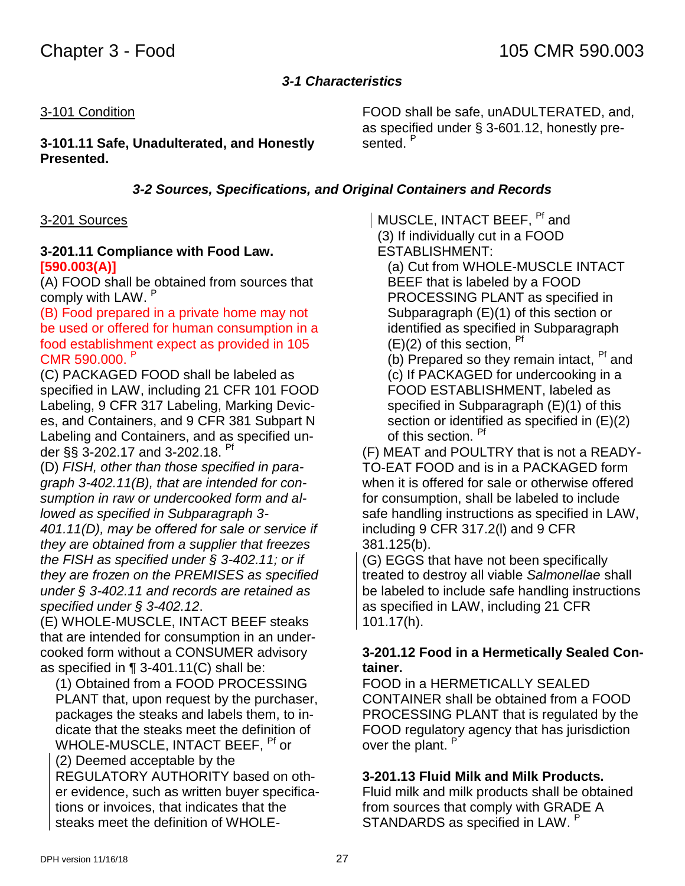## *3-1 Characteristics*

3-101 Condition

**3-101.11 Safe, Unadulterated, and Honestly Presented.**

## *3-2 Sources, Specifications, and Original Containers and Records*

3-201 Sources

#### **3-201.11 Compliance with Food Law. [590.003(A)]**

(A) FOOD shall be obtained from sources that comply with LAW. <sup>P</sup>

(B) Food prepared in a private home may not be used or offered for human consumption in a food establishment expect as provided in 105 CMR 590.000. P

(C) PACKAGED FOOD shall be labeled as specified in LAW, including 21 CFR 101 FOOD Labeling, 9 CFR 317 Labeling, Marking Devices, and Containers, and 9 CFR 381 Subpart N Labeling and Containers, and as specified under §§ 3-202.17 and 3-202.18. <sup>Pf</sup>

(D) *FISH, other than those specified in paragraph 3-402.11(B), that are intended for consumption in raw or undercooked form and allowed as specified in Subparagraph 3- 401.11(D), may be offered for sale or service if* 

*they are obtained from a supplier that freezes the FISH as specified under § 3-402.11; or if they are frozen on the PREMISES as specified under § 3-402.11 and records are retained as specified under § 3-402.12*.

(E) WHOLE-MUSCLE, INTACT BEEF steaks that are intended for consumption in an undercooked form without a CONSUMER advisory as specified in  $\P$  3-401.11(C) shall be:

(1) Obtained from a FOOD PROCESSING PLANT that, upon request by the purchaser, packages the steaks and labels them, to indicate that the steaks meet the definition of WHOLE-MUSCLE, INTACT BEEF, <sup>Pf</sup> or

(2) Deemed acceptable by the REGULATORY AUTHORITY based on other evidence, such as written buyer specifications or invoices, that indicates that the steaks meet the definition of WHOLE-

| MUSCLE, INTACT BEEF, <sup>Pf</sup> and (3) If individually cut in a FOOD ESTABLISHMENT:

(a) Cut from WHOLE-MUSCLE INTACT BEEF that is labeled by a FOOD PROCESSING PLANT as specified in Subparagraph (E)(1) of this section or identified as specified in Subparagraph  $(E)(2)$  of this section, <sup>Pf</sup>

(b) Prepared so they remain intact,  $Pf$  and (c) If PACKAGED for undercooking in a FOOD ESTABLISHMENT, labeled as specified in Subparagraph (E)(1) of this section or identified as specified in (E)(2) of this section. <sup>Pf</sup>

(F) MEAT and POULTRY that is not a READY-TO-EAT FOOD and is in a PACKAGED form when it is offered for sale or otherwise offered for consumption, shall be labeled to include safe handling instructions as specified in LAW, including 9 CFR 317.2(l) and 9 CFR 381.125(b).

(G) EGGS that have not been specifically treated to destroy all viable *Salmonellae* shall be labeled to include safe handling instructions as specified in LAW, including 21 CFR 101.17(h).

## **3-201.12 Food in a Hermetically Sealed Container.**

FOOD in a HERMETICALLY SEALED CONTAINER shall be obtained from a FOOD PROCESSING PLANT that is regulated by the FOOD regulatory agency that has jurisdiction over the plant. P

## **3-201.13 Fluid Milk and Milk Products.**

Fluid milk and milk products shall be obtained from sources that comply with GRADE A STANDARDS as specified in LAW. P

FOOD shall be safe, unADULTERATED, and, as specified under § 3-601.12, honestly presented.<sup>P</sup>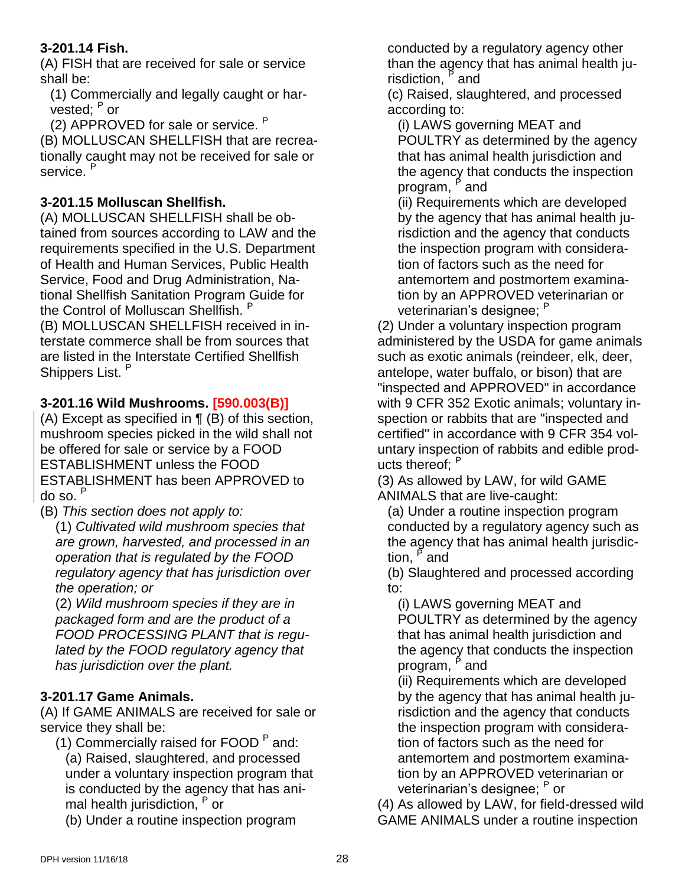## **3-201.14 Fish.**

(A) FISH that are received for sale or service shall be:

(1) Commercially and legally caught or harvested; P or

(2) APPROVED for sale or service. P

(B) MOLLUSCAN SHELLFISH that are recreationally caught may not be received for sale or service.<sup>P</sup>

## **3-201.15 Molluscan Shellfish.**

(A) MOLLUSCAN SHELLFISH shall be obtained from sources according to LAW and the requirements specified in the U.S. Department of Health and Human Services, Public Health Service, Food and Drug Administration, National Shellfish Sanitation Program Guide for the Control of Molluscan Shellfish. P

(B) MOLLUSCAN SHELLFISH received in interstate commerce shall be from sources that are listed in the Interstate Certified Shellfish Shippers List.<sup>P</sup>

## **3-201.16 Wild Mushrooms. [590.003(B)]**

(A) Except as specified in ¶ (B) of this section, mushroom species picked in the wild shall not be offered for sale or service by a FOOD ESTABLISHMENT unless the FOOD ESTABLISHMENT has been APPROVED to do so. <sup>P</sup>

(B) *This section does not apply to:*

(1) *Cultivated wild mushroom species that are grown, harvested, and processed in an operation that is regulated by the FOOD regulatory agency that has jurisdiction over the operation; or* 

(2) *Wild mushroom species if they are in packaged form and are the product of a FOOD PROCESSING PLANT that is regulated by the FOOD regulatory agency that has jurisdiction over the plant.* 

## **3-201.17 Game Animals.**

(A) If GAME ANIMALS are received for sale or service they shall be:

(1) Commercially raised for  $\mathsf{FOOD}^{\,P}$  and: (a) Raised, slaughtered, and processed under a voluntary inspection program that is conducted by the agency that has animal health jurisdiction, <sup>P</sup> or

(b) Under a routine inspection program

conducted by a regulatory agency other than the agency that has animal health jurisdiction, <sup>P</sup> and

(c) Raised, slaughtered, and processed according to:

(i) LAWS governing MEAT and POULTRY as determined by the agency that has animal health jurisdiction and the agency that conducts the inspection program, <sup>P</sup> and

(ii) Requirements which are developed by the agency that has animal health jurisdiction and the agency that conducts the inspection program with consideration of factors such as the need for antemortem and postmortem examination by an APPROVED veterinarian or veterinarian's designee; P

(2) Under a voluntary inspection program administered by the USDA for game animals such as exotic animals (reindeer, elk, deer, antelope, water buffalo, or bison) that are "inspected and APPROVED" in accordance with 9 CFR 352 Exotic animals; voluntary inspection or rabbits that are "inspected and certified" in accordance with 9 CFR 354 voluntary inspection of rabbits and edible products thereof: P

(3) As allowed by LAW, for wild GAME ANIMALS that are live-caught:

(a) Under a routine inspection program conducted by a regulatory agency such as the agency that has animal health jurisdiction, <sup>P</sup> and

(b) Slaughtered and processed according to:

(i) LAWS governing MEAT and POULTRY as determined by the agency that has animal health jurisdiction and the agency that conducts the inspection program, <sup>P</sup> and

(ii) Requirements which are developed by the agency that has animal health jurisdiction and the agency that conducts the inspection program with consideration of factors such as the need for antemortem and postmortem examination by an APPROVED veterinarian or veterinarian's designee; <sup>P</sup> or

(4) As allowed by LAW, for field-dressed wild GAME ANIMALS under a routine inspection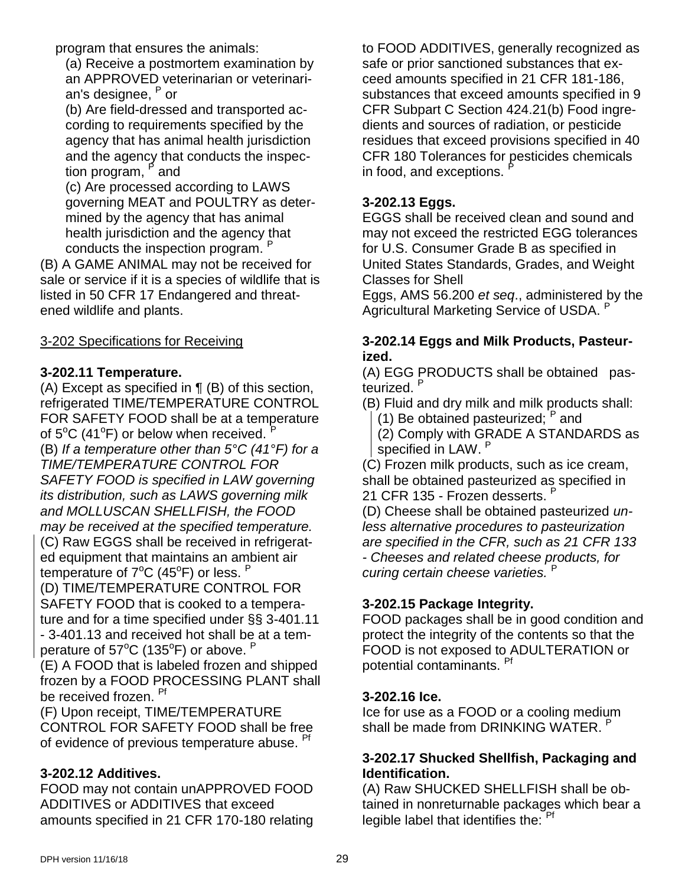program that ensures the animals:

(a) Receive a postmortem examination by an APPROVED veterinarian or veterinarian's designee, <sup>P</sup> or

(b) Are field-dressed and transported according to requirements specified by the agency that has animal health jurisdiction and the agency that conducts the inspection program, <sup>p</sup> and

(c) Are processed according to LAWS governing MEAT and POULTRY as determined by the agency that has animal health jurisdiction and the agency that conducts the inspection program.

(B) A GAME ANIMAL may not be received for sale or service if it is a species of wildlife that is listed in 50 CFR 17 Endangered and threatened wildlife and plants.

## 3-202 Specifications for Receiving

## **3-202.11 Temperature.**

(A) Except as specified in ¶ (B) of this section, refrigerated TIME/TEMPERATURE CONTROL FOR SAFETY FOOD shall be at a temperature of 5°C (41°F) or below when received.  $P$ (B) *If a temperature other than 5°C (41°F) for a TIME/TEMPERATURE CONTROL FOR SAFETY FOOD is specified in LAW governing its distribution, such as LAWS governing milk and MOLLUSCAN SHELLFISH, the FOOD may be received at the specified temperature.* (C) Raw EGGS shall be received in refrigerat-

ed equipment that maintains an ambient air temperature of  $7^{\circ}$ C (45 $^{\circ}$ F) or less.  $^{\circ}$ 

(D) TIME/TEMPERATURE CONTROL FOR SAFETY FOOD that is cooked to a temperature and for a time specified under §§ 3-401.11 - 3-401.13 and received hot shall be at a tem-

perature of 57°C (135°F) or above. <sup>P</sup>

(E) A FOOD that is labeled frozen and shipped frozen by a FOOD PROCESSING PLANT shall be received frozen. Pf

(F) Upon receipt, TIME/TEMPERATURE CONTROL FOR SAFETY FOOD shall be free of evidence of previous temperature abuse. <sup>Pf</sup>

## **3-202.12 Additives.**

FOOD may not contain unAPPROVED FOOD ADDITIVES or ADDITIVES that exceed amounts specified in 21 CFR 170-180 relating to FOOD ADDITIVES, generally recognized as safe or prior sanctioned substances that exceed amounts specified in 21 CFR 181-186, substances that exceed amounts specified in 9 CFR Subpart C Section 424.21(b) Food ingredients and sources of radiation, or pesticide residues that exceed provisions specified in 40 CFR 180 Tolerances for pesticides chemicals in food, and exceptions.

## **3-202.13 Eggs.**

EGGS shall be received clean and sound and may not exceed the restricted EGG tolerances for U.S. Consumer Grade B as specified in United States Standards, Grades, and Weight Classes for Shell

Eggs, AMS 56.200 *et seq*., administered by the Agricultural Marketing Service of USDA. <sup>P</sup>

## **3-202.14 Eggs and Milk Products, Pasteurized.**

(A) EGG PRODUCTS shall be obtained pasteurized.<sup>F</sup>

(B) Fluid and dry milk and milk products shall: (1) Be obtained pasteurized;  $P$  and

(2) Comply with GRADE A STANDARDS as specified in LAW. P

(C) Frozen milk products, such as ice cream, shall be obtained pasteurized as specified in 21 CFR 135 - Frozen desserts. P

(D) Cheese shall be obtained pasteurized *unless alternative procedures to pasteurization are specified in the CFR, such as 21 CFR 133 - Cheeses and related cheese products, for curing certain cheese varieties.* <sup>P</sup>

## **3-202.15 Package Integrity.**

FOOD packages shall be in good condition and protect the integrity of the contents so that the FOOD is not exposed to ADULTERATION or potential contaminants. Pf

## **3-202.16 Ice.**

Ice for use as a FOOD or a cooling medium shall be made from DRINKING WATER. P

#### **3-202.17 Shucked Shellfish, Packaging and Identification.**

(A) Raw SHUCKED SHELLFISH shall be obtained in nonreturnable packages which bear a legible label that identifies the: <sup>Pf</sup>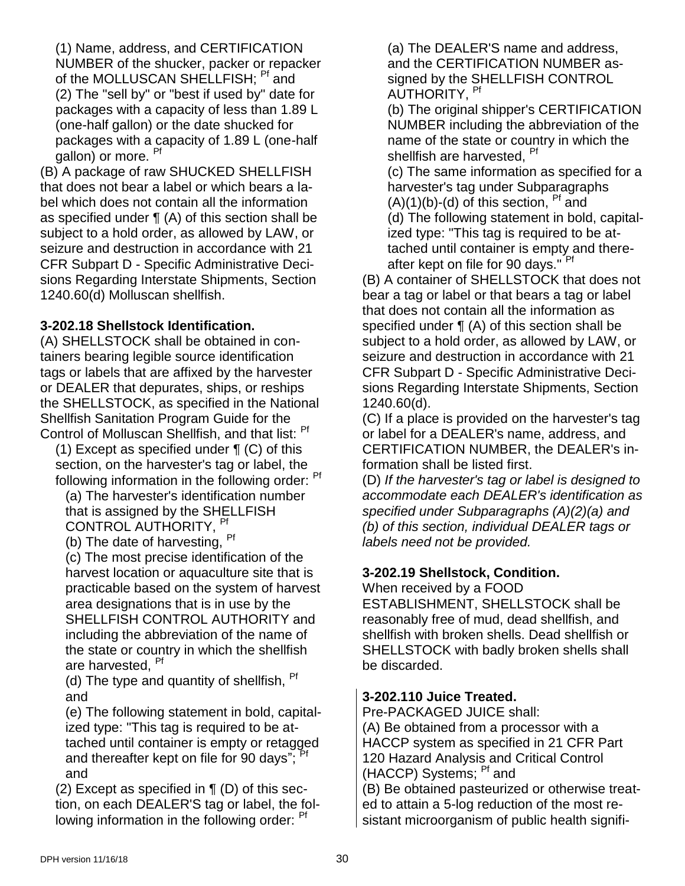(1) Name, address, and CERTIFICATION NUMBER of the shucker, packer or repacker of the MOLLUSCAN SHELLFISH; <sup>Pf</sup> and (2) The "sell by" or "best if used by" date for packages with a capacity of less than 1.89 L (one-half gallon) or the date shucked for packages with a capacity of 1.89 L (one-half gallon) or more. Pf

(B) A package of raw SHUCKED SHELLFISH that does not bear a label or which bears a label which does not contain all the information as specified under  $\P$  (A) of this section shall be subject to a hold order, as allowed by LAW, or seizure and destruction in accordance with 21 CFR Subpart D - Specific Administrative Decisions Regarding Interstate Shipments, Section 1240.60(d) Molluscan shellfish.

#### **3-202.18 Shellstock Identification.**

(A) SHELLSTOCK shall be obtained in containers bearing legible source identification tags or labels that are affixed by the harvester or DEALER that depurates, ships, or reships the SHELLSTOCK, as specified in the National Shellfish Sanitation Program Guide for the Control of Molluscan Shellfish, and that list: Pf

(1) Except as specified under  $\P$  (C) of this section, on the harvester's tag or label, the following information in the following order: Pf

(a) The harvester's identification number that is assigned by the SHELLFISH CONTROL AUTHORITY, Pf

(b) The date of harvesting, <sup>Pf</sup>

(c) The most precise identification of the harvest location or aquaculture site that is practicable based on the system of harvest area designations that is in use by the SHELLFISH CONTROL AUTHORITY and including the abbreviation of the name of the state or country in which the shellfish are harvested, Pf

(d) The type and quantity of shellfish,  $Pf$ and

(e) The following statement in bold, capitalized type: "This tag is required to be attached until container is empty or retagged and thereafter kept on file for 90 days";  $\frac{1}{2}$ and

(2) Except as specified in  $\P$  (D) of this section, on each DEALER'S tag or label, the following information in the following order: <sup>Pf</sup>

(a) The DEALER'S name and address, and the CERTIFICATION NUMBER assigned by the SHELLFISH CONTROL AUTHORITY. <sup>Pf</sup>

(b) The original shipper's CERTIFICATION NUMBER including the abbreviation of the name of the state or country in which the shellfish are harvested, <sup>Pf</sup>

(c) The same information as specified for a harvester's tag under Subparagraphs  $(A)(1)(b)-(d)$  of this section, <sup>Pf</sup> and (d) The following statement in bold, capitalized type: "This tag is required to be attached until container is empty and thereafter kept on file for 90 days."<sup>Pf</sup>

(B) A container of SHELLSTOCK that does not bear a tag or label or that bears a tag or label that does not contain all the information as specified under ¶ (A) of this section shall be subject to a hold order, as allowed by LAW, or seizure and destruction in accordance with 21 CFR Subpart D - Specific Administrative Decisions Regarding Interstate Shipments, Section 1240.60(d).

(C) If a place is provided on the harvester's tag or label for a DEALER's name, address, and CERTIFICATION NUMBER, the DEALER's information shall be listed first.

(D) *If the harvester's tag or label is designed to accommodate each DEALER's identification as specified under Subparagraphs (A)(2)(a) and (b) of this section, individual DEALER tags or labels need not be provided.*

#### **3-202.19 Shellstock, Condition.**

When received by a FOOD

ESTABLISHMENT, SHELLSTOCK shall be reasonably free of mud, dead shellfish, and shellfish with broken shells. Dead shellfish or SHELLSTOCK with badly broken shells shall be discarded.

#### **3-202.110 Juice Treated.**

Pre-PACKAGED JUICE shall:

(A) Be obtained from a processor with a HACCP system as specified in 21 CFR Part 120 Hazard Analysis and Critical Control (HACCP) Systems; <sup>Pf</sup> and

(B) Be obtained pasteurized or otherwise treated to attain a 5-log reduction of the most resistant microorganism of public health signifi-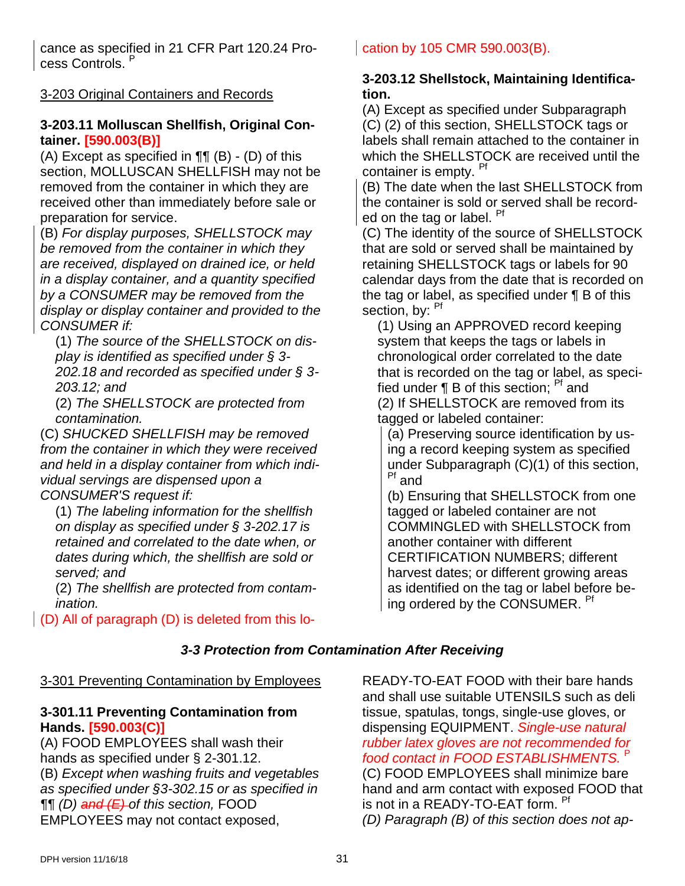cance as specified in 21 CFR Part 120.24 Process Controls.<sup>P</sup>

## 3-203 Original Containers and Records

## **3-203.11 Molluscan Shellfish, Original Container. [590.003(B)]**

(A) Except as specified in  $\P\P$  (B) - (D) of this section, MOLLUSCAN SHELLFISH may not be removed from the container in which they are received other than immediately before sale or preparation for service.

(B) *For display purposes, SHELLSTOCK may be removed from the container in which they are received, displayed on drained ice, or held in a display container, and a quantity specified by a CONSUMER may be removed from the display or display container and provided to the CONSUMER if:*

(1) *The source of the SHELLSTOCK on display is identified as specified under § 3- 202.18 and recorded as specified under § 3- 203.12; and*

(2) *The SHELLSTOCK are protected from contamination.*

(C) *SHUCKED SHELLFISH may be removed from the container in which they were received and held in a display container from which individual servings are dispensed upon a CONSUMER'S request if:*

(1) *The labeling information for the shellfish on display as specified under § 3-202.17 is retained and correlated to the date when, or dates during which, the shellfish are sold or served; and*

(2) *The shellfish are protected from contamination.*

(D) All of paragraph (D) is deleted from this lo-

cation by 105 CMR 590.003(B).

## **3-203.12 Shellstock, Maintaining Identification.**

(A) Except as specified under Subparagraph (C) (2) of this section, SHELLSTOCK tags or labels shall remain attached to the container in which the SHELLSTOCK are received until the container is empty. Pf

(B) The date when the last SHELLSTOCK from the container is sold or served shall be recorded on the tag or label. Pf

(C) The identity of the source of SHELLSTOCK that are sold or served shall be maintained by retaining SHELLSTOCK tags or labels for 90 calendar days from the date that is recorded on the tag or label, as specified under  $\P$  B of this section, by: Pf

(1) Using an APPROVED record keeping system that keeps the tags or labels in chronological order correlated to the date that is recorded on the tag or label, as specified under ¶ B of this section; <sup>Pf</sup> and (2) If SHELLSTOCK are removed from its tagged or labeled container:

(a) Preserving source identification by using a record keeping system as specified under Subparagraph (C)(1) of this section, Pf and

(b) Ensuring that SHELLSTOCK from one tagged or labeled container are not COMMINGLED with SHELLSTOCK from another container with different CERTIFICATION NUMBERS; different harvest dates; or different growing areas as identified on the tag or label before being ordered by the CONSUMER. <sup>Pf</sup>

## *3-3 Protection from Contamination After Receiving*

## 3-301 Preventing Contamination by Employees

## **3-301.11 Preventing Contamination from Hands. [590.003(C)]**

(A) FOOD EMPLOYEES shall wash their hands as specified under § 2-301.12. (B) *Except when washing fruits and vegetables as specified under §3-302.15 or as specified in ¶¶ (D) and (E) of this section,* FOOD EMPLOYEES may not contact exposed,

READY-TO-EAT FOOD with their bare hands and shall use suitable UTENSILS such as deli tissue, spatulas, tongs, single-use gloves, or dispensing EQUIPMENT. *Single-use natural rubber latex gloves are not recommended for food contact in FOOD ESTABLISHMENTS.* <sup>P</sup> (C) FOOD EMPLOYEES shall minimize bare hand and arm contact with exposed FOOD that

is not in a READY-TO-EAT form. Pf *(D) Paragraph (B) of this section does not ap-*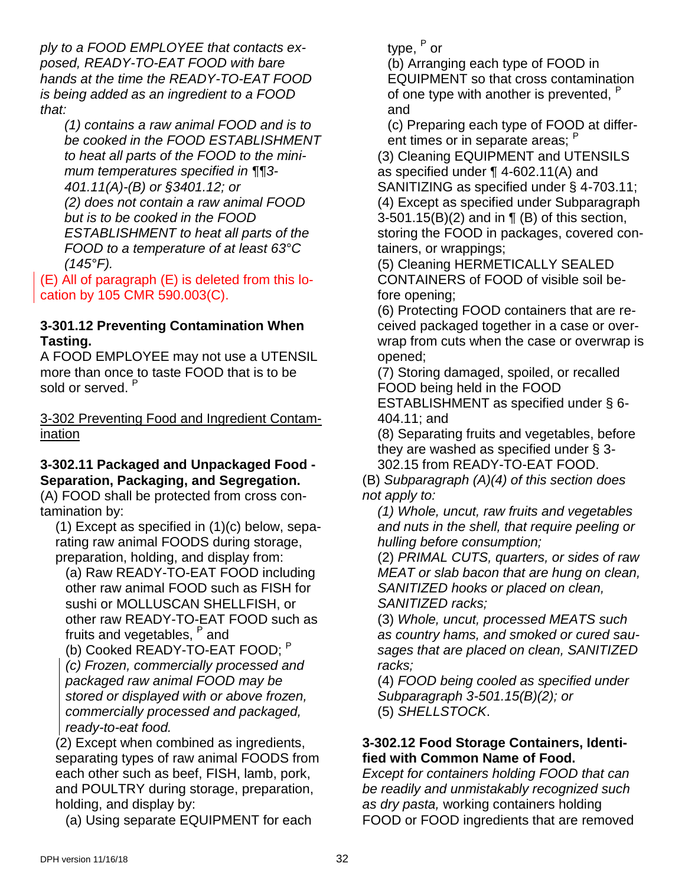*ply to a FOOD EMPLOYEE that contacts exposed, READY-TO-EAT FOOD with bare hands at the time the READY-TO-EAT FOOD is being added as an ingredient to a FOOD that:*

*(1) contains a raw animal FOOD and is to be cooked in the FOOD ESTABLISHMENT to heat all parts of the FOOD to the minimum temperatures specified in ¶¶3- 401.11(A)-(B) or §3401.12; or (2) does not contain a raw animal FOOD but is to be cooked in the FOOD ESTABLISHMENT to heat all parts of the FOOD to a temperature of at least 63°C (145°F).*

(E) All of paragraph (E) is deleted from this location by 105 CMR 590.003(C).

#### **3-301.12 Preventing Contamination When Tasting.**

A FOOD EMPLOYEE may not use a UTENSIL more than once to taste FOOD that is to be sold or served.<sup>P</sup>

3-302 Preventing Food and Ingredient Contamination

## **3-302.11 Packaged and Unpackaged Food - Separation, Packaging, and Segregation.**

(A) FOOD shall be protected from cross contamination by:

(1) Except as specified in (1)(c) below, separating raw animal FOODS during storage, preparation, holding, and display from:

(a) Raw READY-TO-EAT FOOD including other raw animal FOOD such as FISH for sushi or MOLLUSCAN SHELLFISH, or other raw READY-TO-EAT FOOD such as fruits and vegetables, <sup>P</sup> and

(b) Cooked READY-TO-EAT FOOD; P *(c) Frozen, commercially processed and packaged raw animal FOOD may be stored or displayed with or above frozen, commercially processed and packaged, ready-to-eat food.*

(2) Except when combined as ingredients, separating types of raw animal FOODS from each other such as beef, FISH, lamb, pork, and POULTRY during storage, preparation, holding, and display by:

(a) Using separate EQUIPMENT for each

type, <sup>P</sup> or

(b) Arranging each type of FOOD in EQUIPMENT so that cross contamination of one type with another is prevented,  $\beta$ and

(c) Preparing each type of FOOD at different times or in separate areas; P

(3) Cleaning EQUIPMENT and UTENSILS as specified under ¶ 4-602.11(A) and SANITIZING as specified under § 4-703.11; (4) Except as specified under Subparagraph 3-501.15(B)(2) and in ¶ (B) of this section, storing the FOOD in packages, covered containers, or wrappings;

(5) Cleaning HERMETICALLY SEALED CONTAINERS of FOOD of visible soil before opening;

(6) Protecting FOOD containers that are received packaged together in a case or overwrap from cuts when the case or overwrap is opened;

(7) Storing damaged, spoiled, or recalled FOOD being held in the FOOD ESTABLISHMENT as specified under § 6- 404.11; and

(8) Separating fruits and vegetables, before they are washed as specified under § 3- 302.15 from READY-TO-EAT FOOD.

(B) *Subparagraph (A)(4) of this section does not apply to:*

*(1) Whole, uncut, raw fruits and vegetables and nuts in the shell, that require peeling or hulling before consumption;*

(2) *PRIMAL CUTS, quarters, or sides of raw MEAT or slab bacon that are hung on clean, SANITIZED hooks or placed on clean, SANITIZED racks;*

(3) *Whole, uncut, processed MEATS such as country hams, and smoked or cured sausages that are placed on clean, SANITIZED racks;*

(4) *FOOD being cooled as specified under Subparagraph 3-501.15(B)(2); or* (5) *SHELLSTOCK*.

## **3-302.12 Food Storage Containers, Identified with Common Name of Food.**

*Except for containers holding FOOD that can be readily and unmistakably recognized such as dry pasta,* working containers holding FOOD or FOOD ingredients that are removed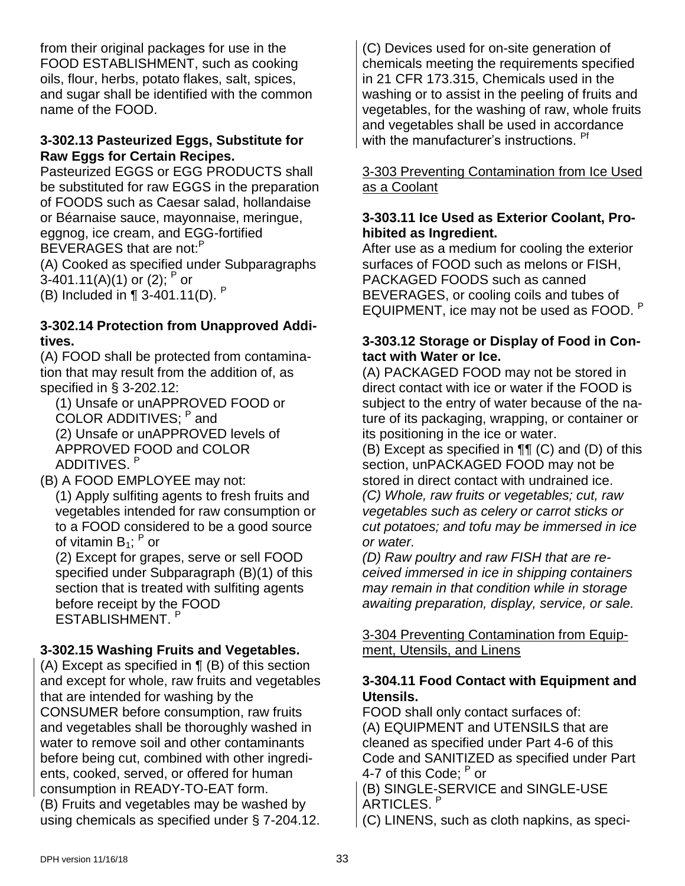from their original packages for use in the FOOD ESTABLISHMENT, such as cooking oils, flour, herbs, potato flakes, salt, spices, and sugar shall be identified with the common name of the FOOD.

## **3-302.13 Pasteurized Eggs, Substitute for Raw Eggs for Certain Recipes.**

Pasteurized EGGS or EGG PRODUCTS shall be substituted for raw EGGS in the preparation of FOODS such as Caesar salad, hollandaise or Béarnaise sauce, mayonnaise, meringue, eggnog, ice cream, and EGG-fortified BEVERAGES that are not:<sup>P</sup>

(A) Cooked as specified under Subparagraphs 3-401.11(A)(1) or (2); <sup>P</sup> or (B) Included in ¶ 3-401.11(D). <sup>P</sup>

## **3-302.14 Protection from Unapproved Additives.**

(A) FOOD shall be protected from contamination that may result from the addition of, as specified in § 3-202.12:

(1) Unsafe or unAPPROVED FOOD or COLOR ADDITIVES; P and

(2) Unsafe or unAPPROVED levels of APPROVED FOOD and COLOR ADDITIVES. <sup>P</sup>

(B) A FOOD EMPLOYEE may not:

(1) Apply sulfiting agents to fresh fruits and vegetables intended for raw consumption or to a FOOD considered to be a good source of vitamin B<sub>1</sub>;  $^{\mathsf{P}}$  or

(2) Except for grapes, serve or sell FOOD specified under Subparagraph (B)(1) of this section that is treated with sulfiting agents before receipt by the FOOD ESTABLISHMENT. P

## **3-302.15 Washing Fruits and Vegetables.**

(A) Except as specified in ¶ (B) of this section and except for whole, raw fruits and vegetables that are intended for washing by the CONSUMER before consumption, raw fruits and vegetables shall be thoroughly washed in water to remove soil and other contaminants before being cut, combined with other ingredients, cooked, served, or offered for human consumption in READY-TO-EAT form.

(B) Fruits and vegetables may be washed by using chemicals as specified under § 7-204.12.

(C) Devices used for on-site generation of chemicals meeting the requirements specified in 21 CFR 173.315, Chemicals used in the washing or to assist in the peeling of fruits and vegetables, for the washing of raw, whole fruits and vegetables shall be used in accordance with the manufacturer's instructions. <sup>Pf</sup>

## 3-303 Preventing Contamination from Ice Used as a Coolant

#### **3-303.11 Ice Used as Exterior Coolant, Prohibited as Ingredient.**

After use as a medium for cooling the exterior surfaces of FOOD such as melons or FISH, PACKAGED FOODS such as canned BEVERAGES, or cooling coils and tubes of EQUIPMENT, ice may not be used as FOOD. <sup>P</sup>

## **3-303.12 Storage or Display of Food in Contact with Water or Ice.**

(A) PACKAGED FOOD may not be stored in direct contact with ice or water if the FOOD is subject to the entry of water because of the nature of its packaging, wrapping, or container or its positioning in the ice or water.

(B) Except as specified in  $\P\P$  (C) and (D) of this section, unPACKAGED FOOD may not be stored in direct contact with undrained ice. *(C) Whole, raw fruits or vegetables; cut, raw vegetables such as celery or carrot sticks or cut potatoes; and tofu may be immersed in ice or water.*

*(D) Raw poultry and raw FISH that are received immersed in ice in shipping containers may remain in that condition while in storage awaiting preparation, display, service, or sale.*

3-304 Preventing Contamination from Equipment, Utensils, and Linens

## **3-304.11 Food Contact with Equipment and Utensils.**

FOOD shall only contact surfaces of: (A) EQUIPMENT and UTENSILS that are cleaned as specified under Part 4-6 of this Code and SANITIZED as specified under Part 4-7 of this Code; <sup>P</sup> or

(B) SINGLE-SERVICE and SINGLE-USE ARTICLES.<sup>P</sup>

(C) LINENS, such as cloth napkins, as speci-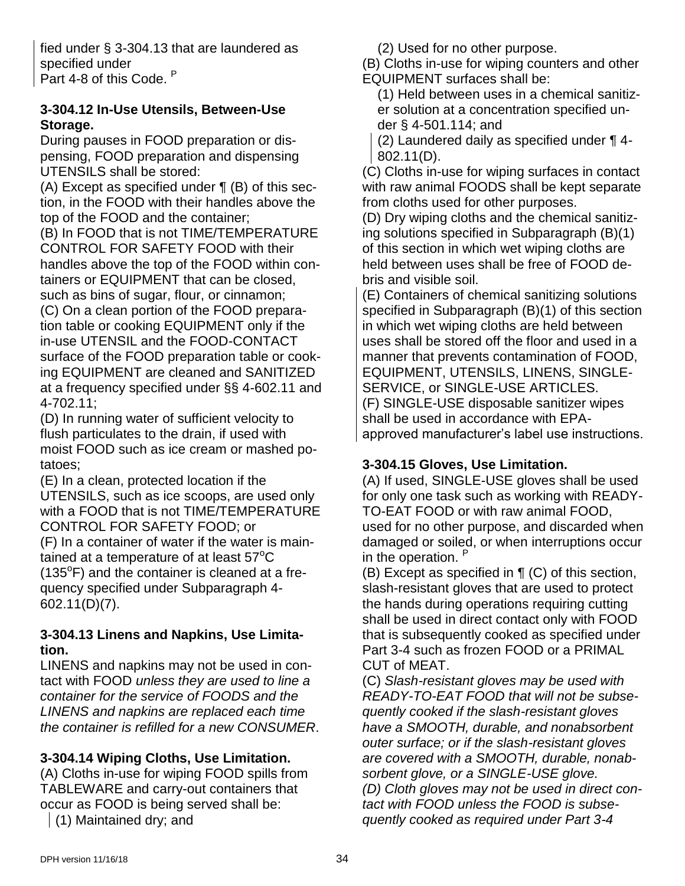fied under § 3-304.13 that are laundered as specified under Part 4-8 of this Code. P

## **3-304.12 In-Use Utensils, Between-Use Storage.**

During pauses in FOOD preparation or dispensing, FOOD preparation and dispensing UTENSILS shall be stored:

(A) Except as specified under ¶ (B) of this section, in the FOOD with their handles above the top of the FOOD and the container;

(B) In FOOD that is not TIME/TEMPERATURE CONTROL FOR SAFETY FOOD with their handles above the top of the FOOD within containers or EQUIPMENT that can be closed, such as bins of sugar, flour, or cinnamon;

(C) On a clean portion of the FOOD preparation table or cooking EQUIPMENT only if the in-use UTENSIL and the FOOD-CONTACT surface of the FOOD preparation table or cooking EQUIPMENT are cleaned and SANITIZED at a frequency specified under §§ 4-602.11 and 4-702.11;

(D) In running water of sufficient velocity to flush particulates to the drain, if used with moist FOOD such as ice cream or mashed potatoes;

(E) In a clean, protected location if the UTENSILS, such as ice scoops, are used only with a FOOD that is not TIME/TEMPERATURE CONTROL FOR SAFETY FOOD; or (F) In a container of water if the water is maintained at a temperature of at least  $57^{\circ}$ C  $(135^{\circ}F)$  and the container is cleaned at a frequency specified under Subparagraph 4- 602.11(D)(7).

## **3-304.13 Linens and Napkins, Use Limitation.**

LINENS and napkins may not be used in contact with FOOD *unless they are used to line a container for the service of FOODS and the LINENS and napkins are replaced each time the container is refilled for a new CONSUMER*.

## **3-304.14 Wiping Cloths, Use Limitation.**

(A) Cloths in-use for wiping FOOD spills from TABLEWARE and carry-out containers that occur as FOOD is being served shall be:

(1) Maintained dry; and

(2) Used for no other purpose.

(B) Cloths in-use for wiping counters and other EQUIPMENT surfaces shall be:

(1) Held between uses in a chemical sanitizer solution at a concentration specified under § 4-501.114; and

(2) Laundered daily as specified under ¶ 4- 802.11(D).

(C) Cloths in-use for wiping surfaces in contact with raw animal FOODS shall be kept separate from cloths used for other purposes.

(D) Dry wiping cloths and the chemical sanitizing solutions specified in Subparagraph (B)(1) of this section in which wet wiping cloths are held between uses shall be free of FOOD debris and visible soil.

(E) Containers of chemical sanitizing solutions specified in Subparagraph (B)(1) of this section in which wet wiping cloths are held between uses shall be stored off the floor and used in a manner that prevents contamination of FOOD, EQUIPMENT, UTENSILS, LINENS, SINGLE-SERVICE, or SINGLE-USE ARTICLES. (F) SINGLE-USE disposable sanitizer wipes shall be used in accordance with EPAapproved manufacturer's label use instructions.

## **3-304.15 Gloves, Use Limitation.**

(A) If used, SINGLE-USE gloves shall be used for only one task such as working with READY-TO-EAT FOOD or with raw animal FOOD, used for no other purpose, and discarded when damaged or soiled, or when interruptions occur in the operation. P

(B) Except as specified in ¶ (C) of this section, slash-resistant gloves that are used to protect the hands during operations requiring cutting shall be used in direct contact only with FOOD that is subsequently cooked as specified under Part 3-4 such as frozen FOOD or a PRIMAL CUT of MEAT.

(C) *Slash-resistant gloves may be used with READY-TO-EAT FOOD that will not be subsequently cooked if the slash-resistant gloves have a SMOOTH, durable, and nonabsorbent outer surface; or if the slash-resistant gloves are covered with a SMOOTH, durable, nonabsorbent glove, or a SINGLE-USE glove. (D) Cloth gloves may not be used in direct contact with FOOD unless the FOOD is subsequently cooked as required under Part 3-4*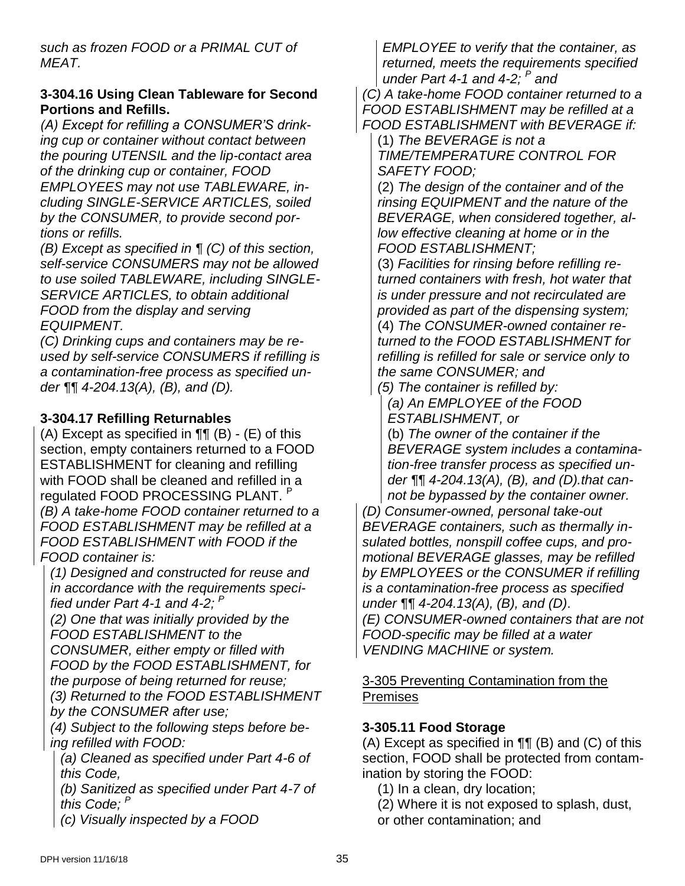*such as frozen FOOD or a PRIMAL CUT of MEAT.* 

#### **3-304.16 Using Clean Tableware for Second Portions and Refills.**

*(A) Except for refilling a CONSUMER'S drinking cup or container without contact between the pouring UTENSIL and the lip-contact area of the drinking cup or container, FOOD EMPLOYEES may not use TABLEWARE, including SINGLE-SERVICE ARTICLES, soiled by the CONSUMER, to provide second portions or refills.*

*(B) Except as specified in ¶ (C) of this section, self-service CONSUMERS may not be allowed to use soiled TABLEWARE, including SINGLE-SERVICE ARTICLES, to obtain additional FOOD from the display and serving EQUIPMENT.*

*(C) Drinking cups and containers may be reused by self-service CONSUMERS if refilling is a contamination-free process as specified under ¶¶ 4-204.13(A), (B), and (D).*

## **3-304.17 Refilling Returnables**

(A) Except as specified in  $\P\P$  (B) - (E) of this section, empty containers returned to a FOOD ESTABLISHMENT for cleaning and refilling with FOOD shall be cleaned and refilled in a regulated FOOD PROCESSING PLANT. *(B) A take-home FOOD container returned to a FOOD ESTABLISHMENT may be refilled at a FOOD ESTABLISHMENT with FOOD if the FOOD container is:*

*(1) Designed and constructed for reuse and in accordance with the requirements specified under Part 4-1 and 4-2; <sup>P</sup>*

*(2) One that was initially provided by the FOOD ESTABLISHMENT to the CONSUMER, either empty or filled with* 

*FOOD by the FOOD ESTABLISHMENT, for* 

*the purpose of being returned for reuse; (3) Returned to the FOOD ESTABLISHMENT* 

*by the CONSUMER after use;* 

*(4) Subject to the following steps before being refilled with FOOD:*

*(a) Cleaned as specified under Part 4-6 of this Code,* 

*(b) Sanitized as specified under Part 4-7 of this Code; <sup>P</sup>*

*(c) Visually inspected by a FOOD* 

*EMPLOYEE to verify that the container, as returned, meets the requirements specified under Part 4-1 and 4-2; <sup>P</sup> and* 

*(C) A take-home FOOD container returned to a FOOD ESTABLISHMENT may be refilled at a FOOD ESTABLISHMENT with BEVERAGE if:* 

(1) *The BEVERAGE is not a TIME/TEMPERATURE CONTROL FOR SAFETY FOOD;* 

(2) *The design of the container and of the rinsing EQUIPMENT and the nature of the BEVERAGE, when considered together, allow effective cleaning at home or in the FOOD ESTABLISHMENT;* 

(3) *Facilities for rinsing before refilling returned containers with fresh, hot water that is under pressure and not recirculated are provided as part of the dispensing system;*  (4) *The CONSUMER-owned container returned to the FOOD ESTABLISHMENT for refilling is refilled for sale or service only to the same CONSUMER; and* 

*(5) The container is refilled by: (a) An EMPLOYEE of the FOOD ESTABLISHMENT, or* 

(b) *The owner of the container if the BEVERAGE system includes a contamination-free transfer process as specified under ¶¶ 4-204.13(A), (B), and (D).that cannot be bypassed by the container owner.* 

*(D) Consumer-owned, personal take-out BEVERAGE containers, such as thermally insulated bottles, nonspill coffee cups, and promotional BEVERAGE glasses, may be refilled by EMPLOYEES or the CONSUMER if refilling is a contamination-free process as specified under ¶¶ 4-204.13(A), (B), and (D)*. *(E) CONSUMER-owned containers that are not FOOD-specific may be filled at a water VENDING MACHINE or system.* 

3-305 Preventing Contamination from the Premises

## **3-305.11 Food Storage**

(A) Except as specified in  $\P\P$  (B) and (C) of this section, FOOD shall be protected from contamination by storing the FOOD:

(1) In a clean, dry location;

(2) Where it is not exposed to splash, dust, or other contamination; and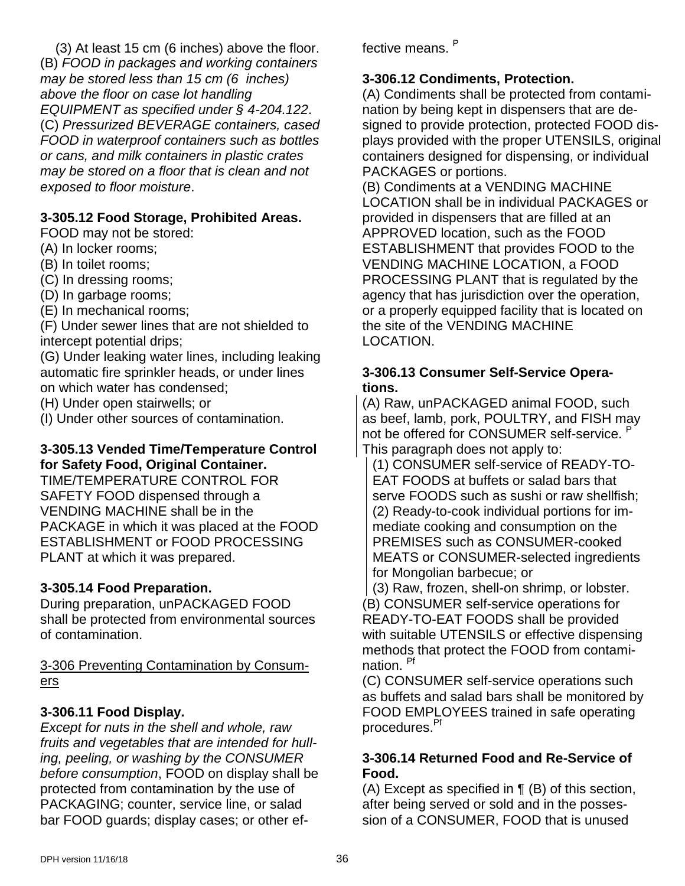(3) At least 15 cm (6 inches) above the floor. (B) *FOOD in packages and working containers may be stored less than 15 cm (6 inches) above the floor on case lot handling EQUIPMENT as specified under § 4-204.122*. (C) *Pressurized BEVERAGE containers, cased FOOD in waterproof containers such as bottles or cans, and milk containers in plastic crates may be stored on a floor that is clean and not exposed to floor moisture*.

## **3-305.12 Food Storage, Prohibited Areas.**

FOOD may not be stored:

(A) In locker rooms;

(B) In toilet rooms;

(C) In dressing rooms;

(D) In garbage rooms;

(E) In mechanical rooms;

(F) Under sewer lines that are not shielded to intercept potential drips;

(G) Under leaking water lines, including leaking automatic fire sprinkler heads, or under lines on which water has condensed;

(H) Under open stairwells; or

(I) Under other sources of contamination.

## **3-305.13 Vended Time/Temperature Control for Safety Food, Original Container.**

TIME/TEMPERATURE CONTROL FOR SAFETY FOOD dispensed through a VENDING MACHINE shall be in the PACKAGE in which it was placed at the FOOD ESTABLISHMENT or FOOD PROCESSING PLANT at which it was prepared.

## **3-305.14 Food Preparation.**

During preparation, unPACKAGED FOOD shall be protected from environmental sources of contamination.

3-306 Preventing Contamination by Consumers

## **3-306.11 Food Display.**

*Except for nuts in the shell and whole, raw fruits and vegetables that are intended for hulling, peeling, or washing by the CONSUMER before consumption*, FOOD on display shall be protected from contamination by the use of PACKAGING; counter, service line, or salad bar FOOD guards; display cases; or other effective means. P

## **3-306.12 Condiments, Protection.**

(A) Condiments shall be protected from contamination by being kept in dispensers that are designed to provide protection, protected FOOD displays provided with the proper UTENSILS, original containers designed for dispensing, or individual PACKAGES or portions.

(B) Condiments at a VENDING MACHINE LOCATION shall be in individual PACKAGES or provided in dispensers that are filled at an APPROVED location, such as the FOOD ESTABLISHMENT that provides FOOD to the VENDING MACHINE LOCATION, a FOOD PROCESSING PLANT that is regulated by the agency that has jurisdiction over the operation, or a properly equipped facility that is located on the site of the VENDING MACHINE LOCATION.

## **3-306.13 Consumer Self-Service Operations.**

(A) Raw, unPACKAGED animal FOOD, such as beef, lamb, pork, POULTRY, and FISH may not be offered for CONSUMER self-service. This paragraph does not apply to:

(1) CONSUMER self-service of READY-TO-EAT FOODS at buffets or salad bars that serve FOODS such as sushi or raw shellfish; (2) Ready-to-cook individual portions for immediate cooking and consumption on the PREMISES such as CONSUMER-cooked MEATS or CONSUMER-selected ingredients for Mongolian barbecue; or

(3) Raw, frozen, shell-on shrimp, or lobster. (B) CONSUMER self-service operations for READY-TO-EAT FOODS shall be provided with suitable UTENSILS or effective dispensing methods that protect the FOOD from contamination. Pf

(C) CONSUMER self-service operations such as buffets and salad bars shall be monitored by FOOD EMPLOYEES trained in safe operating procedures.<sup>Pf</sup>

## **3-306.14 Returned Food and Re-Service of Food.**

(A) Except as specified in ¶ (B) of this section, after being served or sold and in the possession of a CONSUMER, FOOD that is unused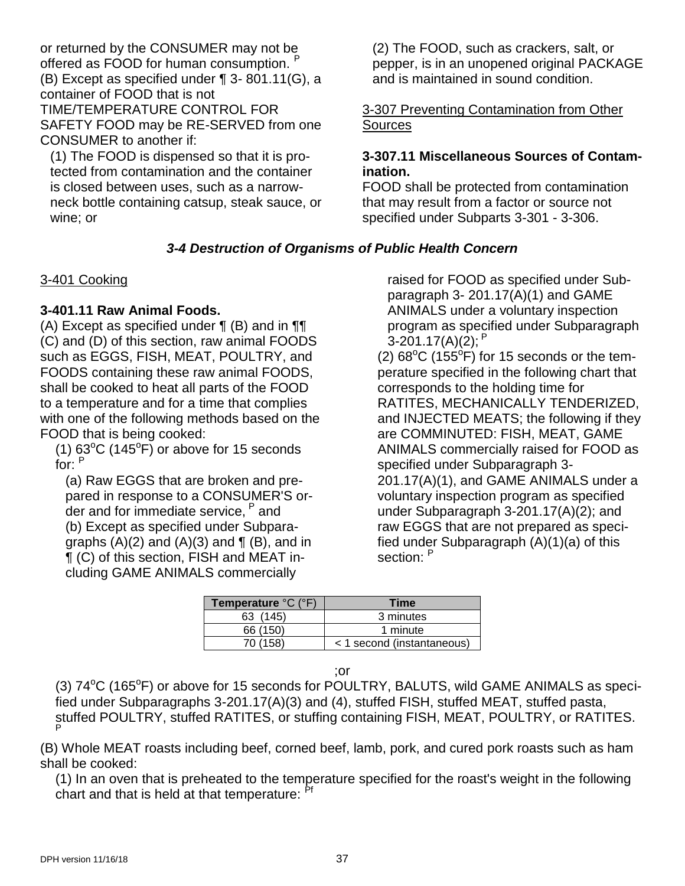or returned by the CONSUMER may not be offered as FOOD for human consumption. <sup>P</sup> (B) Except as specified under ¶ 3- 801.11(G), a container of FOOD that is not TIME/TEMPERATURE CONTROL FOR SAFETY FOOD may be RE-SERVED from one CONSUMER to another if:

(1) The FOOD is dispensed so that it is protected from contamination and the container is closed between uses, such as a narrowneck bottle containing catsup, steak sauce, or wine; or

# *3-4 Destruction of Organisms of Public Health Concern*

#### 3-401 Cooking

## **3-401.11 Raw Animal Foods.**

(A) Except as specified under  $\P$  (B) and in  $\P$ (C) and (D) of this section, raw animal FOODS such as EGGS, FISH, MEAT, POULTRY, and FOODS containing these raw animal FOODS, shall be cooked to heat all parts of the FOOD to a temperature and for a time that complies with one of the following methods based on the FOOD that is being cooked:

(1)  $63^{\circ}$ C (145 $^{\circ}$ F) or above for 15 seconds for: <sup>P</sup>

(a) Raw EGGS that are broken and prepared in response to a CONSUMER'S order and for immediate service, <sup>P</sup> and (b) Except as specified under Subparagraphs  $(A)(2)$  and  $(A)(3)$  and  $\P$  (B), and in ¶ (C) of this section, FISH and MEAT including GAME ANIMALS commercially

(2) The FOOD, such as crackers, salt, or pepper, is in an unopened original PACKAGE and is maintained in sound condition.

#### 3-307 Preventing Contamination from Other Sources

#### **3-307.11 Miscellaneous Sources of Contamination.**

FOOD shall be protected from contamination that may result from a factor or source not specified under Subparts 3-301 - 3-306.

raised for FOOD as specified under Subparagraph 3- 201.17(A)(1) and GAME ANIMALS under a voluntary inspection program as specified under Subparagraph  $3-201.17(A)(2)$ ; P

(2)  $68^{\circ}$ C (155 $^{\circ}$ F) for 15 seconds or the temperature specified in the following chart that corresponds to the holding time for RATITES, MECHANICALLY TENDERIZED, and INJECTED MEATS; the following if they are COMMINUTED: FISH, MEAT, GAME ANIMALS commercially raised for FOOD as specified under Subparagraph 3- 201.17(A)(1), and GAME ANIMALS under a voluntary inspection program as specified under Subparagraph 3-201.17(A)(2); and raw EGGS that are not prepared as specified under Subparagraph (A)(1)(a) of this section: P

| <b>Temperature <math>^{\circ}C</math> (<math>^{\circ}F</math>)</b> | <b>Time</b>                |
|--------------------------------------------------------------------|----------------------------|
| 63 (145)                                                           | 3 minutes                  |
| 66 (150)                                                           | 1 minute                   |
| 70 (158)                                                           | < 1 second (instantaneous) |

;or

(3) 74°C (165°F) or above for 15 seconds for POULTRY, BALUTS, wild GAME ANIMALS as specified under Subparagraphs 3-201.17(A)(3) and (4), stuffed FISH, stuffed MEAT, stuffed pasta, stuffed POULTRY, stuffed RATITES, or stuffing containing FISH, MEAT, POULTRY, or RATITES. P

(B) Whole MEAT roasts including beef, corned beef, lamb, pork, and cured pork roasts such as ham shall be cooked:

(1) In an oven that is preheated to the temperature specified for the roast's weight in the following chart and that is held at that temperature: <sup>Pf</sup>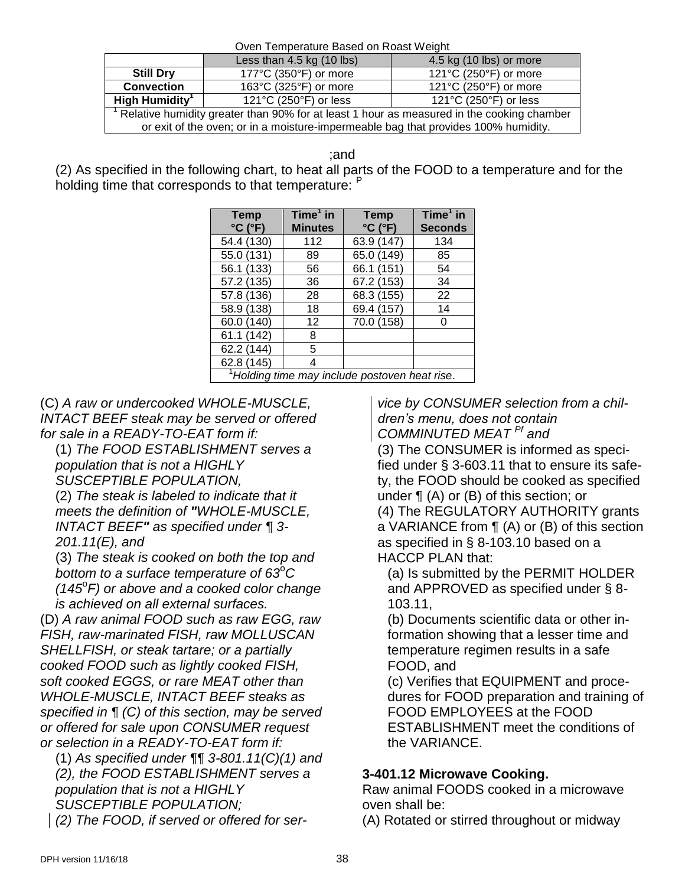| Oven Temperature Based on Roast Weight |  |  |
|----------------------------------------|--|--|

| <u>Ovon Tomporature Basea on Roast Worght</u>                                                 |                               |                                           |  |
|-----------------------------------------------------------------------------------------------|-------------------------------|-------------------------------------------|--|
|                                                                                               | Less than $4.5$ kg $(10$ lbs) | 4.5 kg (10 lbs) or more                   |  |
| <b>Still Dry</b>                                                                              | 177°C (350°F) or more         | 121 $\degree$ C (250 $\degree$ F) or more |  |
| <b>Convection</b>                                                                             | 163°C (325°F) or more         | 121°C (250°F) or more                     |  |
| High Humidity <sup>1</sup>                                                                    | 121°C (250°F) or less         | 121°C (250°F) or less                     |  |
| $1$ Relative humidity greater than 90% for at least 1 hour as measured in the cooking chamber |                               |                                           |  |
| or exit of the oven; or in a moisture-impermeable bag that provides 100% humidity.            |                               |                                           |  |

;and

(2) As specified in the following chart, to heat all parts of the FOOD to a temperature and for the holding time that corresponds to that temperature: <sup>P</sup>

| <b>Temp</b><br>$°C$ ( $°F$ )                 | $Time1$ in<br><b>Minutes</b> | <b>Temp</b><br>$°C$ ( $°F$ ) | $Time1$ in<br><b>Seconds</b> |
|----------------------------------------------|------------------------------|------------------------------|------------------------------|
| 54.4 (130)                                   | 112                          | 63.9 (147)                   | 134                          |
| 55.0 (131)                                   | 89                           | 65.0 (149)                   | 85                           |
| 56.1 (133)                                   | 56                           | 66.1 (151)                   | 54                           |
| 57.2 (135)                                   | 36                           | 67.2 (153)                   | 34                           |
| 57.8 (136)                                   | 28                           | 68.3 (155)                   | 22                           |
| 58.9 (138)                                   | 18                           | 69.4 (157)                   | 14                           |
| 60.0 (140)                                   | $12 \overline{ }$            | 70.0 (158)                   | U                            |
| 61.1 (142)                                   | 8                            |                              |                              |
| 62.2 (144)                                   | 5                            |                              |                              |
| 62.8 (145)                                   | 4                            |                              |                              |
| Holding time may include postoven heat rise. |                              |                              |                              |

(C) *A raw or undercooked WHOLE-MUSCLE, INTACT BEEF steak may be served or offered for sale in a READY-TO-EAT form if:*

(1) *The FOOD ESTABLISHMENT serves a population that is not a HIGHLY SUSCEPTIBLE POPULATION,*

(2) *The steak is labeled to indicate that it meets the definition of "WHOLE-MUSCLE, INTACT BEEF" as specified under ¶ 3- 201.11(E), and*

(3) *The steak is cooked on both the top and bottom to a surface temperature of 63<sup>o</sup>C (145*<sup>o</sup> *F) or above and a cooked color change is achieved on all external surfaces.*

(D) *A raw animal FOOD such as raw EGG, raw FISH, raw-marinated FISH, raw MOLLUSCAN SHELLFISH, or steak tartare; or a partially cooked FOOD such as lightly cooked FISH, soft cooked EGGS, or rare MEAT other than WHOLE-MUSCLE, INTACT BEEF steaks as specified in ¶ (C) of this section, may be served or offered for sale upon CONSUMER request or selection in a READY-TO-EAT form if:*

(1) *As specified under ¶¶ 3-801.11(C)(1) and (2), the FOOD ESTABLISHMENT serves a population that is not a HIGHLY SUSCEPTIBLE POPULATION;*

*(2) The FOOD, if served or offered for ser-*

*vice by CONSUMER selection from a children's menu, does not contain COMMINUTED MEAT Pf and*

(3) The CONSUMER is informed as specified under § 3-603.11 that to ensure its safety, the FOOD should be cooked as specified under ¶ (A) or (B) of this section; or (4) The REGULATORY AUTHORITY grants a VARIANCE from ¶ (A) or (B) of this section as specified in § 8-103.10 based on a HACCP PLAN that:

(a) Is submitted by the PERMIT HOLDER and APPROVED as specified under § 8- 103.11,

(b) Documents scientific data or other information showing that a lesser time and temperature regimen results in a safe FOOD, and

(c) Verifies that EQUIPMENT and procedures for FOOD preparation and training of FOOD EMPLOYEES at the FOOD ESTABLISHMENT meet the conditions of the VARIANCE.

# **3-401.12 Microwave Cooking.**

Raw animal FOODS cooked in a microwave oven shall be:

(A) Rotated or stirred throughout or midway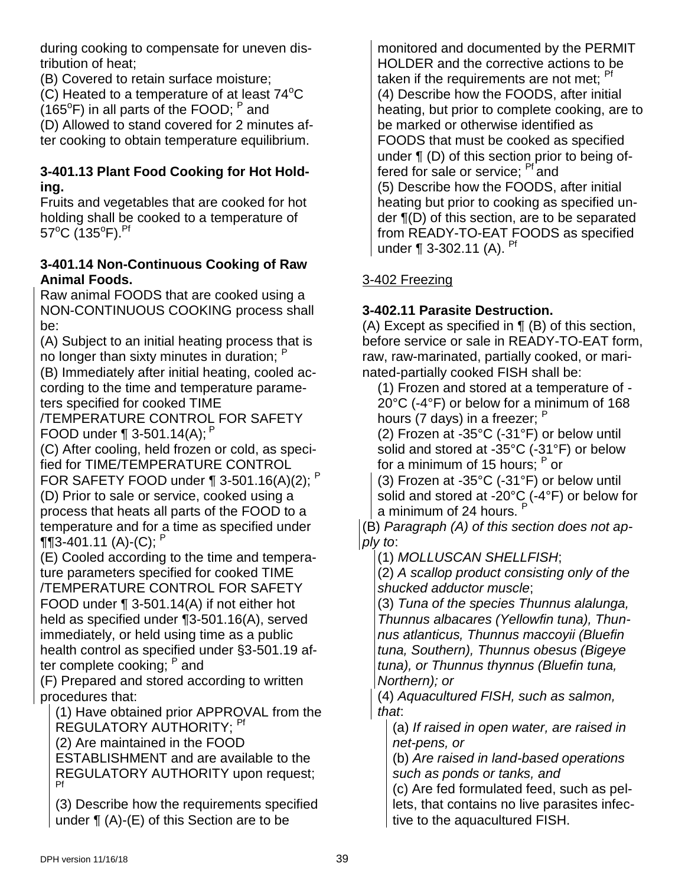during cooking to compensate for uneven distribution of heat;

(B) Covered to retain surface moisture; (C) Heated to a temperature of at least  $74^{\circ}$ C  $(165^{\circ}F)$  in all parts of the FOOD;  $P$  and (D) Allowed to stand covered for 2 minutes after cooking to obtain temperature equilibrium.

# **3-401.13 Plant Food Cooking for Hot Holding.**

Fruits and vegetables that are cooked for hot holding shall be cooked to a temperature of 57°C (135°F). $^{\sf Pf}$ 

# **3-401.14 Non-Continuous Cooking of Raw Animal Foods.**

Raw animal FOODS that are cooked using a NON-CONTINUOUS COOKING process shall be:

(A) Subject to an initial heating process that is no longer than sixty minutes in duration: <sup>P</sup>

(B) Immediately after initial heating, cooled according to the time and temperature parameters specified for cooked TIME

/TEMPERATURE CONTROL FOR SAFETY FOOD under  $\P$  3-501.14(A);  $P$ 

(C) After cooling, held frozen or cold, as specified for TIME/TEMPERATURE CONTROL

FOR SAFETY FOOD under ¶ 3-501.16(A)(2): P (D) Prior to sale or service, cooked using a process that heats all parts of the FOOD to a temperature and for a time as specified under  $\P$  13-401.11 (A)-(C); P

(E) Cooled according to the time and temperature parameters specified for cooked TIME /TEMPERATURE CONTROL FOR SAFETY FOOD under ¶ 3-501.14(A) if not either hot held as specified under ¶3-501.16(A), served immediately, or held using time as a public health control as specified under §3-501.19 after complete cooking; P and

(F) Prepared and stored according to written procedures that:

(1) Have obtained prior APPROVAL from the REGULATORY AUTHORITY: Pf

(2) Are maintained in the FOOD

ESTABLISHMENT and are available to the REGULATORY AUTHORITY upon request; Pf

(3) Describe how the requirements specified under ¶ (A)-(E) of this Section are to be

monitored and documented by the PERMIT HOLDER and the corrective actions to be taken if the requirements are not met; <sup>Pf</sup> (4) Describe how the FOODS, after initial heating, but prior to complete cooking, are to be marked or otherwise identified as FOODS that must be cooked as specified under ¶ (D) of this section prior to being offered for sale or service; <sup>Pf</sup> and (5) Describe how the FOODS, after initial heating but prior to cooking as specified under ¶(D) of this section, are to be separated from READY-TO-EAT FOODS as specified under ¶ 3-302.11 (A). <sup>Pf</sup>

# 3-402 Freezing

# **3-402.11 Parasite Destruction.**

(A) Except as specified in  $\P$  (B) of this section, before service or sale in READY-TO-EAT form, raw, raw-marinated, partially cooked, or marinated-partially cooked FISH shall be:

(1) Frozen and stored at a temperature of - 20°C (-4°F) or below for a minimum of 168 hours (7 days) in a freezer; <sup>P</sup>

(2) Frozen at -35°C (-31°F) or below until solid and stored at  $-35^{\circ}$ C  $(-31^{\circ}F)$  or below for a minimum of 15 hours; <sup>P</sup> or

(3) Frozen at -35°C (-31°F) or below until solid and stored at -20°C (-4°F) or below for a minimum of 24 hours.

(B) *Paragraph (A) of this section does not apply to*:

(1) *MOLLUSCAN SHELLFISH*;

(2) *A scallop product consisting only of the shucked adductor muscle*;

(3) *Tuna of the species Thunnus alalunga, Thunnus albacares (Yellowfin tuna), Thunnus atlanticus, Thunnus maccoyii (Bluefin tuna, Southern), Thunnus obesus (Bigeye tuna), or Thunnus thynnus (Bluefin tuna, Northern); or*

(4) *Aquacultured FISH, such as salmon, that*:

(a) *If raised in open water, are raised in net-pens, or*

(b) *Are raised in land-based operations such as ponds or tanks, and*

(c) Are fed formulated feed, such as pellets, that contains no live parasites infective to the aquacultured FISH.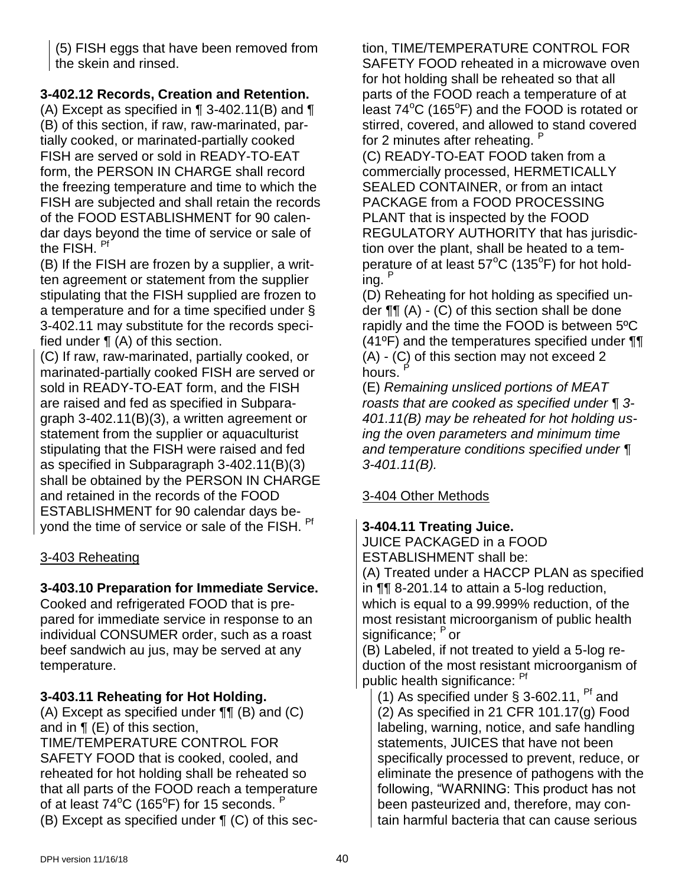(5) FISH eggs that have been removed from the skein and rinsed.

# **3-402.12 Records, Creation and Retention.**

(A) Except as specified in  $\P$  3-402.11(B) and  $\P$ (B) of this section, if raw, raw-marinated, partially cooked, or marinated-partially cooked FISH are served or sold in READY-TO-EAT form, the PERSON IN CHARGE shall record the freezing temperature and time to which the FISH are subjected and shall retain the records of the FOOD ESTABLISHMENT for 90 calendar days beyond the time of service or sale of the FISH. Pf

(B) If the FISH are frozen by a supplier, a written agreement or statement from the supplier stipulating that the FISH supplied are frozen to a temperature and for a time specified under § 3-402.11 may substitute for the records specified under ¶ (A) of this section.

(C) If raw, raw-marinated, partially cooked, or marinated-partially cooked FISH are served or sold in READY-TO-EAT form, and the FISH are raised and fed as specified in Subparagraph 3-402.11(B)(3), a written agreement or statement from the supplier or aquaculturist stipulating that the FISH were raised and fed as specified in Subparagraph 3-402.11(B)(3) shall be obtained by the PERSON IN CHARGE and retained in the records of the FOOD ESTABLISHMENT for 90 calendar days beyond the time of service or sale of the FISH. Pf

## 3-403 Reheating

## **3-403.10 Preparation for Immediate Service.**

Cooked and refrigerated FOOD that is prepared for immediate service in response to an individual CONSUMER order, such as a roast beef sandwich au jus, may be served at any temperature.

## **3-403.11 Reheating for Hot Holding.**

(A) Except as specified under ¶¶ (B) and (C) and in ¶ (E) of this section, TIME/TEMPERATURE CONTROL FOR SAFETY FOOD that is cooked, cooled, and reheated for hot holding shall be reheated so that all parts of the FOOD reach a temperature of at least 74°C (165°F) for 15 seconds.  $P$ (B) Except as specified under ¶ (C) of this section, TIME/TEMPERATURE CONTROL FOR SAFETY FOOD reheated in a microwave oven for hot holding shall be reheated so that all parts of the FOOD reach a temperature of at ieast 74°C (165°F) and the FOOD is rotated or stirred, covered, and allowed to stand covered for 2 minutes after reheating.  $\overline{P}$ 

(C) READY-TO-EAT FOOD taken from a commercially processed, HERMETICALLY SEALED CONTAINER, or from an intact PACKAGE from a FOOD PROCESSING PLANT that is inspected by the FOOD REGULATORY AUTHORITY that has jurisdiction over the plant, shall be heated to a temperature of at least  $57^{\circ}$ C (135 $^{\circ}$ F) for hot holding. <sup>P</sup>

(D) Reheating for hot holding as specified under ¶¶ (A) - (C) of this section shall be done rapidly and the time the FOOD is between 5ºC (41ºF) and the temperatures specified under ¶¶ (A) - (C) of this section may not exceed 2 hours.

(E) *Remaining unsliced portions of MEAT roasts that are cooked as specified under ¶ 3- 401.11(B) may be reheated for hot holding using the oven parameters and minimum time and temperature conditions specified under ¶ 3-401.11(B).*

## 3-404 Other Methods

## **3-404.11 Treating Juice.**

JUICE PACKAGED in a FOOD ESTABLISHMENT shall be:

(A) Treated under a HACCP PLAN as specified in ¶¶ 8-201.14 to attain a 5-log reduction, which is equal to a 99.999% reduction, of the most resistant microorganism of public health significance: <sup>P</sup>or

(B) Labeled, if not treated to yield a 5-log reduction of the most resistant microorganism of public health significance: <sup>Pf</sup>

(1) As specified under  $\S$  3-602.11, <sup>Pf</sup> and (2) As specified in 21 CFR 101.17(g) Food labeling, warning, notice, and safe handling statements, JUICES that have not been specifically processed to prevent, reduce, or eliminate the presence of pathogens with the following, "WARNING: This product has not been pasteurized and, therefore, may contain harmful bacteria that can cause serious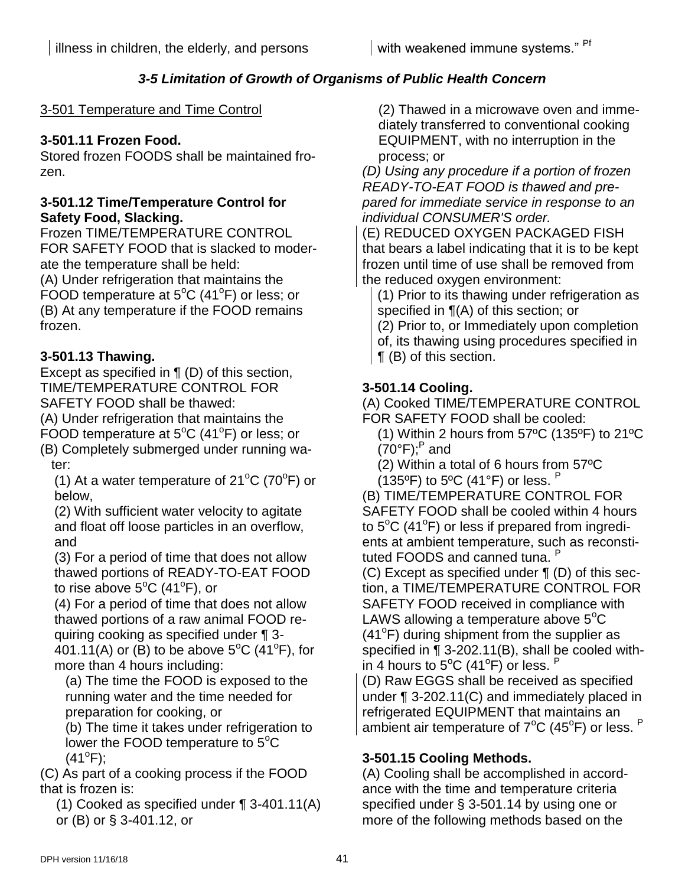# *3-5 Limitation of Growth of Organisms of Public Health Concern*

# 3-501 Temperature and Time Control

# **3-501.11 Frozen Food.**

Stored frozen FOODS shall be maintained frozen.

## **3-501.12 Time/Temperature Control for Safety Food, Slacking.**

Frozen TIME/TEMPERATURE CONTROL FOR SAFETY FOOD that is slacked to moderate the temperature shall be held:

(A) Under refrigeration that maintains the FOOD temperature at  $5^{\circ}$ C (41 $^{\circ}$ F) or less; or (B) At any temperature if the FOOD remains frozen.

# **3-501.13 Thawing.**

Except as specified in  $\P$  (D) of this section, TIME/TEMPERATURE CONTROL FOR SAFETY FOOD shall be thawed:

(A) Under refrigeration that maintains the

FOOD temperature at  $5^{\circ}$ C (41 $^{\circ}$ F) or less; or

(B) Completely submerged under running water:

(1) At a water temperature of  $21^{\circ}$ C (70 $^{\circ}$ F) or below,

(2) With sufficient water velocity to agitate and float off loose particles in an overflow, and

(3) For a period of time that does not allow thawed portions of READY-TO-EAT FOOD to rise above  $5^{\circ}$ C (41 $^{\circ}$ F), or

(4) For a period of time that does not allow thawed portions of a raw animal FOOD requiring cooking as specified under ¶ 3-  $401.11(A)$  or (B) to be above 5<sup>o</sup>C (41<sup>o</sup>F), for more than 4 hours including:

(a) The time the FOOD is exposed to the running water and the time needed for preparation for cooking, or

(b) The time it takes under refrigeration to lower the FOOD temperature to  $5^{\circ}$ C  $(41^{\circ}F);$ 

(C) As part of a cooking process if the FOOD that is frozen is:

(1) Cooked as specified under ¶ 3-401.11(A) or (B) or § 3-401.12, or

(2) Thawed in a microwave oven and immediately transferred to conventional cooking EQUIPMENT, with no interruption in the process; or

*(D) Using any procedure if a portion of frozen READY-TO-EAT FOOD is thawed and prepared for immediate service in response to an individual CONSUMER'S order.*

(E) REDUCED OXYGEN PACKAGED FISH that bears a label indicating that it is to be kept frozen until time of use shall be removed from the reduced oxygen environment:

(1) Prior to its thawing under refrigeration as specified in ¶(A) of this section; or

(2) Prior to, or Immediately upon completion

of, its thawing using procedures specified in

¶ (B) of this section.

# **3-501.14 Cooling.**

(A) Cooked TIME/TEMPERATURE CONTROL FOR SAFETY FOOD shall be cooled:

(1) Within 2 hours from 57ºC (135ºF) to 21ºC  $(70^{\circ}$ F); $^{\circ}$  and

(2) Within a total of 6 hours from 57ºC (135°F) to 5°C (41°F) or less.  $P$ 

(B) TIME/TEMPERATURE CONTROL FOR SAFETY FOOD shall be cooled within 4 hours to  $5^{\circ}$ C (41 $^{\circ}$ F) or less if prepared from ingredients at ambient temperature, such as reconstituted FOODS and canned tuna. P

(C) Except as specified under ¶ (D) of this section, a TIME/TEMPERATURE CONTROL FOR SAFETY FOOD received in compliance with LAWS allowing a temperature above  $5^{\circ}$ C (41<sup>°</sup>F) during shipment from the supplier as specified in ¶ 3-202.11(B), shall be cooled within 4 hours to 5<sup>o</sup>C (41<sup>o</sup>F) or less. <sup>P</sup>

(D) Raw EGGS shall be received as specified under ¶ 3-202.11(C) and immediately placed in refrigerated EQUIPMENT that maintains an ambient air temperature of  $7^{\circ}$ C (45 $^{\circ}$ F) or less.  $^{\circ}$ 

# **3-501.15 Cooling Methods.**

(A) Cooling shall be accomplished in accordance with the time and temperature criteria specified under § 3-501.14 by using one or more of the following methods based on the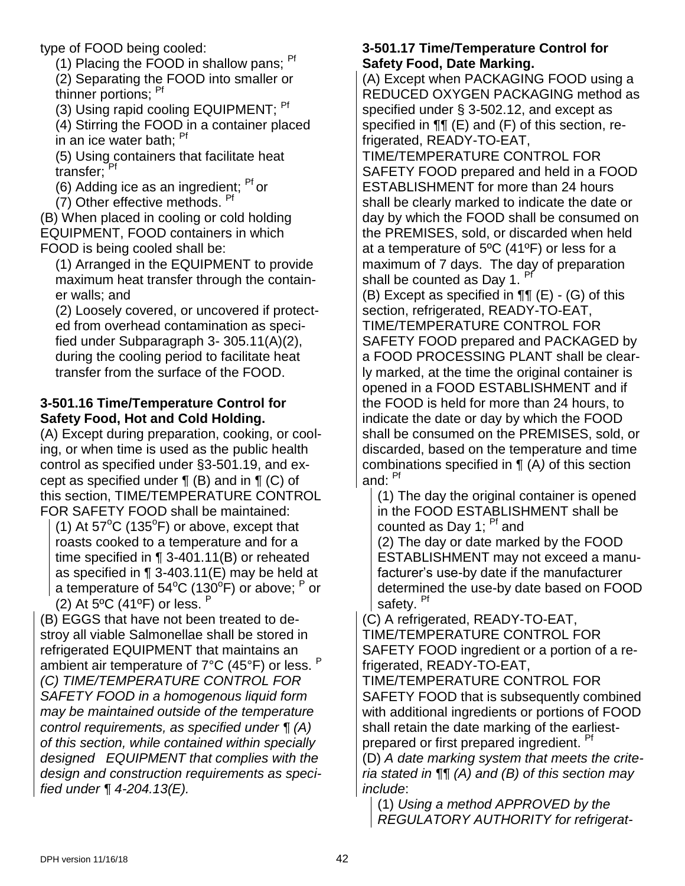type of FOOD being cooled:

(1) Placing the FOOD in shallow pans;  $Pf$ 

(2) Separating the FOOD into smaller or thinner portions; Pf

(3) Using rapid cooling EQUIPMENT; <sup>Pf</sup>

(4) Stirring the FOOD in a container placed in an ice water bath: <sup>Pf</sup>

(5) Using containers that facilitate heat transfer;<sup>Pf</sup>

(6) Adding ice as an ingredient;  $Pf$  or (7) Other effective methods. <sup>Pf</sup>

(B) When placed in cooling or cold holding EQUIPMENT, FOOD containers in which FOOD is being cooled shall be:

(1) Arranged in the EQUIPMENT to provide maximum heat transfer through the container walls; and

(2) Loosely covered, or uncovered if protected from overhead contamination as specified under Subparagraph 3- 305.11(A)(2), during the cooling period to facilitate heat transfer from the surface of the FOOD.

# **3-501.16 Time/Temperature Control for Safety Food, Hot and Cold Holding.**

(A) Except during preparation, cooking, or cooling, or when time is used as the public health control as specified under §3-501.19, and except as specified under ¶ (B) and in ¶ (C) of this section, TIME/TEMPERATURE CONTROL FOR SAFETY FOOD shall be maintained:

(1) At  $57^{\circ}$ C (135 $^{\circ}$ F) or above, except that roasts cooked to a temperature and for a time specified in ¶ 3-401.11(B) or reheated as specified in ¶ 3-403.11(E) may be held at a temperature of 54°C (130°F) or above; <sup>P</sup> or (2) At 5<sup>o</sup>C (41<sup>o</sup>F) or less.  $P$ 

(B) EGGS that have not been treated to destroy all viable Salmonellae shall be stored in refrigerated EQUIPMENT that maintains an ambient air temperature of  $7^{\circ}$ C (45°F) or less.  $P$ *(C) TIME/TEMPERATURE CONTROL FOR SAFETY FOOD in a homogenous liquid form may be maintained outside of the temperature control requirements, as specified under ¶ (A) of this section, while contained within specially designed EQUIPMENT that complies with the design and construction requirements as specified under ¶ 4-204.13(E).*

## **3-501.17 Time/Temperature Control for Safety Food, Date Marking.**

(A) Except when PACKAGING FOOD using a REDUCED OXYGEN PACKAGING method as specified under § 3-502.12, and except as specified in ¶¶ (E) and (F) of this section, refrigerated, READY-TO-EAT,

TIME/TEMPERATURE CONTROL FOR SAFETY FOOD prepared and held in a FOOD ESTABLISHMENT for more than 24 hours shall be clearly marked to indicate the date or day by which the FOOD shall be consumed on the PREMISES, sold, or discarded when held at a temperature of 5ºC (41ºF) or less for a maximum of 7 days. The day of preparation shall be counted as Day 1. P

(B) Except as specified in  $\P\P$  (E) - (G) of this section, refrigerated, READY-TO-EAT, TIME/TEMPERATURE CONTROL FOR SAFETY FOOD prepared and PACKAGED by a FOOD PROCESSING PLANT shall be clearly marked, at the time the original container is opened in a FOOD ESTABLISHMENT and if the FOOD is held for more than 24 hours, to indicate the date or day by which the FOOD shall be consumed on the PREMISES, sold, or discarded, based on the temperature and time combinations specified in ¶ (A*)* of this section and: Pf

(1) The day the original container is opened in the FOOD ESTABLISHMENT shall be counted as Day 1;  $Pf$  and

(2) The day or date marked by the FOOD ESTABLISHMENT may not exceed a manufacturer's use-by date if the manufacturer determined the use-by date based on FOOD safety. Pf

(C) A refrigerated, READY-TO-EAT, TIME/TEMPERATURE CONTROL FOR SAFETY FOOD ingredient or a portion of a refrigerated, READY-TO-EAT,

TIME/TEMPERATURE CONTROL FOR SAFETY FOOD that is subsequently combined with additional ingredients or portions of FOOD shall retain the date marking of the earliestprepared or first prepared ingredient. <sup>Pf</sup>

(D) *A date marking system that meets the criteria stated in ¶¶ (A) and (B) of this section may include*:

(1) *Using a method APPROVED by the REGULATORY AUTHORITY for refrigerat-*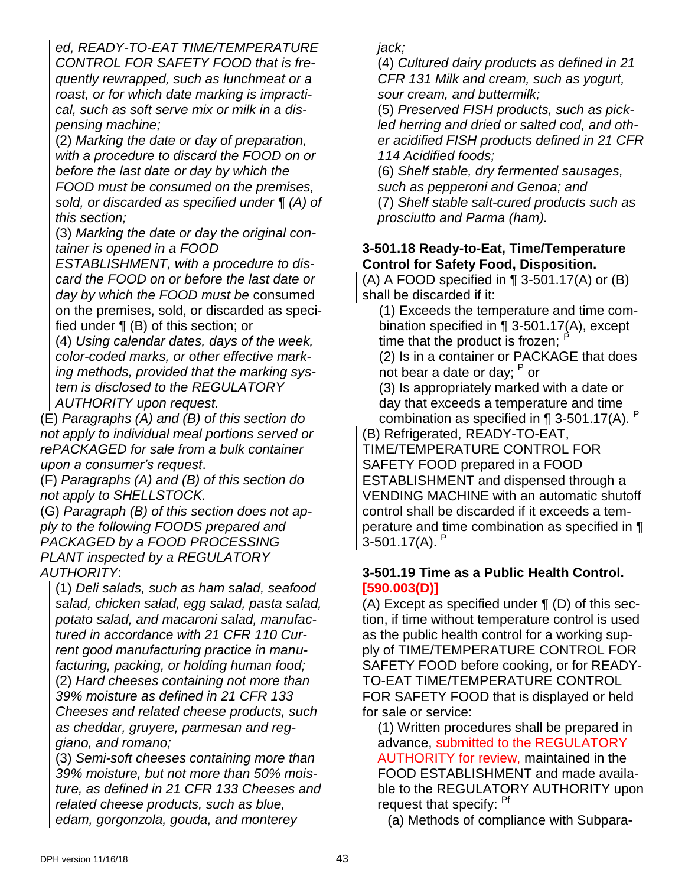*ed, READY-TO-EAT TIME/TEMPERATURE CONTROL FOR SAFETY FOOD that is frequently rewrapped, such as lunchmeat or a roast, or for which date marking is impractical, such as soft serve mix or milk in a dispensing machine;*

(2) *Marking the date or day of preparation, with a procedure to discard the FOOD on or before the last date or day by which the FOOD must be consumed on the premises, sold, or discarded as specified under ¶ (A) of this section;*

(3) *Marking the date or day the original container is opened in a FOOD* 

*ESTABLISHMENT, with a procedure to discard the FOOD on or before the last date or day by which the FOOD must be* consumed on the premises, sold, or discarded as specified under ¶ (B) of this section; or

(4) *Using calendar dates, days of the week, color-coded marks, or other effective marking methods, provided that the marking system is disclosed to the REGULATORY AUTHORITY upon request.*

(E) *Paragraphs (A) and (B) of this section do not apply to individual meal portions served or rePACKAGED for sale from a bulk container upon a consumer's request*.

(F) *Paragraphs (A) and (B) of this section do not apply to SHELLSTOCK.* 

(G) *Paragraph (B) of this section does not apply to the following FOODS prepared and PACKAGED by a FOOD PROCESSING PLANT inspected by a REGULATORY AUTHORITY*:

(1) *Deli salads, such as ham salad, seafood salad, chicken salad, egg salad, pasta salad, potato salad, and macaroni salad, manufactured in accordance with 21 CFR 110 Current good manufacturing practice in manufacturing, packing, or holding human food;* (2) *Hard cheeses containing not more than 39% moisture as defined in 21 CFR 133 Cheeses and related cheese products, such as cheddar, gruyere, parmesan and reggiano, and romano;*

(3) *Semi-soft cheeses containing more than 39% moisture, but not more than 50% moisture, as defined in 21 CFR 133 Cheeses and related cheese products, such as blue, edam, gorgonzola, gouda, and monterey* 

*jack;*

(4) *Cultured dairy products as defined in 21 CFR 131 Milk and cream, such as yogurt, sour cream, and buttermilk;*

(5) *Preserved FISH products, such as pickled herring and dried or salted cod, and other acidified FISH products defined in 21 CFR 114 Acidified foods;* 

(6) *Shelf stable, dry fermented sausages, such as pepperoni and Genoa; and*  (7) *Shelf stable salt-cured products such as prosciutto and Parma (ham).* 

#### **3-501.18 Ready-to-Eat, Time/Temperature Control for Safety Food, Disposition.**

(A) A FOOD specified in  $\P$  3-501.17(A) or (B) shall be discarded if it:

(1) Exceeds the temperature and time combination specified in ¶ 3-501.17(A), except time that the product is frozen;

(2) Is in a container or PACKAGE that does not bear a date or day; P or

(3) Is appropriately marked with a date or day that exceeds a temperature and time combination as specified in ¶ 3-501.17(A). <sup>P</sup>

(B) Refrigerated, READY-TO-EAT, TIME/TEMPERATURE CONTROL FOR SAFETY FOOD prepared in a FOOD ESTABLISHMENT and dispensed through a VENDING MACHINE with an automatic shutoff control shall be discarded if it exceeds a temperature and time combination as specified in ¶  $3-501.17(A)$ . P

## **3-501.19 Time as a Public Health Control. [590.003(D)]**

(A) Except as specified under ¶ (D) of this section, if time without temperature control is used as the public health control for a working supply of TIME/TEMPERATURE CONTROL FOR SAFETY FOOD before cooking, or for READY-TO-EAT TIME/TEMPERATURE CONTROL FOR SAFETY FOOD that is displayed or held for sale or service:

(1) Written procedures shall be prepared in advance, submitted to the REGULATORY AUTHORITY for review, maintained in the FOOD ESTABLISHMENT and made available to the REGULATORY AUTHORITY upon request that specify: <sup>Pf</sup>

(a) Methods of compliance with Subpara-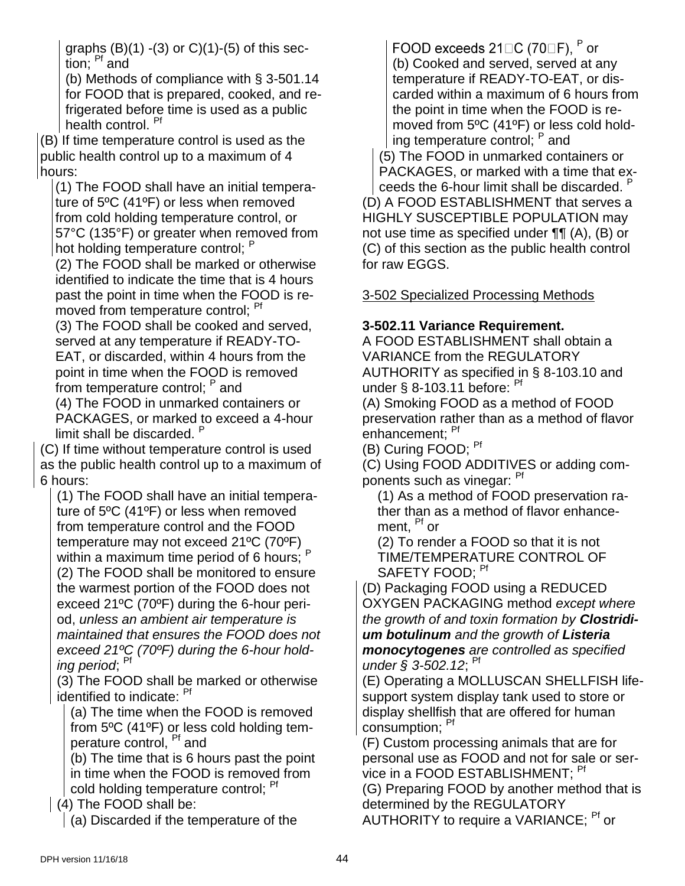graphs  $(B)(1)$  -(3) or C $(1)$ -(5) of this section; Pf and

(b) Methods of compliance with § 3-501.14 for FOOD that is prepared, cooked, and refrigerated before time is used as a public health control. Pf

(B) If time temperature control is used as the public health control up to a maximum of 4 hours:

(1) The FOOD shall have an initial temperature of 5ºC (41ºF) or less when removed from cold holding temperature control, or 57°C (135°F) or greater when removed from hot holding temperature control; <sup>P</sup>

(2) The FOOD shall be marked or otherwise identified to indicate the time that is 4 hours past the point in time when the FOOD is removed from temperature control; Pf

(3) The FOOD shall be cooked and served, served at any temperature if READY-TO-EAT, or discarded, within 4 hours from the point in time when the FOOD is removed from temperature control; <sup>P</sup> and

(4) The FOOD in unmarked containers or PACKAGES, or marked to exceed a 4-hour limit shall be discarded. <sup>P</sup>

(C) If time without temperature control is used as the public health control up to a maximum of 6 hours:

(1) The FOOD shall have an initial temperature of 5ºC (41ºF) or less when removed from temperature control and the FOOD temperature may not exceed 21ºC (70ºF) within a maximum time period of 6 hours; (2) The FOOD shall be monitored to ensure the warmest portion of the FOOD does not exceed 21ºC (70ºF) during the 6-hour period, *unless an ambient air temperature is maintained that ensures the FOOD does not exceed 21ºC (70ºF) during the 6-hour hold*ing period; Pf

(3) The FOOD shall be marked or otherwise identified to indicate: Pf

(a) The time when the FOOD is removed from 5ºC (41ºF) or less cold holding temperature control, Pf and

(b) The time that is 6 hours past the point in time when the FOOD is removed from cold holding temperature control; <sup>Pf</sup>

(4) The FOOD shall be:

(a) Discarded if the temperature of the

P or (b) Cooked and served, served at any temperature if READY-TO-EAT, or discarded within a maximum of 6 hours from the point in time when the FOOD is removed from 5ºC (41ºF) or less cold holding temperature control; <sup>P</sup> and

(5) The FOOD in unmarked containers or PACKAGES, or marked with a time that exceeds the 6-hour limit shall be discarded. P

(D) A FOOD ESTABLISHMENT that serves a HIGHLY SUSCEPTIBLE POPULATION may not use time as specified under ¶¶ (A), (B) or (C) of this section as the public health control for raw EGGS.

3-502 Specialized Processing Methods

# **3-502.11 Variance Requirement.**

A FOOD ESTABLISHMENT shall obtain a VARIANCE from the REGULATORY AUTHORITY as specified in § 8-103.10 and under § 8-103.11 before: <sup>Pf</sup>

(A) Smoking FOOD as a method of FOOD preservation rather than as a method of flavor enhancement: Pf

(B) Curing FOOD; Pf

(C) Using FOOD ADDITIVES or adding components such as vinegar: Pf

(1) As a method of FOOD preservation rather than as a method of flavor enhancement, Pf or

(2) To render a FOOD so that it is not TIME/TEMPERATURE CONTROL OF SAFETY FOOD: Pf

(D) Packaging FOOD using a REDUCED OXYGEN PACKAGING method *except where the growth of and toxin formation by Clostridium botulinum and the growth of Listeria monocytogenes are controlled as specified under § 3-502.12*; Pf

(E) Operating a MOLLUSCAN SHELLFISH lifesupport system display tank used to store or display shellfish that are offered for human consumption; Pf

(F) Custom processing animals that are for personal use as FOOD and not for sale or service in a FOOD ESTABLISHMENT; <sup>Pf</sup>

(G) Preparing FOOD by another method that is determined by the REGULATORY AUTHORITY to require a VARIANCE: <sup>Pf</sup> or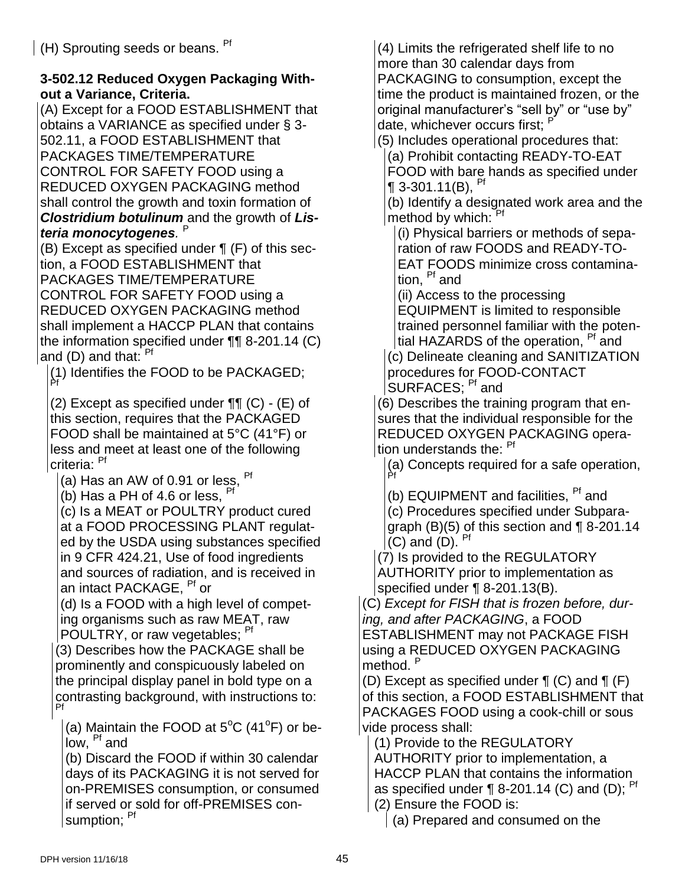# **3-502.12 Reduced Oxygen Packaging Without a Variance, Criteria.**

(A) Except for a FOOD ESTABLISHMENT that obtains a VARIANCE as specified under § 3- 502.11, a FOOD ESTABLISHMENT that PACKAGES TIME/TEMPERATURE CONTROL FOR SAFETY FOOD using a REDUCED OXYGEN PACKAGING method shall control the growth and toxin formation of *Clostridium botulinum* and the growth of *Listeria monocytogenes.*  P

(B) Except as specified under  $\P$  (F) of this section, a FOOD ESTABLISHMENT that PACKAGES TIME/TEMPERATURE CONTROL FOR SAFETY FOOD using a REDUCED OXYGEN PACKAGING method shall implement a HACCP PLAN that contains the information specified under ¶¶ 8-201.14 (C) and (D) and that: <sup>Pf</sup>

(1) Identifies the FOOD to be PACKAGED; Pf

(2) Except as specified under  $\P\P$  (C) - (E) of this section, requires that the PACKAGED FOOD shall be maintained at 5°C (41°F) or less and meet at least one of the following criteria: Pf

(a) Has an AW of 0.91 or less,  $<sup>pf</sup>$ </sup>

(b) Has a PH of 4.6 or less,  $P_1$ 

(c) Is a MEAT or POULTRY product cured at a FOOD PROCESSING PLANT regulated by the USDA using substances specified in 9 CFR 424.21, Use of food ingredients and sources of radiation, and is received in an intact PACKAGE, Pf or

(d) Is a FOOD with a high level of competing organisms such as raw MEAT, raw POULTRY, or raw vegetables; <sup>Pf</sup>

(3) Describes how the PACKAGE shall be prominently and conspicuously labeled on the principal display panel in bold type on a contrasting background, with instructions to: Pf

(a) Maintain the FOOD at  $5^{\circ}$ C (41 $^{\circ}$ F) or be- $\int$ low. <sup>Pf</sup> and

(b) Discard the FOOD if within 30 calendar days of its PACKAGING it is not served for on-PREMISES consumption, or consumed if served or sold for off-PREMISES consumption; Pf

(4) Limits the refrigerated shelf life to no more than 30 calendar days from PACKAGING to consumption, except the time the product is maintained frozen, or the original manufacturer's "sell by" or "use by" date, whichever occurs first;

(5) Includes operational procedures that: (a) Prohibit contacting READY-TO-EAT FOOD with bare hands as specified under **¶** 3-301.11(B), <sup>Pf</sup>

(b) Identify a designated work area and the method by which: Pf

(i) Physical barriers or methods of separation of raw FOODS and READY-TO-EAT FOODS minimize cross contamination, <sup>Pf</sup> and

(ii) Access to the processing EQUIPMENT is limited to responsible trained personnel familiar with the potential HAZARDS of the operation, <sup>Pf</sup> and

(c) Delineate cleaning and SANITIZATION procedures for FOOD-CONTACT SURFACES; Pf and

(6) Describes the training program that ensures that the individual responsible for the REDUCED OXYGEN PACKAGING operation understands the: Pf

(a) Concepts required for a safe operation, Pf

(b) EQUIPMENT and facilities, <sup>Pf</sup> and (c) Procedures specified under Subparagraph  $(B)(5)$  of this section and  $\P$  8-201.14  $(C)$  and  $(D)$ . <sup>Pf</sup>

(7) Is provided to the REGULATORY AUTHORITY prior to implementation as specified under ¶ 8-201.13(B).

(C) *Except for FISH that is frozen before, during, and after PACKAGING*, a FOOD ESTABLISHMENT may not PACKAGE FISH using a REDUCED OXYGEN PACKAGING method.<sup>P</sup>

(D) Except as specified under  $\P$  (C) and  $\P$  (F) of this section, a FOOD ESTABLISHMENT that PACKAGES FOOD using a cook-chill or sous vide process shall:

(1) Provide to the REGULATORY AUTHORITY prior to implementation, a HACCP PLAN that contains the information as specified under  $\P$  8-201.14 (C) and (D); <sup>Pf</sup>

(2) Ensure the FOOD is:

(a) Prepared and consumed on the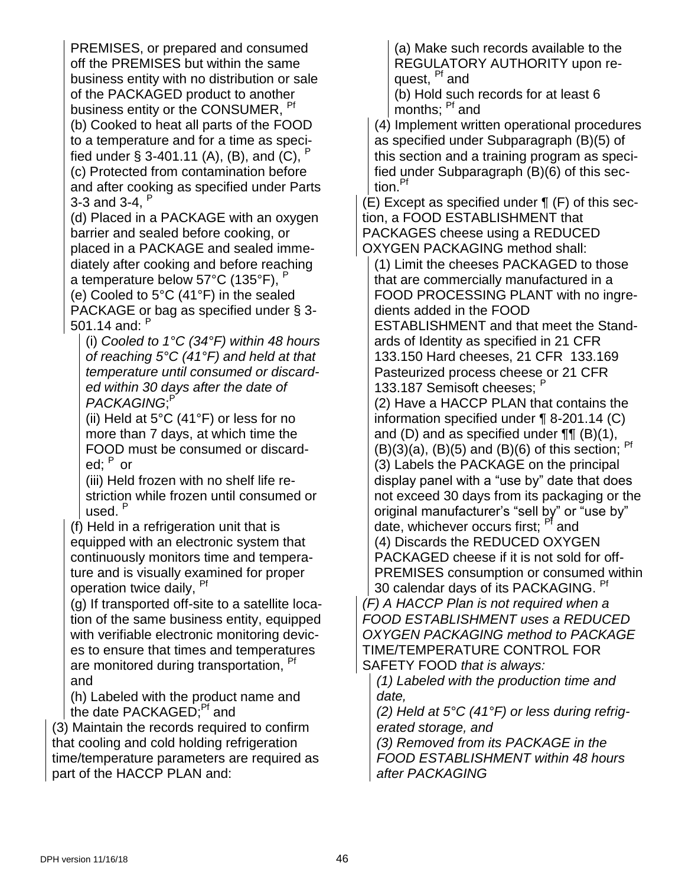PREMISES, or prepared and consumed off the PREMISES but within the same business entity with no distribution or sale of the PACKAGED product to another business entity or the CONSUMER, <sup>Pf</sup> (b) Cooked to heat all parts of the FOOD to a temperature and for a time as specified under § 3-401.11 (A), (B), and (C),  $P$ (c) Protected from contamination before and after cooking as specified under Parts 3-3 and 3-4, P

(d) Placed in a PACKAGE with an oxygen barrier and sealed before cooking, or placed in a PACKAGE and sealed immediately after cooking and before reaching a temperature below  $57^{\circ}$ C (135 $^{\circ}$ F),  $^{\circ}$ (e) Cooled to 5°C (41°F) in the sealed PACKAGE or bag as specified under § 3-

501.14 and:  $P$ 

(i) *Cooled to 1°C (34°F) within 48 hours of reaching 5°C (41°F) and held at that temperature until consumed or discarded within 30 days after the date of PACKAGING*; P

(ii) Held at 5°C (41°F) or less for no more than 7 days, at which time the FOOD must be consumed or discarded; <sup>P</sup> or

(iii) Held frozen with no shelf life restriction while frozen until consumed or used. <sup>P</sup>

(f) Held in a refrigeration unit that is equipped with an electronic system that continuously monitors time and temperature and is visually examined for proper operation twice daily, Pf

(g) If transported off-site to a satellite location of the same business entity, equipped with verifiable electronic monitoring devices to ensure that times and temperatures are monitored during transportation. Pf and

(h) Labeled with the product name and the date PACKAGED;<sup>Pf</sup> and

(3) Maintain the records required to confirm that cooling and cold holding refrigeration time/temperature parameters are required as part of the HACCP PLAN and:

(a) Make such records available to the REGULATORY AUTHORITY upon request, <sup>Pf</sup> and

(b) Hold such records for at least 6 months; <sup>Pf</sup> and

(4) Implement written operational procedures as specified under Subparagraph (B)(5) of this section and a training program as specified under Subparagraph (B)(6) of this section.Pf

 $(E)$  Except as specified under  $\P$  (F) of this section, a FOOD ESTABLISHMENT that PACKAGES cheese using a REDUCED OXYGEN PACKAGING method shall:

(1) Limit the cheeses PACKAGED to those that are commercially manufactured in a FOOD PROCESSING PLANT with no ingredients added in the FOOD

ESTABLISHMENT and that meet the Standards of Identity as specified in 21 CFR 133.150 Hard cheeses, 21 CFR 133.169 Pasteurized process cheese or 21 CFR 133.187 Semisoft cheeses; P

(2) Have a HACCP PLAN that contains the information specified under ¶ 8-201.14 (C) and (D) and as specified under  $\P\P$  (B)(1),  $(B)(3)(a)$ ,  $(B)(5)$  and  $(B)(6)$  of this section; (3) Labels the PACKAGE on the principal display panel with a "use by" date that does not exceed 30 days from its packaging or the original manufacturer's "sell by" or "use by" date, whichever occurs first; <sup>Pf</sup> and

(4) Discards the REDUCED OXYGEN PACKAGED cheese if it is not sold for off-PREMISES consumption or consumed within 30 calendar days of its PACKAGING. <sup>Pf</sup>

*(F) A HACCP Plan is not required when a FOOD ESTABLISHMENT uses a REDUCED OXYGEN PACKAGING method to PACKAGE*  TIME/TEMPERATURE CONTROL FOR SAFETY FOOD *that is always:*

*(1) Labeled with the production time and date,* 

*(2) Held at 5°C (41°F) or less during refrigerated storage, and* 

*(3) Removed from its PACKAGE in the FOOD ESTABLISHMENT within 48 hours after PACKAGING*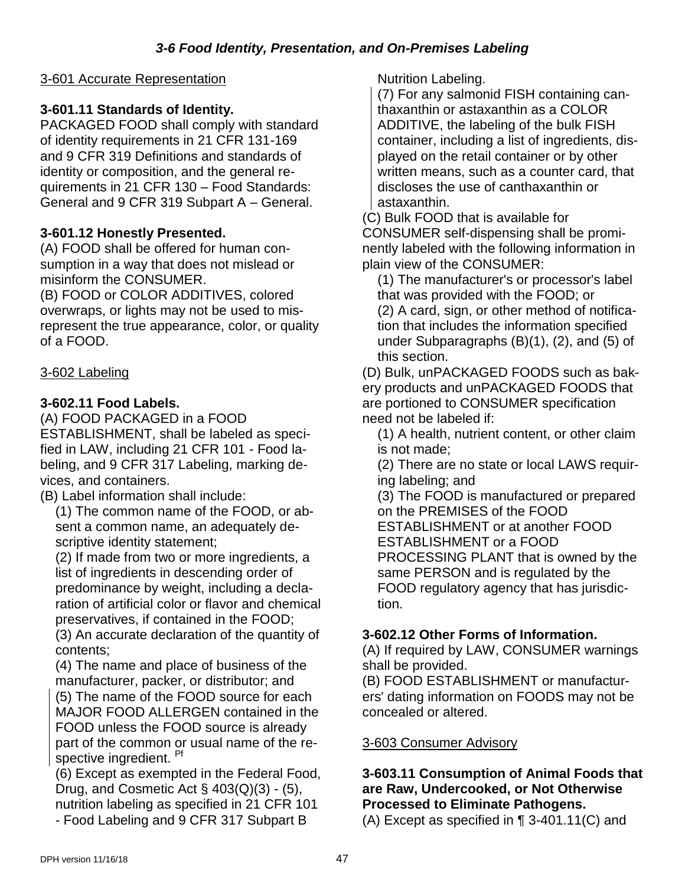# 3-601 Accurate Representation

# **3-601.11 Standards of Identity.**

PACKAGED FOOD shall comply with standard of identity requirements in 21 CFR 131-169 and 9 CFR 319 Definitions and standards of identity or composition, and the general requirements in 21 CFR 130 – Food Standards: General and 9 CFR 319 Subpart A – General.

# **3-601.12 Honestly Presented.**

(A) FOOD shall be offered for human consumption in a way that does not mislead or misinform the CONSUMER.

(B) FOOD or COLOR ADDITIVES, colored overwraps, or lights may not be used to misrepresent the true appearance, color, or quality of a FOOD.

# 3-602 Labeling

# **3-602.11 Food Labels.**

(A) FOOD PACKAGED in a FOOD ESTABLISHMENT, shall be labeled as specified in LAW, including 21 CFR 101 - Food labeling, and 9 CFR 317 Labeling, marking devices, and containers.

(B) Label information shall include:

(1) The common name of the FOOD, or absent a common name, an adequately descriptive identity statement;

(2) If made from two or more ingredients, a list of ingredients in descending order of predominance by weight, including a declaration of artificial color or flavor and chemical preservatives, if contained in the FOOD;

(3) An accurate declaration of the quantity of contents;

(4) The name and place of business of the manufacturer, packer, or distributor; and (5) The name of the FOOD source for each MAJOR FOOD ALLERGEN contained in the

FOOD unless the FOOD source is already part of the common or usual name of the respective ingredient. Pf

(6) Except as exempted in the Federal Food, Drug, and Cosmetic Act  $\S$  403(Q)(3) - (5), nutrition labeling as specified in 21 CFR 101

- Food Labeling and 9 CFR 317 Subpart B

Nutrition Labeling.

(7) For any salmonid FISH containing canthaxanthin or astaxanthin as a COLOR ADDITIVE, the labeling of the bulk FISH container, including a list of ingredients, displayed on the retail container or by other written means, such as a counter card, that discloses the use of canthaxanthin or astaxanthin.

(C) Bulk FOOD that is available for CONSUMER self-dispensing shall be prominently labeled with the following information in plain view of the CONSUMER:

(1) The manufacturer's or processor's label that was provided with the FOOD; or

(2) A card, sign, or other method of notification that includes the information specified under Subparagraphs (B)(1), (2), and (5) of this section.

(D) Bulk, unPACKAGED FOODS such as bakery products and unPACKAGED FOODS that are portioned to CONSUMER specification need not be labeled if:

(1) A health, nutrient content, or other claim is not made;

(2) There are no state or local LAWS requiring labeling; and

(3) The FOOD is manufactured or prepared on the PREMISES of the FOOD

ESTABLISHMENT or at another FOOD ESTABLISHMENT or a FOOD

PROCESSING PLANT that is owned by the same PERSON and is regulated by the FOOD regulatory agency that has jurisdiction.

# **3-602.12 Other Forms of Information.**

(A) If required by LAW, CONSUMER warnings shall be provided.

(B) FOOD ESTABLISHMENT or manufacturers' dating information on FOODS may not be concealed or altered.

# 3-603 Consumer Advisory

# **3-603.11 Consumption of Animal Foods that are Raw, Undercooked, or Not Otherwise Processed to Eliminate Pathogens.**

(A) Except as specified in ¶ 3-401.11(C) and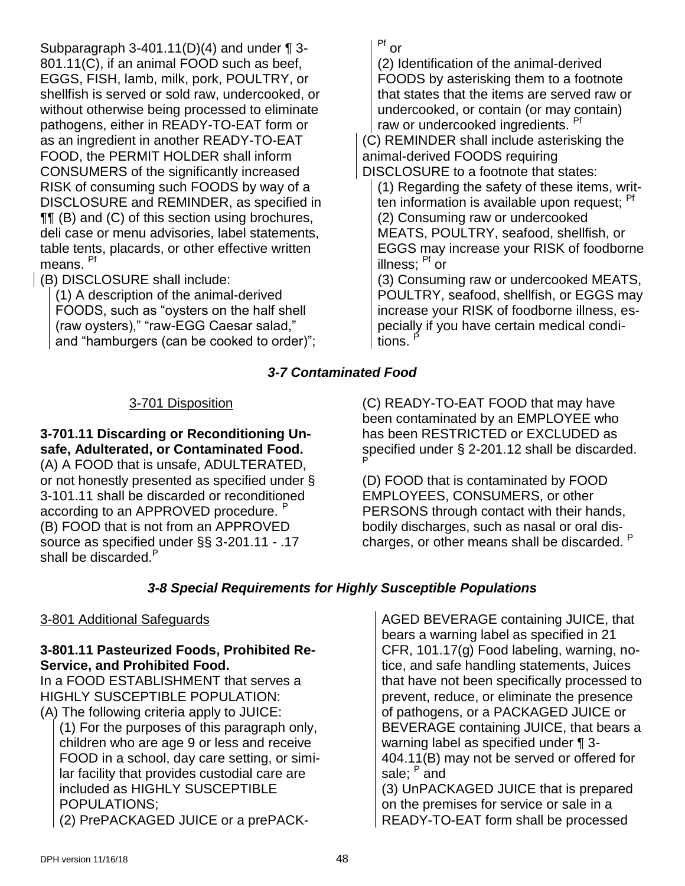Subparagraph 3-401.11(D)(4) and under  $\P$  3-801.11(C), if an animal FOOD such as beef, EGGS, FISH, lamb, milk, pork, POULTRY, or shellfish is served or sold raw, undercooked, or without otherwise being processed to eliminate pathogens, either in READY-TO-EAT form or as an ingredient in another READY-TO-EAT FOOD, the PERMIT HOLDER shall inform CONSUMERS of the significantly increased RISK of consuming such FOODS by way of a DISCLOSURE and REMINDER, as specified in ¶¶ (B) and (C) of this section using brochures, deli case or menu advisories, label statements, table tents, placards, or other effective written means. Pf

(B) DISCLOSURE shall include:

(1) A description of the animal-derived FOODS, such as "oysters on the half shell (raw oysters)," "raw-EGG Caesar salad," and "hamburgers (can be cooked to order)"; Pf or

(2) Identification of the animal-derived FOODS by asterisking them to a footnote that states that the items are served raw or undercooked, or contain (or may contain) raw or undercooked ingredients. Pf

(C) REMINDER shall include asterisking the animal-derived FOODS requiring

DISCLOSURE to a footnote that states: (1) Regarding the safety of these items, written information is available upon request; <sup>Pf</sup> (2) Consuming raw or undercooked MEATS, POULTRY, seafood, shellfish, or EGGS may increase your RISK of foodborne illness; Pf or

(3) Consuming raw or undercooked MEATS, POULTRY, seafood, shellfish, or EGGS may increase your RISK of foodborne illness, especially if you have certain medical conditions.

# *3-7 Contaminated Food*

# 3-701 Disposition

**3-701.11 Discarding or Reconditioning Unsafe, Adulterated, or Contaminated Food.**

(A) A FOOD that is unsafe, ADULTERATED, or not honestly presented as specified under § 3-101.11 shall be discarded or reconditioned according to an APPROVED procedure. <sup>P</sup> (B) FOOD that is not from an APPROVED source as specified under §§ 3-201.11 - .17 shall be discarded.<sup>P</sup>

(C) READY-TO-EAT FOOD that may have been contaminated by an EMPLOYEE who has been RESTRICTED or EXCLUDED as specified under § 2-201.12 shall be discarded. P

(D) FOOD that is contaminated by FOOD EMPLOYEES, CONSUMERS, or other PERSONS through contact with their hands, bodily discharges, such as nasal or oral discharges, or other means shall be discarded. <sup>P</sup>

# *3-8 Special Requirements for Highly Susceptible Populations*

# 3-801 Additional Safeguards

# **3-801.11 Pasteurized Foods, Prohibited Re-Service, and Prohibited Food.**

In a FOOD ESTABLISHMENT that serves a HIGHLY SUSCEPTIBLE POPULATION: (A) The following criteria apply to JUICE:

(1) For the purposes of this paragraph only, children who are age 9 or less and receive FOOD in a school, day care setting, or similar facility that provides custodial care are included as HIGHLY SUSCEPTIBLE POPULATIONS;

(2) PrePACKAGED JUICE or a prePACK-

AGED BEVERAGE containing JUICE, that bears a warning label as specified in 21 CFR, 101.17(g) Food labeling, warning, notice, and safe handling statements, Juices that have not been specifically processed to prevent, reduce, or eliminate the presence of pathogens, or a PACKAGED JUICE or BEVERAGE containing JUICE, that bears a warning label as specified under ¶ 3- 404.11(B) may not be served or offered for sale; P and (3) UnPACKAGED JUICE that is prepared

on the premises for service or sale in a READY-TO-EAT form shall be processed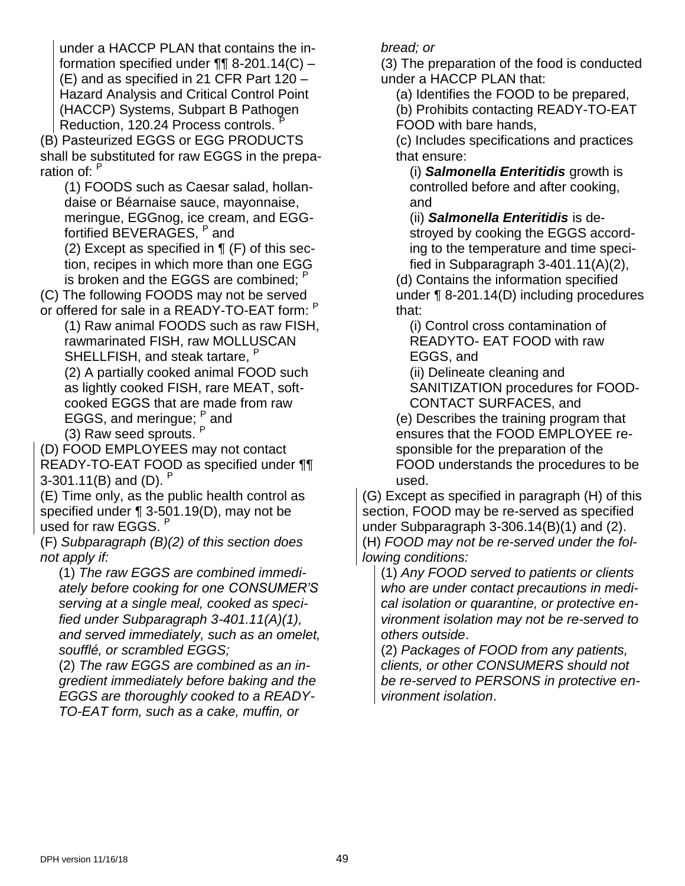under a HACCP PLAN that contains the information specified under  $\P\P$  8-201.14(C) – (E) and as specified in 21 CFR Part 120 – Hazard Analysis and Critical Control Point (HACCP) Systems, Subpart B Pathogen Reduction, 120.24 Process controls.

(B) Pasteurized EGGS or EGG PRODUCTS shall be substituted for raw EGGS in the preparation of: P

(1) FOODS such as Caesar salad, hollandaise or Béarnaise sauce, mayonnaise, meringue, EGGnog, ice cream, and EGGfortified BEVERAGES, P and

(2) Except as specified in ¶ (F) of this section, recipes in which more than one EGG is broken and the EGGS are combined; <sup>F</sup>

(C) The following FOODS may not be served or offered for sale in a READY-TO-EAT form: P

- (1) Raw animal FOODS such as raw FISH, rawmarinated FISH, raw MOLLUSCAN SHELLFISH, and steak tartare. P (2) A partially cooked animal FOOD such as lightly cooked FISH, rare MEAT, softcooked EGGS that are made from raw EGGS, and meringue; P and
	- (3) Raw seed sprouts.

(D) FOOD EMPLOYEES may not contact READY-TO-EAT FOOD as specified under ¶¶ 3-301.11(B) and (D).  $P$ 

(E) Time only, as the public health control as specified under ¶ 3-501.19(D), may not be used for raw EGGS. P

(F) *Subparagraph (B)(2) of this section does not apply if:*

(1) *The raw EGGS are combined immediately before cooking for one CONSUMER'S serving at a single meal, cooked as specified under Subparagraph 3-401.11(A)(1), and served immediately, such as an omelet, soufflé, or scrambled EGGS;*

(2) *The raw EGGS are combined as an ingredient immediately before baking and the EGGS are thoroughly cooked to a READY-TO-EAT form, such as a cake, muffin, or* 

*bread; or*

(3) The preparation of the food is conducted under a HACCP PLAN that:

(a) Identifies the FOOD to be prepared, (b) Prohibits contacting READY-TO-EAT FOOD with bare hands,

(c) Includes specifications and practices that ensure:

(i) *Salmonella Enteritidis* growth is controlled before and after cooking, and

(ii) *Salmonella Enteritidis* is destroyed by cooking the EGGS according to the temperature and time specified in Subparagraph 3-401.11(A)(2),

(d) Contains the information specified under ¶ 8-201.14(D) including procedures that:

(i) Control cross contamination of READYTO- EAT FOOD with raw EGGS, and

(ii) Delineate cleaning and SANITIZATION procedures for FOOD-CONTACT SURFACES, and

(e) Describes the training program that ensures that the FOOD EMPLOYEE responsible for the preparation of the FOOD understands the procedures to be used.

(G) Except as specified in paragraph (H) of this section, FOOD may be re-served as specified under Subparagraph 3-306.14(B)(1) and (2). (H) *FOOD may not be re-served under the following conditions:*

(1) *Any FOOD served to patients or clients who are under contact precautions in medical isolation or quarantine, or protective environment isolation may not be re-served to others outside*.

(2) *Packages of FOOD from any patients, clients, or other CONSUMERS should not be re-served to PERSONS in protective environment isolation*.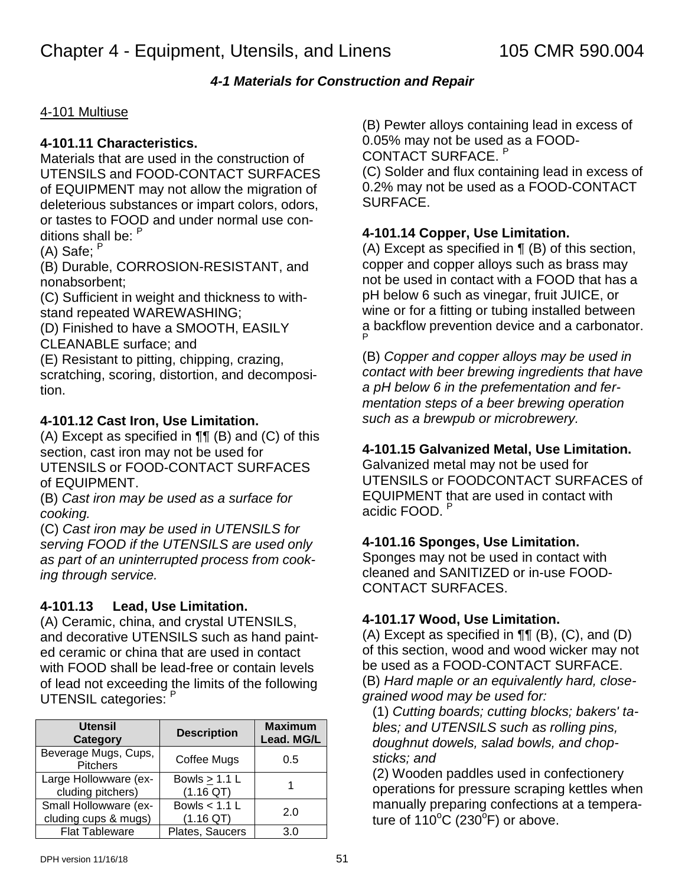## *4-1 Materials for Construction and Repair*

#### 4-101 Multiuse

# **4-101.11 Characteristics.**

Materials that are used in the construction of UTENSILS and FOOD-CONTACT SURFACES of EQUIPMENT may not allow the migration of deleterious substances or impart colors, odors, or tastes to FOOD and under normal use conditions shall be: P

 $(A)$  Safe:  $P$ 

(B) Durable, CORROSION-RESISTANT, and nonabsorbent;

(C) Sufficient in weight and thickness to withstand repeated WAREWASHING;

(D) Finished to have a SMOOTH, EASILY CLEANABLE surface; and

(E) Resistant to pitting, chipping, crazing, scratching, scoring, distortion, and decomposition.

## **4-101.12 Cast Iron, Use Limitation.**

(A) Except as specified in  $\P\P$  (B) and (C) of this section, cast iron may not be used for UTENSILS or FOOD-CONTACT SURFACES of EQUIPMENT.

(B) *Cast iron may be used as a surface for cooking.*

(C) *Cast iron may be used in UTENSILS for serving FOOD if the UTENSILS are used only as part of an uninterrupted process from cooking through service.*

# **4-101.13 Lead, Use Limitation.**

(A) Ceramic, china, and crystal UTENSILS, and decorative UTENSILS such as hand painted ceramic or china that are used in contact with FOOD shall be lead-free or contain levels of lead not exceeding the limits of the following UTENSIL categories: P

| <b>Utensil</b><br>Category                    | <b>Description</b>                     | <b>Maximum</b><br>Lead. MG/L |
|-----------------------------------------------|----------------------------------------|------------------------------|
| Beverage Mugs, Cups,<br><b>Pitchers</b>       | Coffee Mugs                            | 0.5                          |
| Large Hollowware (ex-<br>cluding pitchers)    | Bowls $> 1.1$ L<br>$(1.16$ QT)         |                              |
| Small Hollowware (ex-<br>cluding cups & mugs) | Bowls $< 1.1 L$<br>$(1.16 \text{ QT})$ | 2.0                          |
| <b>Flat Tableware</b>                         | Plates, Saucers                        | 3.0                          |

(B) Pewter alloys containing lead in excess of 0.05% may not be used as a FOOD-CONTACT SURFACE. <sup>P</sup>

(C) Solder and flux containing lead in excess of 0.2% may not be used as a FOOD-CONTACT SURFACE.

# **4-101.14 Copper, Use Limitation.**

(A) Except as specified in  $\P$  (B) of this section, copper and copper alloys such as brass may not be used in contact with a FOOD that has a pH below 6 such as vinegar, fruit JUICE, or wine or for a fitting or tubing installed between a backflow prevention device and a carbonator. P

(B) *Copper and copper alloys may be used in contact with beer brewing ingredients that have a pH below 6 in the prefementation and fermentation steps of a beer brewing operation such as a brewpub or microbrewery.*

# **4-101.15 Galvanized Metal, Use Limitation.**

Galvanized metal may not be used for UTENSILS or FOODCONTACT SURFACES of EQUIPMENT that are used in contact with acidic FOOD. <sup>P</sup>

## **4-101.16 Sponges, Use Limitation.**

Sponges may not be used in contact with cleaned and SANITIZED or in-use FOOD-CONTACT SURFACES.

# **4-101.17 Wood, Use Limitation.**

(A) Except as specified in  $\P\P$  (B), (C), and (D) of this section, wood and wood wicker may not be used as a FOOD-CONTACT SURFACE. (B) *Hard maple or an equivalently hard, closegrained wood may be used for:*

(1) *Cutting boards; cutting blocks; bakers' tables; and UTENSILS such as rolling pins, doughnut dowels, salad bowls, and chopsticks; and*

(2) Wooden paddles used in confectionery operations for pressure scraping kettles when manually preparing confections at a temperature of  $110^{\circ}$ C (230 $^{\circ}$ F) or above.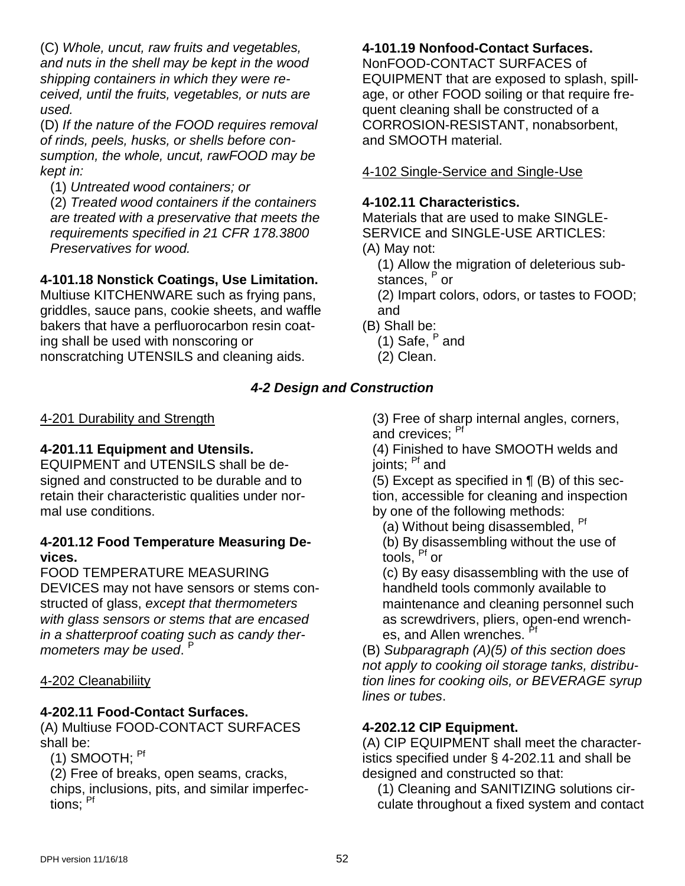(C) *Whole, uncut, raw fruits and vegetables, and nuts in the shell may be kept in the wood shipping containers in which they were received, until the fruits, vegetables, or nuts are used.*

(D) *If the nature of the FOOD requires removal of rinds, peels, husks, or shells before consumption, the whole, uncut, rawFOOD may be kept in:*

(1) *Untreated wood containers; or*

(2) *Treated wood containers if the containers are treated with a preservative that meets the requirements specified in 21 CFR 178.3800 Preservatives for wood.*

# **4-101.18 Nonstick Coatings, Use Limitation.**

Multiuse KITCHENWARE such as frying pans, griddles, sauce pans, cookie sheets, and waffle bakers that have a perfluorocarbon resin coating shall be used with nonscoring or nonscratching UTENSILS and cleaning aids.

# **4-101.19 Nonfood-Contact Surfaces.**

NonFOOD-CONTACT SURFACES of EQUIPMENT that are exposed to splash, spillage, or other FOOD soiling or that require frequent cleaning shall be constructed of a CORROSION-RESISTANT, nonabsorbent, and SMOOTH material.

4-102 Single-Service and Single-Use

## **4-102.11 Characteristics.**

Materials that are used to make SINGLE-SERVICE and SINGLE-USE ARTICLES: (A) May not:

(1) Allow the migration of deleterious substances, <sup>P</sup> or

(2) Impart colors, odors, or tastes to FOOD; and

- (B) Shall be:
	- $(1)$  Safe,  $P$  and
	- (2) Clean.

# *4-2 Design and Construction*

#### 4-201 Durability and Strength

## **4-201.11 Equipment and Utensils.**

EQUIPMENT and UTENSILS shall be designed and constructed to be durable and to retain their characteristic qualities under normal use conditions.

#### **4-201.12 Food Temperature Measuring Devices.**

FOOD TEMPERATURE MEASURING DEVICES may not have sensors or stems constructed of glass, *except that thermometers with glass sensors or stems that are encased in a shatterproof coating such as candy thermometers may be used*. P

## 4-202 Cleanabiliity

## **4-202.11 Food-Contact Surfaces.**

(A) Multiuse FOOD-CONTACT SURFACES shall be:

 $(1)$  SMOOTH; <sup>Pf</sup>

(2) Free of breaks, open seams, cracks, chips, inclusions, pits, and similar imperfections: Pf

(3) Free of sharp internal angles, corners, and crevices: Pf

(4) Finished to have SMOOTH welds and joints; Pf and

(5) Except as specified in  $\P$  (B) of this section, accessible for cleaning and inspection by one of the following methods:

- (a) Without being disassembled, Pf
- (b) By disassembling without the use of tools, Pf or

(c) By easy disassembling with the use of handheld tools commonly available to maintenance and cleaning personnel such as screwdrivers, pliers, open-end wrenches, and Allen wrenches.

(B) *Subparagraph (A)(5) of this section does not apply to cooking oil storage tanks, distribution lines for cooking oils, or BEVERAGE syrup lines or tubes*.

## **4-202.12 CIP Equipment.**

(A) CIP EQUIPMENT shall meet the characteristics specified under § 4-202.11 and shall be designed and constructed so that:

(1) Cleaning and SANITIZING solutions circulate throughout a fixed system and contact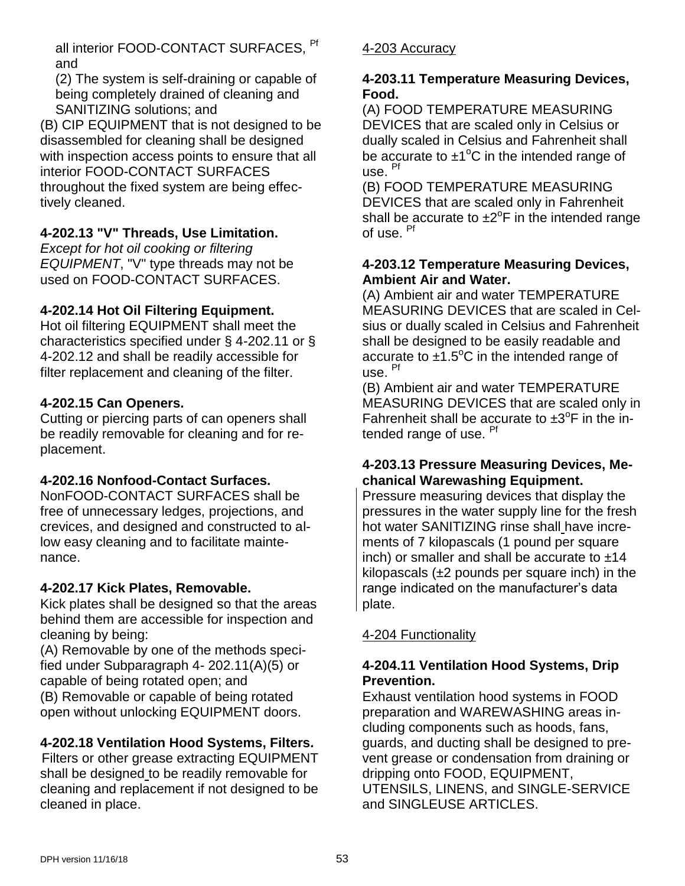all interior FOOD-CONTACT SURFACES, <sup>Pf</sup> and

(2) The system is self-draining or capable of being completely drained of cleaning and SANITIZING solutions; and

(B) CIP EQUIPMENT that is not designed to be disassembled for cleaning shall be designed with inspection access points to ensure that all interior FOOD-CONTACT SURFACES throughout the fixed system are being effectively cleaned.

# **4-202.13 "V" Threads, Use Limitation.**

*Except for hot oil cooking or filtering EQUIPMENT*, "V" type threads may not be used on FOOD-CONTACT SURFACES.

# **4-202.14 Hot Oil Filtering Equipment.**

Hot oil filtering EQUIPMENT shall meet the characteristics specified under § 4-202.11 or § 4-202.12 and shall be readily accessible for filter replacement and cleaning of the filter.

#### **4-202.15 Can Openers.**

Cutting or piercing parts of can openers shall be readily removable for cleaning and for replacement.

#### **4-202.16 Nonfood-Contact Surfaces.**

NonFOOD-CONTACT SURFACES shall be free of unnecessary ledges, projections, and crevices, and designed and constructed to allow easy cleaning and to facilitate maintenance.

#### **4-202.17 Kick Plates, Removable.**

Kick plates shall be designed so that the areas behind them are accessible for inspection and cleaning by being:

(A) Removable by one of the methods specified under Subparagraph 4- 202.11(A)(5) or capable of being rotated open; and (B) Removable or capable of being rotated

open without unlocking EQUIPMENT doors.

## **4-202.18 Ventilation Hood Systems, Filters.**

Filters or other grease extracting EQUIPMENT shall be designed to be readily removable for cleaning and replacement if not designed to be cleaned in place.

### 4-203 Accuracy

#### **4-203.11 Temperature Measuring Devices, Food.**

(A) FOOD TEMPERATURE MEASURING DEVICES that are scaled only in Celsius or dually scaled in Celsius and Fahrenheit shall be accurate to  $\pm 1^{\circ}$ C in the intended range of use. Pf

(B) FOOD TEMPERATURE MEASURING DEVICES that are scaled only in Fahrenheit shall be accurate to  $\pm 2^{\circ}$ F in the intended range of use. Pf

#### **4-203.12 Temperature Measuring Devices, Ambient Air and Water.**

(A) Ambient air and water TEMPERATURE MEASURING DEVICES that are scaled in Celsius or dually scaled in Celsius and Fahrenheit shall be designed to be easily readable and accurate to  $\pm$ 1.5<sup>o</sup>C in the intended range of use. Pf

(B) Ambient air and water TEMPERATURE MEASURING DEVICES that are scaled only in Fahrenheit shall be accurate to  $\pm 3^{\circ}$ F in the intended range of use. <sup>Pf</sup>

#### **4-203.13 Pressure Measuring Devices, Mechanical Warewashing Equipment.**

Pressure measuring devices that display the pressures in the water supply line for the fresh hot water SANITIZING rinse shall have increments of 7 kilopascals (1 pound per square inch) or smaller and shall be accurate to  $±14$ kilopascals (±2 pounds per square inch) in the range indicated on the manufacturer's data plate.

## 4-204 Functionality

#### **4-204.11 Ventilation Hood Systems, Drip Prevention.**

Exhaust ventilation hood systems in FOOD preparation and WAREWASHING areas including components such as hoods, fans, guards, and ducting shall be designed to prevent grease or condensation from draining or dripping onto FOOD, EQUIPMENT, UTENSILS, LINENS, and SINGLE-SERVICE and SINGLEUSE ARTICLES.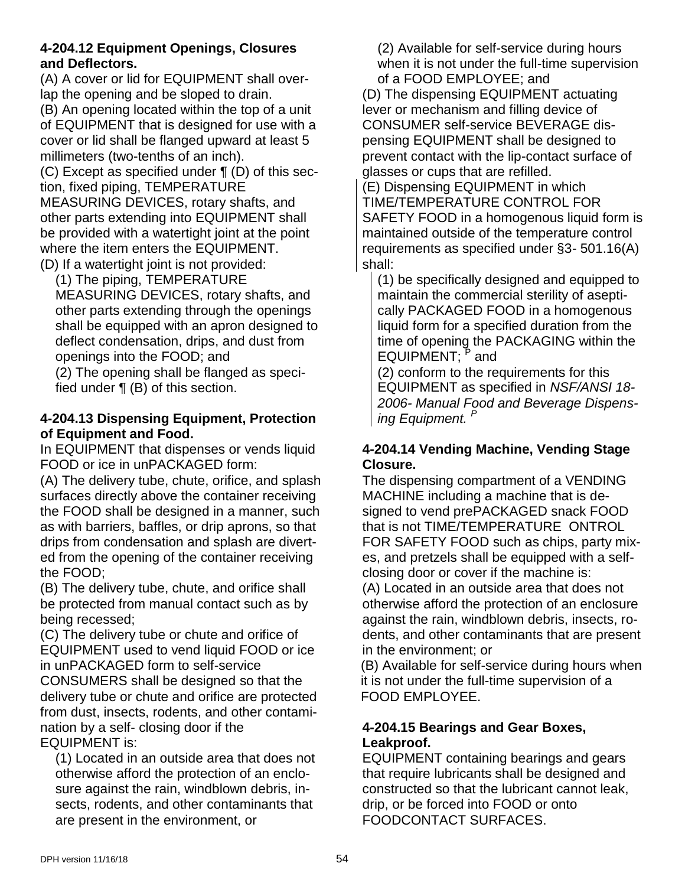#### **4-204.12 Equipment Openings, Closures and Deflectors.**

(A) A cover or lid for EQUIPMENT shall overlap the opening and be sloped to drain. (B) An opening located within the top of a unit of EQUIPMENT that is designed for use with a cover or lid shall be flanged upward at least 5 millimeters (two-tenths of an inch).

(C) Except as specified under ¶ (D) of this section, fixed piping, TEMPERATURE MEASURING DEVICES, rotary shafts, and other parts extending into EQUIPMENT shall be provided with a watertight joint at the point where the item enters the EQUIPMENT.

(D) If a watertight joint is not provided:

(1) The piping, TEMPERATURE

MEASURING DEVICES, rotary shafts, and other parts extending through the openings shall be equipped with an apron designed to deflect condensation, drips, and dust from openings into the FOOD; and

(2) The opening shall be flanged as specified under ¶ (B) of this section.

## **4-204.13 Dispensing Equipment, Protection of Equipment and Food.**

In EQUIPMENT that dispenses or vends liquid FOOD or ice in unPACKAGED form:

(A) The delivery tube, chute, orifice, and splash surfaces directly above the container receiving the FOOD shall be designed in a manner, such as with barriers, baffles, or drip aprons, so that drips from condensation and splash are diverted from the opening of the container receiving the FOOD;

(B) The delivery tube, chute, and orifice shall be protected from manual contact such as by being recessed;

(C) The delivery tube or chute and orifice of EQUIPMENT used to vend liquid FOOD or ice in unPACKAGED form to self-service CONSUMERS shall be designed so that the delivery tube or chute and orifice are protected from dust, insects, rodents, and other contamination by a self- closing door if the EQUIPMENT is:

(1) Located in an outside area that does not otherwise afford the protection of an enclosure against the rain, windblown debris, insects, rodents, and other contaminants that are present in the environment, or

(2) Available for self-service during hours when it is not under the full-time supervision of a FOOD EMPLOYEE; and

(D) The dispensing EQUIPMENT actuating lever or mechanism and filling device of CONSUMER self-service BEVERAGE dispensing EQUIPMENT shall be designed to prevent contact with the lip-contact surface of glasses or cups that are refilled.

(E) Dispensing EQUIPMENT in which TIME/TEMPERATURE CONTROL FOR SAFETY FOOD in a homogenous liquid form is maintained outside of the temperature control requirements as specified under §3- 501.16(A) shall:

(1) be specifically designed and equipped to maintain the commercial sterility of aseptically PACKAGED FOOD in a homogenous liquid form for a specified duration from the time of opening the PACKAGING within the  $E$ QUIPMENT; $^P$  and

(2) conform to the requirements for this EQUIPMENT as specified in *NSF/ANSI 18- 2006- Manual Food and Beverage Dispensing Equipment. <sup>P</sup>*

# **4-204.14 Vending Machine, Vending Stage Closure.**

The dispensing compartment of a VENDING MACHINE including a machine that is designed to vend prePACKAGED snack FOOD that is not TIME/TEMPERATURE ONTROL FOR SAFETY FOOD such as chips, party mixes, and pretzels shall be equipped with a selfclosing door or cover if the machine is: (A) Located in an outside area that does not otherwise afford the protection of an enclosure against the rain, windblown debris, insects, ro-

dents, and other contaminants that are present in the environment; or

(B) Available for self-service during hours when it is not under the full-time supervision of a FOOD EMPLOYEE.

## **4-204.15 Bearings and Gear Boxes, Leakproof.**

EQUIPMENT containing bearings and gears that require lubricants shall be designed and constructed so that the lubricant cannot leak, drip, or be forced into FOOD or onto FOODCONTACT SURFACES.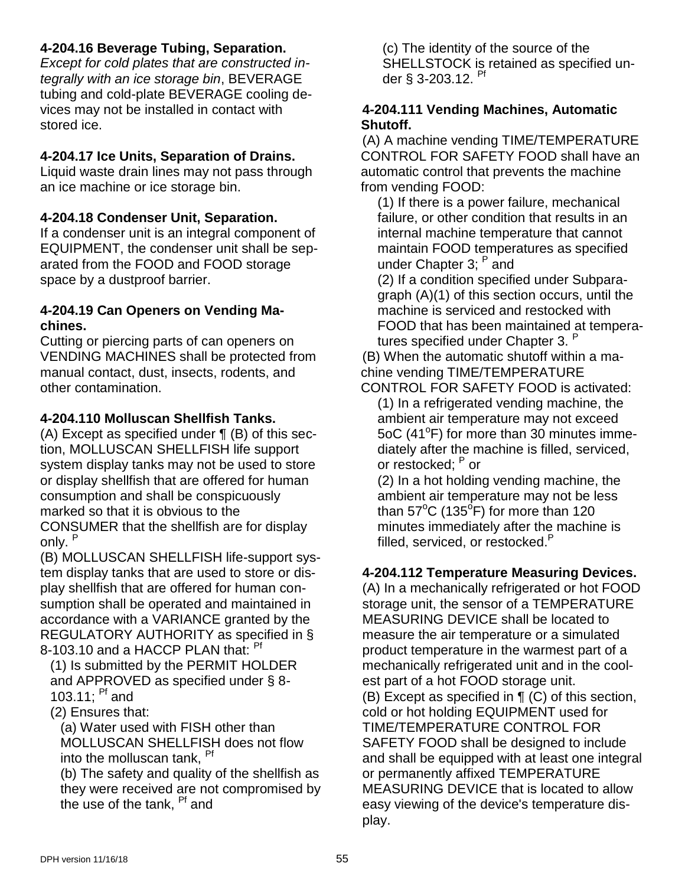## **4-204.16 Beverage Tubing, Separation.**

*Except for cold plates that are constructed integrally with an ice storage bin*, BEVERAGE tubing and cold-plate BEVERAGE cooling devices may not be installed in contact with stored ice.

#### **4-204.17 Ice Units, Separation of Drains.**

Liquid waste drain lines may not pass through an ice machine or ice storage bin.

#### **4-204.18 Condenser Unit, Separation.**

If a condenser unit is an integral component of EQUIPMENT, the condenser unit shall be separated from the FOOD and FOOD storage space by a dustproof barrier.

#### **4-204.19 Can Openers on Vending Machines.**

Cutting or piercing parts of can openers on VENDING MACHINES shall be protected from manual contact, dust, insects, rodents, and other contamination.

#### **4-204.110 Molluscan Shellfish Tanks.**

(A) Except as specified under  $\P$  (B) of this section, MOLLUSCAN SHELLFISH life support system display tanks may not be used to store or display shellfish that are offered for human consumption and shall be conspicuously marked so that it is obvious to the CONSUMER that the shellfish are for display only. $^{\dagger}$ 

(B) MOLLUSCAN SHELLFISH life-support system display tanks that are used to store or display shellfish that are offered for human consumption shall be operated and maintained in accordance with a VARIANCE granted by the REGULATORY AUTHORITY as specified in § 8-103.10 and a HACCP PLAN that: <sup>Pf</sup>

(1) Is submitted by the PERMIT HOLDER and APPROVED as specified under § 8-  $103.11$ ; <sup>Pf</sup> and

(2) Ensures that:

(a) Water used with FISH other than MOLLUSCAN SHELLFISH does not flow into the molluscan tank. Pf

(b) The safety and quality of the shellfish as they were received are not compromised by the use of the tank,  $Pf$  and

(c) The identity of the source of the SHELLSTOCK is retained as specified under § 3-203.12. Pf

#### **4-204.111 Vending Machines, Automatic Shutoff.**

(A) A machine vending TIME/TEMPERATURE CONTROL FOR SAFETY FOOD shall have an automatic control that prevents the machine from vending FOOD:

(1) If there is a power failure, mechanical failure, or other condition that results in an internal machine temperature that cannot maintain FOOD temperatures as specified under Chapter 3; P and

(2) If a condition specified under Subparagraph (A)(1) of this section occurs, until the machine is serviced and restocked with FOOD that has been maintained at temperatures specified under Chapter 3. P

(B) When the automatic shutoff within a machine vending TIME/TEMPERATURE

CONTROL FOR SAFETY FOOD is activated: (1) In a refrigerated vending machine, the ambient air temperature may not exceed 5oC (41<sup>o</sup>F) for more than 30 minutes immediately after the machine is filled, serviced, or restocked; P or

(2) In a hot holding vending machine, the ambient air temperature may not be less than 57 $\mathrm{^{\circ}C}$  (135 $\mathrm{^{\circ}F}$ ) for more than 120 minutes immediately after the machine is filled, serviced, or restocked.<sup>P</sup>

#### **4-204.112 Temperature Measuring Devices.**

(A) In a mechanically refrigerated or hot FOOD storage unit, the sensor of a TEMPERATURE MEASURING DEVICE shall be located to measure the air temperature or a simulated product temperature in the warmest part of a mechanically refrigerated unit and in the coolest part of a hot FOOD storage unit. (B) Except as specified in ¶ (C) of this section, cold or hot holding EQUIPMENT used for TIME/TEMPERATURE CONTROL FOR SAFETY FOOD shall be designed to include and shall be equipped with at least one integral or permanently affixed TEMPERATURE MEASURING DEVICE that is located to allow easy viewing of the device's temperature display.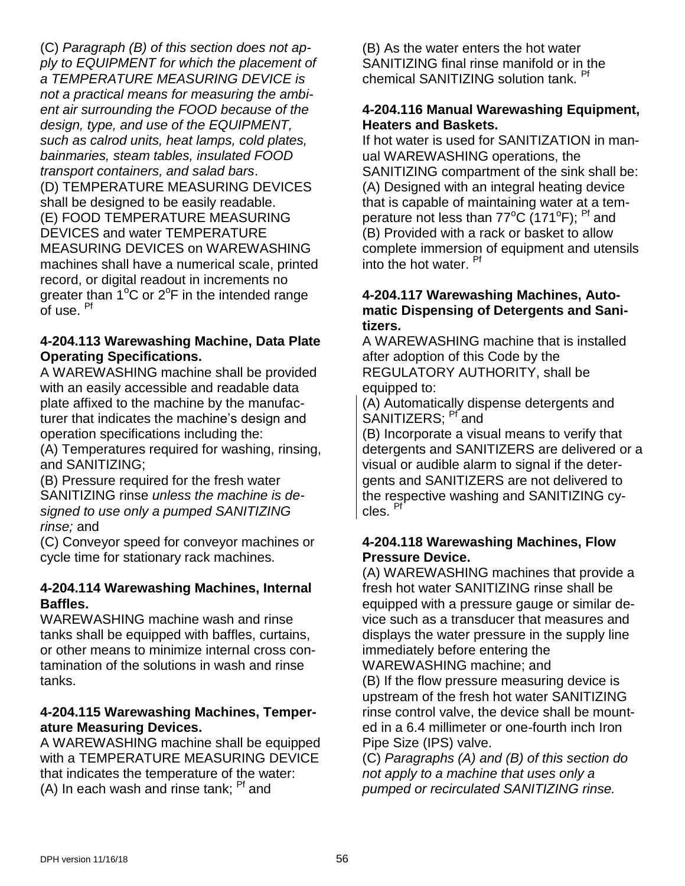(C) *Paragraph (B) of this section does not apply to EQUIPMENT for which the placement of a TEMPERATURE MEASURING DEVICE is not a practical means for measuring the ambient air surrounding the FOOD because of the design, type, and use of the EQUIPMENT, such as calrod units, heat lamps, cold plates, bainmaries, steam tables, insulated FOOD transport containers, and salad bars*. (D) TEMPERATURE MEASURING DEVICES shall be designed to be easily readable. (E) FOOD TEMPERATURE MEASURING DEVICES and water TEMPERATURE MEASURING DEVICES on WAREWASHING machines shall have a numerical scale, printed record, or digital readout in increments no greater than  $1^{\circ}$ C or 2 $^{\circ}$ F in the intended range of use. Pf

#### **4-204.113 Warewashing Machine, Data Plate Operating Specifications.**

A WAREWASHING machine shall be provided with an easily accessible and readable data plate affixed to the machine by the manufacturer that indicates the machine's design and operation specifications including the:

(A) Temperatures required for washing, rinsing, and SANITIZING;

(B) Pressure required for the fresh water SANITIZING rinse *unless the machine is designed to use only a pumped SANITIZING rinse;* and

(C) Conveyor speed for conveyor machines or cycle time for stationary rack machines.

#### **4-204.114 Warewashing Machines, Internal Baffles.**

WAREWASHING machine wash and rinse tanks shall be equipped with baffles, curtains, or other means to minimize internal cross contamination of the solutions in wash and rinse tanks.

#### **4-204.115 Warewashing Machines, Temperature Measuring Devices.**

A WAREWASHING machine shall be equipped with a TEMPERATURE MEASURING DEVICE that indicates the temperature of the water: (A) In each wash and rinse tank;  $Pf$  and

(B) As the water enters the hot water SANITIZING final rinse manifold or in the chemical SANITIZING solution tank. <sup>Pf</sup>

# **4-204.116 Manual Warewashing Equipment, Heaters and Baskets.**

If hot water is used for SANITIZATION in manual WAREWASHING operations, the SANITIZING compartment of the sink shall be: (A) Designed with an integral heating device that is capable of maintaining water at a temperature not less than 77°C (171°F); <sup>Pf</sup> and (B) Provided with a rack or basket to allow complete immersion of equipment and utensils into the hot water. <sup>Pf</sup>

#### **4-204.117 Warewashing Machines, Automatic Dispensing of Detergents and Sanitizers.**

A WAREWASHING machine that is installed after adoption of this Code by the REGULATORY AUTHORITY, shall be equipped to:

(A) Automatically dispense detergents and SANITIZERS: <sup>Pf</sup> and

(B) Incorporate a visual means to verify that detergents and SANITIZERS are delivered or a visual or audible alarm to signal if the detergents and SANITIZERS are not delivered to the respective washing and SANITIZING cycles. Pf

#### **4-204.118 Warewashing Machines, Flow Pressure Device.**

(A) WAREWASHING machines that provide a fresh hot water SANITIZING rinse shall be equipped with a pressure gauge or similar device such as a transducer that measures and displays the water pressure in the supply line immediately before entering the WAREWASHING machine; and

(B) If the flow pressure measuring device is upstream of the fresh hot water SANITIZING rinse control valve, the device shall be mounted in a 6.4 millimeter or one-fourth inch Iron Pipe Size (IPS) valve.

(C) *Paragraphs (A) and (B) of this section do not apply to a machine that uses only a pumped or recirculated SANITIZING rinse.*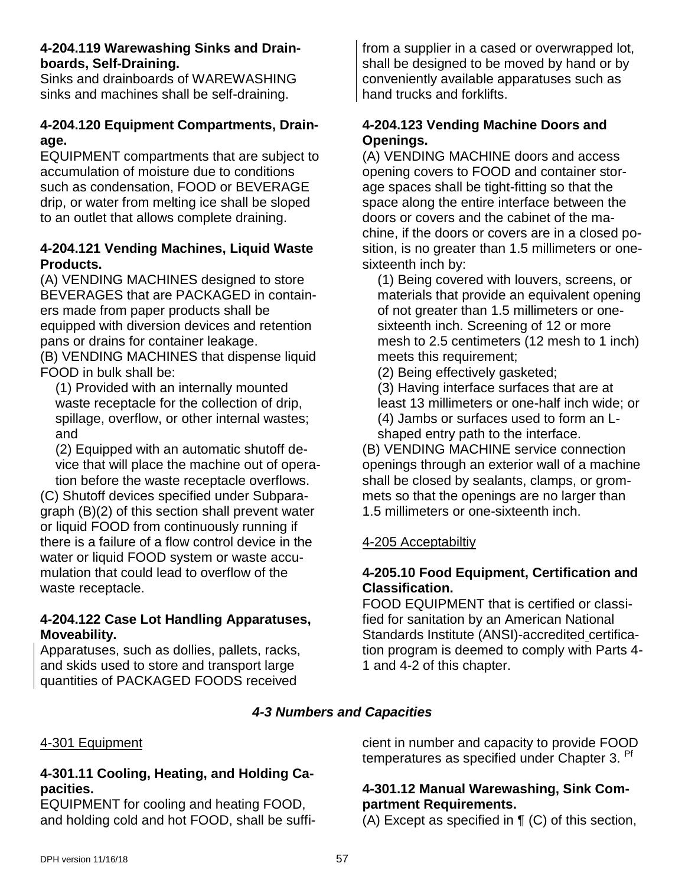#### **4-204.119 Warewashing Sinks and Drainboards, Self-Draining.**

Sinks and drainboards of WAREWASHING sinks and machines shall be self-draining.

### **4-204.120 Equipment Compartments, Drainage.**

EQUIPMENT compartments that are subject to accumulation of moisture due to conditions such as condensation, FOOD or BEVERAGE drip, or water from melting ice shall be sloped to an outlet that allows complete draining.

#### **4-204.121 Vending Machines, Liquid Waste Products.**

(A) VENDING MACHINES designed to store BEVERAGES that are PACKAGED in containers made from paper products shall be equipped with diversion devices and retention pans or drains for container leakage.

(B) VENDING MACHINES that dispense liquid FOOD in bulk shall be:

(1) Provided with an internally mounted waste receptacle for the collection of drip, spillage, overflow, or other internal wastes; and

(2) Equipped with an automatic shutoff device that will place the machine out of operation before the waste receptacle overflows.

(C) Shutoff devices specified under Subparagraph (B)(2) of this section shall prevent water or liquid FOOD from continuously running if there is a failure of a flow control device in the water or liquid FOOD system or waste accumulation that could lead to overflow of the waste receptacle.

#### **4-204.122 Case Lot Handling Apparatuses, Moveability.**

Apparatuses, such as dollies, pallets, racks, and skids used to store and transport large quantities of PACKAGED FOODS received

from a supplier in a cased or overwrapped lot, shall be designed to be moved by hand or by conveniently available apparatuses such as hand trucks and forklifts.

## **4-204.123 Vending Machine Doors and Openings.**

(A) VENDING MACHINE doors and access opening covers to FOOD and container storage spaces shall be tight-fitting so that the space along the entire interface between the doors or covers and the cabinet of the machine, if the doors or covers are in a closed position, is no greater than 1.5 millimeters or onesixteenth inch by:

(1) Being covered with louvers, screens, or materials that provide an equivalent opening of not greater than 1.5 millimeters or onesixteenth inch. Screening of 12 or more mesh to 2.5 centimeters (12 mesh to 1 inch) meets this requirement;

(2) Being effectively gasketed;

(3) Having interface surfaces that are at least 13 millimeters or one-half inch wide; or (4) Jambs or surfaces used to form an Lshaped entry path to the interface.

(B) VENDING MACHINE service connection openings through an exterior wall of a machine shall be closed by sealants, clamps, or grommets so that the openings are no larger than 1.5 millimeters or one-sixteenth inch.

## 4-205 Acceptabiltiy

## **4-205.10 Food Equipment, Certification and Classification.**

FOOD EQUIPMENT that is certified or classified for sanitation by an American National Standards Institute (ANSI)-accredited certification program is deemed to comply with Parts 4- 1 and 4-2 of this chapter.

## *4-3 Numbers and Capacities*

## 4-301 Equipment

## **4-301.11 Cooling, Heating, and Holding Capacities.**

EQUIPMENT for cooling and heating FOOD, and holding cold and hot FOOD, shall be sufficient in number and capacity to provide FOOD temperatures as specified under Chapter 3. <sup>Pf</sup>

## **4-301.12 Manual Warewashing, Sink Compartment Requirements.**

(A) Except as specified in  $\P$  (C) of this section,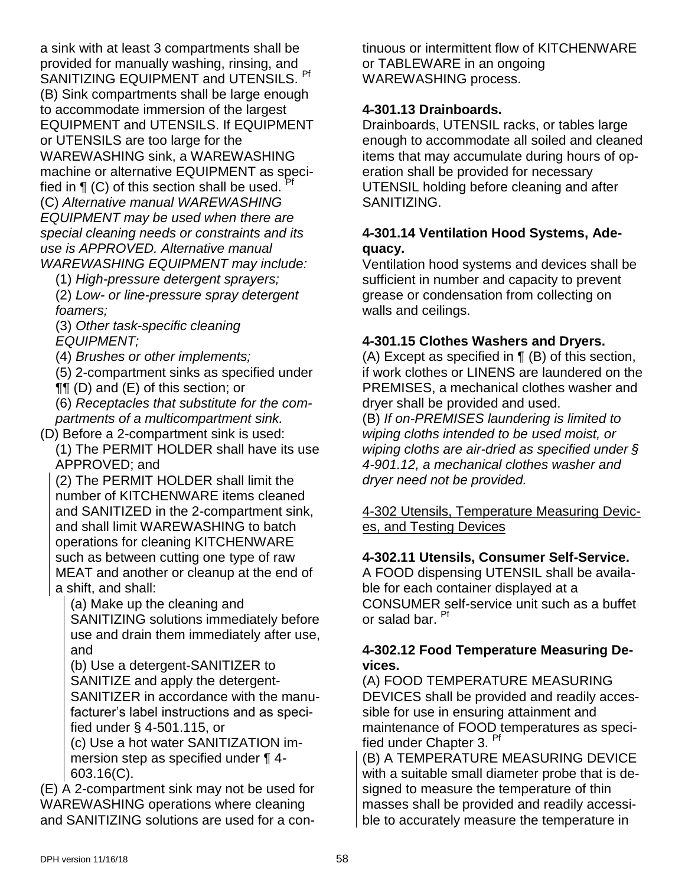a sink with at least 3 compartments shall be provided for manually washing, rinsing, and SANITIZING EQUIPMENT and UTENSILS. Pf (B) Sink compartments shall be large enough to accommodate immersion of the largest EQUIPMENT and UTENSILS. If EQUIPMENT or UTENSILS are too large for the WAREWASHING sink, a WAREWASHING machine or alternative EQUIPMENT as specified in  $\P$  (C) of this section shall be used.  $P$ (C) *Alternative manual WAREWASHING EQUIPMENT may be used when there are special cleaning needs or constraints and its use is APPROVED. Alternative manual WAREWASHING EQUIPMENT may include:*

(1) *High-pressure detergent sprayers;*

(2) *Low- or line-pressure spray detergent foamers;*

(3) *Other task-specific cleaning EQUIPMENT;*

(4) *Brushes or other implements;*

(5) 2-compartment sinks as specified under

¶¶ (D) and (E) of this section; or

(6) *Receptacles that substitute for the compartments of a multicompartment sink.* 

(D) Before a 2-compartment sink is used:

(1) The PERMIT HOLDER shall have its use APPROVED; and

(2) The PERMIT HOLDER shall limit the number of KITCHENWARE items cleaned and SANITIZED in the 2-compartment sink, and shall limit WAREWASHING to batch operations for cleaning KITCHENWARE such as between cutting one type of raw MEAT and another or cleanup at the end of a shift, and shall:

(a) Make up the cleaning and SANITIZING solutions immediately before use and drain them immediately after use, and

(b) Use a detergent-SANITIZER to SANITIZE and apply the detergent-SANITIZER in accordance with the manufacturer's label instructions and as specified under § 4-501.115, or

(c) Use a hot water SANITIZATION immersion step as specified under ¶ 4- 603.16(C).

(E) A 2-compartment sink may not be used for WAREWASHING operations where cleaning and SANITIZING solutions are used for a continuous or intermittent flow of KITCHENWARE or TABLEWARE in an ongoing WAREWASHING process.

# **4-301.13 Drainboards.**

Drainboards, UTENSIL racks, or tables large enough to accommodate all soiled and cleaned items that may accumulate during hours of operation shall be provided for necessary UTENSIL holding before cleaning and after SANITIZING.

### **4-301.14 Ventilation Hood Systems, Adequacy.**

Ventilation hood systems and devices shall be sufficient in number and capacity to prevent grease or condensation from collecting on walls and ceilings.

# **4-301.15 Clothes Washers and Dryers.**

(A) Except as specified in ¶ (B) of this section, if work clothes or LINENS are laundered on the PREMISES, a mechanical clothes washer and dryer shall be provided and used. (B) *If on-PREMISES laundering is limited to wiping cloths intended to be used moist, or wiping cloths are air-dried as specified under § 4-901.12, a mechanical clothes washer and dryer need not be provided.*

4-302 Utensils, Temperature Measuring Devices, and Testing Devices

## **4-302.11 Utensils, Consumer Self-Service.**

A FOOD dispensing UTENSIL shall be available for each container displayed at a CONSUMER self-service unit such as a buffet or salad bar. <sup>Pf</sup>

#### **4-302.12 Food Temperature Measuring Devices.**

(A) FOOD TEMPERATURE MEASURING DEVICES shall be provided and readily accessible for use in ensuring attainment and maintenance of FOOD temperatures as specified under Chapter 3. <sup>Pf</sup>

(B) A TEMPERATURE MEASURING DEVICE with a suitable small diameter probe that is designed to measure the temperature of thin masses shall be provided and readily accessible to accurately measure the temperature in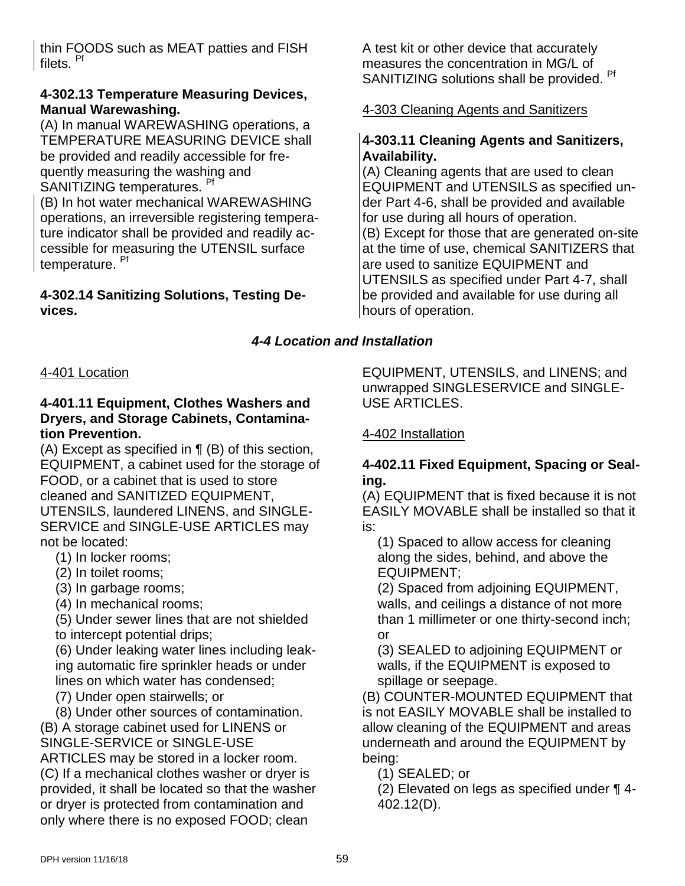thin FOODS such as MEAT patties and FISH filets. Pf

#### **4-302.13 Temperature Measuring Devices, Manual Warewashing.**

(A) In manual WAREWASHING operations, a TEMPERATURE MEASURING DEVICE shall be provided and readily accessible for frequently measuring the washing and SANITIZING temperatures. Pf

(B) In hot water mechanical WAREWASHING operations, an irreversible registering temperature indicator shall be provided and readily accessible for measuring the UTENSIL surface temperature. Pf

**4-302.14 Sanitizing Solutions, Testing Devices.**

A test kit or other device that accurately measures the concentration in MG/L of SANITIZING solutions shall be provided. Pf

# 4-303 Cleaning Agents and Sanitizers

# **4-303.11 Cleaning Agents and Sanitizers, Availability.**

(A) Cleaning agents that are used to clean EQUIPMENT and UTENSILS as specified under Part 4-6, shall be provided and available for use during all hours of operation. (B) Except for those that are generated on-site at the time of use, chemical SANITIZERS that are used to sanitize EQUIPMENT and UTENSILS as specified under Part 4-7, shall be provided and available for use during all hours of operation.

## *4-4 Location and Installation*

#### 4-401 Location

#### **4-401.11 Equipment, Clothes Washers and Dryers, and Storage Cabinets, Contamination Prevention.**

(A) Except as specified in ¶ (B) of this section, EQUIPMENT, a cabinet used for the storage of FOOD, or a cabinet that is used to store cleaned and SANITIZED EQUIPMENT, UTENSILS, laundered LINENS, and SINGLE-SERVICE and SINGLE-USE ARTICLES may not be located:

- (1) In locker rooms;
- (2) In toilet rooms;
- (3) In garbage rooms;
- (4) In mechanical rooms;

(5) Under sewer lines that are not shielded to intercept potential drips;

(6) Under leaking water lines including leaking automatic fire sprinkler heads or under lines on which water has condensed;

(7) Under open stairwells; or

(8) Under other sources of contamination.

(B) A storage cabinet used for LINENS or SINGLE-SERVICE or SINGLE-USE

ARTICLES may be stored in a locker room. (C) If a mechanical clothes washer or dryer is provided, it shall be located so that the washer or dryer is protected from contamination and only where there is no exposed FOOD; clean

EQUIPMENT, UTENSILS, and LINENS; and unwrapped SINGLESERVICE and SINGLE-USE ARTICLES.

# 4-402 Installation

## **4-402.11 Fixed Equipment, Spacing or Sealing.**

(A) EQUIPMENT that is fixed because it is not EASILY MOVABLE shall be installed so that it is:

(1) Spaced to allow access for cleaning along the sides, behind, and above the EQUIPMENT;

(2) Spaced from adjoining EQUIPMENT, walls, and ceilings a distance of not more than 1 millimeter or one thirty-second inch; or

(3) SEALED to adjoining EQUIPMENT or walls, if the EQUIPMENT is exposed to spillage or seepage.

(B) COUNTER-MOUNTED EQUIPMENT that is not EASILY MOVABLE shall be installed to allow cleaning of the EQUIPMENT and areas underneath and around the EQUIPMENT by being:

(1) SEALED; or

(2) Elevated on legs as specified under ¶ 4- 402.12(D).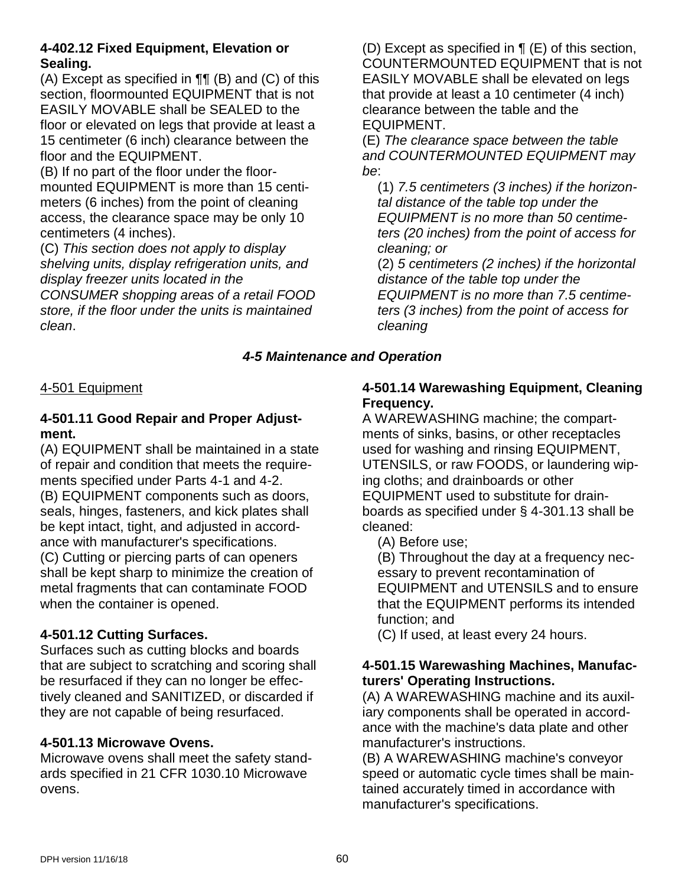### **4-402.12 Fixed Equipment, Elevation or Sealing.**

(A) Except as specified in  $\P\P$  (B) and (C) of this section, floormounted EQUIPMENT that is not EASILY MOVABLE shall be SEALED to the floor or elevated on legs that provide at least a 15 centimeter (6 inch) clearance between the floor and the EQUIPMENT.

(B) If no part of the floor under the floormounted EQUIPMENT is more than 15 centimeters (6 inches) from the point of cleaning access, the clearance space may be only 10 centimeters (4 inches).

(C) *This section does not apply to display shelving units, display refrigeration units, and display freezer units located in the* 

*CONSUMER shopping areas of a retail FOOD store, if the floor under the units is maintained clean*.

(D) Except as specified in ¶ (E) of this section, COUNTERMOUNTED EQUIPMENT that is not EASILY MOVABLE shall be elevated on legs that provide at least a 10 centimeter (4 inch) clearance between the table and the EQUIPMENT.

(E) *The clearance space between the table and COUNTERMOUNTED EQUIPMENT may be*:

(1) *7.5 centimeters (3 inches) if the horizontal distance of the table top under the EQUIPMENT is no more than 50 centimeters (20 inches) from the point of access for cleaning; or*

(2) *5 centimeters (2 inches) if the horizontal distance of the table top under the EQUIPMENT is no more than 7.5 centimeters (3 inches) from the point of access for cleaning*

# *4-5 Maintenance and Operation*

## 4-501 Equipment

## **4-501.11 Good Repair and Proper Adjustment.**

(A) EQUIPMENT shall be maintained in a state of repair and condition that meets the requirements specified under Parts 4-1 and 4-2. (B) EQUIPMENT components such as doors, seals, hinges, fasteners, and kick plates shall be kept intact, tight, and adjusted in accordance with manufacturer's specifications. (C) Cutting or piercing parts of can openers shall be kept sharp to minimize the creation of metal fragments that can contaminate FOOD when the container is opened.

## **4-501.12 Cutting Surfaces.**

Surfaces such as cutting blocks and boards that are subject to scratching and scoring shall be resurfaced if they can no longer be effectively cleaned and SANITIZED, or discarded if they are not capable of being resurfaced.

## **4-501.13 Microwave Ovens.**

Microwave ovens shall meet the safety standards specified in 21 CFR 1030.10 Microwave ovens.

#### **4-501.14 Warewashing Equipment, Cleaning Frequency.**

A WAREWASHING machine; the compartments of sinks, basins, or other receptacles used for washing and rinsing EQUIPMENT, UTENSILS, or raw FOODS, or laundering wiping cloths; and drainboards or other EQUIPMENT used to substitute for drainboards as specified under § 4-301.13 shall be cleaned:

(A) Before use;

(B) Throughout the day at a frequency necessary to prevent recontamination of EQUIPMENT and UTENSILS and to ensure that the EQUIPMENT performs its intended function; and

(C) If used, at least every 24 hours.

#### **4-501.15 Warewashing Machines, Manufacturers' Operating Instructions.**

(A) A WAREWASHING machine and its auxiliary components shall be operated in accordance with the machine's data plate and other manufacturer's instructions.

(B) A WAREWASHING machine's conveyor speed or automatic cycle times shall be maintained accurately timed in accordance with manufacturer's specifications.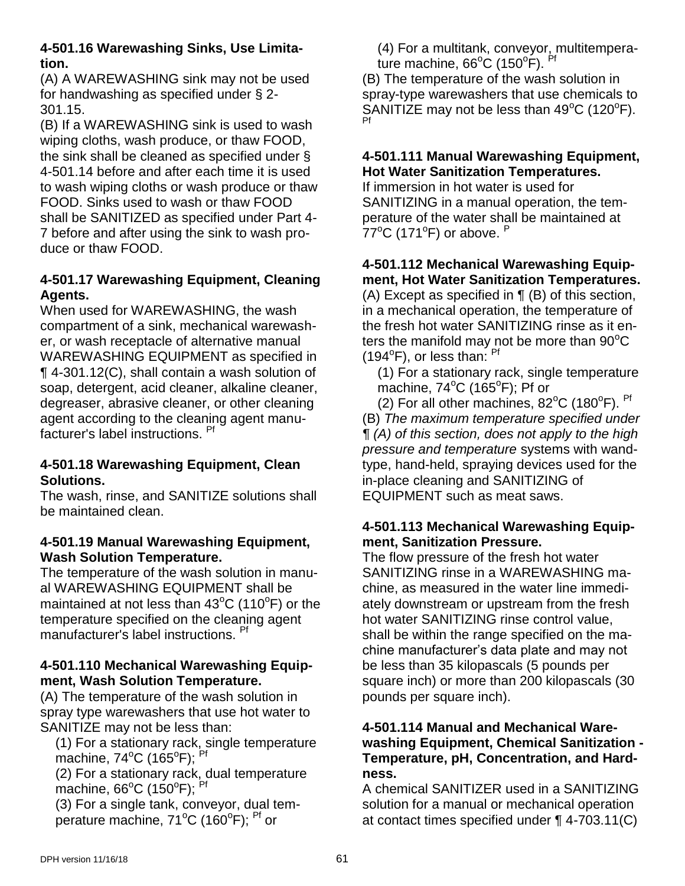#### **4-501.16 Warewashing Sinks, Use Limitation.**

(A) A WAREWASHING sink may not be used for handwashing as specified under § 2- 301.15.

(B) If a WAREWASHING sink is used to wash wiping cloths, wash produce, or thaw FOOD, the sink shall be cleaned as specified under § 4-501.14 before and after each time it is used to wash wiping cloths or wash produce or thaw FOOD. Sinks used to wash or thaw FOOD shall be SANITIZED as specified under Part 4- 7 before and after using the sink to wash produce or thaw FOOD.

# **4-501.17 Warewashing Equipment, Cleaning Agents.**

When used for WAREWASHING, the wash compartment of a sink, mechanical warewasher, or wash receptacle of alternative manual WAREWASHING EQUIPMENT as specified in ¶ 4-301.12(C), shall contain a wash solution of soap, detergent, acid cleaner, alkaline cleaner, degreaser, abrasive cleaner, or other cleaning agent according to the cleaning agent manufacturer's label instructions. Pf

## **4-501.18 Warewashing Equipment, Clean Solutions.**

The wash, rinse, and SANITIZE solutions shall be maintained clean.

## **4-501.19 Manual Warewashing Equipment, Wash Solution Temperature.**

The temperature of the wash solution in manual WAREWASHING EQUIPMENT shall be maintained at not less than  $43^{\circ}$ C (110 $^{\circ}$ F) or the temperature specified on the cleaning agent manufacturer's label instructions. <sup>Pf</sup>

#### **4-501.110 Mechanical Warewashing Equipment, Wash Solution Temperature.**

(A) The temperature of the wash solution in spray type warewashers that use hot water to SANITIZE may not be less than:

(1) For a stationary rack, single temperature machine, 74°C (165°F);  $^{\mathsf{Pf}}$ 

(2) For a stationary rack, dual temperature machine, 66°C (150°F);  $^{\mathsf{Pf}}$ 

(3) For a single tank, conveyor, dual temperature machine, 71°C (160°F); <sup>Pf</sup> or

(4) For a multitank, conveyor, multitemperature machine, 66 $\mathrm{^{\circ}C}$  (150 $\mathrm{^{\circ}F}$ ). <sup>Pf</sup>

(B) The temperature of the wash solution in spray-type warewashers that use chemicals to SANITIZE may not be less than  $49^{\circ}$ C (120 $^{\circ}$ F). Pf

# **4-501.111 Manual Warewashing Equipment, Hot Water Sanitization Temperatures.**

If immersion in hot water is used for SANITIZING in a manual operation, the temperature of the water shall be maintained at  $77^{\circ}$ C (171 $^{\circ}$ F) or above.  $^{\circ}$ 

# **4-501.112 Mechanical Warewashing Equipment, Hot Water Sanitization Temperatures.**

(A) Except as specified in  $\P$  (B) of this section, in a mechanical operation, the temperature of the fresh hot water SANITIZING rinse as it enters the manifold may not be more than  $90^{\circ}$ C  $(194^{\circ}F)$ , or less than: <sup>Pf</sup>

(1) For a stationary rack, single temperature machine,  $74^{\circ}$ C (165 $^{\circ}$ F); Pf or

(2) For all other machines,  $82^{\circ}$ C (180 $^{\circ}$ F). Pf (B) *The maximum temperature specified under ¶ (A) of this section, does not apply to the high pressure and temperature* systems with wandtype, hand-held, spraying devices used for the in-place cleaning and SANITIZING of EQUIPMENT such as meat saws.

# **4-501.113 Mechanical Warewashing Equipment, Sanitization Pressure.**

The flow pressure of the fresh hot water SANITIZING rinse in a WAREWASHING machine, as measured in the water line immediately downstream or upstream from the fresh hot water SANITIZING rinse control value, shall be within the range specified on the machine manufacturer's data plate and may not be less than 35 kilopascals (5 pounds per square inch) or more than 200 kilopascals (30 pounds per square inch).

#### **4-501.114 Manual and Mechanical Warewashing Equipment, Chemical Sanitization - Temperature, pH, Concentration, and Hardness.**

A chemical SANITIZER used in a SANITIZING solution for a manual or mechanical operation at contact times specified under ¶ 4-703.11(C)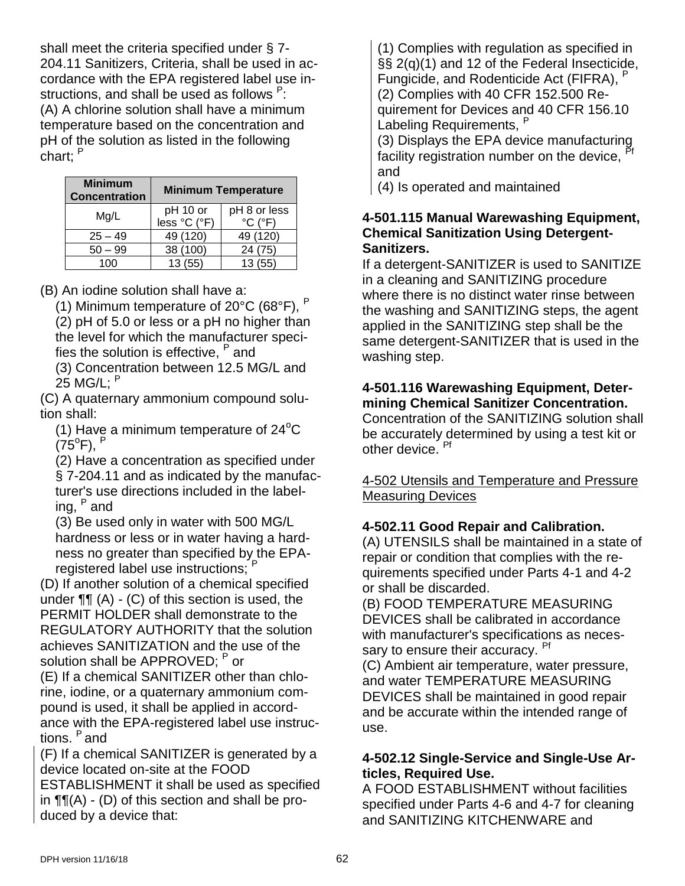shall meet the criteria specified under § 7- 204.11 Sanitizers, Criteria, shall be used in accordance with the EPA registered label use instructions, and shall be used as follows <sup>P</sup>: (A) A chlorine solution shall have a minimum temperature based on the concentration and pH of the solution as listed in the following chart: P

| <b>Minimum</b><br><b>Concentration</b> | <b>Minimum Temperature</b> |                              |  |
|----------------------------------------|----------------------------|------------------------------|--|
| Mg/L                                   | pH 10 or                   | pH 8 or less                 |  |
|                                        | less °C (°F)               | $^{\circ}$ C ( $^{\circ}$ F) |  |
| $25 - 49$                              | 49 (120)                   | 49 (120)                     |  |
| $50 - 99$                              | 38 (100)                   | 24 (75)                      |  |
| 100                                    | 13 (55)                    | 13(55)                       |  |

(B) An iodine solution shall have a:

(1) Minimum temperature of 20 $^{\circ}$ C (68 $^{\circ}$ F),  $^{\circ}$ (2) pH of 5.0 or less or a pH no higher than the level for which the manufacturer specifies the solution is effective, <sup>P</sup> and

(3) Concentration between 12.5 MG/L and 25 MG/L; <sup>P</sup>

(C) A quaternary ammonium compound solution shall:

(1) Have a minimum temperature of  $24^{\circ}$ C  $(75^{\circ}F)$ ,  $^{P}$ 

(2) Have a concentration as specified under § 7-204.11 and as indicated by the manufacturer's use directions included in the labeling, <sup>P</sup> and

(3) Be used only in water with 500 MG/L hardness or less or in water having a hardness no greater than specified by the EPAregistered label use instructions; <sup>P</sup>

(D) If another solution of a chemical specified under  $\P\P$  (A) - (C) of this section is used, the PERMIT HOLDER shall demonstrate to the REGULATORY AUTHORITY that the solution achieves SANITIZATION and the use of the solution shall be APPROVED; <sup>P</sup> or

(E) If a chemical SANITIZER other than chlorine, iodine, or a quaternary ammonium compound is used, it shall be applied in accordance with the EPA-registered label use instructions. <sup>P</sup> and

(F) If a chemical SANITIZER is generated by a device located on-site at the FOOD

ESTABLISHMENT it shall be used as specified in  $\P\P(A)$  - (D) of this section and shall be produced by a device that:

(1) Complies with regulation as specified in §§ 2(q)(1) and 12 of the Federal Insecticide, Fungicide, and Rodenticide Act (FIFRA), <sup>P</sup> (2) Complies with 40 CFR 152.500 Requirement for Devices and 40 CFR 156.10 Labeling Requirements, P

(3) Displays the EPA device manufacturing facility registration number on the device, and

(4) Is operated and maintained

#### **4-501.115 Manual Warewashing Equipment, Chemical Sanitization Using Detergent-Sanitizers.**

If a detergent-SANITIZER is used to SANITIZE in a cleaning and SANITIZING procedure where there is no distinct water rinse between the washing and SANITIZING steps, the agent applied in the SANITIZING step shall be the same detergent-SANITIZER that is used in the washing step.

#### **4-501.116 Warewashing Equipment, Determining Chemical Sanitizer Concentration.**

Concentration of the SANITIZING solution shall be accurately determined by using a test kit or other device. Pf

#### 4-502 Utensils and Temperature and Pressure Measuring Devices

## **4-502.11 Good Repair and Calibration.**

(A) UTENSILS shall be maintained in a state of repair or condition that complies with the requirements specified under Parts 4-1 and 4-2 or shall be discarded.

(B) FOOD TEMPERATURE MEASURING DEVICES shall be calibrated in accordance with manufacturer's specifications as necessary to ensure their accuracy. <sup>Pf</sup>

(C) Ambient air temperature, water pressure, and water TEMPERATURE MEASURING DEVICES shall be maintained in good repair and be accurate within the intended range of use.

#### **4-502.12 Single-Service and Single-Use Articles, Required Use.**

A FOOD ESTABLISHMENT without facilities specified under Parts 4-6 and 4-7 for cleaning and SANITIZING KITCHENWARE and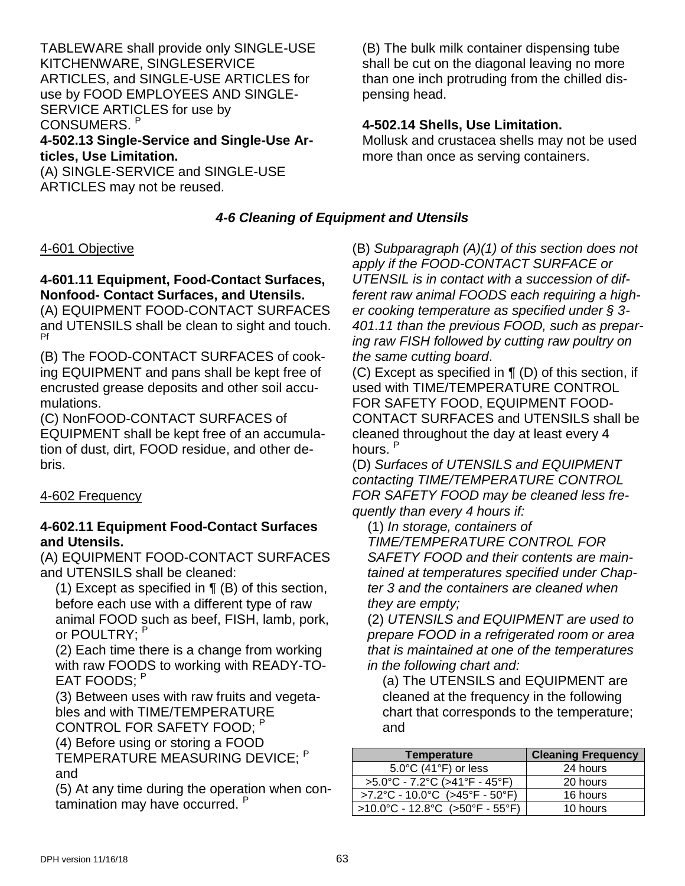TABLEWARE shall provide only SINGLE-USE KITCHENWARE, SINGLESERVICE ARTICLES, and SINGLE-USE ARTICLES for use by FOOD EMPLOYEES AND SINGLE-SERVICE ARTICLES for use by CONSUMERS. <sup>P</sup>

#### **4-502.13 Single-Service and Single-Use Articles, Use Limitation.**

(A) SINGLE-SERVICE and SINGLE-USE ARTICLES may not be reused.

(B) The bulk milk container dispensing tube shall be cut on the diagonal leaving no more than one inch protruding from the chilled dispensing head.

## **4-502.14 Shells, Use Limitation.**

Mollusk and crustacea shells may not be used more than once as serving containers.

## *4-6 Cleaning of Equipment and Utensils*

#### 4-601 Objective

## **4-601.11 Equipment, Food-Contact Surfaces, Nonfood- Contact Surfaces, and Utensils.**

(A) EQUIPMENT FOOD-CONTACT SURFACES and UTENSILS shall be clean to sight and touch. Pf

(B) The FOOD-CONTACT SURFACES of cooking EQUIPMENT and pans shall be kept free of encrusted grease deposits and other soil accumulations.

(C) NonFOOD-CONTACT SURFACES of EQUIPMENT shall be kept free of an accumulation of dust, dirt, FOOD residue, and other debris.

## 4-602 Frequency

## **4-602.11 Equipment Food-Contact Surfaces and Utensils.**

(A) EQUIPMENT FOOD-CONTACT SURFACES and UTENSILS shall be cleaned:

(1) Except as specified in ¶ (B) of this section, before each use with a different type of raw animal FOOD such as beef, FISH, lamb, pork, or POULTRY: P

(2) Each time there is a change from working with raw FOODS to working with READY-TO-EAT FOODS: P

(3) Between uses with raw fruits and vegetables and with TIME/TEMPERATURE CONTROL FOR SAFETY FOOD; <sup>P</sup>

(4) Before using or storing a FOOD

TEMPERATURE MEASURING DEVICE; P and

(5) At any time during the operation when contamination may have occurred. <sup>P</sup>

(B) *Subparagraph (A)(1) of this section does not apply if the FOOD-CONTACT SURFACE or UTENSIL is in contact with a succession of different raw animal FOODS each requiring a higher cooking temperature as specified under § 3- 401.11 than the previous FOOD, such as preparing raw FISH followed by cutting raw poultry on the same cutting board*.

(C) Except as specified in ¶ (D) of this section, if used with TIME/TEMPERATURE CONTROL FOR SAFETY FOOD, EQUIPMENT FOOD-CONTACT SURFACES and UTENSILS shall be cleaned throughout the day at least every 4 hours.<sup>F</sup>

(D) *Surfaces of UTENSILS and EQUIPMENT contacting TIME/TEMPERATURE CONTROL FOR SAFETY FOOD may be cleaned less frequently than every 4 hours if:*

(1) *In storage, containers of TIME/TEMPERATURE CONTROL FOR SAFETY FOOD and their contents are maintained at temperatures specified under Chapter 3 and the containers are cleaned when they are empty;*

(2) *UTENSILS and EQUIPMENT are used to prepare FOOD in a refrigerated room or area that is maintained at one of the temperatures in the following chart and:*

(a) The UTENSILS and EQUIPMENT are cleaned at the frequency in the following chart that corresponds to the temperature; and

| <b>Temperature</b>                                                       | <b>Cleaning Frequency</b> |
|--------------------------------------------------------------------------|---------------------------|
| $5.0^{\circ}$ C (41 $^{\circ}$ F) or less                                | 24 hours                  |
| $>5.0^{\circ}$ C - 7.2 $^{\circ}$ C ( $>41^{\circ}$ F - 45 $^{\circ}$ F) | 20 hours                  |
| >7.2°C - 10.0°C (>45°F - 50°F)                                           | 16 hours                  |
| $>10.0^{\circ}$ C - 12.8°C ( $>50^{\circ}$ F - 55°F)                     | 10 hours                  |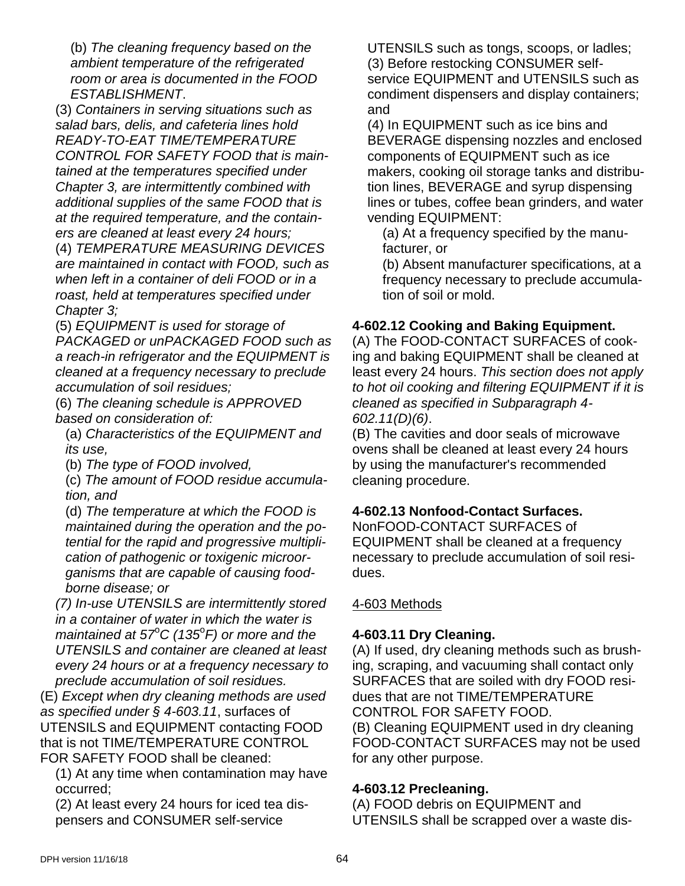(b) *The cleaning frequency based on the ambient temperature of the refrigerated room or area is documented in the FOOD ESTABLISHMENT*.

(3) *Containers in serving situations such as salad bars, delis, and cafeteria lines hold READY-TO-EAT TIME/TEMPERATURE CONTROL FOR SAFETY FOOD that is maintained at the temperatures specified under Chapter 3, are intermittently combined with additional supplies of the same FOOD that is at the required temperature, and the containers are cleaned at least every 24 hours;*

(4) *TEMPERATURE MEASURING DEVICES are maintained in contact with FOOD, such as when left in a container of deli FOOD or in a roast, held at temperatures specified under Chapter 3;*

(5) *EQUIPMENT is used for storage of PACKAGED or unPACKAGED FOOD such as a reach-in refrigerator and the EQUIPMENT is cleaned at a frequency necessary to preclude accumulation of soil residues;*

(6) *The cleaning schedule is APPROVED based on consideration of:*

(a) *Characteristics of the EQUIPMENT and its use,* 

(b) *The type of FOOD involved,*

(c) *The amount of FOOD residue accumulation, and*

(d) *The temperature at which the FOOD is maintained during the operation and the potential for the rapid and progressive multiplication of pathogenic or toxigenic microorganisms that are capable of causing foodborne disease; or*

*(7) In-use UTENSILS are intermittently stored in a container of water in which the water is maintained at 57<sup>o</sup>C (135<sup>o</sup>F) or more and the UTENSILS and container are cleaned at least every 24 hours or at a frequency necessary to preclude accumulation of soil residues.*

(E) *Except when dry cleaning methods are used as specified under § 4-603.11*, surfaces of UTENSILS and EQUIPMENT contacting FOOD that is not TIME/TEMPERATURE CONTROL FOR SAFETY FOOD shall be cleaned:

(1) At any time when contamination may have occurred;

(2) At least every 24 hours for iced tea dispensers and CONSUMER self-service

UTENSILS such as tongs, scoops, or ladles; (3) Before restocking CONSUMER selfservice EQUIPMENT and UTENSILS such as condiment dispensers and display containers; and

(4) In EQUIPMENT such as ice bins and BEVERAGE dispensing nozzles and enclosed components of EQUIPMENT such as ice makers, cooking oil storage tanks and distribution lines, BEVERAGE and syrup dispensing lines or tubes, coffee bean grinders, and water vending EQUIPMENT:

(a) At a frequency specified by the manufacturer, or

(b) Absent manufacturer specifications, at a frequency necessary to preclude accumulation of soil or mold.

# **4-602.12 Cooking and Baking Equipment.**

(A) The FOOD-CONTACT SURFACES of cooking and baking EQUIPMENT shall be cleaned at least every 24 hours. *This section does not apply to hot oil cooking and filtering EQUIPMENT if it is cleaned as specified in Subparagraph 4- 602.11(D)(6)*.

(B) The cavities and door seals of microwave ovens shall be cleaned at least every 24 hours by using the manufacturer's recommended cleaning procedure.

## **4-602.13 Nonfood-Contact Surfaces.**

NonFOOD-CONTACT SURFACES of EQUIPMENT shall be cleaned at a frequency necessary to preclude accumulation of soil residues.

## 4-603 Methods

## **4-603.11 Dry Cleaning.**

(A) If used, dry cleaning methods such as brushing, scraping, and vacuuming shall contact only SURFACES that are soiled with dry FOOD residues that are not TIME/TEMPERATURE CONTROL FOR SAFETY FOOD.

(B) Cleaning EQUIPMENT used in dry cleaning FOOD-CONTACT SURFACES may not be used for any other purpose.

## **4-603.12 Precleaning.**

(A) FOOD debris on EQUIPMENT and UTENSILS shall be scrapped over a waste dis-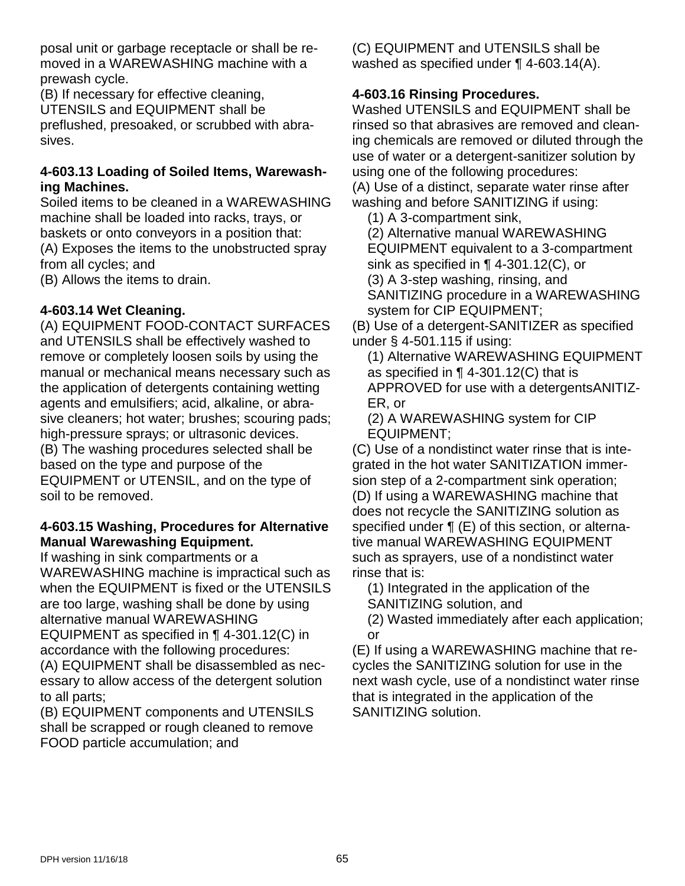posal unit or garbage receptacle or shall be removed in a WAREWASHING machine with a prewash cycle.

(B) If necessary for effective cleaning, UTENSILS and EQUIPMENT shall be preflushed, presoaked, or scrubbed with abrasives.

#### **4-603.13 Loading of Soiled Items, Warewashing Machines.**

Soiled items to be cleaned in a WAREWASHING machine shall be loaded into racks, trays, or baskets or onto conveyors in a position that: (A) Exposes the items to the unobstructed spray from all cycles; and

(B) Allows the items to drain.

# **4-603.14 Wet Cleaning.**

(A) EQUIPMENT FOOD-CONTACT SURFACES and UTENSILS shall be effectively washed to remove or completely loosen soils by using the manual or mechanical means necessary such as the application of detergents containing wetting agents and emulsifiers; acid, alkaline, or abrasive cleaners; hot water; brushes; scouring pads; high-pressure sprays; or ultrasonic devices. (B) The washing procedures selected shall be based on the type and purpose of the EQUIPMENT or UTENSIL, and on the type of soil to be removed.

## **4-603.15 Washing, Procedures for Alternative Manual Warewashing Equipment.**

If washing in sink compartments or a WAREWASHING machine is impractical such as when the EQUIPMENT is fixed or the UTENSILS are too large, washing shall be done by using alternative manual WAREWASHING EQUIPMENT as specified in ¶ 4-301.12(C) in accordance with the following procedures:

(A) EQUIPMENT shall be disassembled as necessary to allow access of the detergent solution to all parts;

(B) EQUIPMENT components and UTENSILS shall be scrapped or rough cleaned to remove FOOD particle accumulation; and

(C) EQUIPMENT and UTENSILS shall be washed as specified under ¶ 4-603.14(A).

# **4-603.16 Rinsing Procedures.**

Washed UTENSILS and EQUIPMENT shall be rinsed so that abrasives are removed and cleaning chemicals are removed or diluted through the use of water or a detergent-sanitizer solution by using one of the following procedures:

(A) Use of a distinct, separate water rinse after washing and before SANITIZING if using:

(1) A 3-compartment sink,

(2) Alternative manual WAREWASHING EQUIPMENT equivalent to a 3-compartment sink as specified in ¶ 4-301.12(C), or (3) A 3-step washing, rinsing, and SANITIZING procedure in a WAREWASHING system for CIP EQUIPMENT;

(B) Use of a detergent-SANITIZER as specified under § 4-501.115 if using:

(1) Alternative WAREWASHING EQUIPMENT as specified in ¶ 4-301.12(C) that is APPROVED for use with a detergentsANITIZ-ER, or

(2) A WAREWASHING system for CIP EQUIPMENT;

(C) Use of a nondistinct water rinse that is integrated in the hot water SANITIZATION immersion step of a 2-compartment sink operation; (D) If using a WAREWASHING machine that does not recycle the SANITIZING solution as specified under ¶ (E) of this section, or alternative manual WAREWASHING EQUIPMENT such as sprayers, use of a nondistinct water rinse that is:

(1) Integrated in the application of the SANITIZING solution, and

(2) Wasted immediately after each application; or

(E) If using a WAREWASHING machine that recycles the SANITIZING solution for use in the next wash cycle, use of a nondistinct water rinse that is integrated in the application of the SANITIZING solution.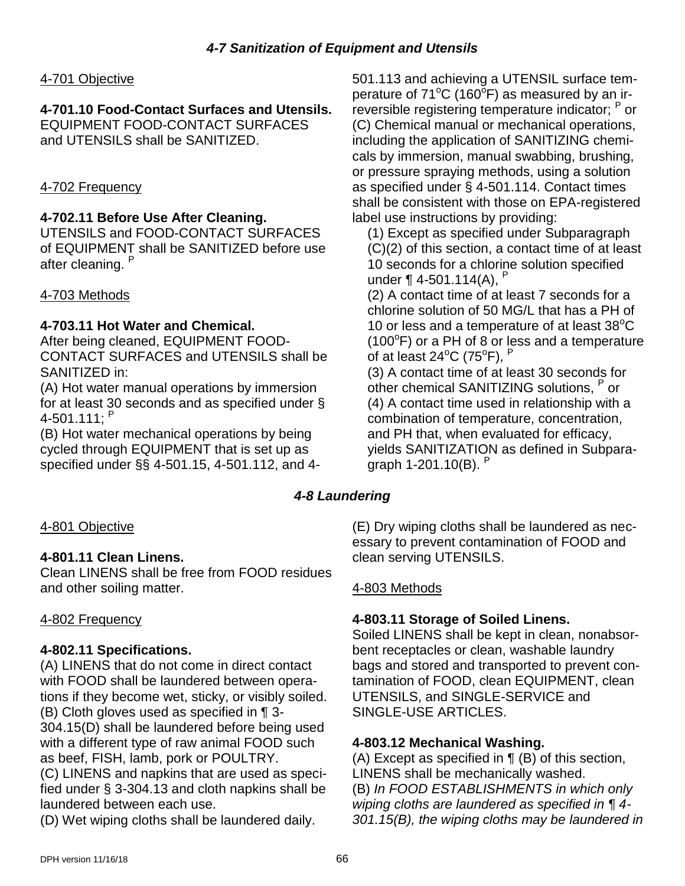# 4-701 Objective

# **4-701.10 Food-Contact Surfaces and Utensils.**

EQUIPMENT FOOD-CONTACT SURFACES and UTENSILS shall be SANITIZED.

# 4-702 Frequency

# **4-702.11 Before Use After Cleaning.**

UTENSILS and FOOD-CONTACT SURFACES of EQUIPMENT shall be SANITIZED before use after cleaning. P

## 4-703 Methods

# **4-703.11 Hot Water and Chemical.**

After being cleaned, EQUIPMENT FOOD-CONTACT SURFACES and UTENSILS shall be SANITIZED in:

(A) Hot water manual operations by immersion for at least 30 seconds and as specified under § 4-501.111:  $P$ 

(B) Hot water mechanical operations by being cycled through EQUIPMENT that is set up as specified under §§ 4-501.15, 4-501.112, and 4-

## 4-801 Objective

## **4-801.11 Clean Linens.**

Clean LINENS shall be free from FOOD residues and other soiling matter.

## 4-802 Frequency

# **4-802.11 Specifications.**

(A) LINENS that do not come in direct contact with FOOD shall be laundered between operations if they become wet, sticky, or visibly soiled. (B) Cloth gloves used as specified in ¶ 3- 304.15(D) shall be laundered before being used with a different type of raw animal FOOD such as beef, FISH, lamb, pork or POULTRY.

(C) LINENS and napkins that are used as specified under § 3-304.13 and cloth napkins shall be laundered between each use.

(D) Wet wiping cloths shall be laundered daily.

501.113 and achieving a UTENSIL surface temperature of 71°C (160 $\mathrm{^{\mathrm{o}F}}$ ) as measured by an ir-.<br>reversible registering temperature indicator; <sup>P</sup> or (C) Chemical manual or mechanical operations, including the application of SANITIZING chemicals by immersion, manual swabbing, brushing, or pressure spraying methods, using a solution as specified under § 4-501.114. Contact times shall be consistent with those on EPA-registered label use instructions by providing:

(1) Except as specified under Subparagraph (C)(2) of this section, a contact time of at least 10 seconds for a chlorine solution specified under  $\P$  4-501.114(A),  $P$ 

(2) A contact time of at least 7 seconds for a chlorine solution of 50 MG/L that has a PH of 10 or less and a temperature of at least  $38^{\circ}$ C  $(100^{\circ}$ F) or a PH of 8 or less and a temperature of at least 24 $^{\circ}$ C (75 $^{\circ}$ F),  $^{\circ}$ 

(3) A contact time of at least 30 seconds for other chemical SANITIZING solutions, <sup>P</sup> or (4) A contact time used in relationship with a combination of temperature, concentration, and PH that, when evaluated for efficacy, yields SANITIZATION as defined in Subparagraph 1-201.10(B). P

## *4-8 Laundering*

(E) Dry wiping cloths shall be laundered as necessary to prevent contamination of FOOD and clean serving UTENSILS.

## 4-803 Methods

## **4-803.11 Storage of Soiled Linens.**

Soiled LINENS shall be kept in clean, nonabsorbent receptacles or clean, washable laundry bags and stored and transported to prevent contamination of FOOD, clean EQUIPMENT, clean UTENSILS, and SINGLE-SERVICE and SINGLE-USE ARTICLES.

## **4-803.12 Mechanical Washing.**

(A) Except as specified in ¶ (B) of this section, LINENS shall be mechanically washed. (B) *In FOOD ESTABLISHMENTS in which only wiping cloths are laundered as specified in ¶ 4- 301.15(B), the wiping cloths may be laundered in*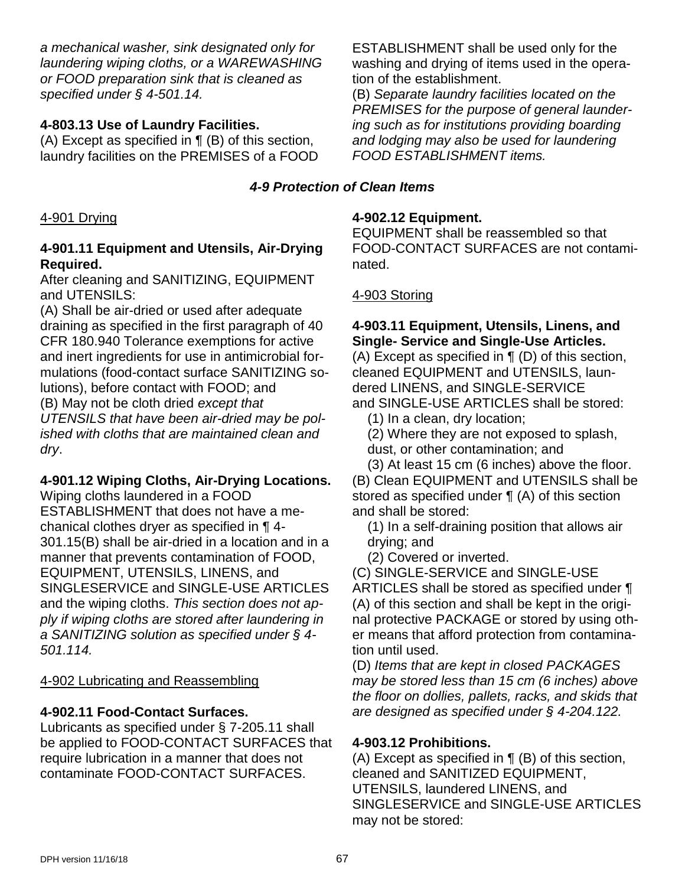*a mechanical washer, sink designated only for laundering wiping cloths, or a WAREWASHING or FOOD preparation sink that is cleaned as specified under § 4-501.14.*

### **4-803.13 Use of Laundry Facilities.**

(A) Except as specified in ¶ (B) of this section, laundry facilities on the PREMISES of a FOOD

#### *4-9 Protection of Clean Items*

#### 4-901 Drying

#### **4-901.11 Equipment and Utensils, Air-Drying Required.**

After cleaning and SANITIZING, EQUIPMENT and UTENSILS:

(A) Shall be air-dried or used after adequate draining as specified in the first paragraph of 40 CFR 180.940 Tolerance exemptions for active and inert ingredients for use in antimicrobial formulations (food-contact surface SANITIZING solutions), before contact with FOOD; and (B) May not be cloth dried *except that UTENSILS that have been air-dried may be polished with cloths that are maintained clean and dry*.

# **4-901.12 Wiping Cloths, Air-Drying Locations.**

Wiping cloths laundered in a FOOD ESTABLISHMENT that does not have a mechanical clothes dryer as specified in ¶ 4- 301.15(B) shall be air-dried in a location and in a manner that prevents contamination of FOOD, EQUIPMENT, UTENSILS, LINENS, and SINGLESERVICE and SINGLE-USE ARTICLES and the wiping cloths. *This section does not apply if wiping cloths are stored after laundering in a SANITIZING solution as specified under § 4- 501.114.*

## 4-902 Lubricating and Reassembling

#### **4-902.11 Food-Contact Surfaces.**

Lubricants as specified under § 7-205.11 shall be applied to FOOD-CONTACT SURFACES that require lubrication in a manner that does not contaminate FOOD-CONTACT SURFACES.

ESTABLISHMENT shall be used only for the washing and drying of items used in the operation of the establishment.

(B) *Separate laundry facilities located on the PREMISES for the purpose of general laundering such as for institutions providing boarding and lodging may also be used for laundering FOOD ESTABLISHMENT items.*

# **4-902.12 Equipment.**

EQUIPMENT shall be reassembled so that FOOD-CONTACT SURFACES are not contaminated.

#### 4-903 Storing

#### **4-903.11 Equipment, Utensils, Linens, and Single- Service and Single-Use Articles.**

(A) Except as specified in ¶ (D) of this section, cleaned EQUIPMENT and UTENSILS, laundered LINENS, and SINGLE-SERVICE and SINGLE-USE ARTICLES shall be stored:

- (1) In a clean, dry location;
- (2) Where they are not exposed to splash, dust, or other contamination; and

(3) At least 15 cm (6 inches) above the floor. (B) Clean EQUIPMENT and UTENSILS shall be stored as specified under ¶ (A) of this section and shall be stored:

(1) In a self-draining position that allows air drying; and

(2) Covered or inverted.

(C) SINGLE-SERVICE and SINGLE-USE

ARTICLES shall be stored as specified under ¶ (A) of this section and shall be kept in the original protective PACKAGE or stored by using other means that afford protection from contamination until used.

(D) *Items that are kept in closed PACKAGES may be stored less than 15 cm (6 inches) above the floor on dollies, pallets, racks, and skids that are designed as specified under § 4-204.122.*

#### **4-903.12 Prohibitions.**

(A) Except as specified in ¶ (B) of this section, cleaned and SANITIZED EQUIPMENT, UTENSILS, laundered LINENS, and SINGLESERVICE and SINGLE-USE ARTICLES may not be stored: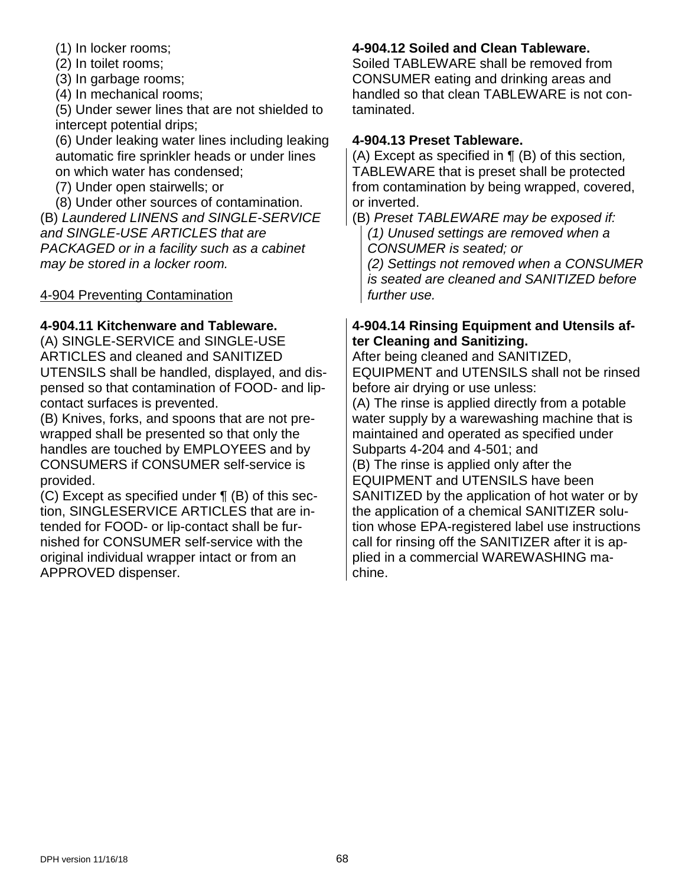#### (1) In locker rooms;

(2) In toilet rooms;

(3) In garbage rooms;

(4) In mechanical rooms;

(5) Under sewer lines that are not shielded to intercept potential drips;

(6) Under leaking water lines including leaking automatic fire sprinkler heads or under lines on which water has condensed;

(7) Under open stairwells; or

(8) Under other sources of contamination. (B) *Laundered LINENS and SINGLE-SERVICE and SINGLE-USE ARTICLES that are PACKAGED or in a facility such as a cabinet may be stored in a locker room.*

# 4-904 Preventing Contamination

# **4-904.11 Kitchenware and Tableware.**

(A) SINGLE-SERVICE and SINGLE-USE ARTICLES and cleaned and SANITIZED UTENSILS shall be handled, displayed, and dispensed so that contamination of FOOD- and lipcontact surfaces is prevented.

(B) Knives, forks, and spoons that are not prewrapped shall be presented so that only the handles are touched by EMPLOYEES and by CONSUMERS if CONSUMER self-service is provided.

(C) Except as specified under ¶ (B) of this section, SINGLESERVICE ARTICLES that are intended for FOOD- or lip-contact shall be furnished for CONSUMER self-service with the original individual wrapper intact or from an APPROVED dispenser.

# **4-904.12 Soiled and Clean Tableware.**

Soiled TABLEWARE shall be removed from CONSUMER eating and drinking areas and handled so that clean TABLEWARE is not contaminated.

## **4-904.13 Preset Tableware.**

(A) Except as specified in ¶ (B) of this section*,*  TABLEWARE that is preset shall be protected from contamination by being wrapped, covered, or inverted.

(B) *Preset TABLEWARE may be exposed if: (1) Unused settings are removed when a CONSUMER is seated; or*

*(2) Settings not removed when a CONSUMER is seated are cleaned and SANITIZED before further use.*

#### **4-904.14 Rinsing Equipment and Utensils after Cleaning and Sanitizing.**

After being cleaned and SANITIZED, EQUIPMENT and UTENSILS shall not be rinsed before air drying or use unless:

(A) The rinse is applied directly from a potable water supply by a warewashing machine that is maintained and operated as specified under Subparts 4-204 and 4-501; and

(B) The rinse is applied only after the EQUIPMENT and UTENSILS have been SANITIZED by the application of hot water or by the application of a chemical SANITIZER solution whose EPA-registered label use instructions call for rinsing off the SANITIZER after it is applied in a commercial WAREWASHING machine.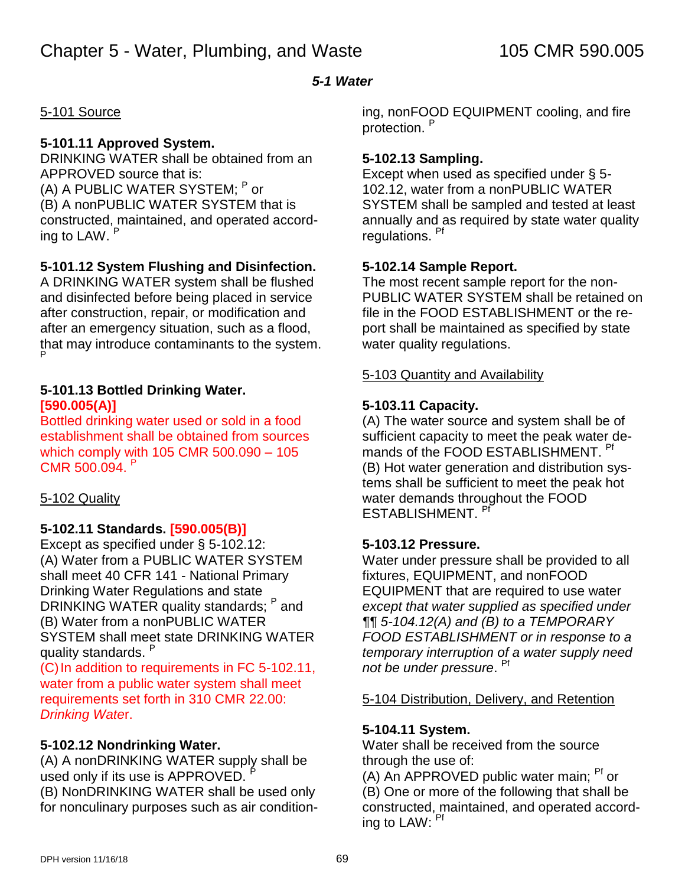## *5-1 Water*

#### 5-101 Source

## **5-101.11 Approved System.**

DRINKING WATER shall be obtained from an APPROVED source that is: (A) A PUBLIC WATER SYSTEM; P or (B) A nonPUBLIC WATER SYSTEM that is constructed, maintained, and operated according to LAW. P

# **5-101.12 System Flushing and Disinfection.**

A DRINKING WATER system shall be flushed and disinfected before being placed in service after construction, repair, or modification and after an emergency situation, such as a flood, that may introduce contaminants to the system. P

#### **5-101.13 Bottled Drinking Water. [590.005(A)]**

Bottled drinking water used or sold in a food establishment shall be obtained from sources which comply with 105 CMR 500.090 – 105 CMR 500.094. P

## 5-102 Quality

## **5-102.11 Standards. [590.005(B)]**

Except as specified under § 5-102.12: (A) Water from a PUBLIC WATER SYSTEM shall meet 40 CFR 141 - National Primary Drinking Water Regulations and state DRINKING WATER quality standards; <sup>P</sup> and (B) Water from a nonPUBLIC WATER SYSTEM shall meet state DRINKING WATER quality standards. P

(C) In addition to requirements in FC 5-102.11, water from a public water system shall meet requirements set forth in 310 CMR 22.00: *Drinking Wate*r.

## **5-102.12 Nondrinking Water.**

(A) A nonDRINKING WATER supply shall be used only if its use is APPROVED.

(B) NonDRINKING WATER shall be used only for nonculinary purposes such as air conditioning, nonFOOD EQUIPMENT cooling, and fire protection. <sup>P</sup>

### **5-102.13 Sampling.**

Except when used as specified under § 5- 102.12, water from a nonPUBLIC WATER SYSTEM shall be sampled and tested at least annually and as required by state water quality regulations. Pf

#### **5-102.14 Sample Report.**

The most recent sample report for the non-PUBLIC WATER SYSTEM shall be retained on file in the FOOD ESTABLISHMENT or the report shall be maintained as specified by state water quality regulations.

#### 5-103 Quantity and Availability

## **5-103.11 Capacity.**

(A) The water source and system shall be of sufficient capacity to meet the peak water demands of the FOOD ESTABLISHMENT. <sup>Pf</sup> (B) Hot water generation and distribution systems shall be sufficient to meet the peak hot water demands throughout the FOOD ESTABLISHMENT. Pf

#### **5-103.12 Pressure.**

Water under pressure shall be provided to all fixtures, EQUIPMENT, and nonFOOD EQUIPMENT that are required to use water *except that water supplied as specified under ¶¶ 5-104.12(A) and (B) to a TEMPORARY FOOD ESTABLISHMENT or in response to a temporary interruption of a water supply need not be under pressure*. Pf

## 5-104 Distribution, Delivery, and Retention

#### **5-104.11 System.**

Water shall be received from the source through the use of:

(A) An APPROVED public water main; <sup>Pf</sup> or (B) One or more of the following that shall be constructed, maintained, and operated according to LAW: <sup>Pf</sup>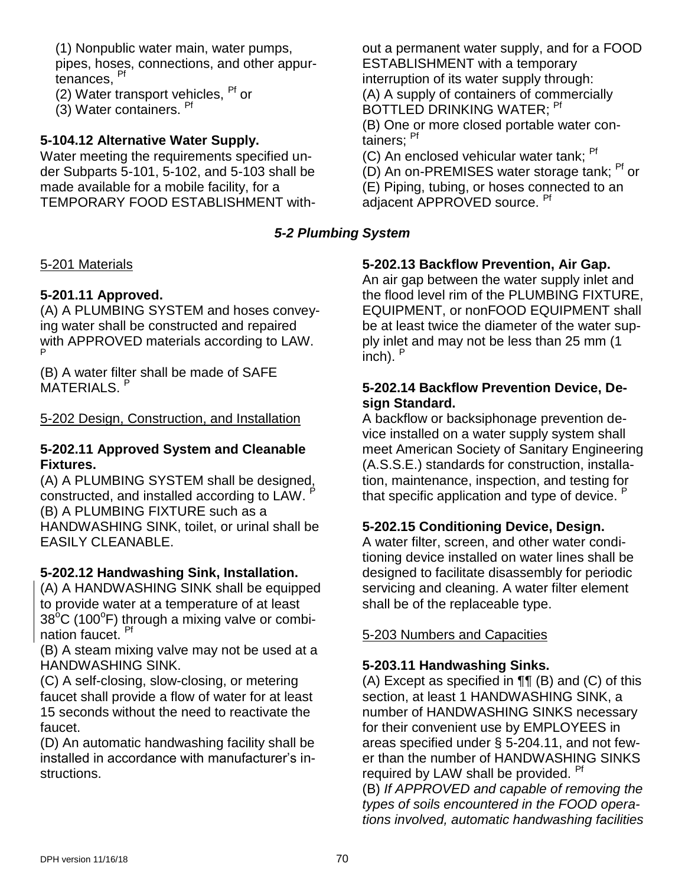(1) Nonpublic water main, water pumps, pipes, hoses, connections, and other appurtenances, Pf

- (2) Water transport vehicles,  $Pf$  or
- $(3)$  Water containers. <sup>Pf</sup>

#### **5-104.12 Alternative Water Supply.**

Water meeting the requirements specified under Subparts 5-101, 5-102, and 5-103 shall be made available for a mobile facility, for a TEMPORARY FOOD ESTABLISHMENT with-

#### 5-201 Materials

#### **5-201.11 Approved.**

(A) A PLUMBING SYSTEM and hoses conveying water shall be constructed and repaired with APPROVED materials according to LAW. P

(B) A water filter shall be made of SAFE MATERIALS. P

5-202 Design, Construction, and Installation

#### **5-202.11 Approved System and Cleanable Fixtures.**

(A) A PLUMBING SYSTEM shall be designed, constructed, and installed according to LAW. <sup>P</sup> (B) A PLUMBING FIXTURE such as a HANDWASHING SINK, toilet, or urinal shall be EASILY CLEANABLE.

#### **5-202.12 Handwashing Sink, Installation.**

(A) A HANDWASHING SINK shall be equipped to provide water at a temperature of at least  $38^{\circ}$ C (100°F) through a mixing valve or combination faucet. <sup>Pf</sup>

(B) A steam mixing valve may not be used at a HANDWASHING SINK.

(C) A self-closing, slow-closing, or metering faucet shall provide a flow of water for at least 15 seconds without the need to reactivate the faucet.

(D) An automatic handwashing facility shall be installed in accordance with manufacturer's instructions.

out a permanent water supply, and for a FOOD ESTABLISHMENT with a temporary interruption of its water supply through: (A) A supply of containers of commercially BOTTLED DRINKING WATER: Pf

(B) One or more closed portable water containers: <sup>Pf</sup>

(C) An enclosed vehicular water tank; <sup>Pf</sup> (D) An on-PREMISES water storage tank; <sup>Pf</sup> or (E) Piping, tubing, or hoses connected to an

adjacent APPROVED source. Pf

#### *5-2 Plumbing System*

#### **5-202.13 Backflow Prevention, Air Gap.**

An air gap between the water supply inlet and the flood level rim of the PLUMBING FIXTURE, EQUIPMENT, or nonFOOD EQUIPMENT shall be at least twice the diameter of the water supply inlet and may not be less than 25 mm (1  $inch$ ).  $P$ 

#### **5-202.14 Backflow Prevention Device, Design Standard.**

A backflow or backsiphonage prevention device installed on a water supply system shall meet American Society of Sanitary Engineering (A.S.S.E.) standards for construction, installation, maintenance, inspection, and testing for that specific application and type of device. <sup>P</sup>

#### **5-202.15 Conditioning Device, Design.**

A water filter, screen, and other water conditioning device installed on water lines shall be designed to facilitate disassembly for periodic servicing and cleaning. A water filter element shall be of the replaceable type.

#### 5-203 Numbers and Capacities

#### **5-203.11 Handwashing Sinks.**

(A) Except as specified in  $\P\P$  (B) and (C) of this section, at least 1 HANDWASHING SINK, a number of HANDWASHING SINKS necessary for their convenient use by EMPLOYEES in areas specified under § 5-204.11, and not fewer than the number of HANDWASHING SINKS required by LAW shall be provided. Pf (B) *If APPROVED and capable of removing the types of soils encountered in the FOOD operations involved, automatic handwashing facilities*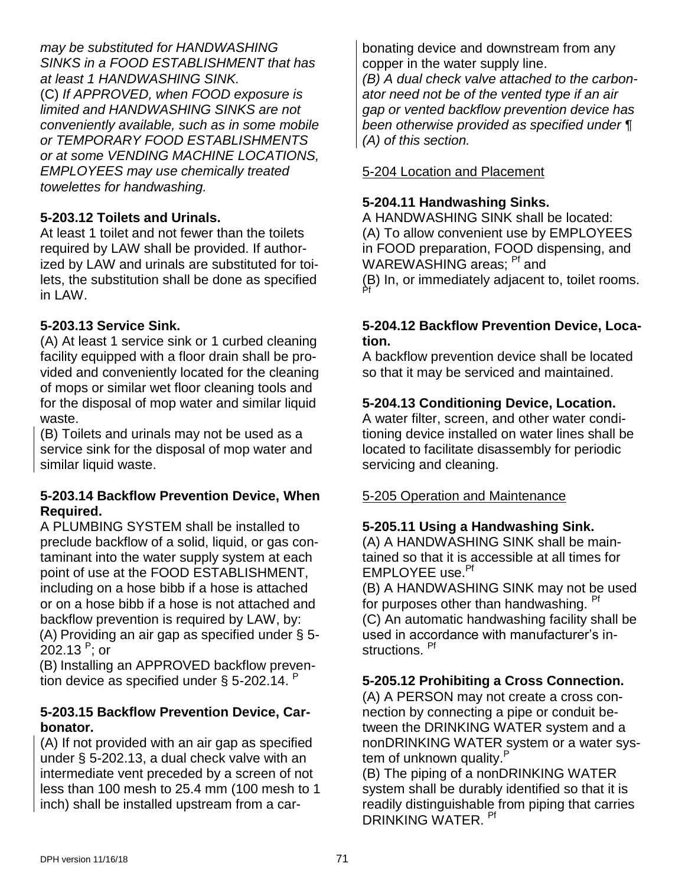*may be substituted for HANDWASHING SINKS in a FOOD ESTABLISHMENT that has at least 1 HANDWASHING SINK.* (C) *If APPROVED, when FOOD exposure is limited and HANDWASHING SINKS are not conveniently available, such as in some mobile or TEMPORARY FOOD ESTABLISHMENTS or at some VENDING MACHINE LOCATIONS, EMPLOYEES may use chemically treated towelettes for handwashing.*

## **5-203.12 Toilets and Urinals.**

At least 1 toilet and not fewer than the toilets required by LAW shall be provided. If authorized by LAW and urinals are substituted for toilets, the substitution shall be done as specified in LAW.

# **5-203.13 Service Sink.**

(A) At least 1 service sink or 1 curbed cleaning facility equipped with a floor drain shall be provided and conveniently located for the cleaning of mops or similar wet floor cleaning tools and for the disposal of mop water and similar liquid waste.

(B) Toilets and urinals may not be used as a service sink for the disposal of mop water and similar liquid waste.

## **5-203.14 Backflow Prevention Device, When Required.**

A PLUMBING SYSTEM shall be installed to preclude backflow of a solid, liquid, or gas contaminant into the water supply system at each point of use at the FOOD ESTABLISHMENT, including on a hose bibb if a hose is attached or on a hose bibb if a hose is not attached and backflow prevention is required by LAW, by: (A) Providing an air gap as specified under § 5- 202.13 <sup>P</sup> ; or

(B) Installing an APPROVED backflow prevention device as specified under § 5-202.14.  $P$ 

#### **5-203.15 Backflow Prevention Device, Carbonator.**

(A) If not provided with an air gap as specified under § 5-202.13, a dual check valve with an intermediate vent preceded by a screen of not less than 100 mesh to 25.4 mm (100 mesh to 1 inch) shall be installed upstream from a carbonating device and downstream from any copper in the water supply line.

*(B) A dual check valve attached to the carbonator need not be of the vented type if an air gap or vented backflow prevention device has been otherwise provided as specified under ¶ (A) of this section.*

5-204 Location and Placement

# **5-204.11 Handwashing Sinks.**

A HANDWASHING SINK shall be located: (A) To allow convenient use by EMPLOYEES in FOOD preparation, FOOD dispensing, and WAREWASHING areas: Pf and (B) In, or immediately adjacent to, toilet rooms. Pf

# **5-204.12 Backflow Prevention Device, Location.**

A backflow prevention device shall be located so that it may be serviced and maintained.

# **5-204.13 Conditioning Device, Location.**

A water filter, screen, and other water conditioning device installed on water lines shall be located to facilitate disassembly for periodic servicing and cleaning.

# 5-205 Operation and Maintenance

# **5-205.11 Using a Handwashing Sink.**

(A) A HANDWASHING SINK shall be maintained so that it is accessible at all times for EMPLOYEE use.<sup>Pf</sup>

(B) A HANDWASHING SINK may not be used for purposes other than handwashing. <sup>Pf</sup> (C) An automatic handwashing facility shall be used in accordance with manufacturer's instructions. <sup>Pf</sup>

# **5-205.12 Prohibiting a Cross Connection.**

(A) A PERSON may not create a cross connection by connecting a pipe or conduit between the DRINKING WATER system and a nonDRINKING WATER system or a water system of unknown quality.<sup>P</sup>

(B) The piping of a nonDRINKING WATER system shall be durably identified so that it is readily distinguishable from piping that carries DRINKING WATER. Pf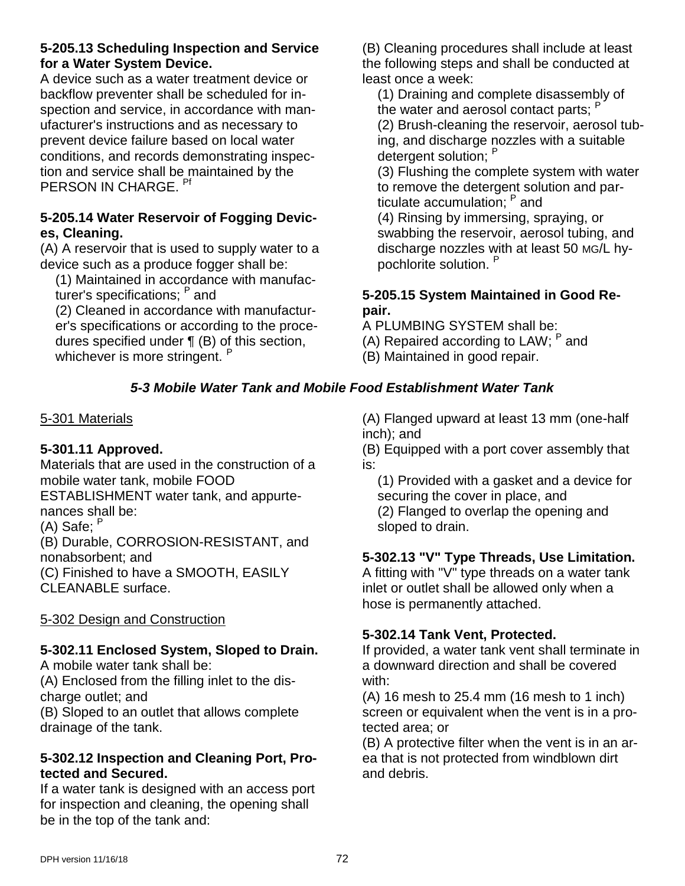#### **5-205.13 Scheduling Inspection and Service for a Water System Device.**

A device such as a water treatment device or backflow preventer shall be scheduled for inspection and service, in accordance with manufacturer's instructions and as necessary to prevent device failure based on local water conditions, and records demonstrating inspection and service shall be maintained by the PERSON IN CHARGE. Pf

### **5-205.14 Water Reservoir of Fogging Devices, Cleaning.**

(A) A reservoir that is used to supply water to a device such as a produce fogger shall be:

(1) Maintained in accordance with manufacturer's specifications; P and

(2) Cleaned in accordance with manufacturer's specifications or according to the procedures specified under ¶ (B) of this section, whichever is more stringent. <sup>P</sup>

(B) Cleaning procedures shall include at least the following steps and shall be conducted at least once a week:

(1) Draining and complete disassembly of the water and aerosol contact parts; P

(2) Brush-cleaning the reservoir, aerosol tubing, and discharge nozzles with a suitable detergent solution; P

(3) Flushing the complete system with water to remove the detergent solution and particulate accumulation; P and

(4) Rinsing by immersing, spraying, or swabbing the reservoir, aerosol tubing, and discharge nozzles with at least 50 MG/L hypochlorite solution. <sup>P</sup>

## **5-205.15 System Maintained in Good Repair.**

A PLUMBING SYSTEM shall be:

(A) Repaired according to  $LAW$ ;  $P$  and

(B) Maintained in good repair.

# *5-3 Mobile Water Tank and Mobile Food Establishment Water Tank*

# 5-301 Materials

# **5-301.11 Approved.**

Materials that are used in the construction of a mobile water tank, mobile FOOD

ESTABLISHMENT water tank, and appurtenances shall be:

 $(A)$  Safe;  $P$ 

(B) Durable, CORROSION-RESISTANT, and nonabsorbent; and

(C) Finished to have a SMOOTH, EASILY CLEANABLE surface.

5-302 Design and Construction

# **5-302.11 Enclosed System, Sloped to Drain.**

A mobile water tank shall be:

(A) Enclosed from the filling inlet to the discharge outlet; and

(B) Sloped to an outlet that allows complete drainage of the tank.

## **5-302.12 Inspection and Cleaning Port, Protected and Secured.**

If a water tank is designed with an access port for inspection and cleaning, the opening shall be in the top of the tank and:

(A) Flanged upward at least 13 mm (one-half inch); and

(B) Equipped with a port cover assembly that is:

(1) Provided with a gasket and a device for securing the cover in place, and (2) Flanged to overlap the opening and sloped to drain.

# **5-302.13 "V" Type Threads, Use Limitation.**

A fitting with "V" type threads on a water tank inlet or outlet shall be allowed only when a hose is permanently attached.

# **5-302.14 Tank Vent, Protected.**

If provided, a water tank vent shall terminate in a downward direction and shall be covered with:

(A) 16 mesh to 25.4 mm (16 mesh to 1 inch) screen or equivalent when the vent is in a protected area; or

(B) A protective filter when the vent is in an area that is not protected from windblown dirt and debris.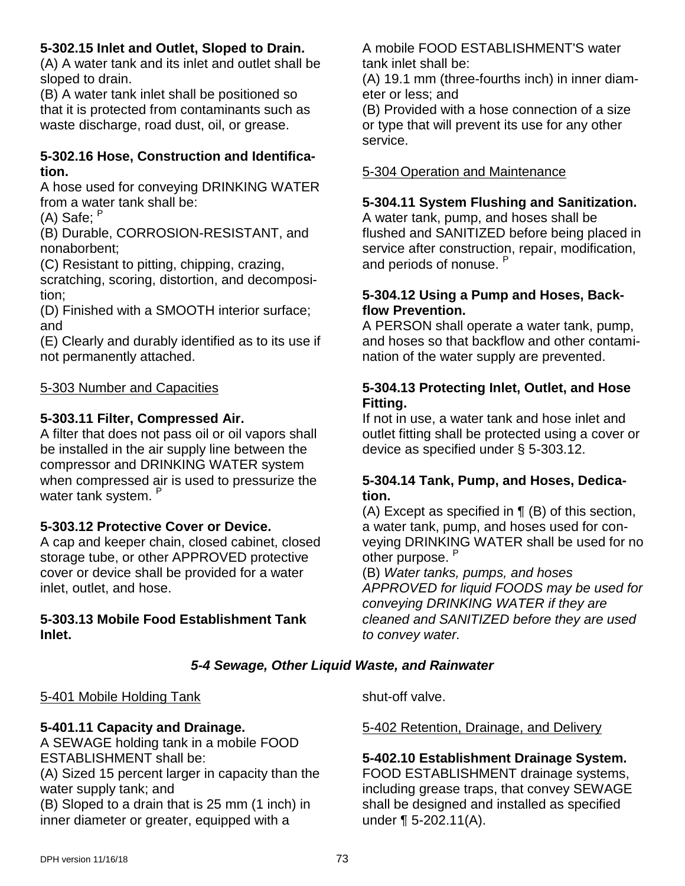### **5-302.15 Inlet and Outlet, Sloped to Drain.**

(A) A water tank and its inlet and outlet shall be sloped to drain.

(B) A water tank inlet shall be positioned so that it is protected from contaminants such as waste discharge, road dust, oil, or grease.

#### **5-302.16 Hose, Construction and Identification.**

A hose used for conveying DRINKING WATER from a water tank shall be:

 $(A)$  Safe:  $P$ 

(B) Durable, CORROSION-RESISTANT, and nonaborbent;

(C) Resistant to pitting, chipping, crazing,

scratching, scoring, distortion, and decomposition;

(D) Finished with a SMOOTH interior surface; and

(E) Clearly and durably identified as to its use if not permanently attached.

### 5-303 Number and Capacities

### **5-303.11 Filter, Compressed Air.**

A filter that does not pass oil or oil vapors shall be installed in the air supply line between the compressor and DRINKING WATER system when compressed air is used to pressurize the water tank system. P

### **5-303.12 Protective Cover or Device.**

A cap and keeper chain, closed cabinet, closed storage tube, or other APPROVED protective cover or device shall be provided for a water inlet, outlet, and hose.

#### **5-303.13 Mobile Food Establishment Tank Inlet.**

A mobile FOOD ESTABLISHMENT'S water tank inlet shall be:

(A) 19.1 mm (three-fourths inch) in inner diameter or less; and

(B) Provided with a hose connection of a size or type that will prevent its use for any other service.

## 5-304 Operation and Maintenance

## **5-304.11 System Flushing and Sanitization.**

A water tank, pump, and hoses shall be flushed and SANITIZED before being placed in service after construction, repair, modification, and periods of nonuse. <sup>P</sup>

### **5-304.12 Using a Pump and Hoses, Backflow Prevention.**

A PERSON shall operate a water tank, pump, and hoses so that backflow and other contamination of the water supply are prevented.

### **5-304.13 Protecting Inlet, Outlet, and Hose Fitting.**

If not in use, a water tank and hose inlet and outlet fitting shall be protected using a cover or device as specified under § 5-303.12.

### **5-304.14 Tank, Pump, and Hoses, Dedication.**

(A) Except as specified in  $\P$  (B) of this section, a water tank, pump, and hoses used for conveying DRINKING WATER shall be used for no other purpose. P

(B) *Water tanks, pumps, and hoses APPROVED for liquid FOODS may be used for conveying DRINKING WATER if they are cleaned and SANITIZED before they are used to convey water.*

#### *5-4 Sewage, Other Liquid Waste, and Rainwater*

### 5-401 Mobile Holding Tank

### **5-401.11 Capacity and Drainage.**

A SEWAGE holding tank in a mobile FOOD ESTABLISHMENT shall be:

(A) Sized 15 percent larger in capacity than the water supply tank; and

(B) Sloped to a drain that is 25 mm (1 inch) in inner diameter or greater, equipped with a

shut-off valve.

5-402 Retention, Drainage, and Delivery

#### **5-402.10 Establishment Drainage System.** FOOD ESTABLISHMENT drainage systems, including grease traps, that convey SEWAGE shall be designed and installed as specified under ¶ 5-202.11(A).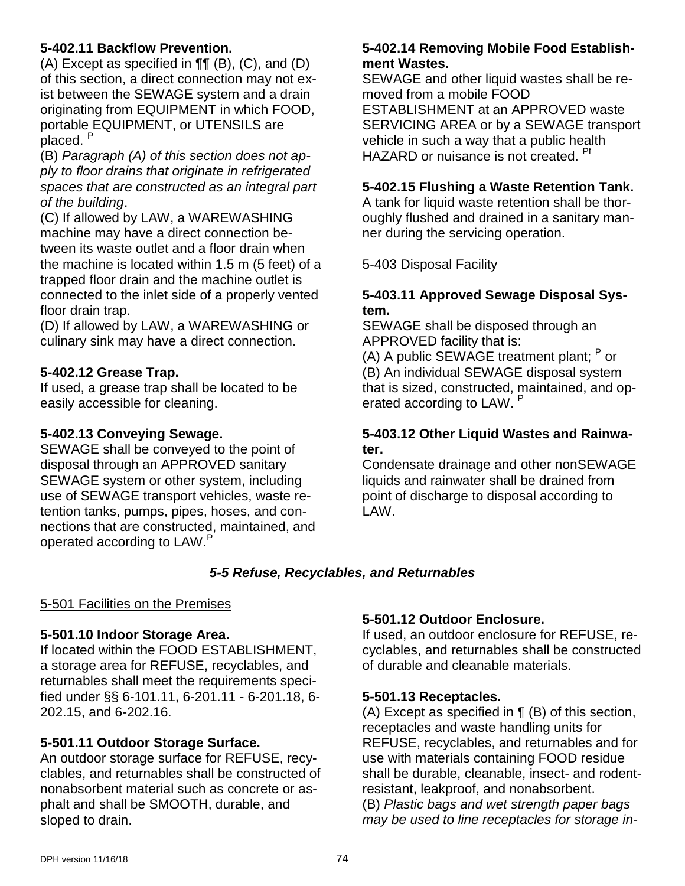### **5-402.11 Backflow Prevention.**

(A) Except as specified in  $\P\P$  (B), (C), and (D) of this section, a direct connection may not exist between the SEWAGE system and a drain originating from EQUIPMENT in which FOOD, portable EQUIPMENT, or UTENSILS are placed.<sup>P</sup>

(B) *Paragraph (A) of this section does not apply to floor drains that originate in refrigerated spaces that are constructed as an integral part of the building*.

(C) If allowed by LAW, a WAREWASHING machine may have a direct connection between its waste outlet and a floor drain when the machine is located within 1.5 m (5 feet) of a trapped floor drain and the machine outlet is connected to the inlet side of a properly vented floor drain trap.

(D) If allowed by LAW, a WAREWASHING or culinary sink may have a direct connection.

### **5-402.12 Grease Trap.**

If used, a grease trap shall be located to be easily accessible for cleaning.

### **5-402.13 Conveying Sewage.**

SEWAGE shall be conveyed to the point of disposal through an APPROVED sanitary SEWAGE system or other system, including use of SEWAGE transport vehicles, waste retention tanks, pumps, pipes, hoses, and connections that are constructed, maintained, and operated according to LAW.<sup>P</sup>

## **5-402.14 Removing Mobile Food Establishment Wastes.**

SEWAGE and other liquid wastes shall be removed from a mobile FOOD ESTABLISHMENT at an APPROVED waste SERVICING AREA or by a SEWAGE transport vehicle in such a way that a public health HAZARD or nuisance is not created. <sup>Pf</sup>

## **5-402.15 Flushing a Waste Retention Tank.**

A tank for liquid waste retention shall be thoroughly flushed and drained in a sanitary manner during the servicing operation.

## 5-403 Disposal Facility

## **5-403.11 Approved Sewage Disposal System.**

SEWAGE shall be disposed through an APPROVED facility that is:

(A) A public SEWAGE treatment plant;  $P$  or (B) An individual SEWAGE disposal system that is sized, constructed, maintained, and operated according to LAW. <sup>P</sup>

### **5-403.12 Other Liquid Wastes and Rainwater.**

Condensate drainage and other nonSEWAGE liquids and rainwater shall be drained from point of discharge to disposal according to LAW.

## *5-5 Refuse, Recyclables, and Returnables*

## 5-501 Facilities on the Premises

## **5-501.10 Indoor Storage Area.**

If located within the FOOD ESTABLISHMENT, a storage area for REFUSE, recyclables, and returnables shall meet the requirements specified under §§ 6-101.11, 6-201.11 - 6-201.18, 6- 202.15, and 6-202.16.

## **5-501.11 Outdoor Storage Surface.**

An outdoor storage surface for REFUSE, recyclables, and returnables shall be constructed of nonabsorbent material such as concrete or asphalt and shall be SMOOTH, durable, and sloped to drain.

## **5-501.12 Outdoor Enclosure.**

If used, an outdoor enclosure for REFUSE, recyclables, and returnables shall be constructed of durable and cleanable materials.

## **5-501.13 Receptacles.**

(A) Except as specified in  $\P$  (B) of this section, receptacles and waste handling units for REFUSE, recyclables, and returnables and for use with materials containing FOOD residue shall be durable, cleanable, insect- and rodentresistant, leakproof, and nonabsorbent. (B) *Plastic bags and wet strength paper bags may be used to line receptacles for storage in-*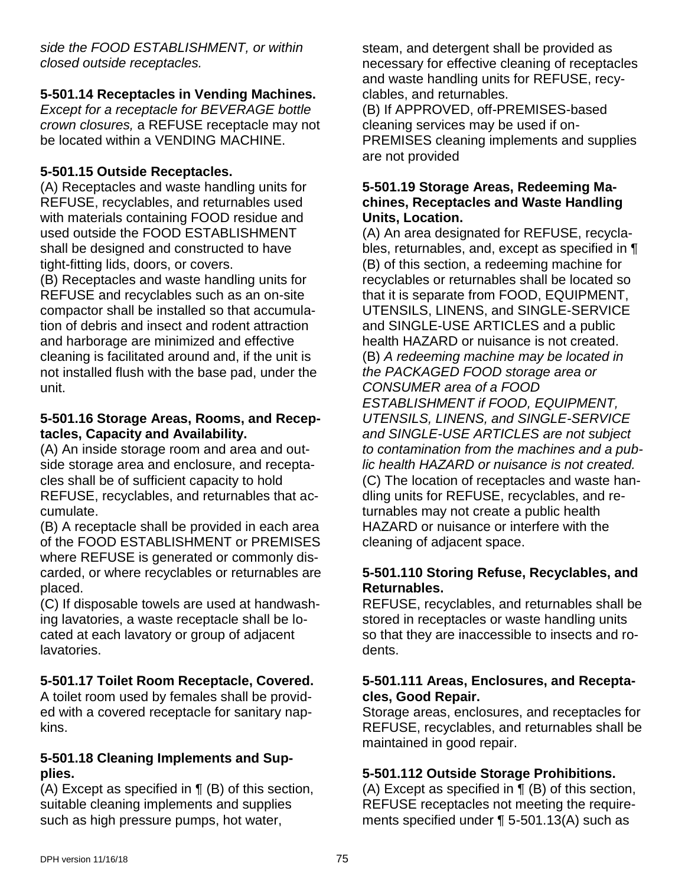*side the FOOD ESTABLISHMENT, or within closed outside receptacles.*

### **5-501.14 Receptacles in Vending Machines.**

*Except for a receptacle for BEVERAGE bottle crown closures,* a REFUSE receptacle may not be located within a VENDING MACHINE.

#### **5-501.15 Outside Receptacles.**

(A) Receptacles and waste handling units for REFUSE, recyclables, and returnables used with materials containing FOOD residue and used outside the FOOD ESTABLISHMENT shall be designed and constructed to have tight-fitting lids, doors, or covers.

(B) Receptacles and waste handling units for REFUSE and recyclables such as an on-site compactor shall be installed so that accumulation of debris and insect and rodent attraction and harborage are minimized and effective cleaning is facilitated around and, if the unit is not installed flush with the base pad, under the unit.

### **5-501.16 Storage Areas, Rooms, and Receptacles, Capacity and Availability.**

(A) An inside storage room and area and outside storage area and enclosure, and receptacles shall be of sufficient capacity to hold REFUSE, recyclables, and returnables that accumulate.

(B) A receptacle shall be provided in each area of the FOOD ESTABLISHMENT or PREMISES where REFUSE is generated or commonly discarded, or where recyclables or returnables are placed.

(C) If disposable towels are used at handwashing lavatories, a waste receptacle shall be located at each lavatory or group of adjacent lavatories.

## **5-501.17 Toilet Room Receptacle, Covered.**

A toilet room used by females shall be provided with a covered receptacle for sanitary napkins.

### **5-501.18 Cleaning Implements and Supplies.**

(A) Except as specified in ¶ (B) of this section, suitable cleaning implements and supplies such as high pressure pumps, hot water,

steam, and detergent shall be provided as necessary for effective cleaning of receptacles and waste handling units for REFUSE, recyclables, and returnables.

(B) If APPROVED, off-PREMISES-based cleaning services may be used if on-PREMISES cleaning implements and supplies are not provided

#### **5-501.19 Storage Areas, Redeeming Machines, Receptacles and Waste Handling Units, Location.**

(A) An area designated for REFUSE, recyclables, returnables, and, except as specified in ¶ (B) of this section, a redeeming machine for recyclables or returnables shall be located so that it is separate from FOOD, EQUIPMENT, UTENSILS, LINENS, and SINGLE-SERVICE and SINGLE-USE ARTICLES and a public health HAZARD or nuisance is not created. (B) *A redeeming machine may be located in the PACKAGED FOOD storage area or CONSUMER area of a FOOD ESTABLISHMENT if FOOD, EQUIPMENT, UTENSILS, LINENS, and SINGLE-SERVICE and SINGLE-USE ARTICLES are not subject to contamination from the machines and a public health HAZARD or nuisance is not created.* (C) The location of receptacles and waste handling units for REFUSE, recyclables, and returnables may not create a public health HAZARD or nuisance or interfere with the cleaning of adjacent space.

### **5-501.110 Storing Refuse, Recyclables, and Returnables.**

REFUSE, recyclables, and returnables shall be stored in receptacles or waste handling units so that they are inaccessible to insects and rodents.

### **5-501.111 Areas, Enclosures, and Receptacles, Good Repair.**

Storage areas, enclosures, and receptacles for REFUSE, recyclables, and returnables shall be maintained in good repair.

## **5-501.112 Outside Storage Prohibitions.**

(A) Except as specified in ¶ (B) of this section, REFUSE receptacles not meeting the requirements specified under ¶ 5-501.13(A) such as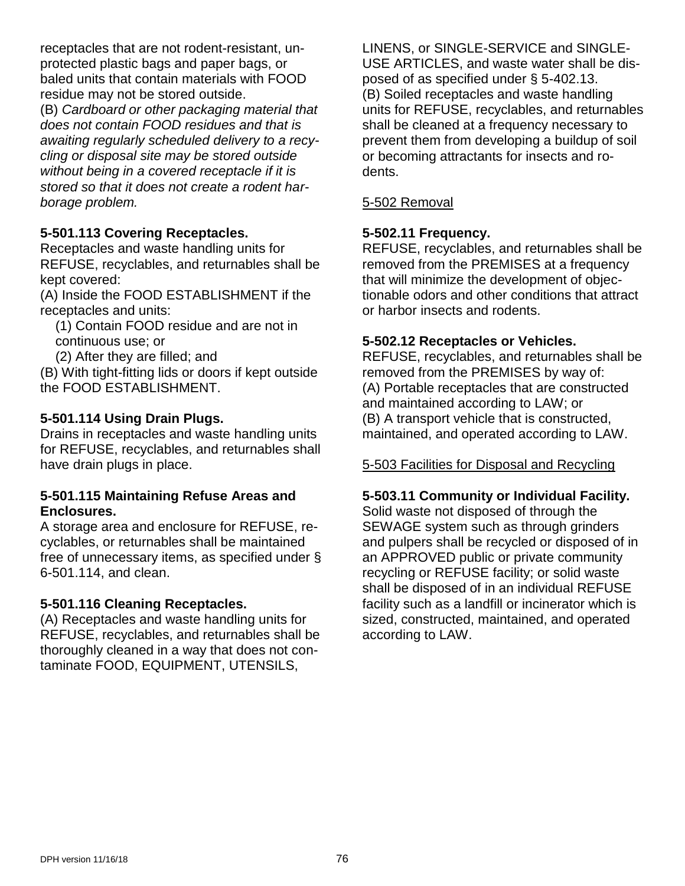receptacles that are not rodent-resistant, unprotected plastic bags and paper bags, or baled units that contain materials with FOOD residue may not be stored outside.

(B) *Cardboard or other packaging material that does not contain FOOD residues and that is awaiting regularly scheduled delivery to a recycling or disposal site may be stored outside without being in a covered receptacle if it is stored so that it does not create a rodent harborage problem.*

### **5-501.113 Covering Receptacles.**

Receptacles and waste handling units for REFUSE, recyclables, and returnables shall be kept covered:

(A) Inside the FOOD ESTABLISHMENT if the receptacles and units:

(1) Contain FOOD residue and are not in continuous use; or

(2) After they are filled; and

(B) With tight-fitting lids or doors if kept outside the FOOD ESTABLISHMENT.

#### **5-501.114 Using Drain Plugs.**

Drains in receptacles and waste handling units for REFUSE, recyclables, and returnables shall have drain plugs in place.

#### **5-501.115 Maintaining Refuse Areas and Enclosures.**

A storage area and enclosure for REFUSE, recyclables, or returnables shall be maintained free of unnecessary items, as specified under § 6-501.114, and clean.

#### **5-501.116 Cleaning Receptacles.**

(A) Receptacles and waste handling units for REFUSE, recyclables, and returnables shall be thoroughly cleaned in a way that does not contaminate FOOD, EQUIPMENT, UTENSILS,

LINENS, or SINGLE-SERVICE and SINGLE-USE ARTICLES, and waste water shall be disposed of as specified under § 5-402.13. (B) Soiled receptacles and waste handling units for REFUSE, recyclables, and returnables shall be cleaned at a frequency necessary to prevent them from developing a buildup of soil or becoming attractants for insects and rodents.

#### 5-502 Removal

#### **5-502.11 Frequency.**

REFUSE, recyclables, and returnables shall be removed from the PREMISES at a frequency that will minimize the development of objectionable odors and other conditions that attract or harbor insects and rodents.

#### **5-502.12 Receptacles or Vehicles.**

REFUSE, recyclables, and returnables shall be removed from the PREMISES by way of: (A) Portable receptacles that are constructed and maintained according to LAW; or (B) A transport vehicle that is constructed, maintained, and operated according to LAW.

5-503 Facilities for Disposal and Recycling

#### **5-503.11 Community or Individual Facility.**

Solid waste not disposed of through the SEWAGE system such as through grinders and pulpers shall be recycled or disposed of in an APPROVED public or private community recycling or REFUSE facility; or solid waste shall be disposed of in an individual REFUSE facility such as a landfill or incinerator which is sized, constructed, maintained, and operated according to LAW.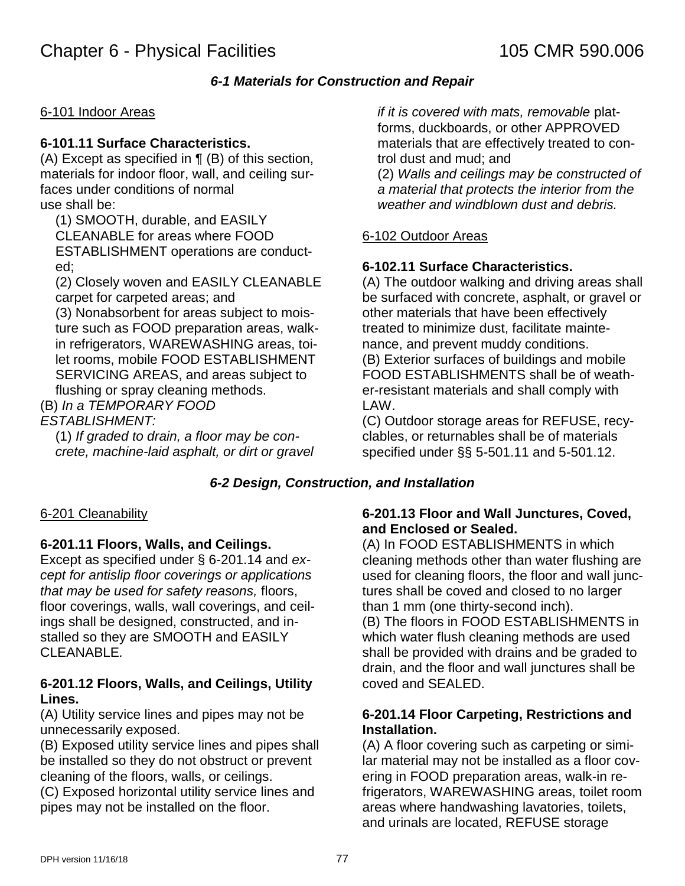### *6-1 Materials for Construction and Repair*

#### 6-101 Indoor Areas

### **6-101.11 Surface Characteristics.**

(A) Except as specified in  $\P$  (B) of this section, materials for indoor floor, wall, and ceiling surfaces under conditions of normal use shall be:

(1) SMOOTH, durable, and EASILY CLEANABLE for areas where FOOD ESTABLISHMENT operations are conducted;

(2) Closely woven and EASILY CLEANABLE carpet for carpeted areas; and

(3) Nonabsorbent for areas subject to moisture such as FOOD preparation areas, walkin refrigerators, WAREWASHING areas, toilet rooms, mobile FOOD ESTABLISHMENT SERVICING AREAS, and areas subject to flushing or spray cleaning methods.

(B) *In a TEMPORARY FOOD* 

*ESTABLISHMENT:*

(1) *If graded to drain, a floor may be concrete, machine-laid asphalt, or dirt or gravel*  *if it is covered with mats, removable* platforms, duckboards, or other APPROVED materials that are effectively treated to control dust and mud; and

(2) *Walls and ceilings may be constructed of a material that protects the interior from the weather and windblown dust and debris.*

#### 6-102 Outdoor Areas

#### **6-102.11 Surface Characteristics.**

(A) The outdoor walking and driving areas shall be surfaced with concrete, asphalt, or gravel or other materials that have been effectively treated to minimize dust, facilitate maintenance, and prevent muddy conditions. (B) Exterior surfaces of buildings and mobile FOOD ESTABLISHMENTS shall be of weather-resistant materials and shall comply with LAW.

(C) Outdoor storage areas for REFUSE, recyclables, or returnables shall be of materials specified under §§ 5-501.11 and 5-501.12.

#### *6-2 Design, Construction, and Installation*

#### 6-201 Cleanability

#### **6-201.11 Floors, Walls, and Ceilings.**

Except as specified under § 6-201.14 and *except for antislip floor coverings or applications that may be used for safety reasons,* floors, floor coverings, walls, wall coverings, and ceilings shall be designed, constructed, and installed so they are SMOOTH and EASILY CLEANABLE*.*

### **6-201.12 Floors, Walls, and Ceilings, Utility Lines.**

(A) Utility service lines and pipes may not be unnecessarily exposed.

(B) Exposed utility service lines and pipes shall be installed so they do not obstruct or prevent cleaning of the floors, walls, or ceilings.

(C) Exposed horizontal utility service lines and pipes may not be installed on the floor.

### **6-201.13 Floor and Wall Junctures, Coved, and Enclosed or Sealed.**

(A) In FOOD ESTABLISHMENTS in which cleaning methods other than water flushing are used for cleaning floors, the floor and wall junctures shall be coved and closed to no larger than 1 mm (one thirty-second inch). (B) The floors in FOOD ESTABLISHMENTS in which water flush cleaning methods are used shall be provided with drains and be graded to drain, and the floor and wall junctures shall be coved and SEALED.

#### **6-201.14 Floor Carpeting, Restrictions and Installation.**

(A) A floor covering such as carpeting or similar material may not be installed as a floor covering in FOOD preparation areas, walk-in refrigerators, WAREWASHING areas, toilet room areas where handwashing lavatories, toilets, and urinals are located, REFUSE storage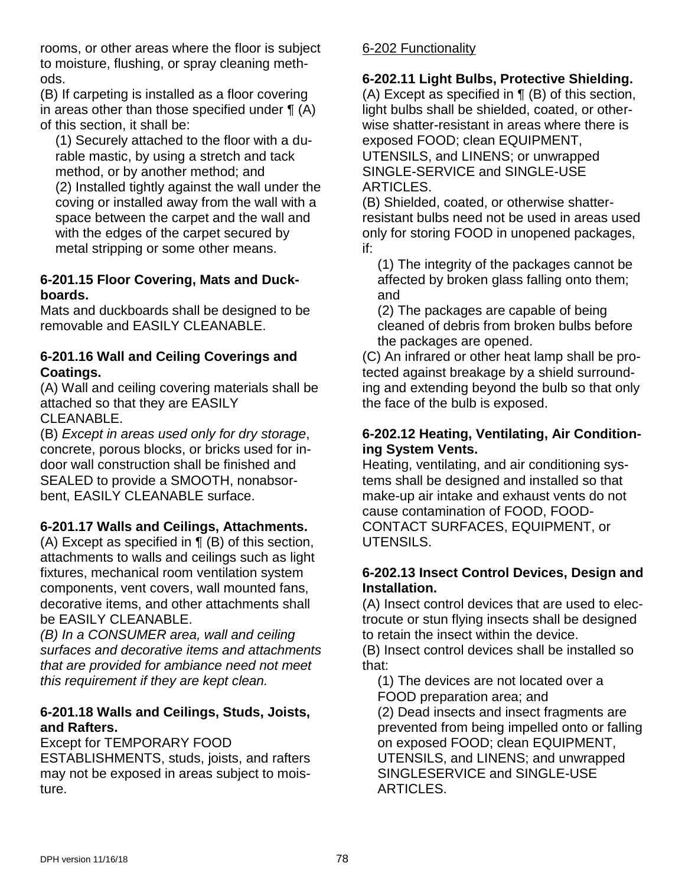rooms, or other areas where the floor is subject to moisture, flushing, or spray cleaning methods.

(B) If carpeting is installed as a floor covering in areas other than those specified under  $\P(A)$ of this section, it shall be:

(1) Securely attached to the floor with a durable mastic, by using a stretch and tack method, or by another method; and (2) Installed tightly against the wall under the coving or installed away from the wall with a space between the carpet and the wall and with the edges of the carpet secured by metal stripping or some other means.

#### **6-201.15 Floor Covering, Mats and Duckboards.**

Mats and duckboards shall be designed to be removable and EASILY CLEANABLE.

### **6-201.16 Wall and Ceiling Coverings and Coatings.**

(A) Wall and ceiling covering materials shall be attached so that they are EASILY CLEANABLE.

(B) *Except in areas used only for dry storage*, concrete, porous blocks, or bricks used for indoor wall construction shall be finished and SEALED to provide a SMOOTH, nonabsorbent, EASILY CLEANABLE surface.

## **6-201.17 Walls and Ceilings, Attachments.**

(A) Except as specified in ¶ (B) of this section, attachments to walls and ceilings such as light fixtures, mechanical room ventilation system components, vent covers, wall mounted fans, decorative items, and other attachments shall be EASILY CLEANABLE.

*(B) In a CONSUMER area, wall and ceiling surfaces and decorative items and attachments that are provided for ambiance need not meet this requirement if they are kept clean.*

### **6-201.18 Walls and Ceilings, Studs, Joists, and Rafters.**

Except for TEMPORARY FOOD

ESTABLISHMENTS, studs, joists, and rafters may not be exposed in areas subject to moisture.

## 6-202 Functionality

### **6-202.11 Light Bulbs, Protective Shielding.**

(A) Except as specified in ¶ (B) of this section, light bulbs shall be shielded, coated, or otherwise shatter-resistant in areas where there is exposed FOOD; clean EQUIPMENT, UTENSILS, and LINENS; or unwrapped

SINGLE-SERVICE and SINGLE-USE **ARTICLES.** 

(B) Shielded, coated, or otherwise shatterresistant bulbs need not be used in areas used only for storing FOOD in unopened packages, if:

(1) The integrity of the packages cannot be affected by broken glass falling onto them; and

(2) The packages are capable of being cleaned of debris from broken bulbs before the packages are opened.

(C) An infrared or other heat lamp shall be protected against breakage by a shield surrounding and extending beyond the bulb so that only the face of the bulb is exposed.

### **6-202.12 Heating, Ventilating, Air Conditioning System Vents.**

Heating, ventilating, and air conditioning systems shall be designed and installed so that make-up air intake and exhaust vents do not cause contamination of FOOD, FOOD-CONTACT SURFACES, EQUIPMENT, or UTENSILS.

### **6-202.13 Insect Control Devices, Design and Installation.**

(A) Insect control devices that are used to electrocute or stun flying insects shall be designed to retain the insect within the device.

(B) Insect control devices shall be installed so that:

(1) The devices are not located over a FOOD preparation area; and

(2) Dead insects and insect fragments are prevented from being impelled onto or falling on exposed FOOD; clean EQUIPMENT, UTENSILS, and LINENS; and unwrapped SINGLESERVICE and SINGLE-USE ARTICLES.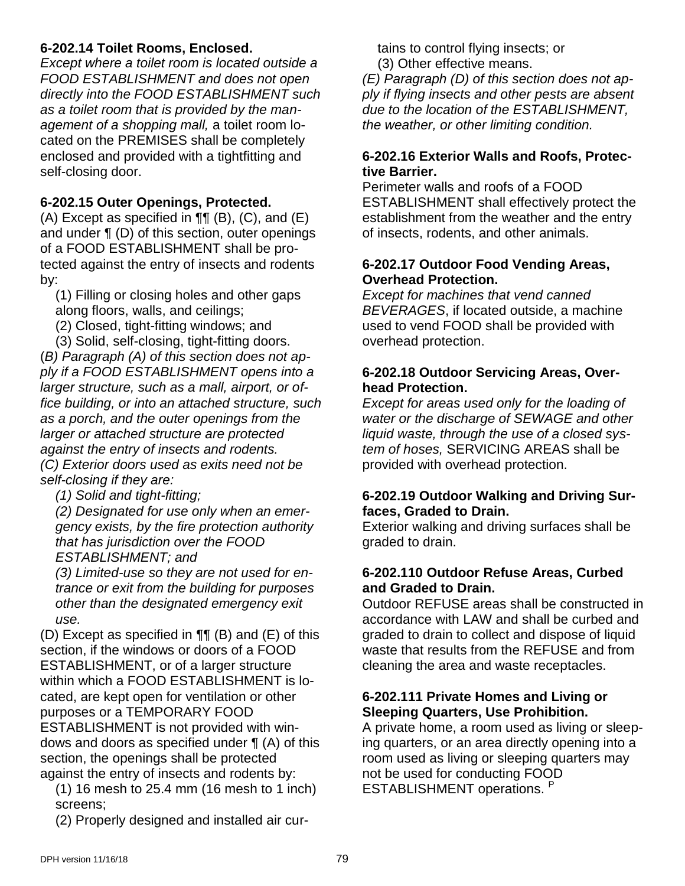### **6-202.14 Toilet Rooms, Enclosed.**

*Except where a toilet room is located outside a FOOD ESTABLISHMENT and does not open directly into the FOOD ESTABLISHMENT such as a toilet room that is provided by the management of a shopping mall,* a toilet room located on the PREMISES shall be completely enclosed and provided with a tightfitting and self-closing door.

### **6-202.15 Outer Openings, Protected.**

(A) Except as specified in  $\P\P$  (B), (C), and (E) and under ¶ (D) of this section, outer openings of a FOOD ESTABLISHMENT shall be protected against the entry of insects and rodents by:

- (1) Filling or closing holes and other gaps along floors, walls, and ceilings;
- (2) Closed, tight-fitting windows; and

(3) Solid, self-closing, tight-fitting doors. (*B) Paragraph (A) of this section does not apply if a FOOD ESTABLISHMENT opens into a larger structure, such as a mall, airport, or office building, or into an attached structure, such as a porch, and the outer openings from the larger or attached structure are protected against the entry of insects and rodents. (C) Exterior doors used as exits need not be self-closing if they are:*

*(1) Solid and tight-fitting;*

*(2) Designated for use only when an emergency exists, by the fire protection authority that has jurisdiction over the FOOD ESTABLISHMENT; and*

*(3) Limited-use so they are not used for entrance or exit from the building for purposes other than the designated emergency exit use.*

(D) Except as specified in  $\P\P$  (B) and (E) of this section, if the windows or doors of a FOOD ESTABLISHMENT, or of a larger structure within which a FOOD ESTABLISHMENT is located, are kept open for ventilation or other purposes or a TEMPORARY FOOD ESTABLISHMENT is not provided with windows and doors as specified under ¶ (A) of this section, the openings shall be protected against the entry of insects and rodents by:

(1) 16 mesh to 25.4 mm (16 mesh to 1 inch) screens;

(2) Properly designed and installed air cur-

tains to control flying insects; or (3) Other effective means.

*(E) Paragraph (D) of this section does not apply if flying insects and other pests are absent due to the location of the ESTABLISHMENT, the weather, or other limiting condition.*

#### **6-202.16 Exterior Walls and Roofs, Protective Barrier.**

Perimeter walls and roofs of a FOOD ESTABLISHMENT shall effectively protect the establishment from the weather and the entry of insects, rodents, and other animals.

#### **6-202.17 Outdoor Food Vending Areas, Overhead Protection.**

*Except for machines that vend canned BEVERAGES*, if located outside, a machine used to vend FOOD shall be provided with overhead protection.

#### **6-202.18 Outdoor Servicing Areas, Overhead Protection.**

*Except for areas used only for the loading of water or the discharge of SEWAGE and other liquid waste, through the use of a closed system of hoses,* SERVICING AREAS shall be provided with overhead protection.

#### **6-202.19 Outdoor Walking and Driving Surfaces, Graded to Drain.**

Exterior walking and driving surfaces shall be graded to drain.

### **6-202.110 Outdoor Refuse Areas, Curbed and Graded to Drain.**

Outdoor REFUSE areas shall be constructed in accordance with LAW and shall be curbed and graded to drain to collect and dispose of liquid waste that results from the REFUSE and from cleaning the area and waste receptacles.

#### **6-202.111 Private Homes and Living or Sleeping Quarters, Use Prohibition.**

A private home, a room used as living or sleeping quarters, or an area directly opening into a room used as living or sleeping quarters may not be used for conducting FOOD ESTABLISHMENT operations. P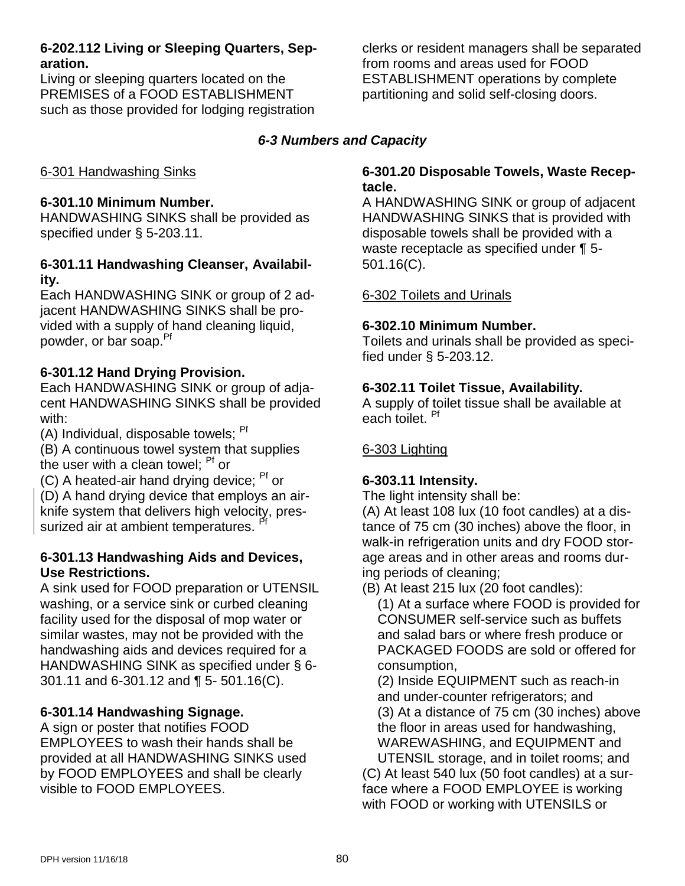### **6-202.112 Living or Sleeping Quarters, Separation.**

Living or sleeping quarters located on the PREMISES of a FOOD ESTABLISHMENT such as those provided for lodging registration clerks or resident managers shall be separated from rooms and areas used for FOOD ESTABLISHMENT operations by complete partitioning and solid self-closing doors.

### *6-3 Numbers and Capacity*

### 6-301 Handwashing Sinks

### **6-301.10 Minimum Number.**

HANDWASHING SINKS shall be provided as specified under § 5-203.11.

### **6-301.11 Handwashing Cleanser, Availability.**

Each HANDWASHING SINK or group of 2 adjacent HANDWASHING SINKS shall be provided with a supply of hand cleaning liquid, powder, or bar soap.Pf

### **6-301.12 Hand Drying Provision.**

Each HANDWASHING SINK or group of adjacent HANDWASHING SINKS shall be provided with:

(A) Individual, disposable towels; <sup>Pf</sup>

(B) A continuous towel system that supplies the user with a clean towel; <sup>Pf</sup> or

 $(C)$  A heated-air hand drying device;  $Pf$  or (D) A hand drying device that employs an airknife system that delivers high velocity, pressurized air at ambient temperatures.

#### **6-301.13 Handwashing Aids and Devices, Use Restrictions.**

A sink used for FOOD preparation or UTENSIL washing, or a service sink or curbed cleaning facility used for the disposal of mop water or similar wastes, may not be provided with the handwashing aids and devices required for a HANDWASHING SINK as specified under § 6- 301.11 and 6-301.12 and ¶ 5- 501.16(C).

### **6-301.14 Handwashing Signage.**

A sign or poster that notifies FOOD EMPLOYEES to wash their hands shall be provided at all HANDWASHING SINKS used by FOOD EMPLOYEES and shall be clearly visible to FOOD EMPLOYEES.

### **6-301.20 Disposable Towels, Waste Receptacle.**

A HANDWASHING SINK or group of adjacent HANDWASHING SINKS that is provided with disposable towels shall be provided with a waste receptacle as specified under ¶ 5- 501.16(C).

#### 6-302 Toilets and Urinals

### **6-302.10 Minimum Number.**

Toilets and urinals shall be provided as specified under § 5-203.12.

### **6-302.11 Toilet Tissue, Availability.**

A supply of toilet tissue shall be available at each toilet. Pf

### 6-303 Lighting

### **6-303.11 Intensity.**

The light intensity shall be:

(A) At least 108 lux (10 foot candles) at a distance of 75 cm (30 inches) above the floor, in walk-in refrigeration units and dry FOOD storage areas and in other areas and rooms during periods of cleaning;

(B) At least 215 lux (20 foot candles):

(1) At a surface where FOOD is provided for CONSUMER self-service such as buffets and salad bars or where fresh produce or PACKAGED FOODS are sold or offered for consumption,

(2) Inside EQUIPMENT such as reach-in and under-counter refrigerators; and (3) At a distance of 75 cm (30 inches) above the floor in areas used for handwashing,

WAREWASHING, and EQUIPMENT and UTENSIL storage, and in toilet rooms; and (C) At least 540 lux (50 foot candles) at a surface where a FOOD EMPLOYEE is working with FOOD or working with UTENSILS or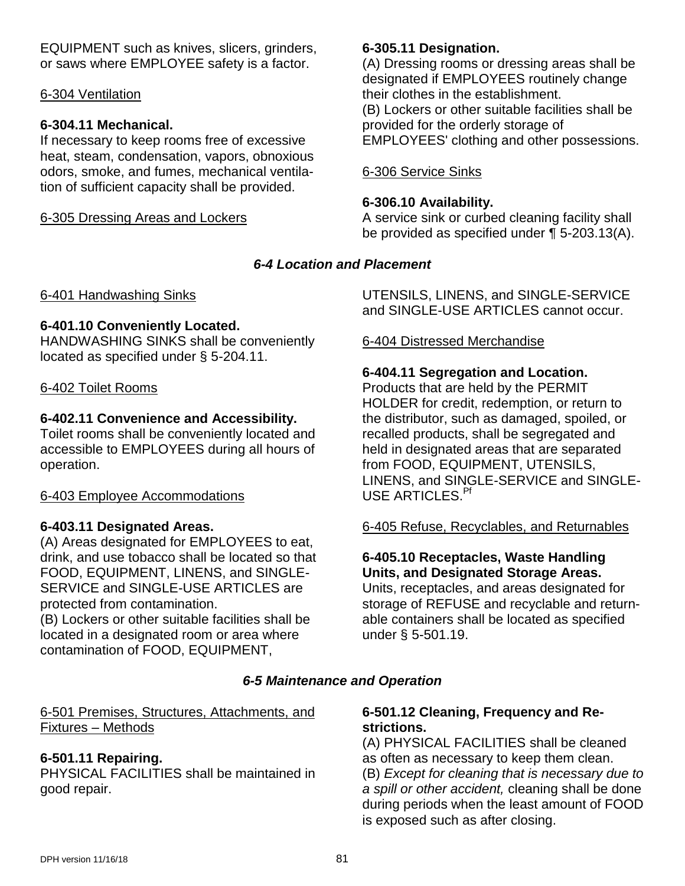EQUIPMENT such as knives, slicers, grinders, or saws where EMPLOYEE safety is a factor.

#### 6-304 Ventilation

#### **6-304.11 Mechanical.**

If necessary to keep rooms free of excessive heat, steam, condensation, vapors, obnoxious odors, smoke, and fumes, mechanical ventilation of sufficient capacity shall be provided.

6-305 Dressing Areas and Lockers

#### **6-305.11 Designation.**

(A) Dressing rooms or dressing areas shall be designated if EMPLOYEES routinely change their clothes in the establishment. (B) Lockers or other suitable facilities shall be provided for the orderly storage of EMPLOYEES' clothing and other possessions.

### 6-306 Service Sinks

#### **6-306.10 Availability.**

A service sink or curbed cleaning facility shall be provided as specified under ¶ 5-203.13(A).

#### *6-4 Location and Placement*

### 6-401 Handwashing Sinks

### **6-401.10 Conveniently Located.**

HANDWASHING SINKS shall be conveniently located as specified under § 5-204.11.

#### 6-402 Toilet Rooms

### **6-402.11 Convenience and Accessibility.**

Toilet rooms shall be conveniently located and accessible to EMPLOYEES during all hours of operation.

#### 6-403 Employee Accommodations

#### **6-403.11 Designated Areas.**

(A) Areas designated for EMPLOYEES to eat, drink, and use tobacco shall be located so that FOOD, EQUIPMENT, LINENS, and SINGLE-SERVICE and SINGLE-USE ARTICLES are protected from contamination.

(B) Lockers or other suitable facilities shall be located in a designated room or area where contamination of FOOD, EQUIPMENT,

UTENSILS, LINENS, and SINGLE-SERVICE and SINGLE-USE ARTICLES cannot occur.

#### 6-404 Distressed Merchandise

### **6-404.11 Segregation and Location.**

Products that are held by the PERMIT HOLDER for credit, redemption, or return to the distributor, such as damaged, spoiled, or recalled products, shall be segregated and held in designated areas that are separated from FOOD, EQUIPMENT, UTENSILS, LINENS, and SINGLE-SERVICE and SINGLE-USE ARTICLES.<sup>Pf</sup>

6-405 Refuse, Recyclables, and Returnables

#### **6-405.10 Receptacles, Waste Handling Units, and Designated Storage Areas.**

Units, receptacles, and areas designated for storage of REFUSE and recyclable and returnable containers shall be located as specified under § 5-501.19.

#### *6-5 Maintenance and Operation*

### 6-501 Premises, Structures, Attachments, and Fixtures – Methods

#### **6-501.11 Repairing.**

PHYSICAL FACILITIES shall be maintained in good repair.

#### **6-501.12 Cleaning, Frequency and Restrictions.**

(A) PHYSICAL FACILITIES shall be cleaned as often as necessary to keep them clean. (B) *Except for cleaning that is necessary due to a spill or other accident,* cleaning shall be done during periods when the least amount of FOOD is exposed such as after closing.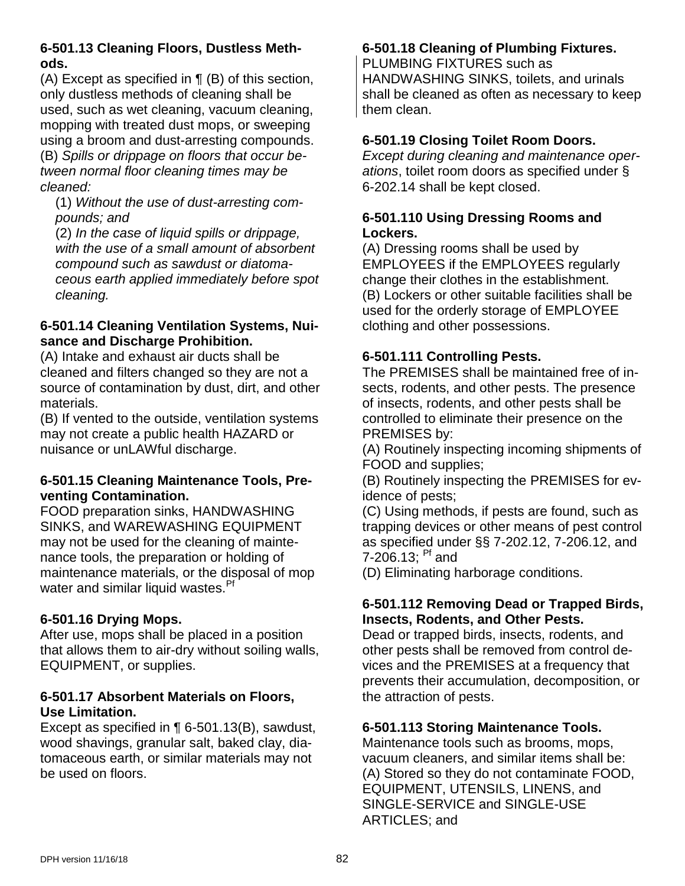### **6-501.13 Cleaning Floors, Dustless Methods.**

(A) Except as specified in ¶ (B) of this section, only dustless methods of cleaning shall be used, such as wet cleaning, vacuum cleaning, mopping with treated dust mops, or sweeping using a broom and dust-arresting compounds. (B) *Spills or drippage on floors that occur between normal floor cleaning times may be cleaned:*

(1) *Without the use of dust-arresting compounds; and*

(2) *In the case of liquid spills or drippage, with the use of a small amount of absorbent compound such as sawdust or diatomaceous earth applied immediately before spot cleaning.*

### **6-501.14 Cleaning Ventilation Systems, Nuisance and Discharge Prohibition.**

(A) Intake and exhaust air ducts shall be cleaned and filters changed so they are not a source of contamination by dust, dirt, and other materials.

(B) If vented to the outside, ventilation systems may not create a public health HAZARD or nuisance or unLAWful discharge.

### **6-501.15 Cleaning Maintenance Tools, Preventing Contamination.**

FOOD preparation sinks, HANDWASHING SINKS, and WAREWASHING EQUIPMENT may not be used for the cleaning of maintenance tools, the preparation or holding of maintenance materials, or the disposal of mop water and similar liquid wastes.<sup>Pf</sup>

## **6-501.16 Drying Mops.**

After use, mops shall be placed in a position that allows them to air-dry without soiling walls, EQUIPMENT, or supplies.

### **6-501.17 Absorbent Materials on Floors, Use Limitation.**

Except as specified in ¶ 6-501.13(B), sawdust, wood shavings, granular salt, baked clay, diatomaceous earth, or similar materials may not be used on floors.

## **6-501.18 Cleaning of Plumbing Fixtures.**

PLUMBING FIXTURES such as HANDWASHING SINKS, toilets, and urinals shall be cleaned as often as necessary to keep them clean.

## **6-501.19 Closing Toilet Room Doors.**

*Except during cleaning and maintenance operations*, toilet room doors as specified under § 6-202.14 shall be kept closed.

### **6-501.110 Using Dressing Rooms and Lockers.**

(A) Dressing rooms shall be used by EMPLOYEES if the EMPLOYEES regularly change their clothes in the establishment. (B) Lockers or other suitable facilities shall be used for the orderly storage of EMPLOYEE clothing and other possessions.

## **6-501.111 Controlling Pests.**

The PREMISES shall be maintained free of insects, rodents, and other pests. The presence of insects, rodents, and other pests shall be controlled to eliminate their presence on the PREMISES by:

(A) Routinely inspecting incoming shipments of FOOD and supplies;

(B) Routinely inspecting the PREMISES for evidence of pests;

(C) Using methods, if pests are found, such as trapping devices or other means of pest control as specified under §§ 7-202.12, 7-206.12, and 7-206.13: <sup>Pf</sup> and

(D) Eliminating harborage conditions.

### **6-501.112 Removing Dead or Trapped Birds, Insects, Rodents, and Other Pests.**

Dead or trapped birds, insects, rodents, and other pests shall be removed from control devices and the PREMISES at a frequency that prevents their accumulation, decomposition, or the attraction of pests.

### **6-501.113 Storing Maintenance Tools.**

Maintenance tools such as brooms, mops, vacuum cleaners, and similar items shall be: (A) Stored so they do not contaminate FOOD, EQUIPMENT, UTENSILS, LINENS, and SINGLE-SERVICE and SINGLE-USE ARTICLES; and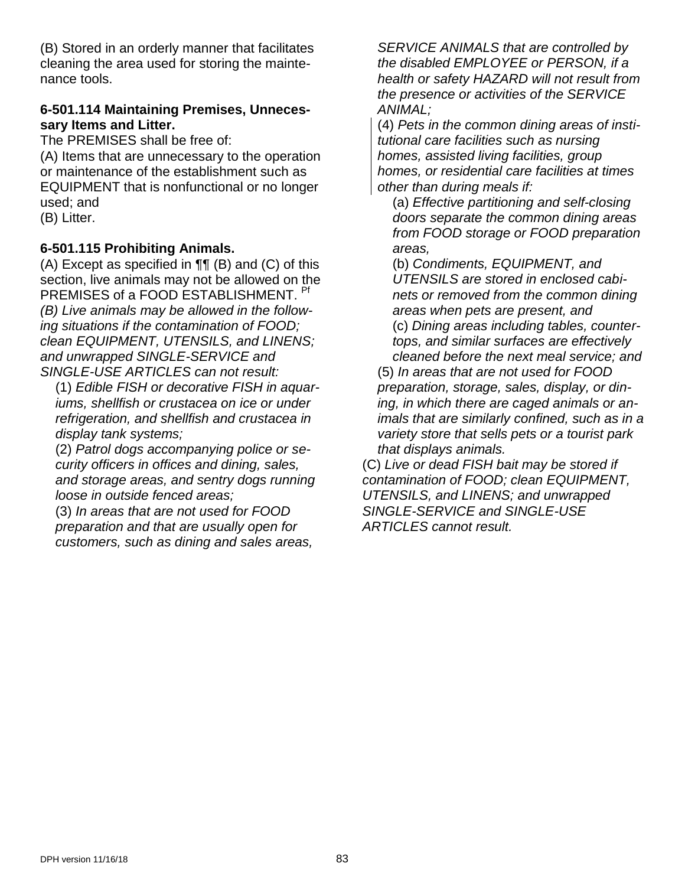(B) Stored in an orderly manner that facilitates cleaning the area used for storing the maintenance tools.

#### **6-501.114 Maintaining Premises, Unnecessary Items and Litter.**

The PREMISES shall be free of:

(A) Items that are unnecessary to the operation or maintenance of the establishment such as EQUIPMENT that is nonfunctional or no longer used; and

(B) Litter.

### **6-501.115 Prohibiting Animals.**

(A) Except as specified in  $\P\P$  (B) and (C) of this section, live animals may not be allowed on the PREMISES of a FOOD ESTABLISHMENT. <sup>Pf</sup> *(B) Live animals may be allowed in the following situations if the contamination of FOOD; clean EQUIPMENT, UTENSILS, and LINENS; and unwrapped SINGLE-SERVICE and SINGLE-USE ARTICLES can not result:*

(1) *Edible FISH or decorative FISH in aquariums, shellfish or crustacea on ice or under refrigeration, and shellfish and crustacea in display tank systems;*

(2) *Patrol dogs accompanying police or security officers in offices and dining, sales, and storage areas, and sentry dogs running loose in outside fenced areas;*

(3) *In areas that are not used for FOOD preparation and that are usually open for customers, such as dining and sales areas,* 

*SERVICE ANIMALS that are controlled by the disabled EMPLOYEE or PERSON, if a health or safety HAZARD will not result from the presence or activities of the SERVICE ANIMAL;*

(4) *Pets in the common dining areas of institutional care facilities such as nursing homes, assisted living facilities, group homes, or residential care facilities at times other than during meals if:* 

(a) *Effective partitioning and self-closing doors separate the common dining areas from FOOD storage or FOOD preparation areas,* 

(b) *Condiments, EQUIPMENT, and UTENSILS are stored in enclosed cabinets or removed from the common dining areas when pets are present, and* (c) *Dining areas including tables, countertops, and similar surfaces are effectively cleaned before the next meal service; and* 

(5) *In areas that are not used for FOOD preparation, storage, sales, display, or dining, in which there are caged animals or animals that are similarly confined, such as in a variety store that sells pets or a tourist park that displays animals.*

(C) *Live or dead FISH bait may be stored if contamination of FOOD; clean EQUIPMENT, UTENSILS, and LINENS; and unwrapped SINGLE-SERVICE and SINGLE-USE ARTICLES cannot result.*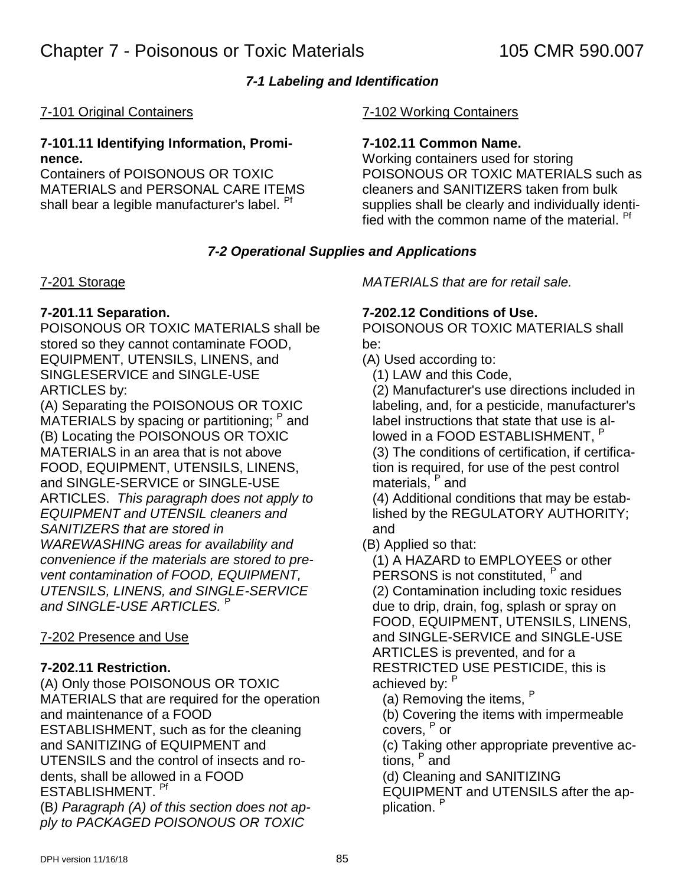### *7-1 Labeling and Identification*

#### 7-101 Original Containers

#### **7-101.11 Identifying Information, Prominence.**

Containers of POISONOUS OR TOXIC MATERIALS and PERSONAL CARE ITEMS shall bear a legible manufacturer's label. Pf

## *7-2 Operational Supplies and Applications*

#### 7-201 Storage

#### **7-201.11 Separation.**

POISONOUS OR TOXIC MATERIALS shall be stored so they cannot contaminate FOOD, EQUIPMENT, UTENSILS, LINENS, and SINGLESERVICE and SINGLE-USE ARTICLES by:

(A) Separating the POISONOUS OR TOXIC  $M$ ATERIALS by spacing or partitioning;  $P$  and (B) Locating the POISONOUS OR TOXIC MATERIALS in an area that is not above FOOD, EQUIPMENT, UTENSILS, LINENS, and SINGLE-SERVICE or SINGLE-USE ARTICLES. *This paragraph does not apply to EQUIPMENT and UTENSIL cleaners and SANITIZERS that are stored in WAREWASHING areas for availability and convenience if the materials are stored to prevent contamination of FOOD, EQUIPMENT, UTENSILS, LINENS, and SINGLE-SERVICE and SINGLE-USE ARTICLES.* <sup>P</sup>

#### 7-202 Presence and Use

#### **7-202.11 Restriction.**

(A) Only those POISONOUS OR TOXIC MATERIALS that are required for the operation and maintenance of a FOOD ESTABLISHMENT, such as for the cleaning and SANITIZING of EQUIPMENT and UTENSILS and the control of insects and rodents, shall be allowed in a FOOD ESTABLISHMENT. Pf (B*) Paragraph (A) of this section does not apply to PACKAGED POISONOUS OR TOXIC* 

*MATERIALS that are for retail sale.*

Working containers used for storing

POISONOUS OR TOXIC MATERIALS such as cleaners and SANITIZERS taken from bulk supplies shall be clearly and individually identified with the common name of the material. <sup>Pf</sup>

#### **7-202.12 Conditions of Use.**

7-102 Working Containers

**7-102.11 Common Name.**

POISONOUS OR TOXIC MATERIALS shall be:

(A) Used according to:

(1) LAW and this Code,

(2) Manufacturer's use directions included in labeling, and, for a pesticide, manufacturer's label instructions that state that use is allowed in a FOOD ESTABLISHMENT, <sup>P</sup>

(3) The conditions of certification, if certification is required, for use of the pest control materials, P and

(4) Additional conditions that may be established by the REGULATORY AUTHORITY; and

(B) Applied so that:

(1) A HAZARD to EMPLOYEES or other PERSONS is not constituted, <sup>P</sup> and (2) Contamination including toxic residues due to drip, drain, fog, splash or spray on FOOD, EQUIPMENT, UTENSILS, LINENS, and SINGLE-SERVICE and SINGLE-USE ARTICLES is prevented, and for a RESTRICTED USE PESTICIDE, this is achieved by: P

(a) Removing the items, P

(b) Covering the items with impermeable covers, P or

(c) Taking other appropriate preventive actions, <sup>P</sup> and

(d) Cleaning and SANITIZING

EQUIPMENT and UTENSILS after the application.<sup>P</sup>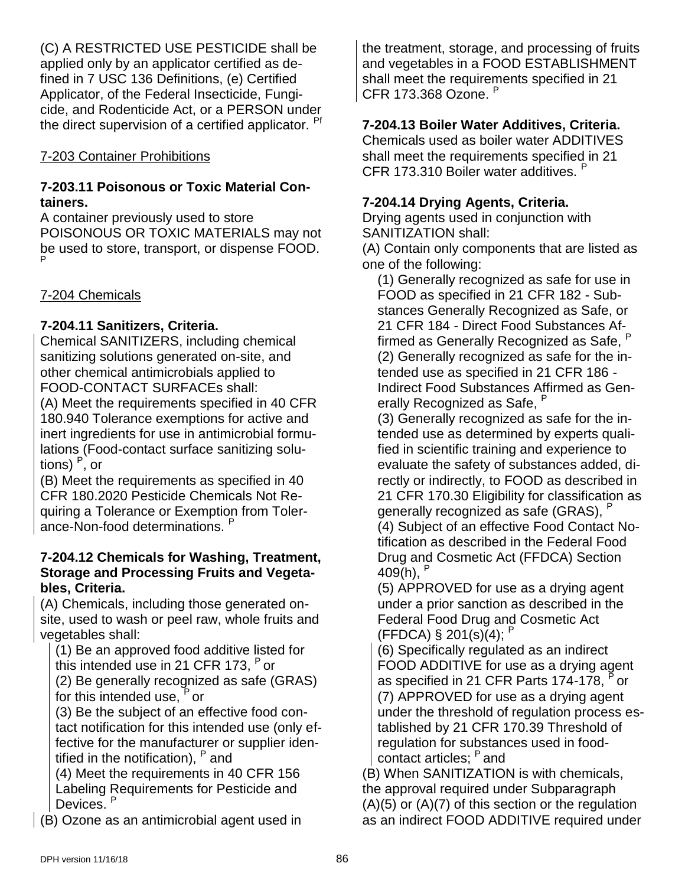(C) A RESTRICTED USE PESTICIDE shall be applied only by an applicator certified as defined in 7 USC 136 Definitions, (e) Certified Applicator, of the Federal Insecticide, Fungicide, and Rodenticide Act, or a PERSON under the direct supervision of a certified applicator. <sup>Pf</sup>

7-203 Container Prohibitions

## **7-203.11 Poisonous or Toxic Material Containers.**

A container previously used to store POISONOUS OR TOXIC MATERIALS may not be used to store, transport, or dispense FOOD. P

## 7-204 Chemicals

## **7-204.11 Sanitizers, Criteria.**

Chemical SANITIZERS, including chemical sanitizing solutions generated on-site, and other chemical antimicrobials applied to FOOD-CONTACT SURFACEs shall:

(A) Meet the requirements specified in 40 CFR 180.940 Tolerance exemptions for active and inert ingredients for use in antimicrobial formulations (Food-contact surface sanitizing solutions) <sup>P`</sup>, or

(B) Meet the requirements as specified in 40 CFR 180.2020 Pesticide Chemicals Not Requiring a Tolerance or Exemption from Tolerance-Non-food determinations. <sup>P</sup>

### **7-204.12 Chemicals for Washing, Treatment, Storage and Processing Fruits and Vegetables, Criteria.**

(A) Chemicals, including those generated onsite, used to wash or peel raw, whole fruits and vegetables shall:

(1) Be an approved food additive listed for this intended use in 21 CFR 173, <sup>P</sup> or

(2) Be generally recognized as safe (GRAS) for this intended use, Por

(3) Be the subject of an effective food contact notification for this intended use (only effective for the manufacturer or supplier identified in the notification), <sup>P</sup> and

(4) Meet the requirements in 40 CFR 156 Labeling Requirements for Pesticide and Devices.<sup>F</sup>

(B) Ozone as an antimicrobial agent used in

the treatment, storage, and processing of fruits and vegetables in a FOOD ESTABLISHMENT shall meet the requirements specified in 21 CFR 173.368 Ozone. <sup>P</sup>

## **7-204.13 Boiler Water Additives, Criteria.**

Chemicals used as boiler water ADDITIVES shall meet the requirements specified in 21 CFR 173.310 Boiler water additives.

## **7-204.14 Drying Agents, Criteria.**

Drying agents used in conjunction with SANITIZATION shall:

(A) Contain only components that are listed as one of the following:

(1) Generally recognized as safe for use in FOOD as specified in 21 CFR 182 - Substances Generally Recognized as Safe, or 21 CFR 184 - Direct Food Substances Affirmed as Generally Recognized as Safe, <sup>P</sup> (2) Generally recognized as safe for the intended use as specified in 21 CFR 186 - Indirect Food Substances Affirmed as Generally Recognized as Safe, P

(3) Generally recognized as safe for the intended use as determined by experts qualified in scientific training and experience to evaluate the safety of substances added, directly or indirectly, to FOOD as described in 21 CFR 170.30 Eligibility for classification as generally recognized as safe (GRAS), <sup>P</sup> (4) Subject of an effective Food Contact Notification as described in the Federal Food Drug and Cosmetic Act (FFDCA) Section 409(h),  $P$ 

(5) APPROVED for use as a drying agent under a prior sanction as described in the Federal Food Drug and Cosmetic Act  $(FFDCA) \S 201(s)(4)$ ; P

(6) Specifically regulated as an indirect FOOD ADDITIVE for use as a drying agent as specified in 21 CFR Parts 174-178, <sup>P</sup>or (7) APPROVED for use as a drying agent under the threshold of regulation process established by 21 CFR 170.39 Threshold of regulation for substances used in foodcontact articles; P and

(B) When SANITIZATION is with chemicals, the approval required under Subparagraph  $(A)(5)$  or  $(A)(7)$  of this section or the regulation as an indirect FOOD ADDITIVE required under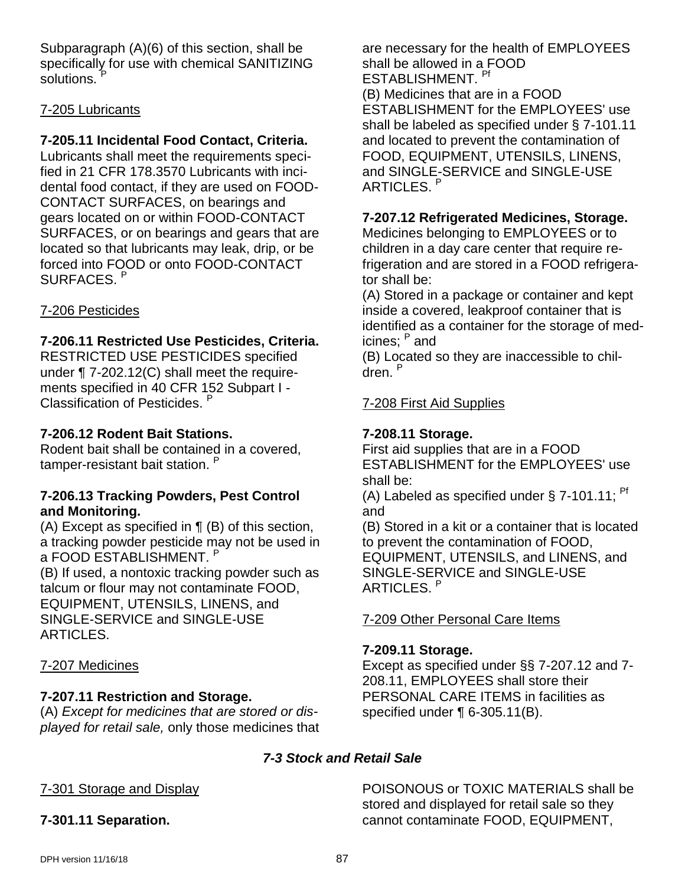Subparagraph (A)(6) of this section, shall be specifically for use with chemical SANITIZING solutions.

### 7-205 Lubricants

### **7-205.11 Incidental Food Contact, Criteria.**

Lubricants shall meet the requirements specified in 21 CFR 178.3570 Lubricants with incidental food contact, if they are used on FOOD-CONTACT SURFACES, on bearings and gears located on or within FOOD-CONTACT SURFACES, or on bearings and gears that are located so that lubricants may leak, drip, or be forced into FOOD or onto FOOD-CONTACT SURFACES.<sup>P</sup>

### 7-206 Pesticides

### **7-206.11 Restricted Use Pesticides, Criteria.**

RESTRICTED USE PESTICIDES specified under ¶ 7-202.12(C) shall meet the requirements specified in 40 CFR 152 Subpart I - Classification of Pesticides.<sup>1</sup>

### **7-206.12 Rodent Bait Stations.**

Rodent bait shall be contained in a covered, tamper-resistant bait station. <sup>P</sup>

#### **7-206.13 Tracking Powders, Pest Control and Monitoring.**

(A) Except as specified in  $\P$  (B) of this section, a tracking powder pesticide may not be used in a FOOD ESTABLISHMENT. <sup>P</sup>

(B) If used, a nontoxic tracking powder such as talcum or flour may not contaminate FOOD, EQUIPMENT, UTENSILS, LINENS, and SINGLE-SERVICE and SINGLE-USE ARTICLES.

#### 7-207 Medicines

## **7-207.11 Restriction and Storage.**

(A) *Except for medicines that are stored or displayed for retail sale,* only those medicines that

7-301 Storage and Display

**7-301.11 Separation.**

are necessary for the health of EMPLOYEES shall be allowed in a FOOD ESTABLISHMENT. Pf (B) Medicines that are in a FOOD ESTABLISHMENT for the EMPLOYEES' use shall be labeled as specified under § 7-101.11 and located to prevent the contamination of FOOD, EQUIPMENT, UTENSILS, LINENS, and SINGLE-SERVICE and SINGLE-USE ARTICLES.<sup>P</sup>

## **7-207.12 Refrigerated Medicines, Storage.**

Medicines belonging to EMPLOYEES or to children in a day care center that require refrigeration and are stored in a FOOD refrigerator shall be:

(A) Stored in a package or container and kept inside a covered, leakproof container that is identified as a container for the storage of medicines; <sup>P</sup> and

(B) Located so they are inaccessible to children. <sup>P</sup>

#### 7-208 First Aid Supplies

#### **7-208.11 Storage.**

First aid supplies that are in a FOOD ESTABLISHMENT for the EMPLOYEES' use shall be:

(A) Labeled as specified under § 7-101.11;  $Pf$ and

(B) Stored in a kit or a container that is located to prevent the contamination of FOOD, EQUIPMENT, UTENSILS, and LINENS, and SINGLE-SERVICE and SINGLE-USE ARTICLES. P

#### 7-209 Other Personal Care Items

#### **7-209.11 Storage.**

Except as specified under §§ 7-207.12 and 7- 208.11, EMPLOYEES shall store their PERSONAL CARE ITEMS in facilities as specified under ¶ 6-305.11(B).

### *7-3 Stock and Retail Sale*

POISONOUS or TOXIC MATERIALS shall be stored and displayed for retail sale so they cannot contaminate FOOD, EQUIPMENT,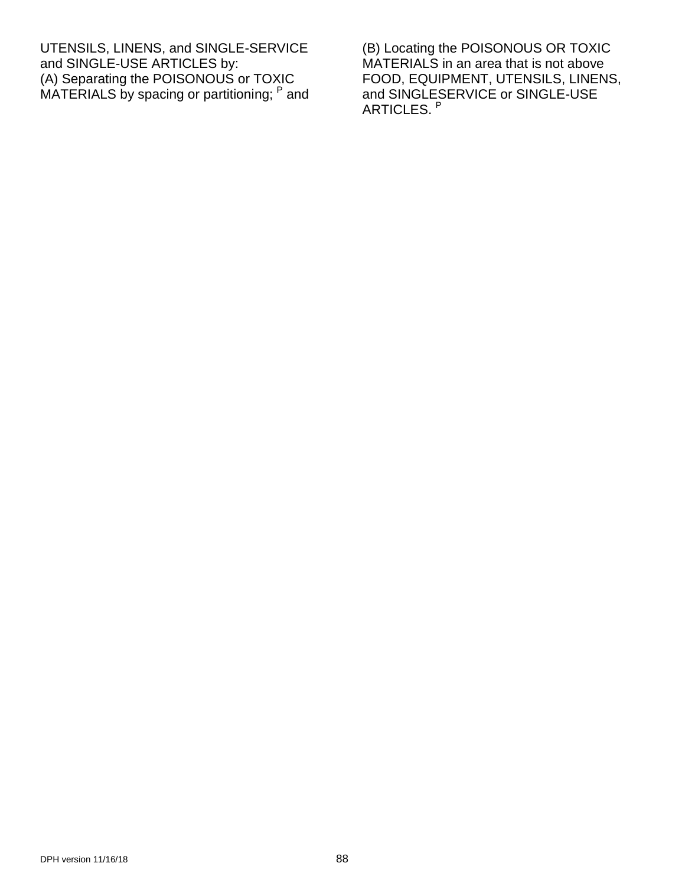UTENSILS, LINENS, and SINGLE-SERVICE and SINGLE-USE ARTICLES by: (A) Separating the POISONOUS or TOXIC  $M$ ATERIALS by spacing or partitioning;  $P$  and

(B) Locating the POISONOUS OR TOXIC MATERIALS in an area that is not above FOOD, EQUIPMENT, UTENSILS, LINENS, and SINGLESERVICE or SINGLE-USE ARTICLES. P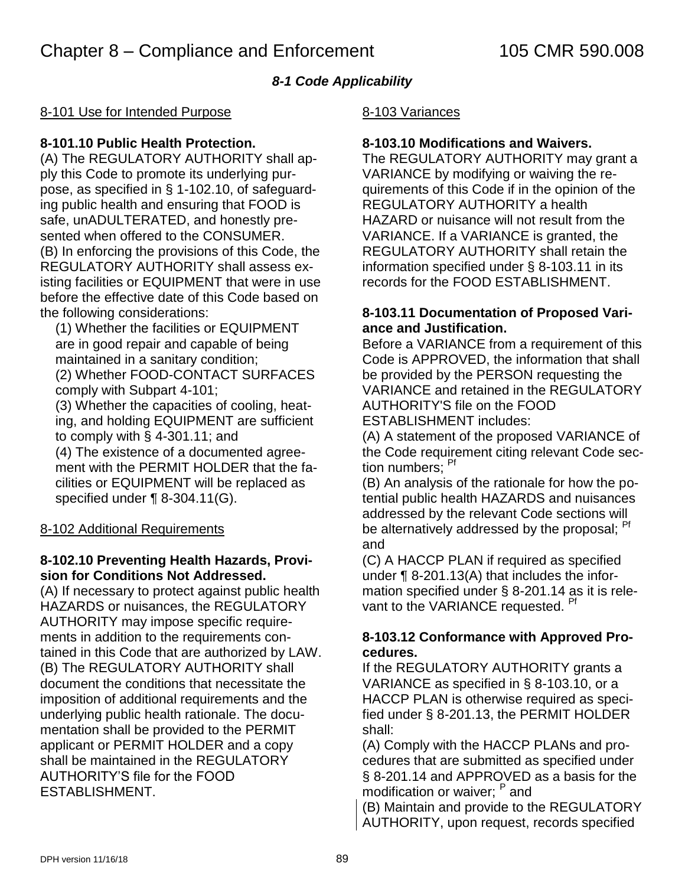## *8-1 Code Applicability*

### 8-101 Use for Intended Purpose

## **8-101.10 Public Health Protection.**

(A) The REGULATORY AUTHORITY shall apply this Code to promote its underlying purpose, as specified in § 1-102.10, of safeguarding public health and ensuring that FOOD is safe, unADULTERATED, and honestly presented when offered to the CONSUMER. (B) In enforcing the provisions of this Code, the REGULATORY AUTHORITY shall assess existing facilities or EQUIPMENT that were in use before the effective date of this Code based on the following considerations:

(1) Whether the facilities or EQUIPMENT are in good repair and capable of being maintained in a sanitary condition;

(2) Whether FOOD-CONTACT SURFACES comply with Subpart 4-101;

(3) Whether the capacities of cooling, heating, and holding EQUIPMENT are sufficient to comply with § 4-301.11; and

(4) The existence of a documented agreement with the PERMIT HOLDER that the facilities or EQUIPMENT will be replaced as specified under ¶ 8-304.11(G).

#### 8-102 Additional Requirements

### **8-102.10 Preventing Health Hazards, Provision for Conditions Not Addressed.**

(A) If necessary to protect against public health HAZARDS or nuisances, the REGULATORY AUTHORITY may impose specific requirements in addition to the requirements contained in this Code that are authorized by LAW. (B) The REGULATORY AUTHORITY shall document the conditions that necessitate the imposition of additional requirements and the underlying public health rationale. The documentation shall be provided to the PERMIT applicant or PERMIT HOLDER and a copy shall be maintained in the REGULATORY AUTHORITY'S file for the FOOD ESTABLISHMENT.

#### 8-103 Variances

### **8-103.10 Modifications and Waivers.**

The REGULATORY AUTHORITY may grant a VARIANCE by modifying or waiving the requirements of this Code if in the opinion of the REGULATORY AUTHORITY a health HAZARD or nuisance will not result from the VARIANCE. If a VARIANCE is granted, the REGULATORY AUTHORITY shall retain the information specified under § 8-103.11 in its records for the FOOD ESTABLISHMENT.

#### **8-103.11 Documentation of Proposed Variance and Justification.**

Before a VARIANCE from a requirement of this Code is APPROVED, the information that shall be provided by the PERSON requesting the VARIANCE and retained in the REGULATORY AUTHORITY'S file on the FOOD ESTABLISHMENT includes:

(A) A statement of the proposed VARIANCE of the Code requirement citing relevant Code section numbers: Pf

(B) An analysis of the rationale for how the potential public health HAZARDS and nuisances addressed by the relevant Code sections will be alternatively addressed by the proposal; <sup>Pf</sup> and

(C) A HACCP PLAN if required as specified under ¶ 8-201.13(A) that includes the information specified under § 8-201.14 as it is relevant to the VARIANCE requested. <sup>Pf</sup>

### **8-103.12 Conformance with Approved Procedures.**

If the REGULATORY AUTHORITY grants a VARIANCE as specified in § 8-103.10, or a HACCP PLAN is otherwise required as specified under § 8-201.13, the PERMIT HOLDER shall:

(A) Comply with the HACCP PLANs and procedures that are submitted as specified under § 8-201.14 and APPROVED as a basis for the modification or waiver; P and

(B) Maintain and provide to the REGULATORY AUTHORITY, upon request, records specified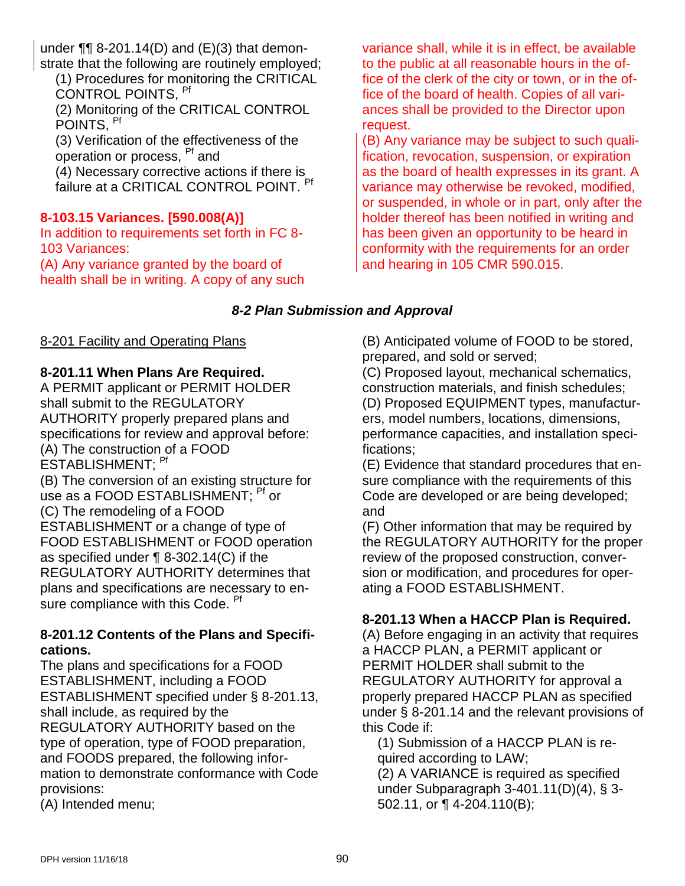under  $\P\P$  8-201.14(D) and (E)(3) that demonstrate that the following are routinely employed;

(1) Procedures for monitoring the CRITICAL CONTROL POINTS, Pf

(2) Monitoring of the CRITICAL CONTROL POINTS, Pf

(3) Verification of the effectiveness of the operation or process, Pf and

(4) Necessary corrective actions if there is failure at a CRITICAL CONTROL POINT. Pf

### **8-103.15 Variances. [590.008(A)]**

In addition to requirements set forth in FC 8- 103 Variances:

(A) Any variance granted by the board of health shall be in writing. A copy of any such variance shall, while it is in effect, be available to the public at all reasonable hours in the office of the clerk of the city or town, or in the office of the board of health. Copies of all variances shall be provided to the Director upon request.

(B) Any variance may be subject to such qualification, revocation, suspension, or expiration as the board of health expresses in its grant. A variance may otherwise be revoked, modified, or suspended, in whole or in part, only after the holder thereof has been notified in writing and has been given an opportunity to be heard in conformity with the requirements for an order and hearing in 105 CMR 590.015.

### *8-2 Plan Submission and Approval*

### 8-201 Facility and Operating Plans

### **8-201.11 When Plans Are Required.**

A PERMIT applicant or PERMIT HOLDER shall submit to the REGULATORY AUTHORITY properly prepared plans and specifications for review and approval before: (A) The construction of a FOOD ESTABLISHMENT; Pf (B) The conversion of an existing structure for use as a FOOD ESTABLISHMENT;<sup>Pf</sup> or (C) The remodeling of a FOOD ESTABLISHMENT or a change of type of FOOD ESTABLISHMENT or FOOD operation as specified under ¶ 8-302.14(C) if the REGULATORY AUTHORITY determines that plans and specifications are necessary to ensure compliance with this Code. <sup>Pf</sup>

### **8-201.12 Contents of the Plans and Specifications.**

The plans and specifications for a FOOD ESTABLISHMENT, including a FOOD ESTABLISHMENT specified under § 8-201.13, shall include, as required by the REGULATORY AUTHORITY based on the type of operation, type of FOOD preparation, and FOODS prepared, the following information to demonstrate conformance with Code provisions: (A) Intended menu;

(B) Anticipated volume of FOOD to be stored, prepared, and sold or served;

(C) Proposed layout, mechanical schematics, construction materials, and finish schedules; (D) Proposed EQUIPMENT types, manufacturers, model numbers, locations, dimensions, performance capacities, and installation specifications;

(E) Evidence that standard procedures that ensure compliance with the requirements of this Code are developed or are being developed; and

(F) Other information that may be required by the REGULATORY AUTHORITY for the proper review of the proposed construction, conversion or modification, and procedures for operating a FOOD ESTABLISHMENT.

## **8-201.13 When a HACCP Plan is Required.**

(A) Before engaging in an activity that requires a HACCP PLAN, a PERMIT applicant or PERMIT HOLDER shall submit to the REGULATORY AUTHORITY for approval a properly prepared HACCP PLAN as specified under § 8-201.14 and the relevant provisions of this Code if:

(1) Submission of a HACCP PLAN is required according to LAW;

(2) A VARIANCE is required as specified under Subparagraph 3-401.11(D)(4), § 3- 502.11, or ¶ 4-204.110(B);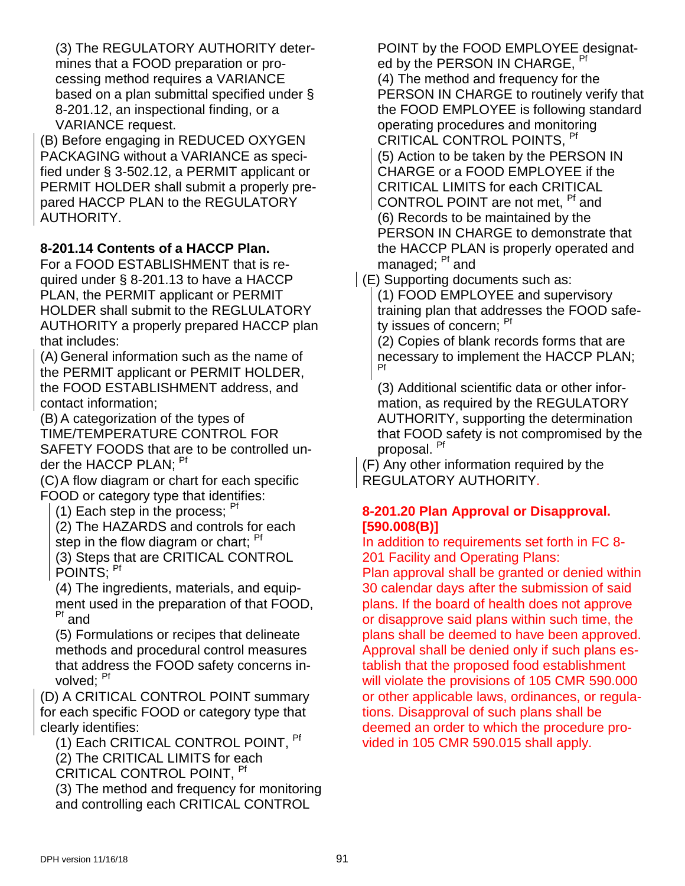(3) The REGULATORY AUTHORITY determines that a FOOD preparation or processing method requires a VARIANCE based on a plan submittal specified under § 8-201.12, an inspectional finding, or a VARIANCE request.

(B) Before engaging in REDUCED OXYGEN PACKAGING without a VARIANCE as specified under § 3-502.12, a PERMIT applicant or PERMIT HOLDER shall submit a properly prepared HACCP PLAN to the REGULATORY AUTHORITY.

### **8-201.14 Contents of a HACCP Plan.**

For a FOOD ESTABLISHMENT that is required under § 8-201.13 to have a HACCP PLAN, the PERMIT applicant or PERMIT HOLDER shall submit to the REGLULATORY AUTHORITY a properly prepared HACCP plan that includes:

(A) General information such as the name of the PERMIT applicant or PERMIT HOLDER, the FOOD ESTABLISHMENT address, and contact information;

(B) A categorization of the types of TIME/TEMPERATURE CONTROL FOR SAFETY FOODS that are to be controlled under the HACCP PLAN; Pf

(C)A flow diagram or chart for each specific FOOD or category type that identifies:

(1) Each step in the process;  $Pf$ 

(2) The HAZARDS and controls for each step in the flow diagram or chart; <sup>Pf</sup> (3) Steps that are CRITICAL CONTROL POINTS: Pf

(4) The ingredients, materials, and equipment used in the preparation of that FOOD, Pf and

(5) Formulations or recipes that delineate methods and procedural control measures that address the FOOD safety concerns involved: Pf

(D) A CRITICAL CONTROL POINT summary for each specific FOOD or category type that clearly identifies:

(1) Each CRITICAL CONTROL POINT, Pf

(2) The CRITICAL LIMITS for each

CRITICAL CONTROL POINT, Pf

(3) The method and frequency for monitoring and controlling each CRITICAL CONTROL

POINT by the FOOD EMPLOYEE designated by the PERSON IN CHARGE, <sup>Pf</sup> (4) The method and frequency for the PERSON IN CHARGE to routinely verify that the FOOD EMPLOYEE is following standard operating procedures and monitoring CRITICAL CONTROL POINTS, <sup>PT</sup> (5) Action to be taken by the PERSON IN CHARGE or a FOOD EMPLOYEE if the CRITICAL LIMITS for each CRITICAL CONTROL POINT are not met, <sup>Pf</sup> and (6) Records to be maintained by the PERSON IN CHARGE to demonstrate that the HACCP PLAN is properly operated and managed; <sup>Pf</sup> and

(E) Supporting documents such as:

(1) FOOD EMPLOYEE and supervisory training plan that addresses the FOOD safety issues of concern; Pf

(2) Copies of blank records forms that are necessary to implement the HACCP PLAN; Pf

(3) Additional scientific data or other information, as required by the REGULATORY AUTHORITY, supporting the determination that FOOD safety is not compromised by the proposal. Pf

(F) Any other information required by the REGULATORY AUTHORITY.

### **8-201.20 Plan Approval or Disapproval. [590.008(B)]**

In addition to requirements set forth in FC 8- 201 Facility and Operating Plans:

Plan approval shall be granted or denied within 30 calendar days after the submission of said plans. If the board of health does not approve or disapprove said plans within such time, the plans shall be deemed to have been approved. Approval shall be denied only if such plans establish that the proposed food establishment will violate the provisions of 105 CMR 590.000 or other applicable laws, ordinances, or regulations. Disapproval of such plans shall be deemed an order to which the procedure provided in 105 CMR 590.015 shall apply.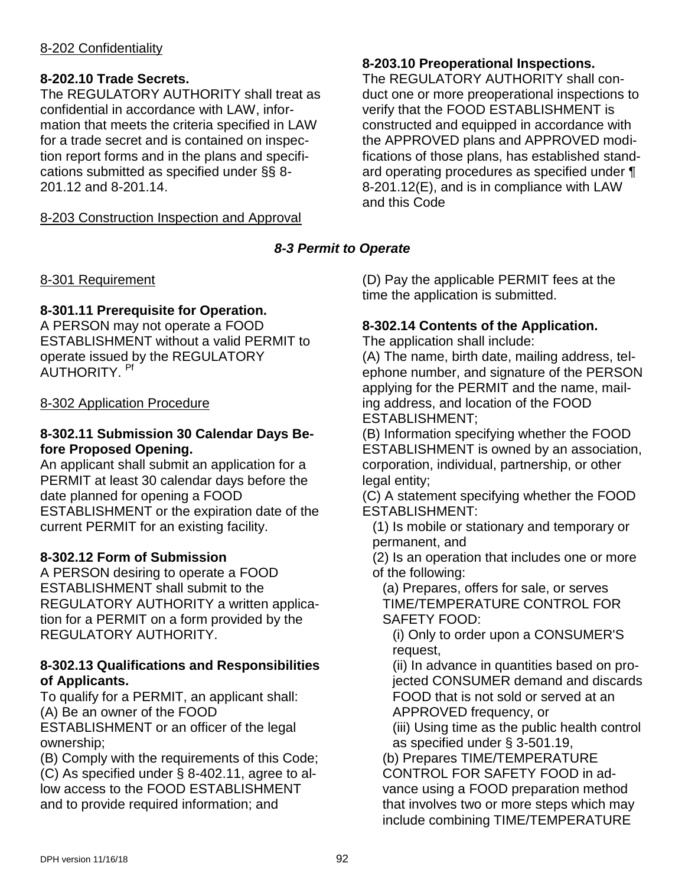### 8-202 Confidentiality

### **8-202.10 Trade Secrets.**

The REGULATORY AUTHORITY shall treat as confidential in accordance with LAW, information that meets the criteria specified in LAW for a trade secret and is contained on inspection report forms and in the plans and specifications submitted as specified under §§ 8- 201.12 and 8-201.14.

### 8-203 Construction Inspection and Approval

## **8-203.10 Preoperational Inspections.**

The REGULATORY AUTHORITY shall conduct one or more preoperational inspections to verify that the FOOD ESTABLISHMENT is constructed and equipped in accordance with the APPROVED plans and APPROVED modifications of those plans, has established standard operating procedures as specified under ¶ 8-201.12(E), and is in compliance with LAW and this Code

## *8-3 Permit to Operate*

### 8-301 Requirement

## **8-301.11 Prerequisite for Operation.**

A PERSON may not operate a FOOD ESTABLISHMENT without a valid PERMIT to operate issued by the REGULATORY AUTHORITY. Pf

### 8-302 Application Procedure

### **8-302.11 Submission 30 Calendar Days Before Proposed Opening.**

An applicant shall submit an application for a PERMIT at least 30 calendar days before the date planned for opening a FOOD ESTABLISHMENT or the expiration date of the current PERMIT for an existing facility.

## **8-302.12 Form of Submission**

A PERSON desiring to operate a FOOD ESTABLISHMENT shall submit to the REGULATORY AUTHORITY a written application for a PERMIT on a form provided by the REGULATORY AUTHORITY.

#### **8-302.13 Qualifications and Responsibilities of Applicants.**

To qualify for a PERMIT, an applicant shall: (A) Be an owner of the FOOD

ESTABLISHMENT or an officer of the legal ownership;

(B) Comply with the requirements of this Code; (C) As specified under § 8-402.11, agree to allow access to the FOOD ESTABLISHMENT and to provide required information; and

(D) Pay the applicable PERMIT fees at the time the application is submitted.

## **8-302.14 Contents of the Application.**

The application shall include:

(A) The name, birth date, mailing address, telephone number, and signature of the PERSON applying for the PERMIT and the name, mailing address, and location of the FOOD ESTABLISHMENT;

(B) Information specifying whether the FOOD ESTABLISHMENT is owned by an association, corporation, individual, partnership, or other legal entity;

(C) A statement specifying whether the FOOD ESTABLISHMENT:

(1) Is mobile or stationary and temporary or permanent, and

(2) Is an operation that includes one or more of the following:

(a) Prepares, offers for sale, or serves TIME/TEMPERATURE CONTROL FOR SAFETY FOOD:

(i) Only to order upon a CONSUMER'S request,

(ii) In advance in quantities based on projected CONSUMER demand and discards FOOD that is not sold or served at an APPROVED frequency, or

(iii) Using time as the public health control as specified under § 3-501.19,

(b) Prepares TIME/TEMPERATURE CONTROL FOR SAFETY FOOD in advance using a FOOD preparation method that involves two or more steps which may include combining TIME/TEMPERATURE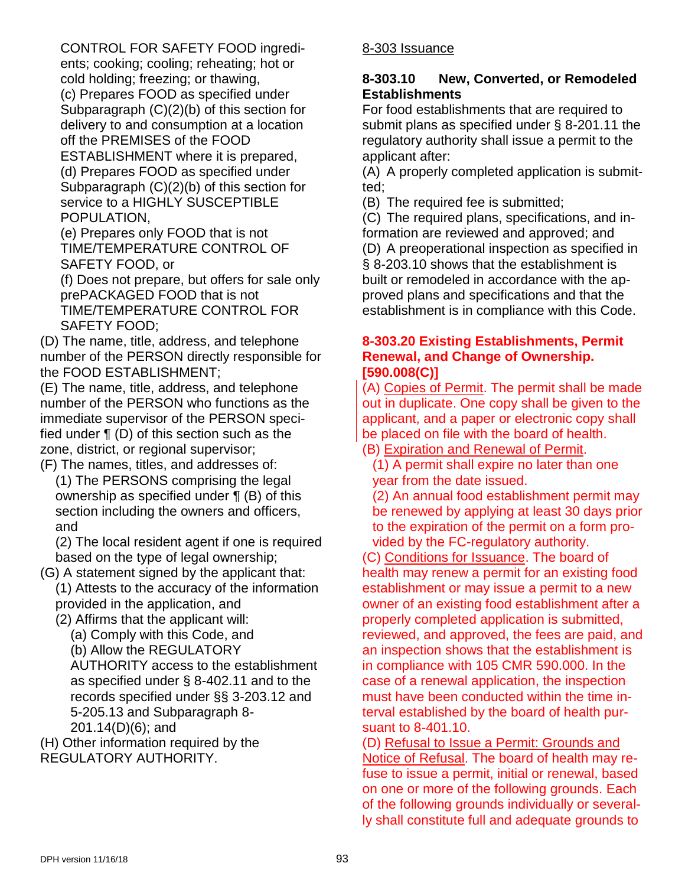CONTROL FOR SAFETY FOOD ingredients; cooking; cooling; reheating; hot or

cold holding; freezing; or thawing,

(c) Prepares FOOD as specified under Subparagraph (C)(2)(b) of this section for delivery to and consumption at a location off the PREMISES of the FOOD

ESTABLISHMENT where it is prepared, (d) Prepares FOOD as specified under Subparagraph (C)(2)(b) of this section for service to a HIGHLY SUSCEPTIBLE POPULATION,

(e) Prepares only FOOD that is not TIME/TEMPERATURE CONTROL OF SAFETY FOOD, or

(f) Does not prepare, but offers for sale only prePACKAGED FOOD that is not TIME/TEMPERATURE CONTROL FOR SAFETY FOOD;

(D) The name, title, address, and telephone number of the PERSON directly responsible for the FOOD ESTABLISHMENT;

(E) The name, title, address, and telephone number of the PERSON who functions as the immediate supervisor of the PERSON specified under ¶ (D) of this section such as the zone, district, or regional supervisor;

- (F) The names, titles, and addresses of: (1) The PERSONS comprising the legal ownership as specified under ¶ (B) of this section including the owners and officers, and
	- (2) The local resident agent if one is required based on the type of legal ownership;

(G) A statement signed by the applicant that:

- (1) Attests to the accuracy of the information provided in the application, and
- (2) Affirms that the applicant will:
	- (a) Comply with this Code, and

(b) Allow the REGULATORY

AUTHORITY access to the establishment as specified under § 8-402.11 and to the records specified under §§ 3-203.12 and 5-205.13 and Subparagraph 8- 201.14(D)(6); and

(H) Other information required by the REGULATORY AUTHORITY.

### 8-303 Issuance

### **8-303.10 New, Converted, or Remodeled Establishments**

For food establishments that are required to submit plans as specified under § 8-201.11 the regulatory authority shall issue a permit to the applicant after:

(A) A properly completed application is submitted;

(B) The required fee is submitted;

(C) The required plans, specifications, and information are reviewed and approved; and

(D) A preoperational inspection as specified in § 8-203.10 shows that the establishment is built or remodeled in accordance with the approved plans and specifications and that the establishment is in compliance with this Code.

### **8-303.20 Existing Establishments, Permit Renewal, and Change of Ownership. [590.008(C)]**

(A) Copies of Permit. The permit shall be made out in duplicate. One copy shall be given to the applicant, and a paper or electronic copy shall be placed on file with the board of health.

(B) Expiration and Renewal of Permit.

(1) A permit shall expire no later than one year from the date issued.

(2) An annual food establishment permit may be renewed by applying at least 30 days prior to the expiration of the permit on a form provided by the FC-regulatory authority.

(C) Conditions for Issuance. The board of health may renew a permit for an existing food establishment or may issue a permit to a new owner of an existing food establishment after a properly completed application is submitted, reviewed, and approved, the fees are paid, and an inspection shows that the establishment is in compliance with 105 CMR 590.000. In the case of a renewal application, the inspection must have been conducted within the time interval established by the board of health pursuant to 8-401.10.

(D) Refusal to Issue a Permit: Grounds and Notice of Refusal. The board of health may refuse to issue a permit, initial or renewal, based on one or more of the following grounds. Each of the following grounds individually or severally shall constitute full and adequate grounds to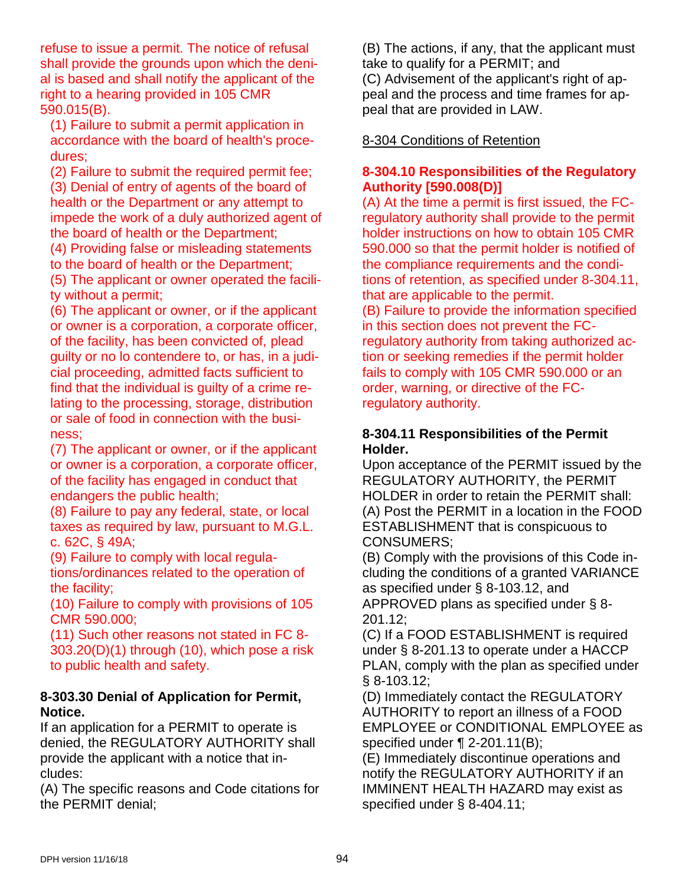refuse to issue a permit. The notice of refusal shall provide the grounds upon which the denial is based and shall notify the applicant of the right to a hearing provided in 105 CMR 590.015(B).

(1) Failure to submit a permit application in accordance with the board of health's procedures;

(2) Failure to submit the required permit fee; (3) Denial of entry of agents of the board of health or the Department or any attempt to impede the work of a duly authorized agent of the board of health or the Department;

(4) Providing false or misleading statements to the board of health or the Department;

(5) The applicant or owner operated the facility without a permit;

(6) The applicant or owner, or if the applicant or owner is a corporation, a corporate officer, of the facility, has been convicted of, plead guilty or no lo contendere to, or has, in a judicial proceeding, admitted facts sufficient to find that the individual is guilty of a crime relating to the processing, storage, distribution or sale of food in connection with the business;

(7) The applicant or owner, or if the applicant or owner is a corporation, a corporate officer, of the facility has engaged in conduct that endangers the public health;

(8) Failure to pay any federal, state, or local taxes as required by law, pursuant to M.G.L. c. 62C, § 49A;

(9) Failure to comply with local regulations/ordinances related to the operation of the facility;

(10) Failure to comply with provisions of 105 CMR 590.000;

(11) Such other reasons not stated in FC 8- 303.20(D)(1) through (10), which pose a risk to public health and safety.

#### **8-303.30 Denial of Application for Permit, Notice.**

If an application for a PERMIT to operate is denied, the REGULATORY AUTHORITY shall provide the applicant with a notice that includes:

(A) The specific reasons and Code citations for the PERMIT denial;

(B) The actions, if any, that the applicant must take to qualify for a PERMIT; and

(C) Advisement of the applicant's right of appeal and the process and time frames for appeal that are provided in LAW.

8-304 Conditions of Retention

### **8-304.10 Responsibilities of the Regulatory Authority [590.008(D)]**

(A) At the time a permit is first issued, the FCregulatory authority shall provide to the permit holder instructions on how to obtain 105 CMR 590.000 so that the permit holder is notified of the compliance requirements and the conditions of retention, as specified under 8-304.11, that are applicable to the permit.

(B) Failure to provide the information specified in this section does not prevent the FCregulatory authority from taking authorized action or seeking remedies if the permit holder fails to comply with 105 CMR 590.000 or an order, warning, or directive of the FCregulatory authority.

#### **8-304.11 Responsibilities of the Permit Holder.**

Upon acceptance of the PERMIT issued by the REGULATORY AUTHORITY, the PERMIT HOLDER in order to retain the PERMIT shall: (A) Post the PERMIT in a location in the FOOD ESTABLISHMENT that is conspicuous to CONSUMERS;

(B) Comply with the provisions of this Code including the conditions of a granted VARIANCE as specified under § 8-103.12, and APPROVED plans as specified under § 8- 201.12;

(C) If a FOOD ESTABLISHMENT is required under § 8-201.13 to operate under a HACCP PLAN, comply with the plan as specified under § 8-103.12;

(D) Immediately contact the REGULATORY AUTHORITY to report an illness of a FOOD EMPLOYEE or CONDITIONAL EMPLOYEE as specified under ¶ 2-201.11(B);

(E) Immediately discontinue operations and notify the REGULATORY AUTHORITY if an IMMINENT HEALTH HAZARD may exist as specified under § 8-404.11;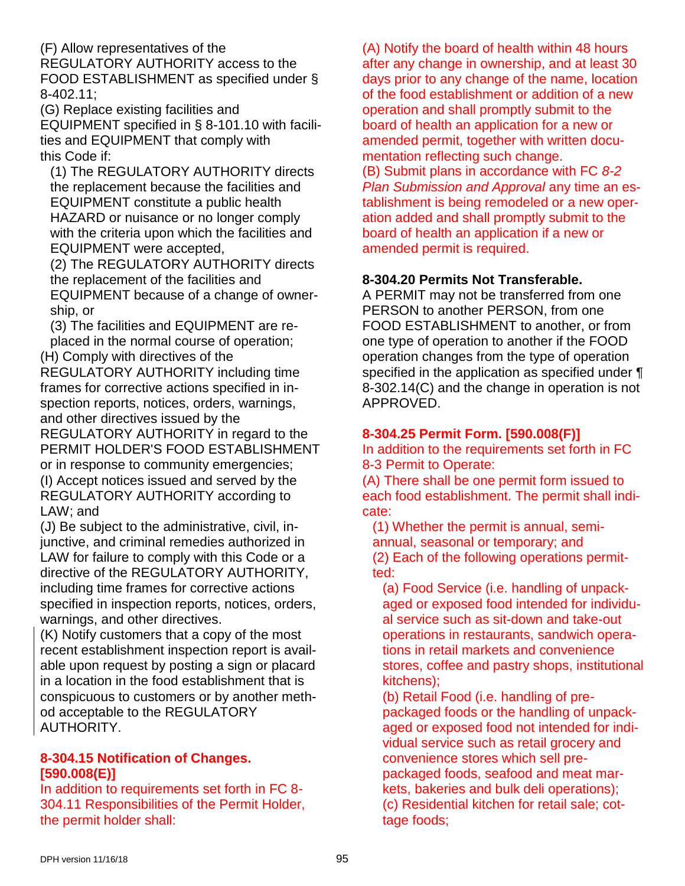(F) Allow representatives of the REGULATORY AUTHORITY access to the FOOD ESTABLISHMENT as specified under § 8-402.11;

(G) Replace existing facilities and EQUIPMENT specified in § 8-101.10 with facilities and EQUIPMENT that comply with this Code if:

(1) The REGULATORY AUTHORITY directs the replacement because the facilities and EQUIPMENT constitute a public health HAZARD or nuisance or no longer comply with the criteria upon which the facilities and EQUIPMENT were accepted,

(2) The REGULATORY AUTHORITY directs the replacement of the facilities and EQUIPMENT because of a change of ownership, or

(3) The facilities and EQUIPMENT are replaced in the normal course of operation;

(H) Comply with directives of the

REGULATORY AUTHORITY including time frames for corrective actions specified in inspection reports, notices, orders, warnings, and other directives issued by the

REGULATORY AUTHORITY in regard to the PERMIT HOLDER'S FOOD ESTABLISHMENT or in response to community emergencies; (I) Accept notices issued and served by the REGULATORY AUTHORITY according to LAW; and

(J) Be subject to the administrative, civil, injunctive, and criminal remedies authorized in LAW for failure to comply with this Code or a directive of the REGULATORY AUTHORITY, including time frames for corrective actions specified in inspection reports, notices, orders, warnings, and other directives.

(K) Notify customers that a copy of the most recent establishment inspection report is available upon request by posting a sign or placard in a location in the food establishment that is conspicuous to customers or by another method acceptable to the REGULATORY AUTHORITY.

### **8-304.15 Notification of Changes. [590.008(E)]**

In addition to requirements set forth in FC 8- 304.11 Responsibilities of the Permit Holder, the permit holder shall:

(A) Notify the board of health within 48 hours after any change in ownership, and at least 30 days prior to any change of the name, location of the food establishment or addition of a new operation and shall promptly submit to the board of health an application for a new or amended permit, together with written documentation reflecting such change. (B) Submit plans in accordance with FC *8-2 Plan Submission and Approval* any time an establishment is being remodeled or a new operation added and shall promptly submit to the board of health an application if a new or amended permit is required.

### **8-304.20 Permits Not Transferable.**

A PERMIT may not be transferred from one PERSON to another PERSON, from one FOOD ESTABLISHMENT to another, or from one type of operation to another if the FOOD operation changes from the type of operation specified in the application as specified under ¶ 8-302.14(C) and the change in operation is not APPROVED.

### **8-304.25 Permit Form. [590.008(F)]**

In addition to the requirements set forth in FC 8-3 Permit to Operate:

(A) There shall be one permit form issued to each food establishment. The permit shall indicate:

(1) Whether the permit is annual, semiannual, seasonal or temporary; and (2) Each of the following operations permitted:

(a) Food Service (i.e. handling of unpackaged or exposed food intended for individual service such as sit-down and take-out operations in restaurants, sandwich operations in retail markets and convenience stores, coffee and pastry shops, institutional kitchens);

(b) Retail Food (i.e. handling of prepackaged foods or the handling of unpackaged or exposed food not intended for individual service such as retail grocery and convenience stores which sell prepackaged foods, seafood and meat markets, bakeries and bulk deli operations); (c) Residential kitchen for retail sale; cottage foods;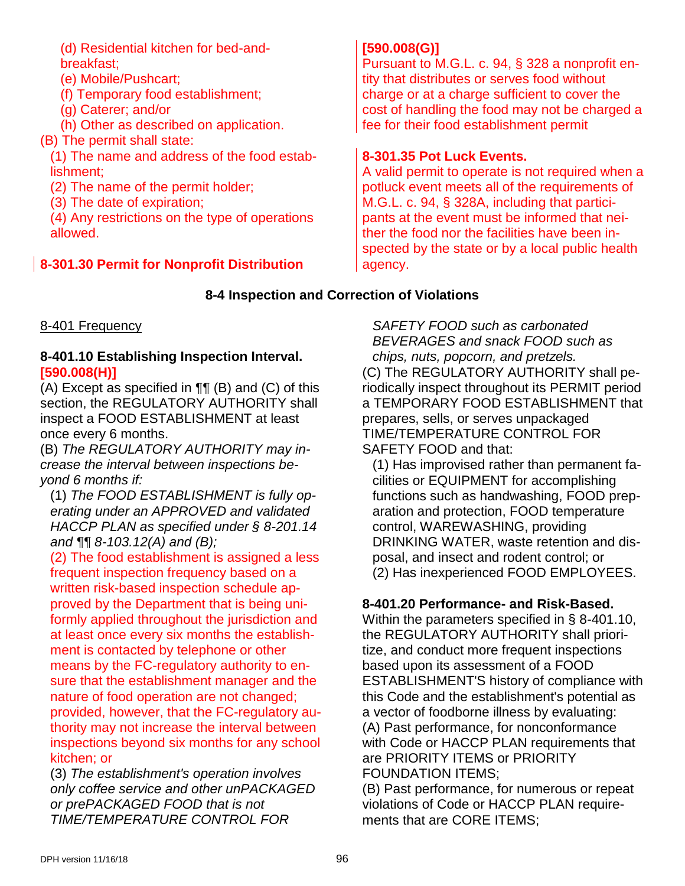(d) Residential kitchen for bed-andbreakfast;

(e) Mobile/Pushcart;

(f) Temporary food establishment;

(g) Caterer; and/or

(h) Other as described on application.

(B) The permit shall state:

(1) The name and address of the food establishment;

(2) The name of the permit holder;

(3) The date of expiration;

(4) Any restrictions on the type of operations allowed.

## **8-301.30 Permit for Nonprofit Distribution**

## **[590.008(G)]**

Pursuant to M.G.L. c. 94, § 328 a nonprofit entity that distributes or serves food without charge or at a charge sufficient to cover the cost of handling the food may not be charged a fee for their food establishment permit

### **8-301.35 Pot Luck Events.**

A valid permit to operate is not required when a potluck event meets all of the requirements of M.G.L. c. 94, § 328A, including that participants at the event must be informed that neither the food nor the facilities have been inspected by the state or by a local public health agency.

### **8-4 Inspection and Correction of Violations**

### 8-401 Frequency

### **8-401.10 Establishing Inspection Interval. [590.008(H)]**

(A) Except as specified in  $\P\P$  (B) and (C) of this section, the REGULATORY AUTHORITY shall inspect a FOOD ESTABLISHMENT at least once every 6 months.

(B) *The REGULATORY AUTHORITY may increase the interval between inspections beyond 6 months if:*

(1) *The FOOD ESTABLISHMENT is fully operating under an APPROVED and validated HACCP PLAN as specified under § 8-201.14 and ¶¶ 8-103.12(A) and (B);*

(2) The food establishment is assigned a less frequent inspection frequency based on a written risk-based inspection schedule approved by the Department that is being uniformly applied throughout the jurisdiction and at least once every six months the establishment is contacted by telephone or other means by the FC-regulatory authority to ensure that the establishment manager and the nature of food operation are not changed; provided, however, that the FC-regulatory authority may not increase the interval between inspections beyond six months for any school kitchen; or

(3) *The establishment's operation involves only coffee service and other unPACKAGED or prePACKAGED FOOD that is not TIME/TEMPERATURE CONTROL FOR* 

*SAFETY FOOD such as carbonated BEVERAGES and snack FOOD such as chips, nuts, popcorn, and pretzels.* (C) The REGULATORY AUTHORITY shall periodically inspect throughout its PERMIT period a TEMPORARY FOOD ESTABLISHMENT that prepares, sells, or serves unpackaged TIME/TEMPERATURE CONTROL FOR SAFETY FOOD and that:

(1) Has improvised rather than permanent facilities or EQUIPMENT for accomplishing functions such as handwashing, FOOD preparation and protection, FOOD temperature control, WAREWASHING, providing DRINKING WATER, waste retention and disposal, and insect and rodent control; or (2) Has inexperienced FOOD EMPLOYEES.

## **8-401.20 Performance- and Risk-Based.**

Within the parameters specified in § 8-401.10, the REGULATORY AUTHORITY shall prioritize, and conduct more frequent inspections based upon its assessment of a FOOD ESTABLISHMENT'S history of compliance with this Code and the establishment's potential as a vector of foodborne illness by evaluating: (A) Past performance, for nonconformance with Code or HACCP PLAN requirements that are PRIORITY ITEMS or PRIORITY FOUNDATION ITEMS;

(B) Past performance, for numerous or repeat violations of Code or HACCP PLAN requirements that are CORE ITEMS;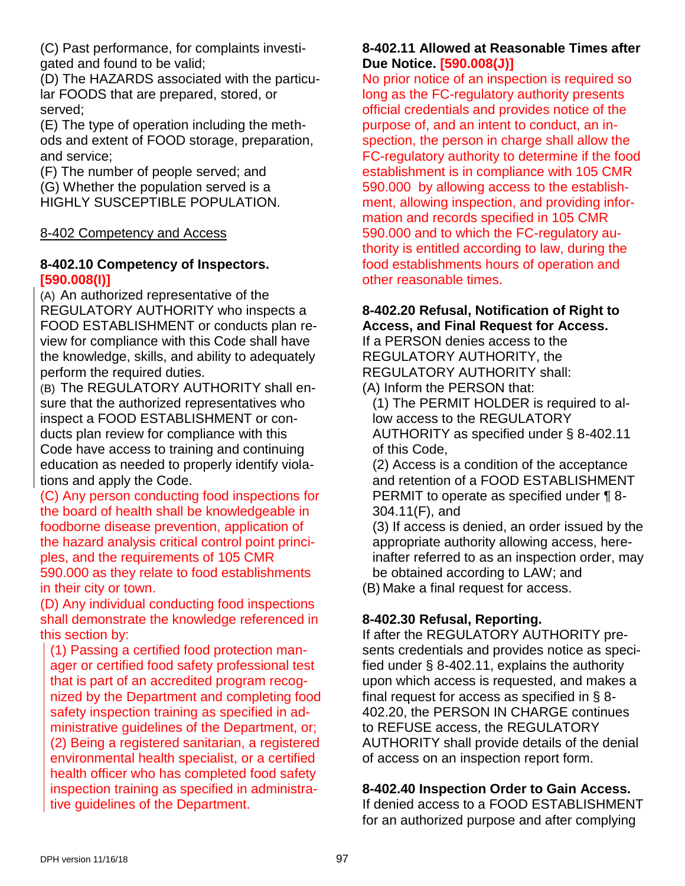(C) Past performance, for complaints investigated and found to be valid;

(D) The HAZARDS associated with the particular FOODS that are prepared, stored, or served;

(E) The type of operation including the methods and extent of FOOD storage, preparation, and service;

(F) The number of people served; and (G) Whether the population served is a HIGHLY SUSCEPTIBLE POPULATION.

### 8-402 Competency and Access

### **8-402.10 Competency of Inspectors. [590.008(I)]**

(A) An authorized representative of the REGULATORY AUTHORITY who inspects a FOOD ESTABLISHMENT or conducts plan review for compliance with this Code shall have the knowledge, skills, and ability to adequately perform the required duties.

(B) The REGULATORY AUTHORITY shall ensure that the authorized representatives who inspect a FOOD ESTABLISHMENT or conducts plan review for compliance with this Code have access to training and continuing education as needed to properly identify violations and apply the Code.

(C) Any person conducting food inspections for the board of health shall be knowledgeable in foodborne disease prevention, application of the hazard analysis critical control point principles, and the requirements of 105 CMR 590.000 as they relate to food establishments in their city or town.

(D) Any individual conducting food inspections shall demonstrate the knowledge referenced in this section by:

(1) Passing a certified food protection manager or certified food safety professional test that is part of an accredited program recognized by the Department and completing food safety inspection training as specified in administrative guidelines of the Department, or; (2) Being a registered sanitarian, a registered environmental health specialist, or a certified health officer who has completed food safety inspection training as specified in administrative guidelines of the Department.

#### **8-402.11 Allowed at Reasonable Times after Due Notice. [590.008(J)]**

No prior notice of an inspection is required so long as the FC-regulatory authority presents official credentials and provides notice of the purpose of, and an intent to conduct, an inspection, the person in charge shall allow the FC-regulatory authority to determine if the food establishment is in compliance with 105 CMR 590.000 by allowing access to the establishment, allowing inspection, and providing information and records specified in 105 CMR 590.000 and to which the FC-regulatory authority is entitled according to law, during the food establishments hours of operation and other reasonable times.

### **8-402.20 Refusal, Notification of Right to Access, and Final Request for Access.**

If a PERSON denies access to the REGULATORY AUTHORITY, the REGULATORY AUTHORITY shall: (A) Inform the PERSON that:

(1) The PERMIT HOLDER is required to allow access to the REGULATORY AUTHORITY as specified under § 8-402.11 of this Code,

(2) Access is a condition of the acceptance and retention of a FOOD ESTABLISHMENT PERMIT to operate as specified under ¶ 8- 304.11(F), and

(3) If access is denied, an order issued by the appropriate authority allowing access, hereinafter referred to as an inspection order, may be obtained according to LAW; and

(B) Make a final request for access.

## **8-402.30 Refusal, Reporting.**

If after the REGULATORY AUTHORITY presents credentials and provides notice as specified under § 8-402.11, explains the authority upon which access is requested, and makes a final request for access as specified in § 8- 402.20, the PERSON IN CHARGE continues to REFUSE access, the REGULATORY AUTHORITY shall provide details of the denial of access on an inspection report form.

### **8-402.40 Inspection Order to Gain Access.**

If denied access to a FOOD ESTABLISHMENT for an authorized purpose and after complying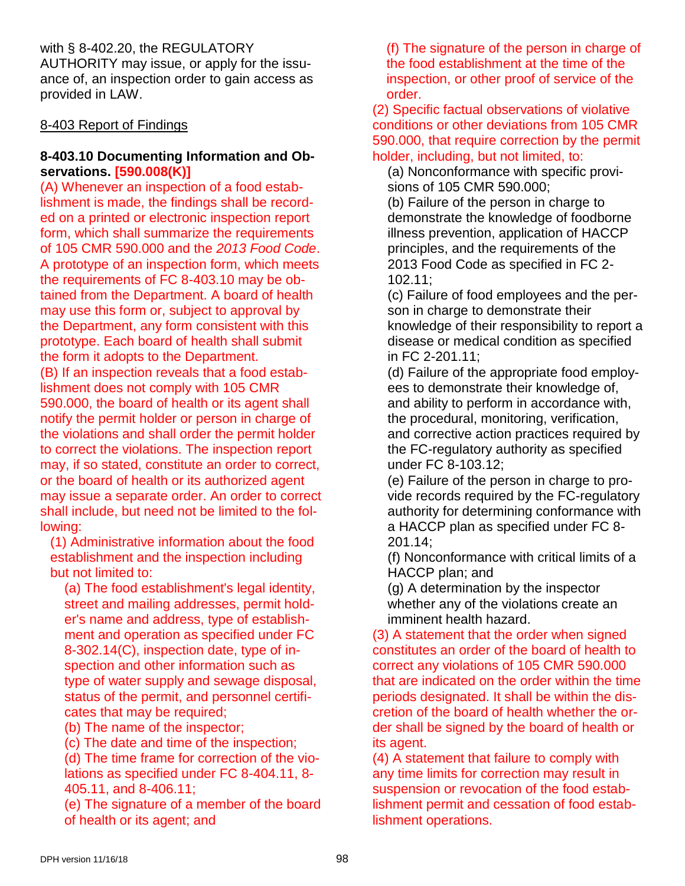### with § 8-402.20, the REGULATORY

AUTHORITY may issue, or apply for the issuance of, an inspection order to gain access as provided in LAW.

### 8-403 Report of Findings

#### **8-403.10 Documenting Information and Observations. [590.008(K)]**

(A) Whenever an inspection of a food establishment is made, the findings shall be recorded on a printed or electronic inspection report form, which shall summarize the requirements of 105 CMR 590.000 and the *2013 Food Code*. A prototype of an inspection form, which meets the requirements of FC 8-403.10 may be obtained from the Department. A board of health may use this form or, subject to approval by the Department, any form consistent with this prototype. Each board of health shall submit the form it adopts to the Department. (B) If an inspection reveals that a food establishment does not comply with 105 CMR 590.000, the board of health or its agent shall notify the permit holder or person in charge of the violations and shall order the permit holder to correct the violations. The inspection report may, if so stated, constitute an order to correct, or the board of health or its authorized agent may issue a separate order. An order to correct shall include, but need not be limited to the following:

(1) Administrative information about the food establishment and the inspection including but not limited to:

(a) The food establishment's legal identity, street and mailing addresses, permit holder's name and address, type of establishment and operation as specified under FC 8-302.14(C), inspection date, type of inspection and other information such as type of water supply and sewage disposal, status of the permit, and personnel certificates that may be required;

(b) The name of the inspector;

(c) The date and time of the inspection;

(d) The time frame for correction of the violations as specified under FC 8-404.11, 8- 405.11, and 8-406.11;

(e) The signature of a member of the board of health or its agent; and

(f) The signature of the person in charge of the food establishment at the time of the inspection, or other proof of service of the order.

(2) Specific factual observations of violative conditions or other deviations from 105 CMR 590.000, that require correction by the permit holder, including, but not limited, to:

(a) Nonconformance with specific provisions of 105 CMR 590.000;

(b) Failure of the person in charge to demonstrate the knowledge of foodborne illness prevention, application of HACCP principles, and the requirements of the 2013 Food Code as specified in FC 2- 102.11;

(c) Failure of food employees and the person in charge to demonstrate their knowledge of their responsibility to report a disease or medical condition as specified in FC 2-201.11;

(d) Failure of the appropriate food employees to demonstrate their knowledge of, and ability to perform in accordance with, the procedural, monitoring, verification, and corrective action practices required by the FC-regulatory authority as specified under FC 8-103.12;

(e) Failure of the person in charge to provide records required by the FC-regulatory authority for determining conformance with a HACCP plan as specified under FC 8- 201.14;

(f) Nonconformance with critical limits of a HACCP plan; and

(g) A determination by the inspector whether any of the violations create an imminent health hazard.

(3) A statement that the order when signed constitutes an order of the board of health to correct any violations of 105 CMR 590.000 that are indicated on the order within the time periods designated. It shall be within the discretion of the board of health whether the order shall be signed by the board of health or its agent.

(4) A statement that failure to comply with any time limits for correction may result in suspension or revocation of the food establishment permit and cessation of food establishment operations.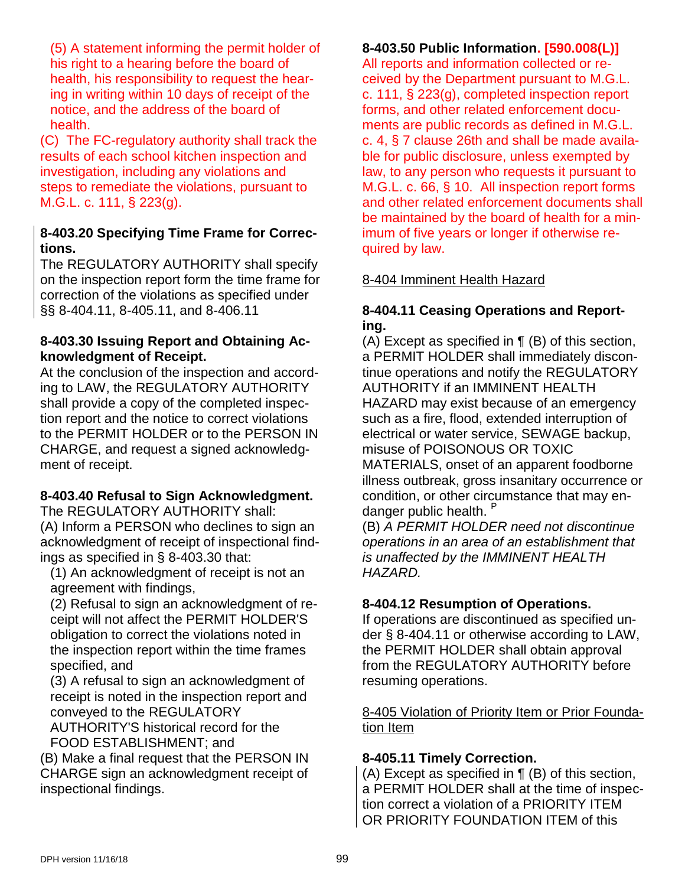(5) A statement informing the permit holder of his right to a hearing before the board of health, his responsibility to request the hearing in writing within 10 days of receipt of the notice, and the address of the board of health.

(C) The FC-regulatory authority shall track the results of each school kitchen inspection and investigation, including any violations and steps to remediate the violations, pursuant to M.G.L. c. 111, § 223(g).

### **8-403.20 Specifying Time Frame for Corrections.**

The REGULATORY AUTHORITY shall specify on the inspection report form the time frame for correction of the violations as specified under §§ 8-404.11, 8-405.11, and 8-406.11

### **8-403.30 Issuing Report and Obtaining Acknowledgment of Receipt.**

At the conclusion of the inspection and according to LAW, the REGULATORY AUTHORITY shall provide a copy of the completed inspection report and the notice to correct violations to the PERMIT HOLDER or to the PERSON IN CHARGE, and request a signed acknowledgment of receipt.

### **8-403.40 Refusal to Sign Acknowledgment.**

The REGULATORY AUTHORITY shall: (A) Inform a PERSON who declines to sign an acknowledgment of receipt of inspectional findings as specified in § 8-403.30 that:

(1) An acknowledgment of receipt is not an agreement with findings,

(2) Refusal to sign an acknowledgment of receipt will not affect the PERMIT HOLDER'S obligation to correct the violations noted in the inspection report within the time frames specified, and

(3) A refusal to sign an acknowledgment of receipt is noted in the inspection report and conveyed to the REGULATORY

AUTHORITY'S historical record for the FOOD ESTABLISHMENT; and

(B) Make a final request that the PERSON IN CHARGE sign an acknowledgment receipt of inspectional findings.

## **8-403.50 Public Information. [590.008(L)]**

All reports and information collected or received by the Department pursuant to M.G.L. c. 111, § 223(g), completed inspection report forms, and other related enforcement documents are public records as defined in M.G.L. c. 4, § 7 clause 26th and shall be made available for public disclosure, unless exempted by law, to any person who requests it pursuant to M.G.L. c. 66, § 10. All inspection report forms and other related enforcement documents shall be maintained by the board of health for a minimum of five years or longer if otherwise required by law.

### 8-404 Imminent Health Hazard

#### **8-404.11 Ceasing Operations and Reporting.**

(A) Except as specified in ¶ (B) of this section, a PERMIT HOLDER shall immediately discontinue operations and notify the REGULATORY AUTHORITY if an IMMINENT HEALTH HAZARD may exist because of an emergency such as a fire, flood, extended interruption of electrical or water service, SEWAGE backup, misuse of POISONOUS OR TOXIC

MATERIALS, onset of an apparent foodborne illness outbreak, gross insanitary occurrence or condition, or other circumstance that may endanger public health. <sup>P</sup>

(B) *A PERMIT HOLDER need not discontinue operations in an area of an establishment that is unaffected by the IMMINENT HEALTH HAZARD.*

### **8-404.12 Resumption of Operations.**

If operations are discontinued as specified under § 8-404.11 or otherwise according to LAW, the PERMIT HOLDER shall obtain approval from the REGULATORY AUTHORITY before resuming operations.

### 8-405 Violation of Priority Item or Prior Foundation Item

#### **8-405.11 Timely Correction.**

(A) Except as specified in  $\P$  (B) of this section, a PERMIT HOLDER shall at the time of inspection correct a violation of a PRIORITY ITEM OR PRIORITY FOUNDATION ITEM of this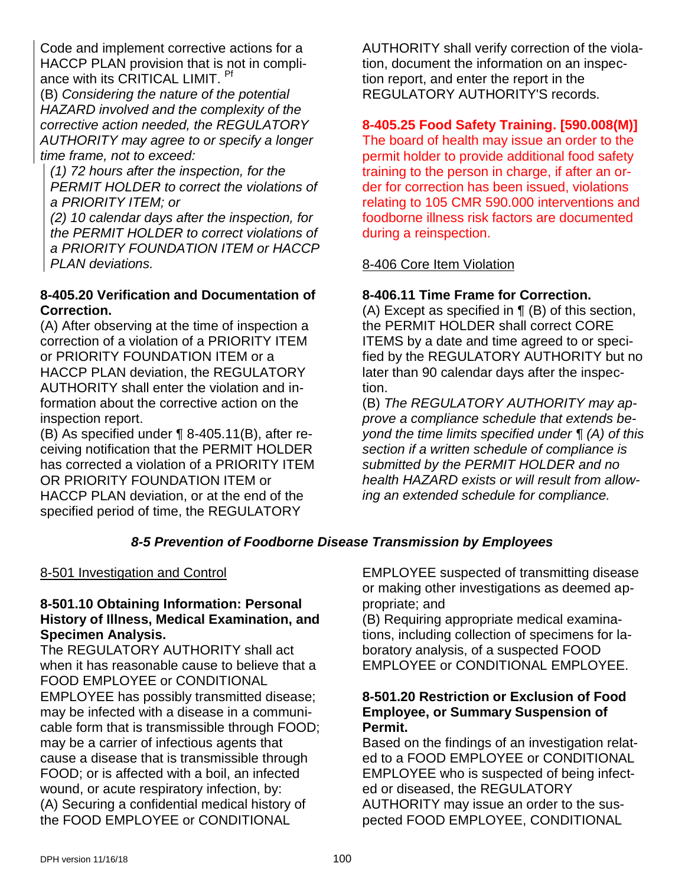Code and implement corrective actions for a HACCP PLAN provision that is not in compliance with its CRITICAL LIMIT. <sup>Pf</sup>

(B) *Considering the nature of the potential HAZARD involved and the complexity of the corrective action needed, the REGULATORY AUTHORITY may agree to or specify a longer time frame, not to exceed:*

*(1) 72 hours after the inspection, for the PERMIT HOLDER to correct the violations of a PRIORITY ITEM; or*

*(2) 10 calendar days after the inspection, for the PERMIT HOLDER to correct violations of a PRIORITY FOUNDATION ITEM or HACCP PLAN deviations.*

### **8-405.20 Verification and Documentation of Correction.**

(A) After observing at the time of inspection a correction of a violation of a PRIORITY ITEM or PRIORITY FOUNDATION ITEM or a HACCP PLAN deviation, the REGULATORY AUTHORITY shall enter the violation and information about the corrective action on the inspection report.

(B) As specified under ¶ 8-405.11(B), after receiving notification that the PERMIT HOLDER has corrected a violation of a PRIORITY ITEM OR PRIORITY FOUNDATION ITEM or HACCP PLAN deviation, or at the end of the specified period of time, the REGULATORY

AUTHORITY shall verify correction of the violation, document the information on an inspection report, and enter the report in the REGULATORY AUTHORITY'S records.

### **8-405.25 Food Safety Training. [590.008(M)]**

The board of health may issue an order to the permit holder to provide additional food safety training to the person in charge, if after an order for correction has been issued, violations relating to 105 CMR 590.000 interventions and foodborne illness risk factors are documented during a reinspection.

### 8-406 Core Item Violation

### **8-406.11 Time Frame for Correction.**

(A) Except as specified in  $\P$  (B) of this section, the PERMIT HOLDER shall correct CORE ITEMS by a date and time agreed to or specified by the REGULATORY AUTHORITY but no later than 90 calendar days after the inspection.

(B) *The REGULATORY AUTHORITY may approve a compliance schedule that extends beyond the time limits specified under ¶ (A) of this section if a written schedule of compliance is submitted by the PERMIT HOLDER and no health HAZARD exists or will result from allowing an extended schedule for compliance.*

### *8-5 Prevention of Foodborne Disease Transmission by Employees*

#### 8-501 Investigation and Control

#### **8-501.10 Obtaining Information: Personal History of Illness, Medical Examination, and Specimen Analysis.**

The REGULATORY AUTHORITY shall act when it has reasonable cause to believe that a FOOD EMPLOYEE or CONDITIONAL EMPLOYEE has possibly transmitted disease; may be infected with a disease in a communicable form that is transmissible through FOOD; may be a carrier of infectious agents that cause a disease that is transmissible through FOOD; or is affected with a boil, an infected wound, or acute respiratory infection, by: (A) Securing a confidential medical history of the FOOD EMPLOYEE or CONDITIONAL

EMPLOYEE suspected of transmitting disease or making other investigations as deemed appropriate; and

(B) Requiring appropriate medical examinations, including collection of specimens for laboratory analysis, of a suspected FOOD EMPLOYEE or CONDITIONAL EMPLOYEE.

#### **8-501.20 Restriction or Exclusion of Food Employee, or Summary Suspension of Permit.**

Based on the findings of an investigation related to a FOOD EMPLOYEE or CONDITIONAL EMPLOYEE who is suspected of being infected or diseased, the REGULATORY AUTHORITY may issue an order to the suspected FOOD EMPLOYEE, CONDITIONAL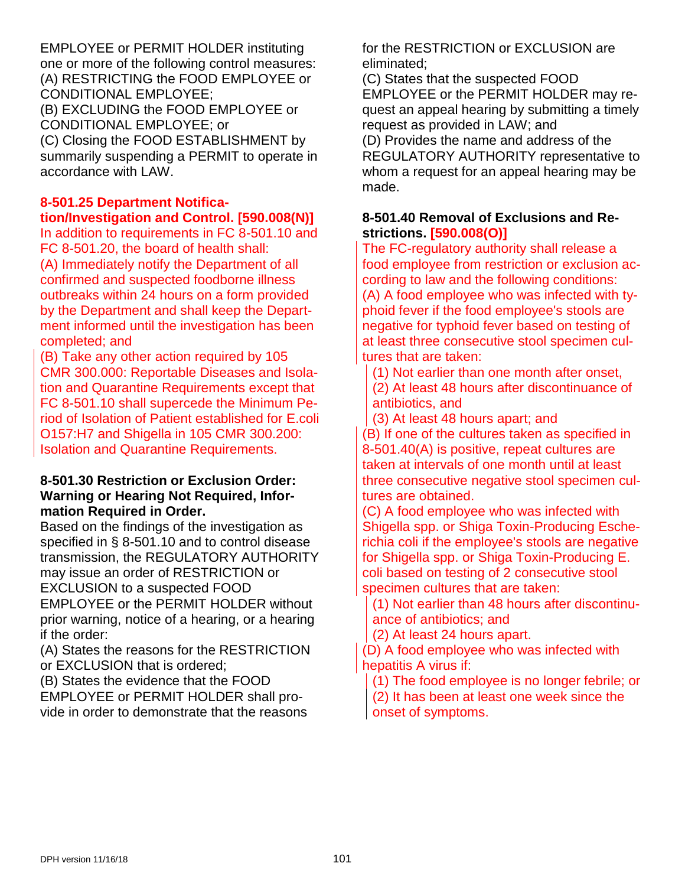EMPLOYEE or PERMIT HOLDER instituting one or more of the following control measures: (A) RESTRICTING the FOOD EMPLOYEE or CONDITIONAL EMPLOYEE; (B) EXCLUDING the FOOD EMPLOYEE or CONDITIONAL EMPLOYEE; or (C) Closing the FOOD ESTABLISHMENT by summarily suspending a PERMIT to operate in accordance with LAW.

#### **8-501.25 Department Notification/Investigation and Control. [590.008(N)]**

In addition to requirements in FC 8-501.10 and FC 8-501.20, the board of health shall:

(A) Immediately notify the Department of all confirmed and suspected foodborne illness outbreaks within 24 hours on a form provided by the Department and shall keep the Department informed until the investigation has been completed; and

(B) Take any other action required by 105 CMR 300.000: Reportable Diseases and Isolation and Quarantine Requirements except that FC 8-501.10 shall supercede the Minimum Period of Isolation of Patient established for E.coli O157:H7 and Shigella in 105 CMR 300.200: Isolation and Quarantine Requirements.

#### **8-501.30 Restriction or Exclusion Order: Warning or Hearing Not Required, Information Required in Order.**

Based on the findings of the investigation as specified in § 8-501.10 and to control disease transmission, the REGULATORY AUTHORITY may issue an order of RESTRICTION or EXCLUSION to a suspected FOOD EMPLOYEE or the PERMIT HOLDER without prior warning, notice of a hearing, or a hearing if the order:

(A) States the reasons for the RESTRICTION or EXCLUSION that is ordered;

(B) States the evidence that the FOOD EMPLOYEE or PERMIT HOLDER shall provide in order to demonstrate that the reasons for the RESTRICTION or EXCLUSION are eliminated;

(C) States that the suspected FOOD EMPLOYEE or the PERMIT HOLDER may request an appeal hearing by submitting a timely request as provided in LAW; and (D) Provides the name and address of the REGULATORY AUTHORITY representative to whom a request for an appeal hearing may be made.

### **8-501.40 Removal of Exclusions and Restrictions. [590.008(O)]**

The FC-regulatory authority shall release a food employee from restriction or exclusion according to law and the following conditions: (A) A food employee who was infected with typhoid fever if the food employee's stools are negative for typhoid fever based on testing of at least three consecutive stool specimen cultures that are taken:

(1) Not earlier than one month after onset,

(2) At least 48 hours after discontinuance of antibiotics, and

(3) At least 48 hours apart; and

(B) If one of the cultures taken as specified in 8-501.40(A) is positive, repeat cultures are taken at intervals of one month until at least three consecutive negative stool specimen cultures are obtained.

(C) A food employee who was infected with Shigella spp. or Shiga Toxin-Producing Escherichia coli if the employee's stools are negative for Shigella spp. or Shiga Toxin-Producing E. coli based on testing of 2 consecutive stool specimen cultures that are taken:

(1) Not earlier than 48 hours after discontinuance of antibiotics; and

(2) At least 24 hours apart.

(D) A food employee who was infected with hepatitis A virus if:

(1) The food employee is no longer febrile; or

(2) It has been at least one week since the onset of symptoms.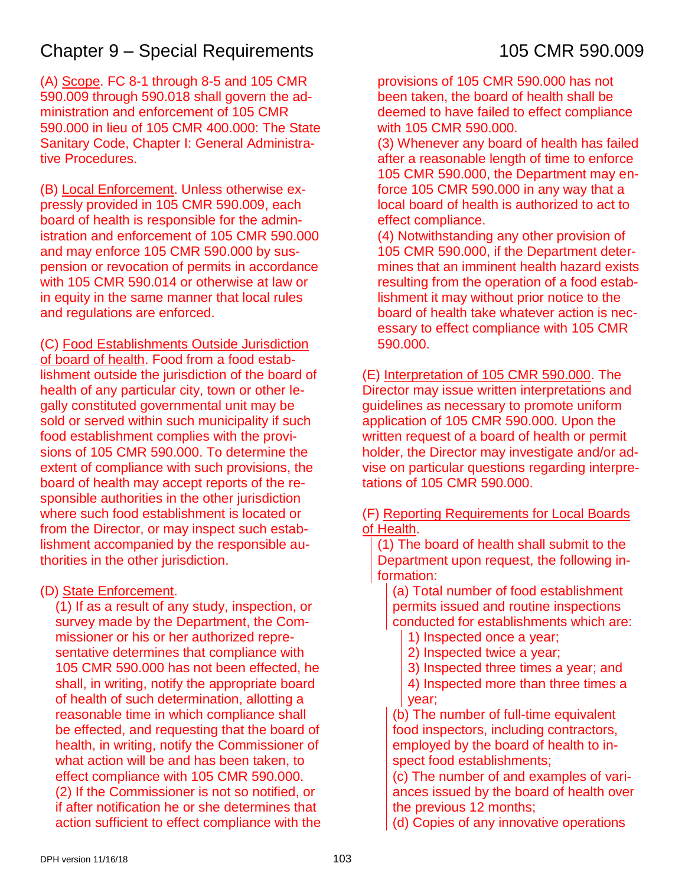# Chapter 9 – Special Requirements 105 CMR 590.009

(A) Scope. FC 8-1 through 8-5 and 105 CMR 590.009 through 590.018 shall govern the administration and enforcement of 105 CMR 590.000 in lieu of 105 CMR 400.000: The State Sanitary Code, Chapter I: General Administrative Procedures.

(B) Local Enforcement. Unless otherwise expressly provided in 105 CMR 590.009, each board of health is responsible for the administration and enforcement of 105 CMR 590.000 and may enforce 105 CMR 590.000 by suspension or revocation of permits in accordance with 105 CMR 590.014 or otherwise at law or in equity in the same manner that local rules and regulations are enforced.

(C) Food Establishments Outside Jurisdiction of board of health. Food from a food establishment outside the jurisdiction of the board of health of any particular city, town or other legally constituted governmental unit may be sold or served within such municipality if such food establishment complies with the provisions of 105 CMR 590.000. To determine the extent of compliance with such provisions, the board of health may accept reports of the responsible authorities in the other jurisdiction where such food establishment is located or from the Director, or may inspect such establishment accompanied by the responsible authorities in the other jurisdiction.

### (D) State Enforcement.

(1) If as a result of any study, inspection, or survey made by the Department, the Commissioner or his or her authorized representative determines that compliance with 105 CMR 590.000 has not been effected, he shall, in writing, notify the appropriate board of health of such determination, allotting a reasonable time in which compliance shall be effected, and requesting that the board of health, in writing, notify the Commissioner of what action will be and has been taken, to effect compliance with 105 CMR 590.000. (2) If the Commissioner is not so notified, or if after notification he or she determines that action sufficient to effect compliance with the provisions of 105 CMR 590.000 has not been taken, the board of health shall be deemed to have failed to effect compliance with 105 CMR 590.000.

(3) Whenever any board of health has failed after a reasonable length of time to enforce 105 CMR 590.000, the Department may enforce 105 CMR 590.000 in any way that a local board of health is authorized to act to effect compliance.

(4) Notwithstanding any other provision of 105 CMR 590.000, if the Department determines that an imminent health hazard exists resulting from the operation of a food establishment it may without prior notice to the board of health take whatever action is necessary to effect compliance with 105 CMR 590.000.

(E) Interpretation of 105 CMR 590.000. The Director may issue written interpretations and guidelines as necessary to promote uniform application of 105 CMR 590.000. Upon the written request of a board of health or permit holder, the Director may investigate and/or advise on particular questions regarding interpretations of 105 CMR 590.000.

(F) Reporting Requirements for Local Boards of Health.

(1) The board of health shall submit to the Department upon request, the following information:

(a) Total number of food establishment permits issued and routine inspections conducted for establishments which are:

- 1) Inspected once a year;
- 2) Inspected twice a year;

3) Inspected three times a year; and

4) Inspected more than three times a year;

(b) The number of full-time equivalent food inspectors, including contractors, employed by the board of health to inspect food establishments;

(c) The number of and examples of variances issued by the board of health over the previous 12 months;

(d) Copies of any innovative operations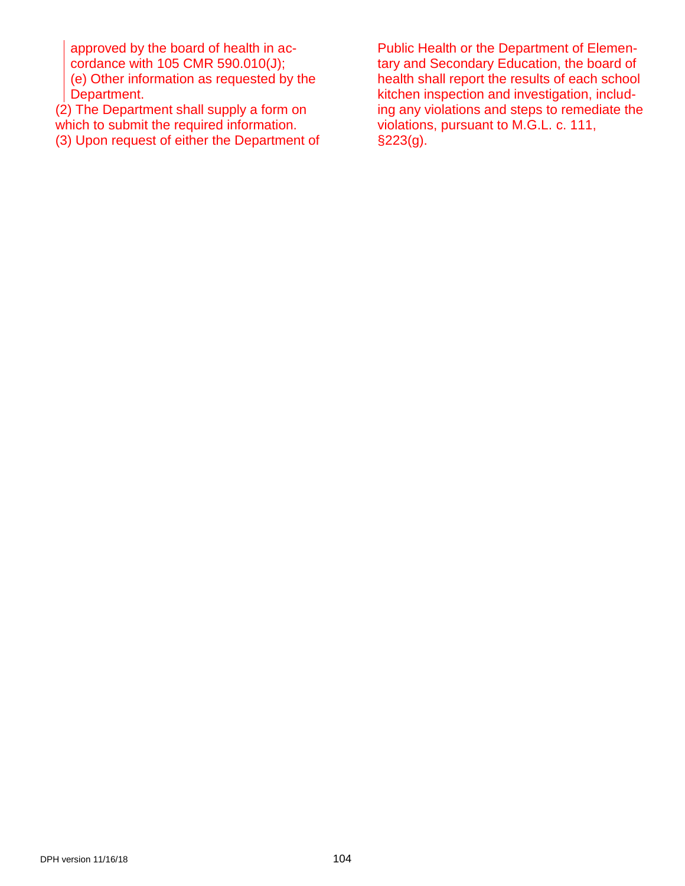approved by the board of health in accordance with 105 CMR 590.010(J); (e) Other information as requested by the Department.

(2) The Department shall supply a form on which to submit the required information. (3) Upon request of either the Department of Public Health or the Department of Elementary and Secondary Education, the board of health shall report the results of each school kitchen inspection and investigation, including any violations and steps to remediate the violations, pursuant to M.G.L. c. 111, §223(g).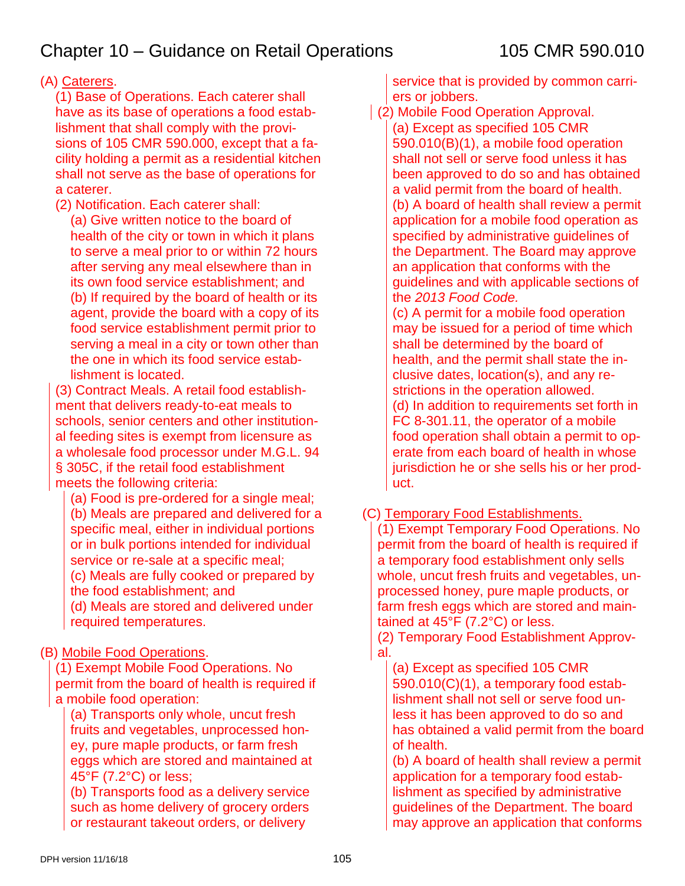# Chapter 10 – Guidance on Retail Operations 105 CMR 590.010

### (A) Caterers.

(1) Base of Operations. Each caterer shall have as its base of operations a food establishment that shall comply with the provisions of 105 CMR 590.000, except that a facility holding a permit as a residential kitchen shall not serve as the base of operations for a caterer.

(2) Notification. Each caterer shall: (a) Give written notice to the board of health of the city or town in which it plans to serve a meal prior to or within 72 hours after serving any meal elsewhere than in its own food service establishment; and (b) If required by the board of health or its agent, provide the board with a copy of its food service establishment permit prior to serving a meal in a city or town other than the one in which its food service establishment is located.

(3) Contract Meals. A retail food establishment that delivers ready-to-eat meals to schools, senior centers and other institutional feeding sites is exempt from licensure as a wholesale food processor under M.G.L. 94 § 305C, if the retail food establishment meets the following criteria:

(a) Food is pre-ordered for a single meal; (b) Meals are prepared and delivered for a specific meal, either in individual portions or in bulk portions intended for individual service or re-sale at a specific meal;

(c) Meals are fully cooked or prepared by the food establishment; and

(d) Meals are stored and delivered under required temperatures.

### (B) Mobile Food Operations.

(1) Exempt Mobile Food Operations. No permit from the board of health is required if a mobile food operation:

(a) Transports only whole, uncut fresh fruits and vegetables, unprocessed honey, pure maple products, or farm fresh eggs which are stored and maintained at 45°F (7.2°C) or less;

(b) Transports food as a delivery service such as home delivery of grocery orders or restaurant takeout orders, or delivery

service that is provided by common carriers or jobbers.

(2) Mobile Food Operation Approval. (a) Except as specified 105 CMR 590.010(B)(1), a mobile food operation shall not sell or serve food unless it has been approved to do so and has obtained a valid permit from the board of health. (b) A board of health shall review a permit application for a mobile food operation as specified by administrative guidelines of the Department. The Board may approve an application that conforms with the guidelines and with applicable sections of the *2013 Food Code.*

(c) A permit for a mobile food operation may be issued for a period of time which shall be determined by the board of health, and the permit shall state the inclusive dates, location(s), and any restrictions in the operation allowed. (d) In addition to requirements set forth in FC 8-301.11, the operator of a mobile food operation shall obtain a permit to operate from each board of health in whose jurisdiction he or she sells his or her product.

## (C) Temporary Food Establishments.

(1) Exempt Temporary Food Operations. No permit from the board of health is required if a temporary food establishment only sells whole, uncut fresh fruits and vegetables, unprocessed honey, pure maple products, or farm fresh eggs which are stored and maintained at 45°F (7.2°C) or less.

(2) Temporary Food Establishment Approval.

(a) Except as specified 105 CMR 590.010(C)(1), a temporary food establishment shall not sell or serve food unless it has been approved to do so and has obtained a valid permit from the board of health.

(b) A board of health shall review a permit application for a temporary food establishment as specified by administrative guidelines of the Department. The board may approve an application that conforms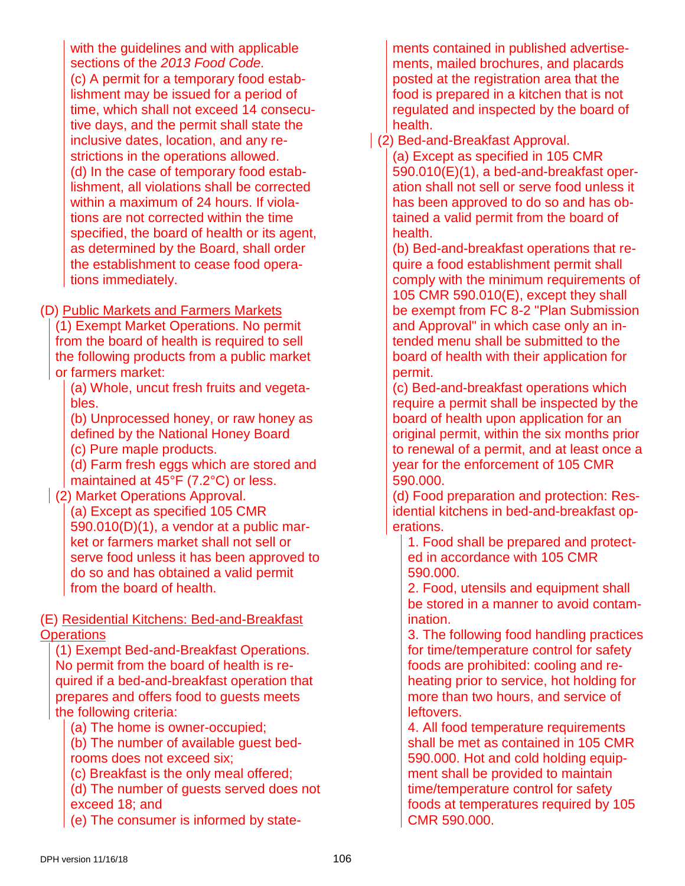with the guidelines and with applicable sections of the *2013 Food Code.* (c) A permit for a temporary food establishment may be issued for a period of time, which shall not exceed 14 consecutive days, and the permit shall state the inclusive dates, location, and any restrictions in the operations allowed. (d) In the case of temporary food establishment, all violations shall be corrected within a maximum of 24 hours. If violations are not corrected within the time specified, the board of health or its agent, as determined by the Board, shall order the establishment to cease food operations immediately.

(D) Public Markets and Farmers Markets

(1) Exempt Market Operations. No permit from the board of health is required to sell the following products from a public market or farmers market:

(a) Whole, uncut fresh fruits and vegetables.

(b) Unprocessed honey, or raw honey as defined by the National Honey Board (c) Pure maple products.

(d) Farm fresh eggs which are stored and maintained at 45°F (7.2°C) or less.

(2) Market Operations Approval. (a) Except as specified 105 CMR 590.010(D)(1), a vendor at a public market or farmers market shall not sell or serve food unless it has been approved to do so and has obtained a valid permit from the board of health.

(E) Residential Kitchens: Bed-and-Breakfast **Operations** 

(1) Exempt Bed-and-Breakfast Operations. No permit from the board of health is required if a bed-and-breakfast operation that prepares and offers food to guests meets the following criteria:

(a) The home is owner-occupied;

(b) The number of available guest bedrooms does not exceed six;

(c) Breakfast is the only meal offered;

(d) The number of guests served does not exceed 18; and

(e) The consumer is informed by state-

ments contained in published advertisements, mailed brochures, and placards posted at the registration area that the food is prepared in a kitchen that is not regulated and inspected by the board of health.

(2) Bed-and-Breakfast Approval.

(a) Except as specified in 105 CMR 590.010(E)(1), a bed-and-breakfast operation shall not sell or serve food unless it has been approved to do so and has obtained a valid permit from the board of health.

(b) Bed-and-breakfast operations that require a food establishment permit shall comply with the minimum requirements of 105 CMR 590.010(E), except they shall be exempt from FC 8-2 "Plan Submission and Approval" in which case only an intended menu shall be submitted to the board of health with their application for permit.

(c) Bed-and-breakfast operations which require a permit shall be inspected by the board of health upon application for an original permit, within the six months prior to renewal of a permit, and at least once a year for the enforcement of 105 CMR 590.000.

(d) Food preparation and protection: Residential kitchens in bed-and-breakfast operations.

1. Food shall be prepared and protected in accordance with 105 CMR 590.000.

2. Food, utensils and equipment shall be stored in a manner to avoid contamination.

3. The following food handling practices for time/temperature control for safety foods are prohibited: cooling and reheating prior to service, hot holding for more than two hours, and service of leftovers.

4. All food temperature requirements shall be met as contained in 105 CMR 590.000. Hot and cold holding equipment shall be provided to maintain time/temperature control for safety foods at temperatures required by 105 CMR 590.000.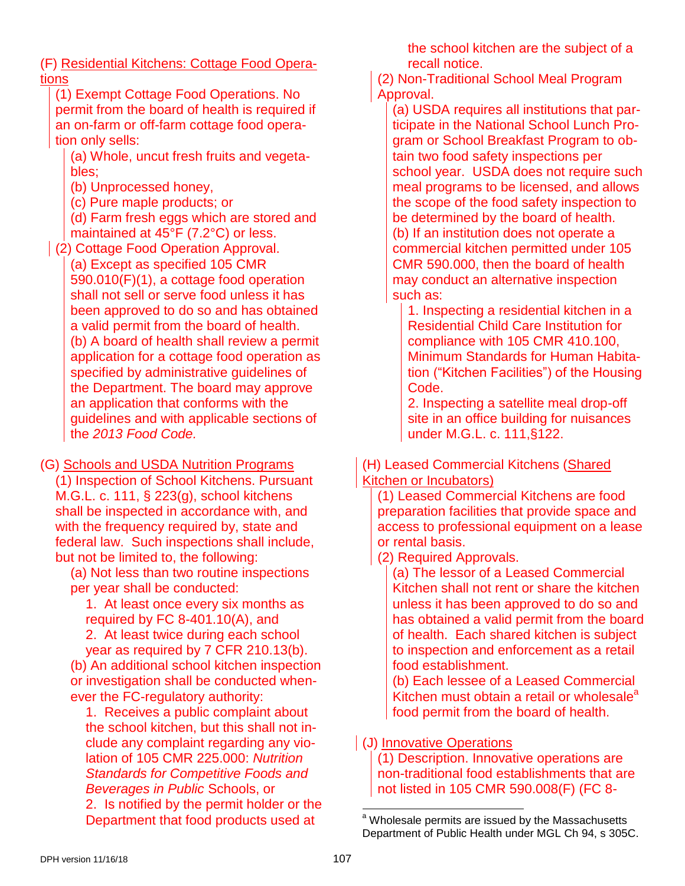(F) Residential Kitchens: Cottage Food Operations

(1) Exempt Cottage Food Operations. No permit from the board of health is required if an on-farm or off-farm cottage food operation only sells:

- (a) Whole, uncut fresh fruits and vegetables;
- (b) Unprocessed honey,
- (c) Pure maple products; or

(d) Farm fresh eggs which are stored and maintained at 45°F (7.2°C) or less.

(2) Cottage Food Operation Approval. (a) Except as specified 105 CMR 590.010(F)(1), a cottage food operation shall not sell or serve food unless it has been approved to do so and has obtained a valid permit from the board of health. (b) A board of health shall review a permit application for a cottage food operation as specified by administrative guidelines of the Department. The board may approve an application that conforms with the guidelines and with applicable sections of the *2013 Food Code.*

(G) Schools and USDA Nutrition Programs

(1) Inspection of School Kitchens. Pursuant M.G.L. c. 111, § 223(g), school kitchens shall be inspected in accordance with, and with the frequency required by, state and federal law. Such inspections shall include, but not be limited to, the following:

(a) Not less than two routine inspections per year shall be conducted:

1. At least once every six months as required by FC 8-401.10(A), and

2. At least twice during each school year as required by 7 CFR 210.13(b).

(b) An additional school kitchen inspection or investigation shall be conducted whenever the FC-regulatory authority:

1. Receives a public complaint about the school kitchen, but this shall not include any complaint regarding any violation of 105 CMR 225.000: *Nutrition Standards for Competitive Foods and Beverages in Public* Schools, or 2. Is notified by the permit holder or the Department that food products used at

the school kitchen are the subject of a recall notice.

(2) Non-Traditional School Meal Program Approval.

(a) USDA requires all institutions that participate in the National School Lunch Program or School Breakfast Program to obtain two food safety inspections per school year. USDA does not require such meal programs to be licensed, and allows the scope of the food safety inspection to be determined by the board of health. (b) If an institution does not operate a commercial kitchen permitted under 105 CMR 590.000, then the board of health may conduct an alternative inspection such as:

1. Inspecting a residential kitchen in a Residential Child Care Institution for compliance with 105 CMR 410.100, Minimum Standards for Human Habitation ("Kitchen Facilities") of the Housing Code.

2. Inspecting a satellite meal drop-off site in an office building for nuisances under M.G.L. c. 111,§122.

(H) Leased Commercial Kitchens (Shared Kitchen or Incubators)

(1) Leased Commercial Kitchens are food preparation facilities that provide space and access to professional equipment on a lease or rental basis.

(2) Required Approvals.

(a) The lessor of a Leased Commercial Kitchen shall not rent or share the kitchen unless it has been approved to do so and has obtained a valid permit from the board of health. Each shared kitchen is subject to inspection and enforcement as a retail food establishment.

(b) Each lessee of a Leased Commercial Kitchen must obtain a retail or wholesale<sup>a</sup> food permit from the board of health.

(J) Innovative Operations

(1) Description. Innovative operations are non-traditional food establishments that are not listed in 105 CMR 590.008(F) (FC 8-

l <sup>a</sup> Wholesale permits are issued by the Massachusetts Department of Public Health under MGL Ch 94, s 305C.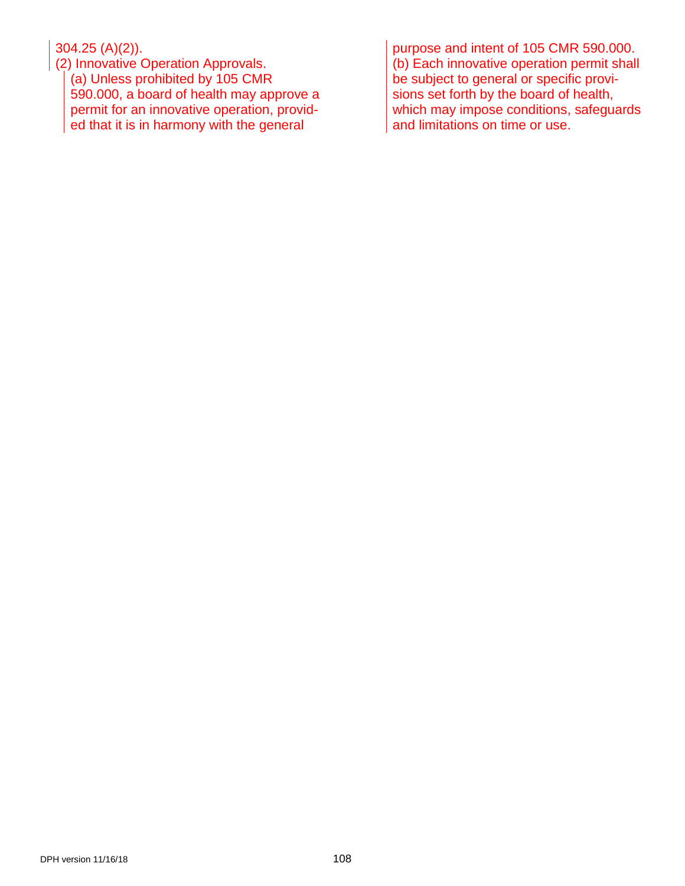#### 304.25 (A)(2)).

(2) Innovative Operation Approvals. (a) Unless prohibited by 105 CMR 590.000, a board of health may approve a permit for an innovative operation, provided that it is in harmony with the general

purpose and intent of 105 CMR 590.000. (b) Each innovative operation permit shall be subject to general or specific provisions set forth by the board of health, which may impose conditions, safeguards and limitations on time or use.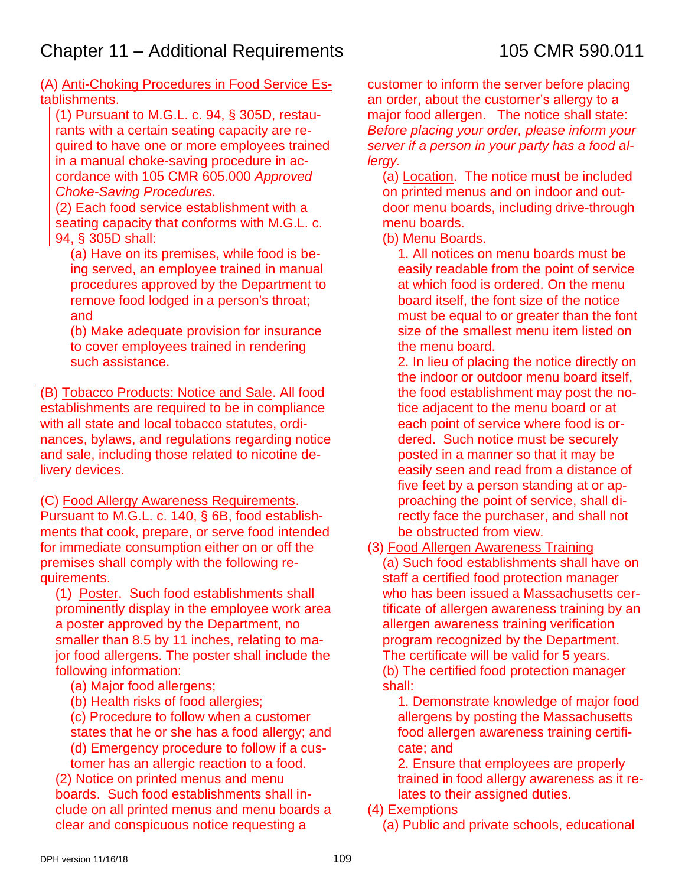(A) Anti-Choking Procedures in Food Service Establishments.

(1) Pursuant to M.G.L. c. 94, § 305D, restaurants with a certain seating capacity are required to have one or more employees trained in a manual choke-saving procedure in accordance with 105 CMR 605.000 *Approved Choke-Saving Procedures.*

(2) Each food service establishment with a seating capacity that conforms with M.G.L. c. 94, § 305D shall:

(a) Have on its premises, while food is being served, an employee trained in manual procedures approved by the Department to remove food lodged in a person's throat; and

(b) Make adequate provision for insurance to cover employees trained in rendering such assistance.

(B) Tobacco Products: Notice and Sale. All food establishments are required to be in compliance with all state and local tobacco statutes, ordinances, bylaws, and regulations regarding notice and sale, including those related to nicotine delivery devices.

(C) Food Allergy Awareness Requirements.

Pursuant to M.G.L. c. 140, § 6B, food establishments that cook, prepare, or serve food intended for immediate consumption either on or off the premises shall comply with the following requirements.

(1) Poster. Such food establishments shall prominently display in the employee work area a poster approved by the Department, no smaller than 8.5 by 11 inches, relating to major food allergens. The poster shall include the following information:

- (a) Major food allergens;
- (b) Health risks of food allergies;
- (c) Procedure to follow when a customer states that he or she has a food allergy; and
- (d) Emergency procedure to follow if a customer has an allergic reaction to a food.

(2) Notice on printed menus and menu boards. Such food establishments shall include on all printed menus and menu boards a clear and conspicuous notice requesting a

customer to inform the server before placing an order, about the customer's allergy to a major food allergen. The notice shall state: *Before placing your order, please inform your server if a person in your party has a food allergy.*

(a) Location. The notice must be included on printed menus and on indoor and outdoor menu boards, including drive-through menu boards.

# (b) Menu Boards.

1. All notices on menu boards must be easily readable from the point of service at which food is ordered. On the menu board itself, the font size of the notice must be equal to or greater than the font size of the smallest menu item listed on the menu board.

2. In lieu of placing the notice directly on the indoor or outdoor menu board itself, the food establishment may post the notice adjacent to the menu board or at each point of service where food is ordered. Such notice must be securely posted in a manner so that it may be easily seen and read from a distance of five feet by a person standing at or approaching the point of service, shall directly face the purchaser, and shall not be obstructed from view.

(3) Food Allergen Awareness Training (a) Such food establishments shall have on staff a certified food protection manager who has been issued a Massachusetts certificate of allergen awareness training by an allergen awareness training verification program recognized by the Department. The certificate will be valid for 5 years. (b) The certified food protection manager shall:

1. Demonstrate knowledge of major food allergens by posting the Massachusetts food allergen awareness training certificate; and

2. Ensure that employees are properly trained in food allergy awareness as it relates to their assigned duties.

# (4) Exemptions

(a) Public and private schools, educational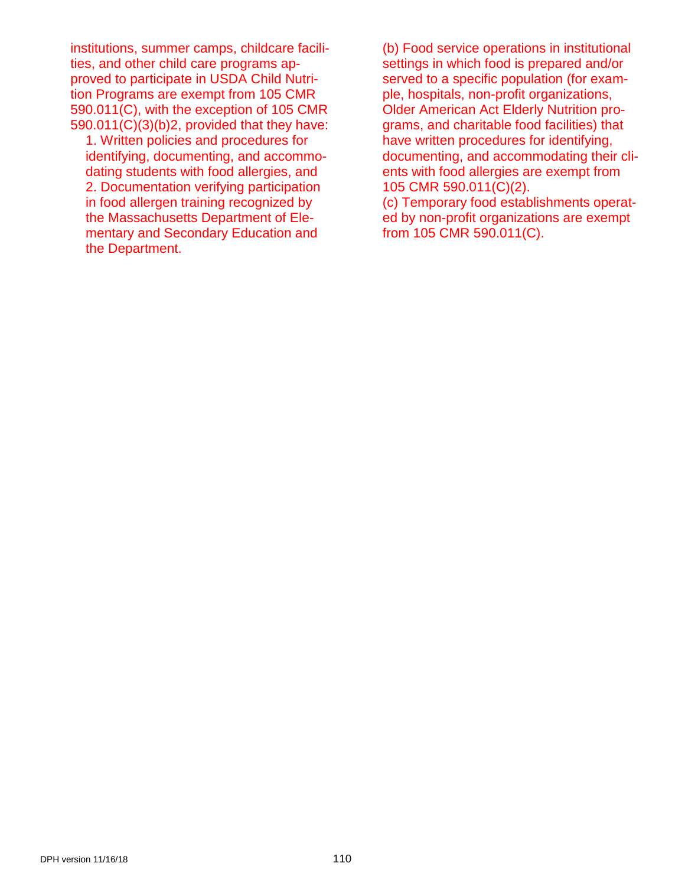institutions, summer camps, childcare facilities, and other child care programs approved to participate in USDA Child Nutrition Programs are exempt from 105 CMR 590.011(C), with the exception of 105 CMR 590.011(C)(3)(b)2, provided that they have:

1. Written policies and procedures for identifying, documenting, and accommodating students with food allergies, and 2. Documentation verifying participation in food allergen training recognized by the Massachusetts Department of Elementary and Secondary Education and the Department.

(b) Food service operations in institutional settings in which food is prepared and/or served to a specific population (for example, hospitals, non-profit organizations, Older American Act Elderly Nutrition programs, and charitable food facilities) that have written procedures for identifying, documenting, and accommodating their clients with food allergies are exempt from 105 CMR 590.011(C)(2).

(c) Temporary food establishments operated by non-profit organizations are exempt from 105 CMR 590.011(C).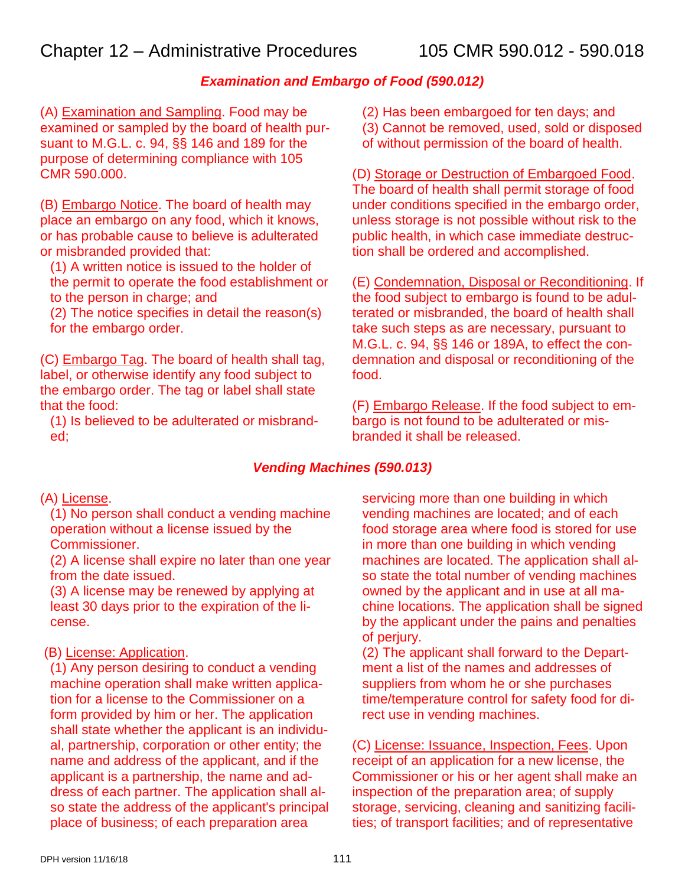## *Examination and Embargo of Food (590.012)*

(A) Examination and Sampling. Food may be examined or sampled by the board of health pursuant to M.G.L. c. 94, §§ 146 and 189 for the purpose of determining compliance with 105 CMR 590.000.

(B) Embargo Notice. The board of health may place an embargo on any food, which it knows, or has probable cause to believe is adulterated or misbranded provided that:

(1) A written notice is issued to the holder of the permit to operate the food establishment or to the person in charge; and

(2) The notice specifies in detail the reason(s) for the embargo order.

(C) Embargo Tag. The board of health shall tag. label, or otherwise identify any food subject to the embargo order. The tag or label shall state that the food:

(1) Is believed to be adulterated or misbranded;

(2) Has been embargoed for ten days; and

(3) Cannot be removed, used, sold or disposed of without permission of the board of health.

(D) Storage or Destruction of Embargoed Food. The board of health shall permit storage of food under conditions specified in the embargo order, unless storage is not possible without risk to the public health, in which case immediate destruction shall be ordered and accomplished.

(E) Condemnation, Disposal or Reconditioning. If the food subject to embargo is found to be adulterated or misbranded, the board of health shall take such steps as are necessary, pursuant to M.G.L. c. 94, §§ 146 or 189A, to effect the condemnation and disposal or reconditioning of the food.

(F) Embargo Release. If the food subject to embargo is not found to be adulterated or misbranded it shall be released.

# *Vending Machines (590.013)*

# (A) License.

(1) No person shall conduct a vending machine operation without a license issued by the Commissioner.

(2) A license shall expire no later than one year from the date issued.

(3) A license may be renewed by applying at least 30 days prior to the expiration of the license.

## (B) License: Application.

(1) Any person desiring to conduct a vending machine operation shall make written application for a license to the Commissioner on a form provided by him or her. The application shall state whether the applicant is an individual, partnership, corporation or other entity; the name and address of the applicant, and if the applicant is a partnership, the name and address of each partner. The application shall also state the address of the applicant's principal place of business; of each preparation area

servicing more than one building in which vending machines are located; and of each food storage area where food is stored for use in more than one building in which vending machines are located. The application shall also state the total number of vending machines owned by the applicant and in use at all machine locations. The application shall be signed by the applicant under the pains and penalties of perjury.

(2) The applicant shall forward to the Department a list of the names and addresses of suppliers from whom he or she purchases time/temperature control for safety food for direct use in vending machines.

(C) License: Issuance, Inspection, Fees. Upon receipt of an application for a new license, the Commissioner or his or her agent shall make an inspection of the preparation area; of supply storage, servicing, cleaning and sanitizing facilities; of transport facilities; and of representative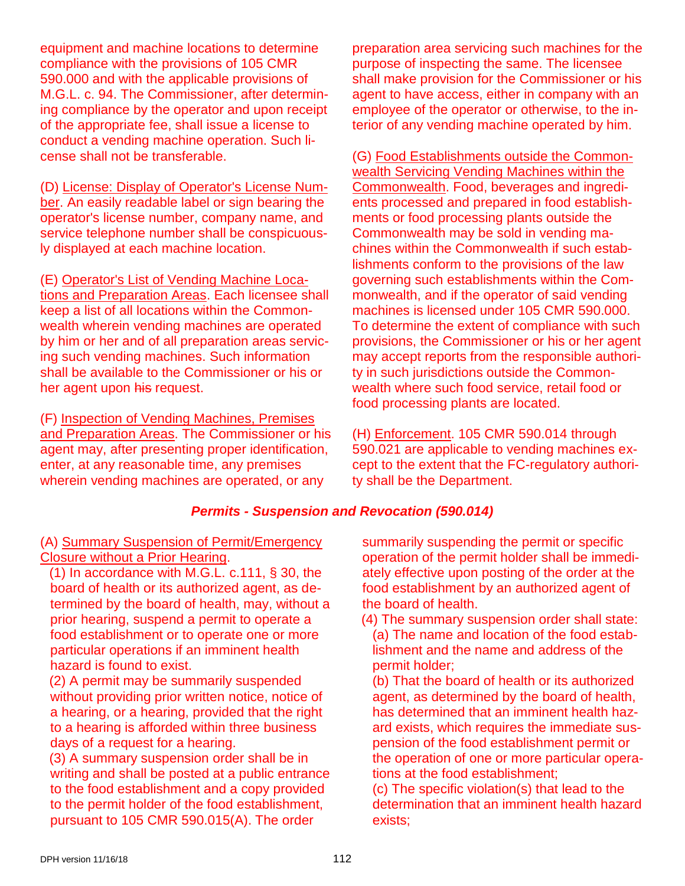equipment and machine locations to determine compliance with the provisions of 105 CMR 590.000 and with the applicable provisions of M.G.L. c. 94. The Commissioner, after determining compliance by the operator and upon receipt of the appropriate fee, shall issue a license to conduct a vending machine operation. Such license shall not be transferable.

(D) License: Display of Operator's License Number. An easily readable label or sign bearing the operator's license number, company name, and service telephone number shall be conspicuously displayed at each machine location.

(E) Operator's List of Vending Machine Locations and Preparation Areas. Each licensee shall keep a list of all locations within the Commonwealth wherein vending machines are operated by him or her and of all preparation areas servicing such vending machines. Such information shall be available to the Commissioner or his or her agent upon his request.

(F) Inspection of Vending Machines, Premises and Preparation Areas. The Commissioner or his agent may, after presenting proper identification, enter, at any reasonable time, any premises wherein vending machines are operated, or any

*Permits - Suspension and Revocation (590.014)*

(A) Summary Suspension of Permit/Emergency Closure without a Prior Hearing.

(1) In accordance with M.G.L. c.111, § 30, the board of health or its authorized agent, as determined by the board of health, may, without a prior hearing, suspend a permit to operate a food establishment or to operate one or more particular operations if an imminent health hazard is found to exist.

(2) A permit may be summarily suspended without providing prior written notice, notice of a hearing, or a hearing, provided that the right to a hearing is afforded within three business days of a request for a hearing.

(3) A summary suspension order shall be in writing and shall be posted at a public entrance to the food establishment and a copy provided to the permit holder of the food establishment, pursuant to 105 CMR 590.015(A). The order

preparation area servicing such machines for the purpose of inspecting the same. The licensee shall make provision for the Commissioner or his agent to have access, either in company with an employee of the operator or otherwise, to the interior of any vending machine operated by him.

(G) Food Establishments outside the Commonwealth Servicing Vending Machines within the Commonwealth. Food, beverages and ingredients processed and prepared in food establishments or food processing plants outside the Commonwealth may be sold in vending machines within the Commonwealth if such establishments conform to the provisions of the law governing such establishments within the Commonwealth, and if the operator of said vending machines is licensed under 105 CMR 590.000. To determine the extent of compliance with such provisions, the Commissioner or his or her agent may accept reports from the responsible authority in such jurisdictions outside the Commonwealth where such food service, retail food or food processing plants are located.

(H) Enforcement. 105 CMR 590.014 through 590.021 are applicable to vending machines except to the extent that the FC-regulatory authority shall be the Department.

summarily suspending the permit or specific operation of the permit holder shall be immediately effective upon posting of the order at the food establishment by an authorized agent of the board of health.

(4) The summary suspension order shall state: (a) The name and location of the food establishment and the name and address of the permit holder;

(b) That the board of health or its authorized agent, as determined by the board of health, has determined that an imminent health hazard exists, which requires the immediate suspension of the food establishment permit or the operation of one or more particular operations at the food establishment;

(c) The specific violation(s) that lead to the determination that an imminent health hazard exists;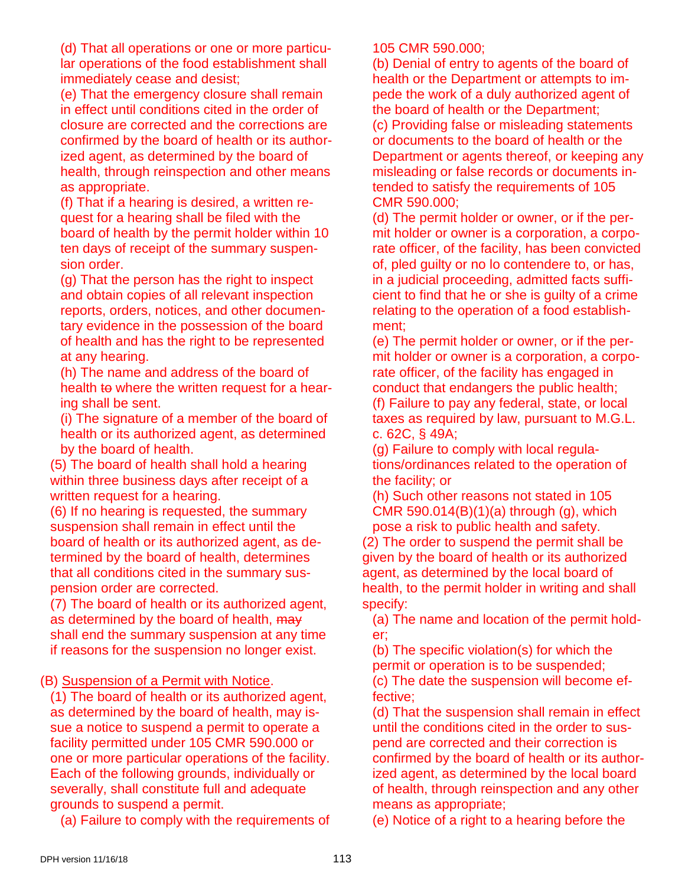(d) That all operations or one or more particular operations of the food establishment shall immediately cease and desist;

(e) That the emergency closure shall remain in effect until conditions cited in the order of closure are corrected and the corrections are confirmed by the board of health or its authorized agent, as determined by the board of health, through reinspection and other means as appropriate.

(f) That if a hearing is desired, a written request for a hearing shall be filed with the board of health by the permit holder within 10 ten days of receipt of the summary suspension order.

(g) That the person has the right to inspect and obtain copies of all relevant inspection reports, orders, notices, and other documentary evidence in the possession of the board of health and has the right to be represented at any hearing.

(h) The name and address of the board of health to where the written request for a hearing shall be sent.

(i) The signature of a member of the board of health or its authorized agent, as determined by the board of health.

(5) The board of health shall hold a hearing within three business days after receipt of a written request for a hearing.

(6) If no hearing is requested, the summary suspension shall remain in effect until the board of health or its authorized agent, as determined by the board of health, determines that all conditions cited in the summary suspension order are corrected.

(7) The board of health or its authorized agent, as determined by the board of health, may shall end the summary suspension at any time if reasons for the suspension no longer exist.

(B) Suspension of a Permit with Notice.

(1) The board of health or its authorized agent, as determined by the board of health, may issue a notice to suspend a permit to operate a facility permitted under 105 CMR 590.000 or one or more particular operations of the facility. Each of the following grounds, individually or severally, shall constitute full and adequate grounds to suspend a permit.

(a) Failure to comply with the requirements of

105 CMR 590.000;

(b) Denial of entry to agents of the board of health or the Department or attempts to impede the work of a duly authorized agent of the board of health or the Department; (c) Providing false or misleading statements or documents to the board of health or the Department or agents thereof, or keeping any misleading or false records or documents intended to satisfy the requirements of 105 CMR 590.000;

(d) The permit holder or owner, or if the permit holder or owner is a corporation, a corporate officer, of the facility, has been convicted of, pled guilty or no lo contendere to, or has, in a judicial proceeding, admitted facts sufficient to find that he or she is guilty of a crime relating to the operation of a food establishment;

(e) The permit holder or owner, or if the permit holder or owner is a corporation, a corporate officer, of the facility has engaged in conduct that endangers the public health; (f) Failure to pay any federal, state, or local taxes as required by law, pursuant to M.G.L. c. 62C, § 49A;

(g) Failure to comply with local regulations/ordinances related to the operation of the facility; or

(h) Such other reasons not stated in 105 CMR 590.014(B)(1)(a) through (g), which pose a risk to public health and safety.

(2) The order to suspend the permit shall be given by the board of health or its authorized agent, as determined by the local board of health, to the permit holder in writing and shall specify:

(a) The name and location of the permit holder;

(b) The specific violation(s) for which the permit or operation is to be suspended; (c) The date the suspension will become effective;

(d) That the suspension shall remain in effect until the conditions cited in the order to suspend are corrected and their correction is confirmed by the board of health or its authorized agent, as determined by the local board of health, through reinspection and any other means as appropriate;

(e) Notice of a right to a hearing before the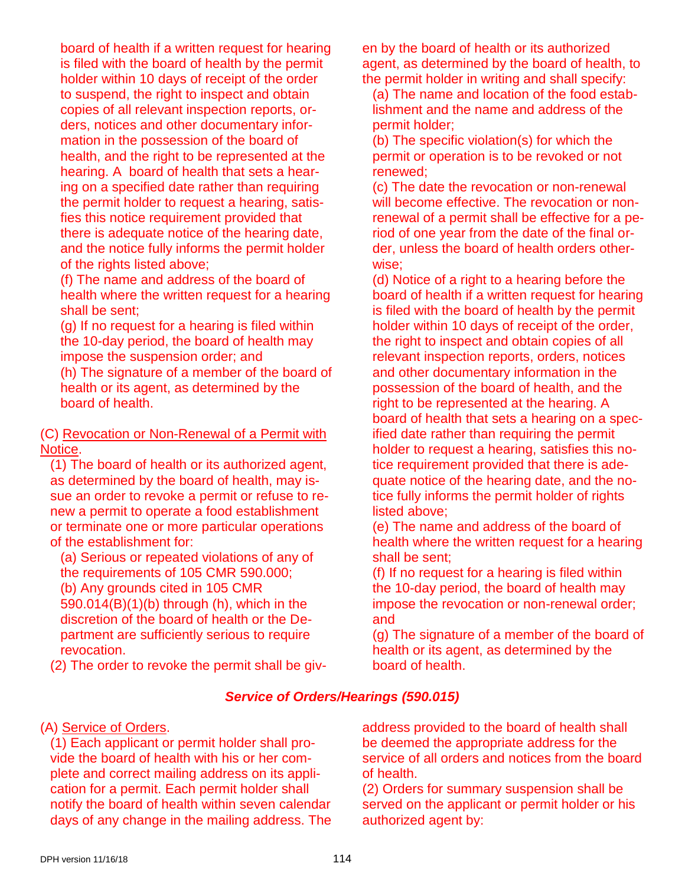board of health if a written request for hearing is filed with the board of health by the permit holder within 10 days of receipt of the order to suspend, the right to inspect and obtain copies of all relevant inspection reports, orders, notices and other documentary information in the possession of the board of health, and the right to be represented at the hearing. A board of health that sets a hearing on a specified date rather than requiring the permit holder to request a hearing, satisfies this notice requirement provided that there is adequate notice of the hearing date, and the notice fully informs the permit holder of the rights listed above;

(f) The name and address of the board of health where the written request for a hearing shall be sent;

(g) If no request for a hearing is filed within the 10-day period, the board of health may impose the suspension order; and

(h) The signature of a member of the board of health or its agent, as determined by the board of health.

(C) Revocation or Non-Renewal of a Permit with Notice.

(1) The board of health or its authorized agent, as determined by the board of health, may issue an order to revoke a permit or refuse to renew a permit to operate a food establishment or terminate one or more particular operations of the establishment for:

(a) Serious or repeated violations of any of the requirements of 105 CMR 590.000;

(b) Any grounds cited in 105 CMR

590.014(B)(1)(b) through (h), which in the discretion of the board of health or the Department are sufficiently serious to require revocation.

(2) The order to revoke the permit shall be giv-

en by the board of health or its authorized agent, as determined by the board of health, to the permit holder in writing and shall specify:

(a) The name and location of the food establishment and the name and address of the permit holder;

(b) The specific violation(s) for which the permit or operation is to be revoked or not renewed;

(c) The date the revocation or non-renewal will become effective. The revocation or nonrenewal of a permit shall be effective for a period of one year from the date of the final order, unless the board of health orders otherwise;

(d) Notice of a right to a hearing before the board of health if a written request for hearing is filed with the board of health by the permit holder within 10 days of receipt of the order, the right to inspect and obtain copies of all relevant inspection reports, orders, notices and other documentary information in the possession of the board of health, and the right to be represented at the hearing. A board of health that sets a hearing on a specified date rather than requiring the permit holder to request a hearing, satisfies this notice requirement provided that there is adequate notice of the hearing date, and the notice fully informs the permit holder of rights listed above;

(e) The name and address of the board of health where the written request for a hearing shall be sent;

(f) If no request for a hearing is filed within the 10-day period, the board of health may impose the revocation or non-renewal order; and

(g) The signature of a member of the board of health or its agent, as determined by the board of health.

# *Service of Orders/Hearings (590.015)*

# (A) Service of Orders.

(1) Each applicant or permit holder shall provide the board of health with his or her complete and correct mailing address on its application for a permit. Each permit holder shall notify the board of health within seven calendar days of any change in the mailing address. The address provided to the board of health shall be deemed the appropriate address for the service of all orders and notices from the board of health.

(2) Orders for summary suspension shall be served on the applicant or permit holder or his authorized agent by: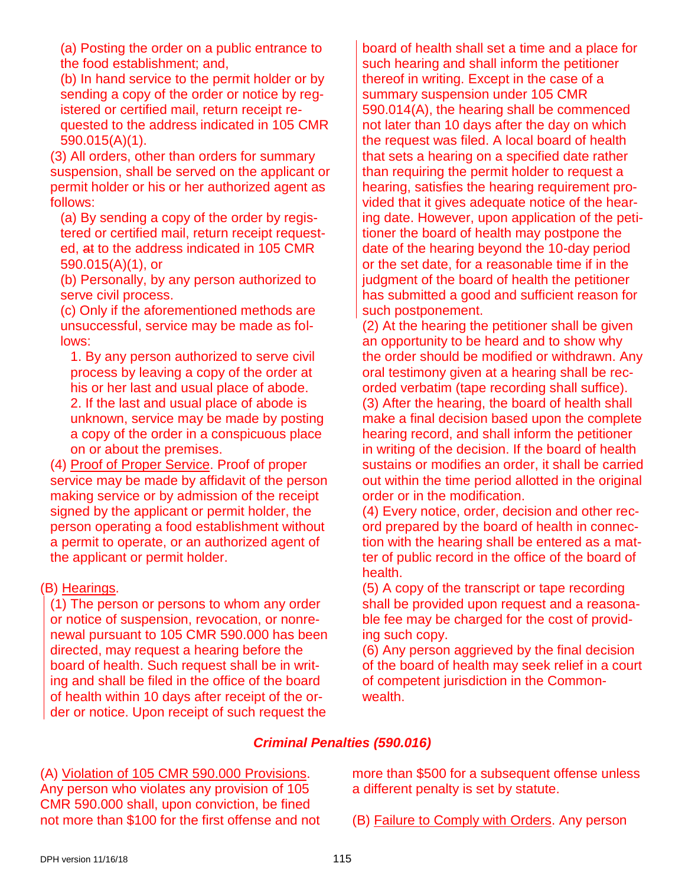(a) Posting the order on a public entrance to the food establishment; and,

(b) In hand service to the permit holder or by sending a copy of the order or notice by registered or certified mail, return receipt requested to the address indicated in 105 CMR 590.015(A)(1).

(3) All orders, other than orders for summary suspension, shall be served on the applicant or permit holder or his or her authorized agent as follows:

(a) By sending a copy of the order by registered or certified mail, return receipt requested, at to the address indicated in 105 CMR 590.015(A)(1), or

(b) Personally, by any person authorized to serve civil process.

(c) Only if the aforementioned methods are unsuccessful, service may be made as follows:

1. By any person authorized to serve civil process by leaving a copy of the order at his or her last and usual place of abode. 2. If the last and usual place of abode is unknown, service may be made by posting a copy of the order in a conspicuous place on or about the premises.

(4) Proof of Proper Service. Proof of proper service may be made by affidavit of the person making service or by admission of the receipt signed by the applicant or permit holder, the person operating a food establishment without a permit to operate, or an authorized agent of the applicant or permit holder.

## (B) Hearings.

(1) The person or persons to whom any order or notice of suspension, revocation, or nonrenewal pursuant to 105 CMR 590.000 has been directed, may request a hearing before the board of health. Such request shall be in writing and shall be filed in the office of the board of health within 10 days after receipt of the order or notice. Upon receipt of such request the

board of health shall set a time and a place for such hearing and shall inform the petitioner thereof in writing. Except in the case of a summary suspension under 105 CMR 590.014(A), the hearing shall be commenced not later than 10 days after the day on which the request was filed. A local board of health that sets a hearing on a specified date rather than requiring the permit holder to request a hearing, satisfies the hearing requirement provided that it gives adequate notice of the hearing date. However, upon application of the petitioner the board of health may postpone the date of the hearing beyond the 10-day period or the set date, for a reasonable time if in the judgment of the board of health the petitioner has submitted a good and sufficient reason for such postponement.

(2) At the hearing the petitioner shall be given an opportunity to be heard and to show why the order should be modified or withdrawn. Any oral testimony given at a hearing shall be recorded verbatim (tape recording shall suffice). (3) After the hearing, the board of health shall make a final decision based upon the complete hearing record, and shall inform the petitioner in writing of the decision. If the board of health sustains or modifies an order, it shall be carried out within the time period allotted in the original order or in the modification.

(4) Every notice, order, decision and other record prepared by the board of health in connection with the hearing shall be entered as a matter of public record in the office of the board of health.

(5) A copy of the transcript or tape recording shall be provided upon request and a reasonable fee may be charged for the cost of providing such copy.

(6) Any person aggrieved by the final decision of the board of health may seek relief in a court of competent jurisdiction in the Commonwealth.

# *Criminal Penalties (590.016)*

(A) Violation of 105 CMR 590.000 Provisions. Any person who violates any provision of 105 CMR 590.000 shall, upon conviction, be fined not more than \$100 for the first offense and not more than \$500 for a subsequent offense unless a different penalty is set by statute.

(B) Failure to Comply with Orders. Any person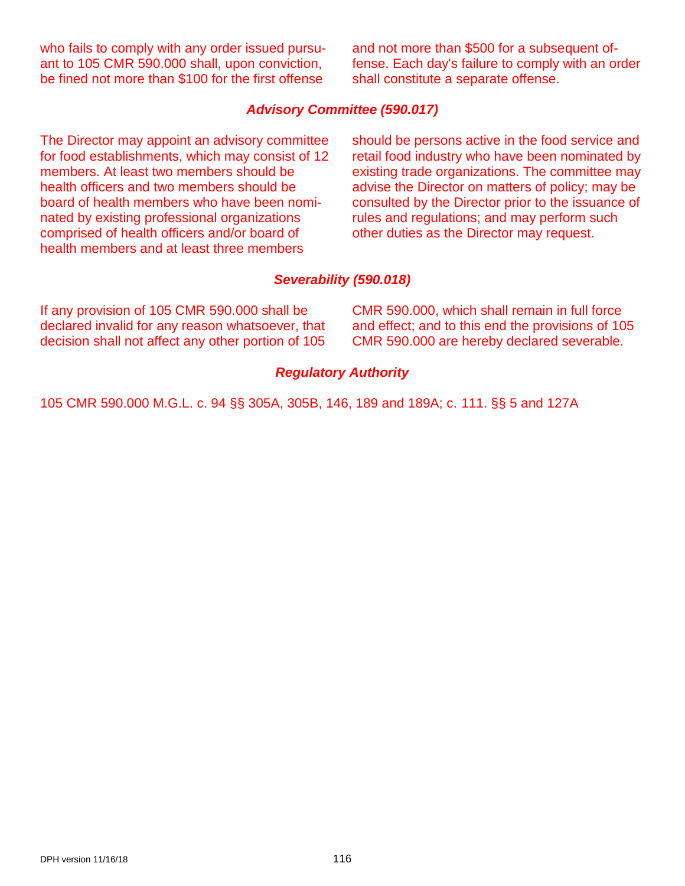who fails to comply with any order issued pursuant to 105 CMR 590.000 shall, upon conviction, be fined not more than \$100 for the first offense

and not more than \$500 for a subsequent offense. Each day's failure to comply with an order shall constitute a separate offense.

## *Advisory Committee (590.017)*

The Director may appoint an advisory committee for food establishments, which may consist of 12 members. At least two members should be health officers and two members should be board of health members who have been nominated by existing professional organizations comprised of health officers and/or board of health members and at least three members

should be persons active in the food service and retail food industry who have been nominated by existing trade organizations. The committee may advise the Director on matters of policy; may be consulted by the Director prior to the issuance of rules and regulations; and may perform such other duties as the Director may request.

## *Severability (590.018)*

If any provision of 105 CMR 590.000 shall be declared invalid for any reason whatsoever, that decision shall not affect any other portion of 105 CMR 590.000, which shall remain in full force and effect; and to this end the provisions of 105 CMR 590.000 are hereby declared severable.

### *Regulatory Authority*

105 CMR 590.000 M.G.L. c. 94 §§ 305A, 305B, 146, 189 and 189A; c. 111. §§ 5 and 127A